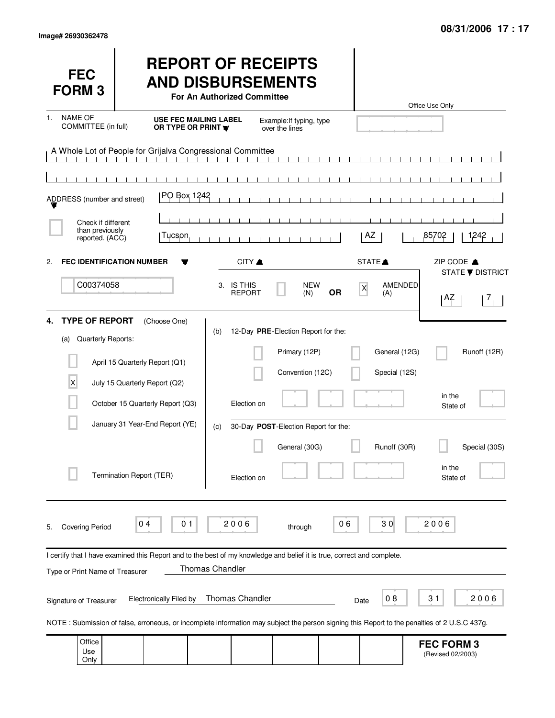Only

| <b>FEC</b><br><b>FORM3</b>                                    |                                                                                                                                                           | <b>REPORT OF RECEIPTS</b><br><b>AND DISBURSEMENTS</b><br>For An Authorized Committee |                                                                          |                |                                             | Office Use Only                                                            |
|---------------------------------------------------------------|-----------------------------------------------------------------------------------------------------------------------------------------------------------|--------------------------------------------------------------------------------------|--------------------------------------------------------------------------|----------------|---------------------------------------------|----------------------------------------------------------------------------|
| <b>NAME OF</b><br>1.<br>COMMITTEE (in full)                   | <b>USE FEC MAILING LABEL</b><br>OR TYPE OR PRINT                                                                                                          |                                                                                      | Example: If typing, type<br>over the lines                               |                |                                             |                                                                            |
| ADDRESS (number and street)                                   | A Whole Lot of People for Grijalva Congressional Committee<br>PO Box 1242                                                                                 |                                                                                      |                                                                          |                |                                             |                                                                            |
| Check if different<br>than previously<br>reported. (ACC)      | Tucson                                                                                                                                                    |                                                                                      |                                                                          |                | AZ                                          | 85702<br>1242                                                              |
| <b>FEC IDENTIFICATION NUMBER</b><br>2.<br>C00374058           |                                                                                                                                                           | CITY A<br>3. IS THIS<br><b>REPORT</b>                                                | <b>NEW</b><br>(N)                                                        | X<br><b>OR</b> | STATE <sup>A</sup><br><b>AMENDED</b><br>(A) | ZIP CODE A<br><b>STATE ▼ DISTRICT</b><br>1 <sup>AZ</sup><br>7 <sub>1</sub> |
| <b>TYPE OF REPORT</b><br>4.<br>Quarterly Reports:<br>(a)<br>X | (Choose One)<br>April 15 Quarterly Report (Q1)<br>July 15 Quarterly Report (Q2)<br>October 15 Quarterly Report (Q3)                                       | (b)<br>Election on                                                                   | 12-Day PRE-Election Report for the:<br>Primary (12P)<br>Convention (12C) |                | General (12G)<br>Special (12S)              | Runoff (12R)<br>in the<br>State of                                         |
|                                                               | January 31 Year-End Report (YE)<br>Termination Report (TER)                                                                                               | (c)<br>Election on                                                                   | 30-Day POST-Election Report for the:<br>General (30G)                    |                | Runoff (30R)                                | Special (30S)<br>in the<br>State of                                        |
| <b>Covering Period</b><br>5.                                  | 01<br>04                                                                                                                                                  | 2006                                                                                 | through                                                                  | 06             | 30                                          | 2006                                                                       |
| Type or Print Name of Treasurer                               | I certify that I have examined this Report and to the best of my knowledge and belief it is true, correct and complete.<br><b>Electronically Filed by</b> | Thomas Chandler<br><b>Thomas Chandler</b>                                            |                                                                          |                | 08                                          | 31<br>2006                                                                 |
| Signature of Treasurer                                        | NOTE: Submission of false, erroneous, or incomplete information may subject the person signing this Report to the penalties of 2 U.S.C 437g.              |                                                                                      |                                                                          | Date           |                                             |                                                                            |
| Office<br>Use<br>Only                                         |                                                                                                                                                           |                                                                                      |                                                                          |                |                                             | <b>FEC FORM 3</b><br>(Revised 02/2003)                                     |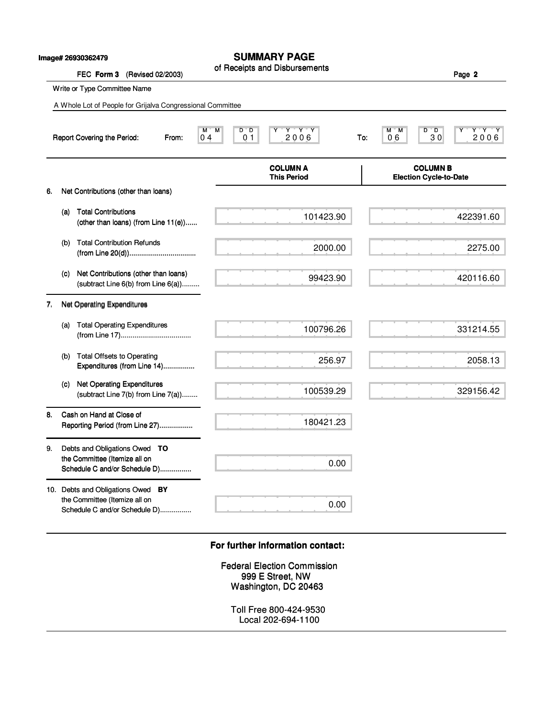|  | Image# 26930362479 |
|--|--------------------|
|--|--------------------|

### **SUMMARY PAGE**

|    |     | lmage# 26930362479                                                                                  | SUMMARY PAGE<br>of Receipts and Disbursements                                  |                                                  |
|----|-----|-----------------------------------------------------------------------------------------------------|--------------------------------------------------------------------------------|--------------------------------------------------|
|    |     | FEC Form 3<br>(Revised 02/2003)                                                                     |                                                                                | Page 2                                           |
|    |     | Write or Type Committee Name                                                                        |                                                                                |                                                  |
|    |     | A Whole Lot of People for Grijalva Congressional Committee                                          |                                                                                |                                                  |
|    |     | Report Covering the Period:<br>From:                                                                | D D<br>Y * Y * Y<br>M.<br>M<br>2006<br>0 <sub>1</sub><br>0 <sub>4</sub><br>To: | Y Y Y<br>M M<br>D D<br>Y<br>30<br>06<br>2006     |
|    |     |                                                                                                     | <b>COLUMN A</b><br><b>This Period</b>                                          | <b>COLUMN B</b><br><b>Election Cycle-to-Date</b> |
| 6. |     | Net Contributions (other than loans)                                                                |                                                                                |                                                  |
|    | (a) | <b>Total Contributions</b><br>(other than loans) (from Line 11(e))                                  | 101423.90                                                                      | 422391.60                                        |
|    | (b) | <b>Total Contribution Refunds</b>                                                                   | 2000.00                                                                        | 2275.00                                          |
|    | (c) | Net Contributions (other than loans)<br>(subtract Line 6(b) from Line 6(a))                         | 99423.90                                                                       | 420116.60                                        |
| 7. |     | Net Operating Expenditures                                                                          |                                                                                |                                                  |
|    | (a) | <b>Total Operating Expenditures</b>                                                                 | 100796.26                                                                      | 331214.55                                        |
|    | (b) | <b>Total Offsets to Operating</b><br>Expenditures (from Line 14)                                    | 256.97                                                                         | 2058.13                                          |
|    | (c) | <b>Net Operating Expenditures</b><br>(subtract Line 7(b) from Line 7(a))                            | 100539.29                                                                      | 329156.42                                        |
| 8. |     | Cash on Hand at Close of<br>Reporting Period (from Line 27)                                         | 180421.23                                                                      |                                                  |
| 9. |     | Debts and Obligations Owed TO<br>the Committee (Itemize all on                                      | 0.00                                                                           |                                                  |
|    |     | Schedule C and/or Schedule D)                                                                       |                                                                                |                                                  |
|    |     | 10. Debts and Obligations Owed BY<br>the Committee (Itemize all on<br>Schedule C and/or Schedule D) | 0.00                                                                           |                                                  |
|    |     |                                                                                                     | For further information contact:                                               |                                                  |
|    |     |                                                                                                     | <b>Federal Election Commission</b><br>999 E Street, NW<br>Washington, DC 20463 |                                                  |
|    |     |                                                                                                     | Toll Free 800-424-9530<br>Local 202-694-1100                                   |                                                  |

#### **For further information contact: For further information contact:**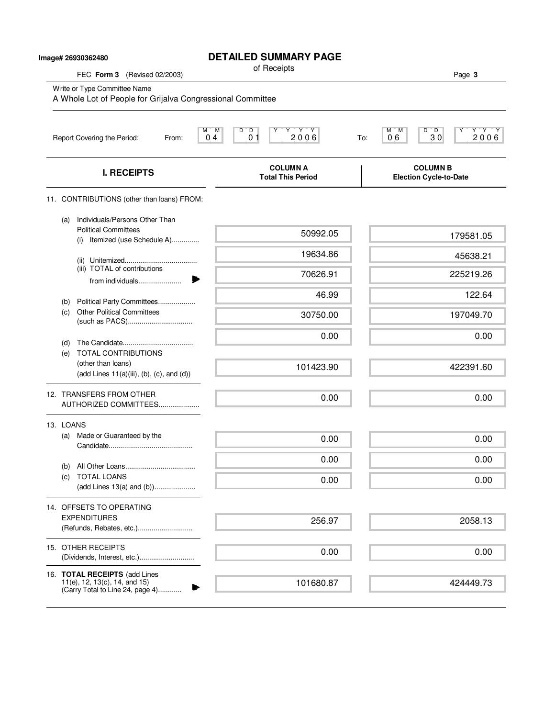|                                                                                            | Image# 26930362480                                                                                    | <b>DETAILED SUMMARY PAGE</b>                                                                                                                                                                  |                                                                  |  |  |  |  |  |
|--------------------------------------------------------------------------------------------|-------------------------------------------------------------------------------------------------------|-----------------------------------------------------------------------------------------------------------------------------------------------------------------------------------------------|------------------------------------------------------------------|--|--|--|--|--|
|                                                                                            | FEC Form 3 (Revised 02/2003)                                                                          | of Receipts                                                                                                                                                                                   | Page 3                                                           |  |  |  |  |  |
| Write or Type Committee Name<br>A Whole Lot of People for Grijalva Congressional Committee |                                                                                                       |                                                                                                                                                                                               |                                                                  |  |  |  |  |  |
|                                                                                            | Report Covering the Period:<br>From:                                                                  | $D^{\prime}$ , $D$<br>$\begin{array}{c}\n \mathbf{Y} & \mathbf{Y} & \mathbf{Y} \\ \mathbf{2} & \mathbf{0} & \mathbf{0} & \mathbf{6}\n \end{array}$<br>M M<br>0 <sub>1</sub><br>0 <sub>4</sub> | $D^{\bullet}$ $D$<br>$Y Y Y Y$<br>2006<br>M M<br>30<br>06<br>To: |  |  |  |  |  |
|                                                                                            | <b>I. RECEIPTS</b>                                                                                    | <b>COLUMN A</b><br><b>Total This Period</b>                                                                                                                                                   | <b>COLUMN B</b><br><b>Election Cycle-to-Date</b>                 |  |  |  |  |  |
|                                                                                            | 11. CONTRIBUTIONS (other than loans) FROM:                                                            |                                                                                                                                                                                               |                                                                  |  |  |  |  |  |
|                                                                                            | Individuals/Persons Other Than<br>(a)<br><b>Political Committees</b><br>(i) Itemized (use Schedule A) | 50992.05                                                                                                                                                                                      | 179581.05                                                        |  |  |  |  |  |
|                                                                                            |                                                                                                       | 19634.86                                                                                                                                                                                      | 45638.21                                                         |  |  |  |  |  |
|                                                                                            | (iii) TOTAL of contributions                                                                          | 70626.91                                                                                                                                                                                      | 225219.26                                                        |  |  |  |  |  |
|                                                                                            | from individuals                                                                                      | 46.99                                                                                                                                                                                         | 122.64                                                           |  |  |  |  |  |
|                                                                                            | Political Party Committees<br>(b)<br><b>Other Political Committees</b><br>(C)                         | 30750.00                                                                                                                                                                                      | 197049.70                                                        |  |  |  |  |  |
|                                                                                            |                                                                                                       | 0.00                                                                                                                                                                                          | 0.00                                                             |  |  |  |  |  |
|                                                                                            | (d)<br><b>TOTAL CONTRIBUTIONS</b><br>(e)                                                              |                                                                                                                                                                                               |                                                                  |  |  |  |  |  |
|                                                                                            | (other than loans)<br>(add Lines 11(a)(iii), (b), (c), and (d))                                       | 101423.90                                                                                                                                                                                     | 422391.60                                                        |  |  |  |  |  |
|                                                                                            | 12. TRANSFERS FROM OTHER<br>AUTHORIZED COMMITTEES                                                     | 0.00                                                                                                                                                                                          | 0.00                                                             |  |  |  |  |  |
|                                                                                            | 13. LOANS                                                                                             |                                                                                                                                                                                               |                                                                  |  |  |  |  |  |
|                                                                                            | Made or Guaranteed by the<br>(a)                                                                      | 0.00                                                                                                                                                                                          | 0.00                                                             |  |  |  |  |  |
|                                                                                            | (b)                                                                                                   | 0.00                                                                                                                                                                                          | 0.00                                                             |  |  |  |  |  |
|                                                                                            | (c) TOTAL LOANS<br>(add Lines 13(a) and (b))                                                          | 0.00                                                                                                                                                                                          | 0.00                                                             |  |  |  |  |  |
|                                                                                            | 14. OFFSETS TO OPERATING                                                                              |                                                                                                                                                                                               |                                                                  |  |  |  |  |  |
|                                                                                            | <b>EXPENDITURES</b>                                                                                   | 256.97                                                                                                                                                                                        | 2058.13                                                          |  |  |  |  |  |
|                                                                                            | 15. OTHER RECEIPTS<br>(Dividends, Interest, etc.)                                                     | 0.00                                                                                                                                                                                          | 0.00                                                             |  |  |  |  |  |
|                                                                                            | 16. TOTAL RECEIPTS (add Lines<br>11(e), 12, 13(c), 14, and 15)<br>(Carry Total to Line 24, page 4)    | 101680.87                                                                                                                                                                                     | 424449.73                                                        |  |  |  |  |  |

## **DETAILED SUMMARY PAGE**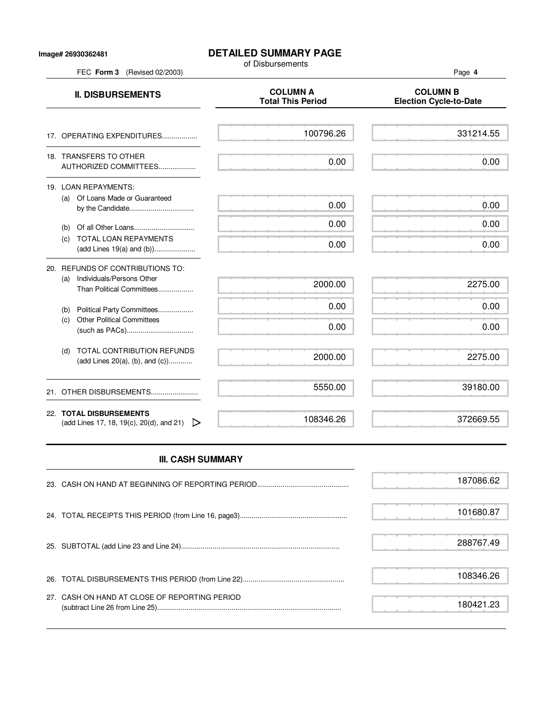### **Image# 26930362481**

### **DETAILED SUMMARY PAGE**

of Disbursements

**II. DISBURSEMENTS**<br>Total This Period Figures and COLUMN B<br>Election Cycle-to 17. OPERATING EXPENDITURES.................. 18. TRANSFERS TO OTHER AUTHORIZED COMMITTEES................... 100796.26 0.00

|     | 19. LOAN REPAYMENTS:                               |  |  |  |  |  |      |
|-----|----------------------------------------------------|--|--|--|--|--|------|
| (a) | Of Loans Made or Guaranteed                        |  |  |  |  |  | 0.00 |
| (b) |                                                    |  |  |  |  |  | ი იი |
| (C) | TOTAL LOAN REPAYMENTS<br>(add Lines 19(a) and (b)) |  |  |  |  |  |      |
|     |                                                    |  |  |  |  |  |      |

| 20. | REFUNDS OF CONTRIBUTIONS TO:                                             |           |           |
|-----|--------------------------------------------------------------------------|-----------|-----------|
|     | Individuals/Persons Other<br>(a)<br>Than Political Committees            | 2000.00   | 2275.00   |
|     | Political Party Committees<br>(b)                                        | 0.00      | 0.00      |
|     | <b>Other Political Committees</b><br>(C)                                 | 0.00      | 0.00      |
|     | TOTAL CONTRIBUTION REFUNDS<br>(d)<br>(add Lines $20(a)$ , (b), and (c))  | 2000.00   | 2275.00   |
|     |                                                                          | 5550.00   | 39180.00  |
|     | 22. TOTAL DISBURSEMENTS<br>(add Lines 17, 18, 19(c), 20(d), and 21)<br>▷ | 108346.26 | 372669.55 |

# **III. CASH SUMMARY**

|                                               | 187086.62 |
|-----------------------------------------------|-----------|
|                                               | 101680.87 |
|                                               | 288767.49 |
|                                               | 108346.26 |
| 27. CASH ON HAND AT CLOSE OF REPORTING PERIOD | 180421.23 |

FEC **Form 3** (Revised 02/2003) Page **4**

331214.55

0.00

0.00

0.00

0.00

**Election Cycle-to-Date**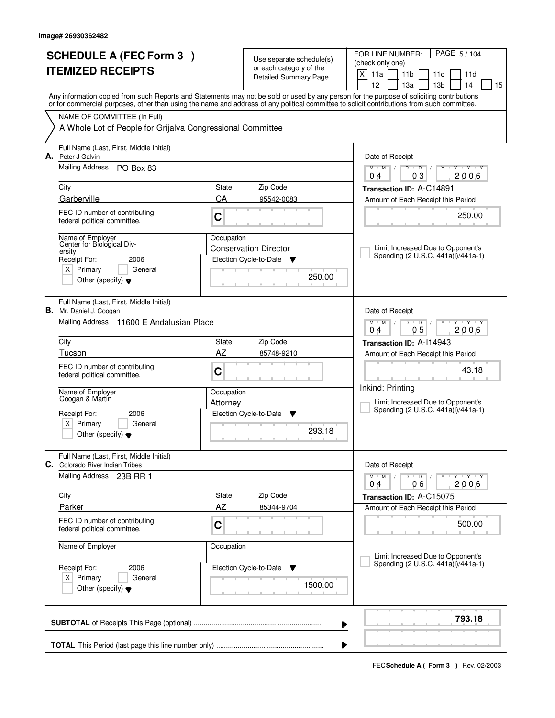|    | <b>SCHEDULE A (FEC Form 3)</b><br><b>ITEMIZED RECEIPTS</b>                                |             | Use separate schedule(s)<br>or each category of the<br><b>Detailed Summary Page</b> | PAGE 5/104<br>FOR LINE NUMBER:<br>(check only one)<br>X<br>11a<br>11 <sub>b</sub><br>11 <sub>c</sub><br>11d<br>12<br>13а<br>13 <sub>b</sub><br>14<br>15                                                                                                                                 |
|----|-------------------------------------------------------------------------------------------|-------------|-------------------------------------------------------------------------------------|-----------------------------------------------------------------------------------------------------------------------------------------------------------------------------------------------------------------------------------------------------------------------------------------|
|    |                                                                                           |             |                                                                                     | Any information copied from such Reports and Statements may not be sold or used by any person for the purpose of soliciting contributions<br>or for commercial purposes, other than using the name and address of any political committee to solicit contributions from such committee. |
|    | NAME OF COMMITTEE (In Full)<br>A Whole Lot of People for Grijalva Congressional Committee |             |                                                                                     |                                                                                                                                                                                                                                                                                         |
|    |                                                                                           |             |                                                                                     |                                                                                                                                                                                                                                                                                         |
| А. | Full Name (Last, First, Middle Initial)<br>Peter J Galvin                                 |             |                                                                                     | Date of Receipt                                                                                                                                                                                                                                                                         |
|    | Mailing Address PO Box 83                                                                 |             |                                                                                     | $D$ $D$<br>$Y - Y - Y$<br>$M$ $M$ /<br>0 <sub>3</sub><br>2006<br>04                                                                                                                                                                                                                     |
|    | City                                                                                      | State       | Zip Code                                                                            | Transaction ID: A-C14891                                                                                                                                                                                                                                                                |
|    | Garberville                                                                               | CA          | 95542-0083                                                                          | Amount of Each Receipt this Period                                                                                                                                                                                                                                                      |
|    | FEC ID number of contributing<br>federal political committee.                             | C           |                                                                                     | 250.00                                                                                                                                                                                                                                                                                  |
|    | Name of Employer<br>Center for Biological Div-<br>ersity                                  | Occupation  | <b>Conservation Director</b>                                                        | Limit Increased Due to Opponent's                                                                                                                                                                                                                                                       |
|    | 2006<br>Receipt For:                                                                      |             | Election Cycle-to-Date<br>v                                                         | Spending (2 U.S.C. 441a(i)/441a-1)                                                                                                                                                                                                                                                      |
|    | $X$ Primary<br>General<br>Other (specify) $\blacktriangledown$                            |             | 250.00                                                                              |                                                                                                                                                                                                                                                                                         |
|    | Full Name (Last, First, Middle Initial)<br><b>B.</b> Mr. Daniel J. Coogan                 |             |                                                                                     | Date of Receipt                                                                                                                                                                                                                                                                         |
|    | Mailing Address 11600 E Andalusian Place                                                  |             |                                                                                     | $M$ $M$ /<br>D<br>$\overline{D}$<br>$T$ $Y$ $T$ $Y$<br>0 <sub>5</sub><br>04<br>2006                                                                                                                                                                                                     |
|    | City                                                                                      | State       | Zip Code                                                                            | Transaction ID: A-114943                                                                                                                                                                                                                                                                |
|    | Tucson                                                                                    | AZ          | 85748-9210                                                                          | Amount of Each Receipt this Period                                                                                                                                                                                                                                                      |
|    | FEC ID number of contributing<br>federal political committee.                             | C           |                                                                                     | 43.18                                                                                                                                                                                                                                                                                   |
|    | Name of Employer<br>Coogan & Martin                                                       | Occupation  |                                                                                     | Inkind: Printing                                                                                                                                                                                                                                                                        |
|    | 2006                                                                                      | Attorney    | Election Cycle-to-Date                                                              | Limit Increased Due to Opponent's<br>Spending (2 U.S.C. 441a(i)/441a-1)                                                                                                                                                                                                                 |
|    | Receipt For:<br>x <sub>1</sub><br>Primary<br>General                                      |             | Y                                                                                   |                                                                                                                                                                                                                                                                                         |
|    | Other (specify) $\blacktriangledown$                                                      |             | 293.18                                                                              |                                                                                                                                                                                                                                                                                         |
|    | Full Name (Last, First, Middle Initial)<br>C. Colorado River Indian Tribes                |             |                                                                                     | Date of Receipt                                                                                                                                                                                                                                                                         |
|    | Mailing Address 23B RR 1                                                                  |             |                                                                                     | $D$ $D$ $/$<br>$M$ $M$ $M$<br>Y TY TY TY<br>2006<br>04<br>06                                                                                                                                                                                                                            |
|    | City                                                                                      | State       | Zip Code                                                                            | Transaction ID: A-C15075                                                                                                                                                                                                                                                                |
|    | Parker                                                                                    | AΖ          | 85344-9704                                                                          | Amount of Each Receipt this Period                                                                                                                                                                                                                                                      |
|    | FEC ID number of contributing<br>federal political committee.                             | $\mathbf C$ |                                                                                     | 500.00                                                                                                                                                                                                                                                                                  |
|    | Name of Employer                                                                          | Occupation  |                                                                                     | Limit Increased Due to Opponent's                                                                                                                                                                                                                                                       |
|    | Receipt For:<br>2006                                                                      |             | Election Cycle-to-Date<br><b>V</b>                                                  | Spending (2 U.S.C. 441a(i)/441a-1)                                                                                                                                                                                                                                                      |
|    | $X$ Primary<br>General<br>Other (specify) $\blacktriangledown$                            |             | 1500.00                                                                             |                                                                                                                                                                                                                                                                                         |
|    |                                                                                           |             |                                                                                     | 793.18<br>▶                                                                                                                                                                                                                                                                             |
|    |                                                                                           |             |                                                                                     | ▶                                                                                                                                                                                                                                                                                       |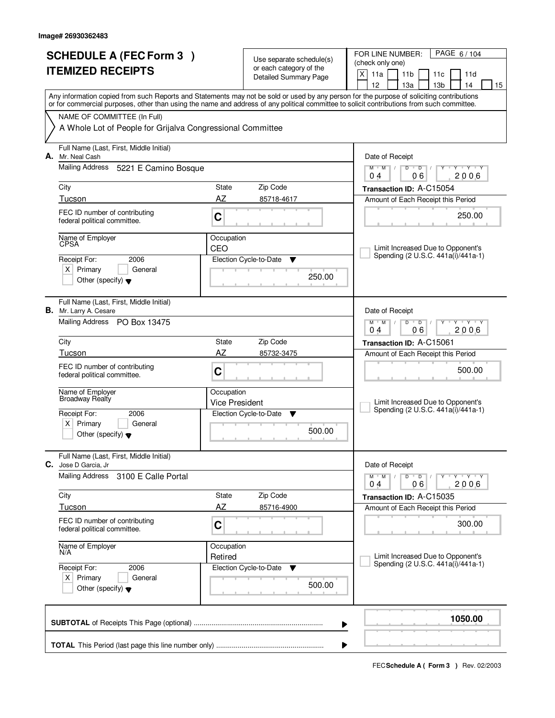| <b>SCHEDULE A (FEC Form 3)</b><br><b>ITEMIZED RECEIPTS</b> |                                                                                                          | Use separate schedule(s)<br>or each category of the<br>Detailed Summary Page |                                                 | PAGE 6/104<br>FOR LINE NUMBER:<br>(check only one)<br>X<br>11a<br>11 <sub>b</sub><br>11d<br>11c                                                                                                                                                                                                                                     |
|------------------------------------------------------------|----------------------------------------------------------------------------------------------------------|------------------------------------------------------------------------------|-------------------------------------------------|-------------------------------------------------------------------------------------------------------------------------------------------------------------------------------------------------------------------------------------------------------------------------------------------------------------------------------------|
|                                                            |                                                                                                          |                                                                              |                                                 | 12<br>13a<br>13 <sub>b</sub><br>14<br>15<br>Any information copied from such Reports and Statements may not be sold or used by any person for the purpose of soliciting contributions<br>or for commercial purposes, other than using the name and address of any political committee to solicit contributions from such committee. |
|                                                            | NAME OF COMMITTEE (In Full)<br>A Whole Lot of People for Grijalva Congressional Committee                |                                                                              |                                                 |                                                                                                                                                                                                                                                                                                                                     |
| А.                                                         | Full Name (Last, First, Middle Initial)<br>Mr. Neal Cash                                                 |                                                                              |                                                 | Date of Receipt                                                                                                                                                                                                                                                                                                                     |
|                                                            | Mailing Address 5221 E Camino Bosque                                                                     |                                                                              |                                                 | $M$ $M$<br>$D$ $D$<br>Ÿ<br>$Y - Y - Y$<br>06<br>2006<br>04                                                                                                                                                                                                                                                                          |
|                                                            | City                                                                                                     | State                                                                        | Zip Code                                        | Transaction ID: A-C15054                                                                                                                                                                                                                                                                                                            |
|                                                            | Tucson<br>FEC ID number of contributing<br>federal political committee.                                  | AZ<br>C                                                                      | 85718-4617                                      | Amount of Each Receipt this Period<br>250.00                                                                                                                                                                                                                                                                                        |
|                                                            | Name of Employer<br><b>CPSA</b><br>2006                                                                  | Occupation<br>CEO                                                            |                                                 | Limit Increased Due to Opponent's<br>Spending (2 U.S.C. 441a(i)/441a-1)                                                                                                                                                                                                                                                             |
|                                                            | Receipt For:<br>$X$ Primary<br>General<br>Other (specify) $\blacktriangledown$                           |                                                                              | Election Cycle-to-Date<br>▼<br>250.00           |                                                                                                                                                                                                                                                                                                                                     |
|                                                            | Full Name (Last, First, Middle Initial)<br><b>B.</b> Mr. Larry A. Cesare<br>Mailing Address PO Box 13475 |                                                                              |                                                 | Date of Receipt<br>$M$ $M$ /<br>D<br>$\overline{D}$<br>Y Y Y Y                                                                                                                                                                                                                                                                      |
|                                                            |                                                                                                          |                                                                              |                                                 | 06<br>04<br>2006                                                                                                                                                                                                                                                                                                                    |
|                                                            | City<br>Tucson                                                                                           | State<br>AZ                                                                  | Zip Code<br>85732-3475                          | Transaction ID: A-C15061<br>Amount of Each Receipt this Period                                                                                                                                                                                                                                                                      |
|                                                            | FEC ID number of contributing<br>federal political committee.                                            | C                                                                            |                                                 | 500.00                                                                                                                                                                                                                                                                                                                              |
|                                                            | Name of Employer<br>Broadway Realfy                                                                      | Occupation<br><b>Vice President</b>                                          |                                                 | Limit Increased Due to Opponent's<br>Spending (2 U.S.C. 441a(i)/441a-1)                                                                                                                                                                                                                                                             |
|                                                            | Receipt For:<br>2006<br>$x \mid$<br>Primary<br>General<br>Other (specify) $\blacktriangledown$           |                                                                              | Election Cycle-to-Date<br>▼<br>500.00           |                                                                                                                                                                                                                                                                                                                                     |
| С.                                                         | Full Name (Last, First, Middle Initial)<br>Jose D Garcia, Jr                                             |                                                                              |                                                 | Date of Receipt                                                                                                                                                                                                                                                                                                                     |
|                                                            | <b>Mailing Address</b><br>3100 E Calle Portal                                                            |                                                                              |                                                 | $D \quad D \quad / \quad$<br>$M$ $M$<br>Y Y Y Y Y Y<br>06<br>2006<br>04                                                                                                                                                                                                                                                             |
|                                                            | City<br>Tucson                                                                                           | State<br>AZ                                                                  | Zip Code<br>85716-4900                          | Transaction ID: A-C15035<br>Amount of Each Receipt this Period                                                                                                                                                                                                                                                                      |
|                                                            | FEC ID number of contributing<br>federal political committee.                                            | C                                                                            |                                                 | 300.00                                                                                                                                                                                                                                                                                                                              |
|                                                            | Name of Employer<br>N/A                                                                                  | Occupation<br>Retired                                                        |                                                 | Limit Increased Due to Opponent's<br>Spending (2 U.S.C. 441a(i)/441a-1)                                                                                                                                                                                                                                                             |
|                                                            | Receipt For:<br>2006<br>$X$ Primary<br>General<br>Other (specify) $\blacktriangledown$                   |                                                                              | Election Cycle-to-Date<br>$\mathbf v$<br>500.00 |                                                                                                                                                                                                                                                                                                                                     |
|                                                            |                                                                                                          |                                                                              |                                                 | 1050.00<br>▶                                                                                                                                                                                                                                                                                                                        |
|                                                            |                                                                                                          |                                                                              |                                                 |                                                                                                                                                                                                                                                                                                                                     |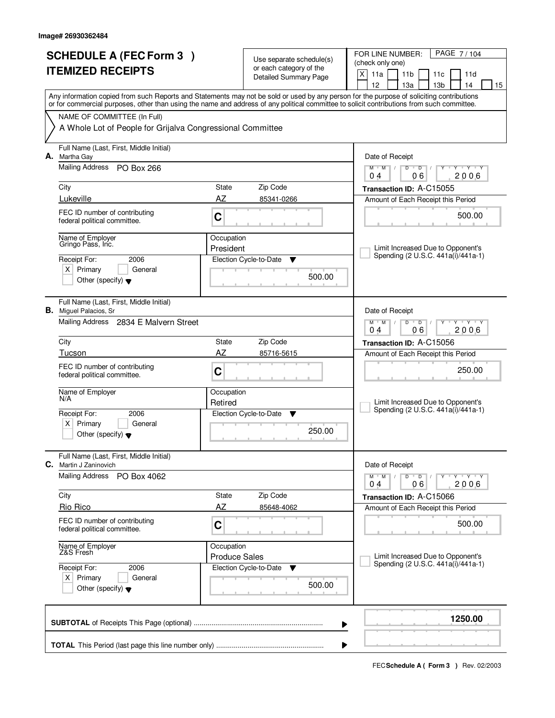|    | <b>SCHEDULE A (FEC Form 3)</b><br><b>ITEMIZED RECEIPTS</b>                                                              |                                    | Use separate schedule(s)<br>or each category of the<br><b>Detailed Summary Page</b> | PAGE 7/104<br>FOR LINE NUMBER:<br>(check only one)<br>X<br>11a<br>11 <sub>b</sub><br>11c<br>11d<br>12<br>13a<br>13 <sub>b</sub><br>14<br>15                                                                                                                                             |
|----|-------------------------------------------------------------------------------------------------------------------------|------------------------------------|-------------------------------------------------------------------------------------|-----------------------------------------------------------------------------------------------------------------------------------------------------------------------------------------------------------------------------------------------------------------------------------------|
|    | NAME OF COMMITTEE (In Full)<br>A Whole Lot of People for Grijalva Congressional Committee                               |                                    |                                                                                     | Any information copied from such Reports and Statements may not be sold or used by any person for the purpose of soliciting contributions<br>or for commercial purposes, other than using the name and address of any political committee to solicit contributions from such committee. |
| А. | Full Name (Last, First, Middle Initial)<br>Martha Gay<br>Mailing Address PO Box 266<br>City                             | State                              | Zip Code                                                                            | Date of Receipt<br>$\overline{D}$<br>$\overline{Y}$ $\overline{Y}$<br>$M$ <sup>U</sup><br>$M$ /<br>$D$ <sup>U</sup><br>Y<br>06<br>2006<br>04<br>Transaction ID: A-C15055                                                                                                                |
|    | Lukeville<br>FEC ID number of contributing<br>federal political committee.<br>Name of Employer                          | AZ<br>C<br>Occupation              | 85341-0266                                                                          | Amount of Each Receipt this Period<br>500.00                                                                                                                                                                                                                                            |
|    | Gringo Pass, Inc.<br>2006<br>Receipt For:<br>$X$ Primary<br>General<br>Other (specify) $\blacktriangledown$             | President                          | Election Cycle-to-Date<br>▼<br>500.00                                               | Limit Increased Due to Opponent's<br>Spending (2 U.S.C. 441a(i)/441a-1)                                                                                                                                                                                                                 |
|    | Full Name (Last, First, Middle Initial)<br><b>B.</b> Miguel Palacios, Sr<br>Mailing Address 2834 E Malvern Street       |                                    |                                                                                     | Date of Receipt<br>$M$ $M$ /<br>D<br>$\overline{D}$<br>$Y + Y + Y$<br>06<br>04<br>2006                                                                                                                                                                                                  |
|    | City<br>Tucson                                                                                                          | State<br>AZ                        | Zip Code<br>85716-5615                                                              | Transaction ID: A-C15056<br>Amount of Each Receipt this Period                                                                                                                                                                                                                          |
|    | FEC ID number of contributing<br>federal political committee.<br>Name of Employer<br>N/A                                | C<br>Occupation                    |                                                                                     | 250.00                                                                                                                                                                                                                                                                                  |
|    | Receipt For:<br>2006<br>$\times$<br>Primary<br>General<br>Other (specify) $\bullet$                                     | Retired                            | Election Cycle-to-Date<br>▼<br>250.00                                               | Limit Increased Due to Opponent's<br>Spending (2 U.S.C. 441a(i)/441a-1)                                                                                                                                                                                                                 |
| C. | Full Name (Last, First, Middle Initial)<br>Martin J Zaninovich                                                          |                                    |                                                                                     | Date of Receipt                                                                                                                                                                                                                                                                         |
|    | <b>Mailing Address</b><br>PO Box 4062<br>City                                                                           | State                              | Zip Code                                                                            | $D$ $D$ $/$<br>$M$ $M$<br>Y TY TY TY<br>06<br>2006<br>04                                                                                                                                                                                                                                |
|    | Rio Rico                                                                                                                | AZ                                 | 85648-4062                                                                          | Transaction ID: A-C15066<br>Amount of Each Receipt this Period                                                                                                                                                                                                                          |
|    | FEC ID number of contributing<br>federal political committee.                                                           | C                                  |                                                                                     | 500.00                                                                                                                                                                                                                                                                                  |
|    | Name of Employer<br>Z&S Fresh<br>Receipt For:<br>2006<br>$X$ Primary<br>General<br>Other (specify) $\blacktriangledown$ | Occupation<br><b>Produce Sales</b> | Election Cycle-to-Date<br>$\overline{\mathbf{v}}$<br>500.00                         | Limit Increased Due to Opponent's<br>Spending (2 U.S.C. 441a(i)/441a-1)                                                                                                                                                                                                                 |
|    |                                                                                                                         |                                    |                                                                                     | 1250.00<br>▶                                                                                                                                                                                                                                                                            |
|    |                                                                                                                         |                                    |                                                                                     |                                                                                                                                                                                                                                                                                         |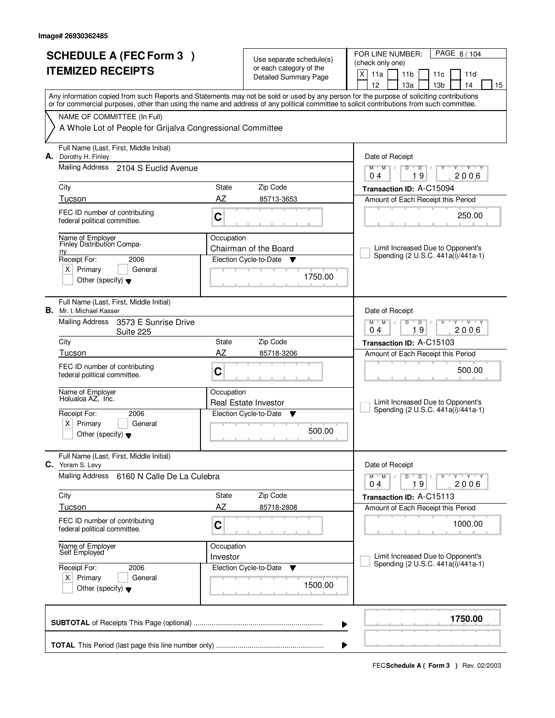| <b>SCHEDULE A (FEC Form 3)</b><br><b>ITEMIZED RECEIPTS</b>                                                                                                 |                        | Use separate schedule(s)<br>or each category of the<br><b>Detailed Summary Page</b> | PAGE 8/104<br>FOR LINE NUMBER:<br>(check only one)<br>X<br>11a<br>11 <sub>b</sub><br>11 <sub>c</sub><br>11d<br>12<br>13а<br>13 <sub>b</sub><br>14<br>15                                                                                                                                 |
|------------------------------------------------------------------------------------------------------------------------------------------------------------|------------------------|-------------------------------------------------------------------------------------|-----------------------------------------------------------------------------------------------------------------------------------------------------------------------------------------------------------------------------------------------------------------------------------------|
| NAME OF COMMITTEE (In Full)<br>A Whole Lot of People for Grijalva Congressional Committee                                                                  |                        |                                                                                     | Any information copied from such Reports and Statements may not be sold or used by any person for the purpose of soliciting contributions<br>or for commercial purposes, other than using the name and address of any political committee to solicit contributions from such committee. |
| Full Name (Last, First, Middle Initial)<br>A. Dorothy H. Finley<br>Mailing Address 2104 S Euclid Avenue                                                    |                        |                                                                                     | Date of Receipt<br>$M$ $M$ /<br>$D$ $D$<br>$Y - Y - Y$<br>19<br>2006<br>04                                                                                                                                                                                                              |
| City<br>Tucson                                                                                                                                             | State<br>AZ            | Zip Code<br>85713-3653                                                              | Transaction ID: A-C15094<br>Amount of Each Receipt this Period                                                                                                                                                                                                                          |
| FEC ID number of contributing<br>federal political committee.                                                                                              | C                      |                                                                                     | 250.00                                                                                                                                                                                                                                                                                  |
| Name of Employer<br>Finley Distribution Compa-<br>n <sub>V</sub><br>Receipt For:<br>2006<br>$X$ Primary<br>General<br>Other (specify) $\blacktriangledown$ | Occupation             | Chairman of the Board<br>Election Cycle-to-Date<br>v<br>1750.00                     | Limit Increased Due to Opponent's<br>Spending (2 U.S.C. 441a(i)/441a-1)                                                                                                                                                                                                                 |
| Full Name (Last, First, Middle Initial)<br><b>B.</b> Mr. I. Michael Kasser<br><b>Mailing Address</b><br>3573 E Sunrise Drive<br>Suite 225                  |                        |                                                                                     | Date of Receipt<br>$M$ $M$ /<br>D<br>$\overline{D}$<br>Y 'Y 'Y<br>19<br>04<br>2006                                                                                                                                                                                                      |
| City                                                                                                                                                       | State                  | Zip Code                                                                            | Transaction ID: A-C15103                                                                                                                                                                                                                                                                |
| Tucson<br>FEC ID number of contributing<br>federal political committee.                                                                                    | AZ<br>C                | 85718-3206                                                                          | Amount of Each Receipt this Period<br>500.00                                                                                                                                                                                                                                            |
| Name of Employer<br>Holualoa AZ, Inc.                                                                                                                      | Occupation             | Real Estate Investor                                                                | Limit Increased Due to Opponent's<br>Spending (2 U.S.C. 441a(i)/441a-1)                                                                                                                                                                                                                 |
| Receipt For:<br>2006<br>$x \mid$<br>Primary<br>General<br>Other (specify) $\blacktriangledown$                                                             |                        | Election Cycle-to-Date<br>v<br>500.00                                               |                                                                                                                                                                                                                                                                                         |
| Full Name (Last, First, Middle Initial)<br>C. Yoram S. Levy                                                                                                |                        |                                                                                     | Date of Receipt                                                                                                                                                                                                                                                                         |
| <b>Mailing Address</b><br>6160 N Calle De La Culebra                                                                                                       |                        |                                                                                     | $M$ $M$ $M$<br>$D$ $D$ $I$<br>YULYULYULY<br>19<br>2006<br>04                                                                                                                                                                                                                            |
| City<br>Tucson                                                                                                                                             | State<br>AZ            | Zip Code<br>85718-2808                                                              | Transaction ID: A-C15113<br>Amount of Each Receipt this Period                                                                                                                                                                                                                          |
| FEC ID number of contributing<br>federal political committee.                                                                                              | $\mathbf C$            |                                                                                     | 1000.00                                                                                                                                                                                                                                                                                 |
| Name of Employer<br>Self Employed                                                                                                                          | Occupation<br>Investor |                                                                                     | Limit Increased Due to Opponent's<br>Spending (2 U.S.C. 441a(i)/441a-1)                                                                                                                                                                                                                 |
| Receipt For:<br>2006<br>$X$ Primary<br>General<br>Other (specify) $\blacktriangledown$                                                                     |                        | Election Cycle-to-Date<br>v<br>1500.00                                              |                                                                                                                                                                                                                                                                                         |
|                                                                                                                                                            |                        |                                                                                     | 1750.00<br>▶                                                                                                                                                                                                                                                                            |
|                                                                                                                                                            |                        |                                                                                     |                                                                                                                                                                                                                                                                                         |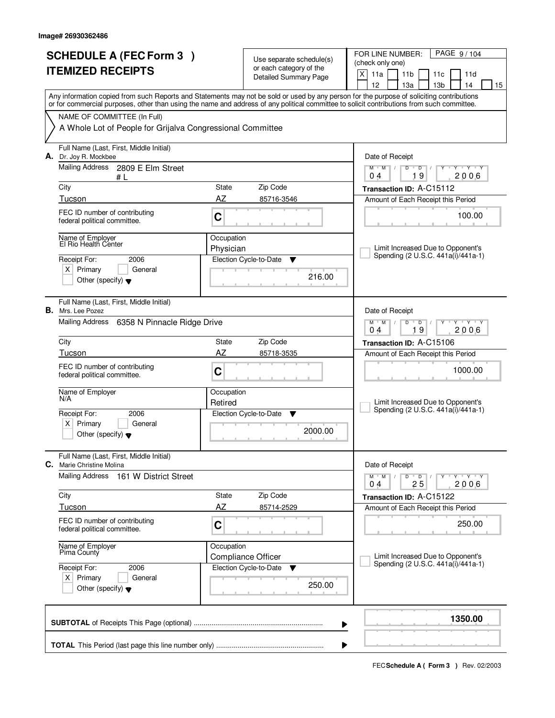|    | <b>SCHEDULE A (FEC Form 3)</b><br><b>ITEMIZED RECEIPTS</b>                                               |                         | Use separate schedule(s)<br>or each category of the<br><b>Detailed Summary Page</b> | PAGE 9/104<br>FOR LINE NUMBER:<br>(check only one)<br>X<br>11a<br>11 <sub>b</sub><br>11 <sub>c</sub><br>11d<br>12<br>14<br>13а<br>13 <sub>b</sub><br>15                                                                                                                                 |
|----|----------------------------------------------------------------------------------------------------------|-------------------------|-------------------------------------------------------------------------------------|-----------------------------------------------------------------------------------------------------------------------------------------------------------------------------------------------------------------------------------------------------------------------------------------|
|    | NAME OF COMMITTEE (In Full)<br>A Whole Lot of People for Grijalva Congressional Committee                |                         |                                                                                     | Any information copied from such Reports and Statements may not be sold or used by any person for the purpose of soliciting contributions<br>or for commercial purposes, other than using the name and address of any political committee to solicit contributions from such committee. |
|    | Full Name (Last, First, Middle Initial)<br>A. Dr. Joy R. Mockbee<br>Mailing Address<br>2809 E Elm Street |                         |                                                                                     | Date of Receipt<br>$M$ $M$ /<br>$D$ $D$<br>$Y - Y - Y$<br>Y                                                                                                                                                                                                                             |
|    | #L<br>City                                                                                               | State                   | Zip Code                                                                            | 19<br>2006<br>04<br>Transaction ID: A-C15112                                                                                                                                                                                                                                            |
|    | Tucson                                                                                                   | AZ                      | 85716-3546                                                                          | Amount of Each Receipt this Period                                                                                                                                                                                                                                                      |
|    | FEC ID number of contributing<br>federal political committee.                                            | C                       |                                                                                     | 100.00                                                                                                                                                                                                                                                                                  |
|    | Name of Employer<br>El Rio Health Center<br>2006                                                         | Occupation<br>Physician |                                                                                     | Limit Increased Due to Opponent's<br>Spending (2 U.S.C. 441a(i)/441a-1)                                                                                                                                                                                                                 |
|    | Receipt For:<br>$X$ Primary<br>General<br>Other (specify) $\blacktriangledown$                           |                         | Election Cycle-to-Date<br>Y<br>216.00                                               |                                                                                                                                                                                                                                                                                         |
|    | Full Name (Last, First, Middle Initial)<br><b>B.</b> Mrs. Lee Pozez                                      |                         |                                                                                     | Date of Receipt                                                                                                                                                                                                                                                                         |
|    | Mailing Address<br>6358 N Pinnacle Ridge Drive                                                           |                         |                                                                                     | $M$ $M$ /<br>D<br>$\overline{D}$<br>Y 'Y 'Y<br>19<br>04<br>2006                                                                                                                                                                                                                         |
|    | City                                                                                                     | State                   | Zip Code                                                                            | Transaction ID: A-C15106                                                                                                                                                                                                                                                                |
|    | Tucson<br>FEC ID number of contributing<br>federal political committee.                                  | AZ<br>C                 | 85718-3535                                                                          | Amount of Each Receipt this Period<br>1000.00                                                                                                                                                                                                                                           |
|    | Name of Employer<br>N/A                                                                                  | Occupation<br>Retired   |                                                                                     | Limit Increased Due to Opponent's<br>Spending (2 U.S.C. 441a(i)/441a-1)                                                                                                                                                                                                                 |
|    | Receipt For:<br>2006<br>x <sub>1</sub><br>Primary<br>General<br>Other (specify) $\blacktriangledown$     |                         | Election Cycle-to-Date<br>Y<br>2000.00                                              |                                                                                                                                                                                                                                                                                         |
| C. | Full Name (Last, First, Middle Initial)<br>Marie Christine Molina                                        |                         |                                                                                     | Date of Receipt                                                                                                                                                                                                                                                                         |
|    | Mailing Address<br>161 W District Street                                                                 |                         |                                                                                     | $M$ $M$ $M$<br>$D$ $D$ $/$<br>יץ ייץ ייד<br>Y<br>25<br>2006<br>04                                                                                                                                                                                                                       |
|    | City<br>Tucson                                                                                           | State<br>AZ             | Zip Code<br>85714-2529                                                              | Transaction ID: A-C15122<br>Amount of Each Receipt this Period                                                                                                                                                                                                                          |
|    | FEC ID number of contributing<br>federal political committee.                                            | $\mathbf C$             |                                                                                     | 250.00                                                                                                                                                                                                                                                                                  |
|    | Name of Employer<br>Pima County                                                                          | Occupation              | <b>Compliance Officer</b>                                                           | Limit Increased Due to Opponent's                                                                                                                                                                                                                                                       |
|    | Receipt For:<br>2006<br>$X$ Primary<br>General<br>Other (specify) $\blacktriangledown$                   |                         | Election Cycle-to-Date<br><b>V</b><br>250.00                                        | Spending (2 U.S.C. 441a(i)/441a-1)                                                                                                                                                                                                                                                      |
|    |                                                                                                          |                         |                                                                                     | 1350.00<br>▶                                                                                                                                                                                                                                                                            |
|    |                                                                                                          |                         |                                                                                     |                                                                                                                                                                                                                                                                                         |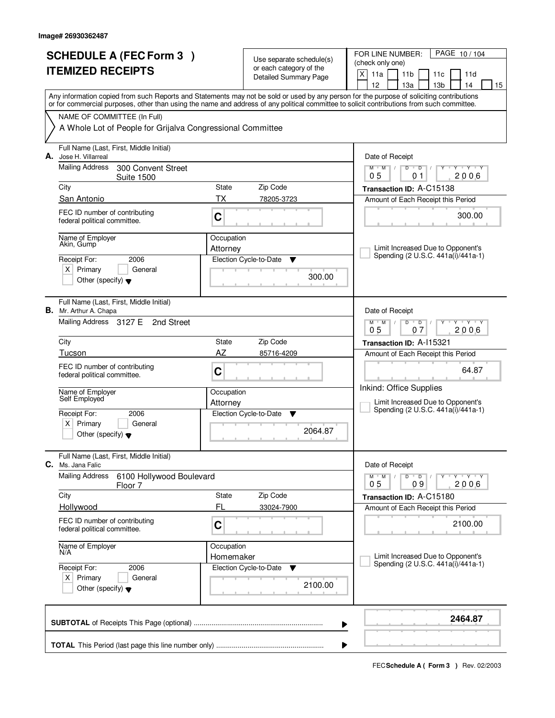|    | <b>SCHEDULE A (FEC Form 3)</b><br><b>ITEMIZED RECEIPTS</b>                                                                                                                |                        | Use separate schedule(s)<br>or each category of the<br><b>Detailed Summary Page</b> | PAGE 10/104<br>FOR LINE NUMBER:<br>(check only one)<br>X<br>11a<br>11 <sub>b</sub><br>11c<br>11d<br>12<br>13 <sub>b</sub><br>14<br>13a<br>15 |
|----|---------------------------------------------------------------------------------------------------------------------------------------------------------------------------|------------------------|-------------------------------------------------------------------------------------|----------------------------------------------------------------------------------------------------------------------------------------------|
|    | or for commercial purposes, other than using the name and address of any political committee to solicit contributions from such committee.<br>NAME OF COMMITTEE (In Full) |                        |                                                                                     | Any information copied from such Reports and Statements may not be sold or used by any person for the purpose of soliciting contributions    |
|    | A Whole Lot of People for Grijalva Congressional Committee                                                                                                                |                        |                                                                                     |                                                                                                                                              |
| А. | Full Name (Last, First, Middle Initial)<br>Jose H. Villarreal                                                                                                             |                        |                                                                                     | Date of Receipt                                                                                                                              |
|    | Mailing Address<br>300 Convent Street<br><b>Suite 1500</b>                                                                                                                |                        |                                                                                     | $T$ $Y$ $T$ $Y$<br>$M$ <sup><math>+</math></sup><br>$M$ /<br>D<br>$\overline{D}$<br>Y<br>2006<br>05<br>01                                    |
|    | City                                                                                                                                                                      | <b>State</b>           | Zip Code                                                                            | Transaction ID: A-C15138                                                                                                                     |
|    | San Antonio                                                                                                                                                               | ТX                     | 78205-3723                                                                          | Amount of Each Receipt this Period                                                                                                           |
|    | FEC ID number of contributing<br>federal political committee.                                                                                                             | C                      |                                                                                     | 300.00                                                                                                                                       |
|    | Name of Employer<br>Akin, Gump                                                                                                                                            | Occupation<br>Attorney |                                                                                     | Limit Increased Due to Opponent's                                                                                                            |
|    | 2006<br>Receipt For:                                                                                                                                                      |                        | Election Cycle-to-Date<br>▼                                                         | Spending (2 U.S.C. 441a(i)/441a-1)                                                                                                           |
|    | $X$ Primary<br>General<br>Other (specify) $\blacktriangledown$                                                                                                            |                        | 300.00                                                                              |                                                                                                                                              |
|    | Full Name (Last, First, Middle Initial)<br><b>B.</b> Mr. Arthur A. Chapa                                                                                                  |                        |                                                                                     | Date of Receipt                                                                                                                              |
|    | Mailing Address 3127 E<br>2nd Street                                                                                                                                      |                        |                                                                                     | $D$ $D$<br>$Y \vdash Y \vdash Y$<br>$M$ $M$ /<br>05<br>07<br>2006                                                                            |
|    | City                                                                                                                                                                      | State                  | Zip Code                                                                            | Transaction ID: A-115321                                                                                                                     |
|    | Tucson                                                                                                                                                                    | AZ                     | 85716-4209                                                                          | Amount of Each Receipt this Period                                                                                                           |
|    | FEC ID number of contributing<br>federal political committee.                                                                                                             | C                      |                                                                                     | 64.87                                                                                                                                        |
|    | Name of Employer<br>Self Employed                                                                                                                                         | Occupation             |                                                                                     | Inkind: Office Supplies                                                                                                                      |
|    | Receipt For:<br>2006                                                                                                                                                      | Attorney               | Election Cycle-to-Date<br>▼                                                         | Limit Increased Due to Opponent's<br>Spending (2 U.S.C. 441a(i)/441a-1)                                                                      |
|    | $X$ Primary<br>General<br>Other (specify) $\blacktriangledown$                                                                                                            |                        | 2064.87                                                                             |                                                                                                                                              |
| C. | Full Name (Last, First, Middle Initial)<br>Ms. Jana Falic                                                                                                                 |                        |                                                                                     | Date of Receipt                                                                                                                              |
|    | <b>Mailing Address</b><br>6100 Hollywood Boulevard<br>Floor 7                                                                                                             |                        |                                                                                     | $M^+$ M<br>$D$ $D$ $/$<br>$\mathsf{Y} \dashv \mathsf{Y} \dashv \mathsf{Y} \dashv \mathsf{Y}$<br>$\sqrt{2}$<br>2006<br>05<br>09               |
|    | City                                                                                                                                                                      | State                  | Zip Code                                                                            | Transaction ID: A-C15180                                                                                                                     |
|    | Hollywood                                                                                                                                                                 | FL                     | 33024-7900                                                                          | Amount of Each Receipt this Period                                                                                                           |
|    | FEC ID number of contributing<br>federal political committee.                                                                                                             | C                      |                                                                                     | 2100.00                                                                                                                                      |
|    | Name of Employer<br>N/A                                                                                                                                                   | Occupation             |                                                                                     | Limit Increased Due to Opponent's                                                                                                            |
|    | Receipt For:<br>2006                                                                                                                                                      | Homemaker              | Election Cycle-to-Date<br>v                                                         | Spending (2 U.S.C. 441a(i)/441a-1)                                                                                                           |
|    | $X$ Primary<br>General<br>Other (specify) $\blacktriangledown$                                                                                                            |                        | 2100.00                                                                             |                                                                                                                                              |
|    |                                                                                                                                                                           |                        | ▶                                                                                   | 2464.87                                                                                                                                      |
|    |                                                                                                                                                                           |                        |                                                                                     |                                                                                                                                              |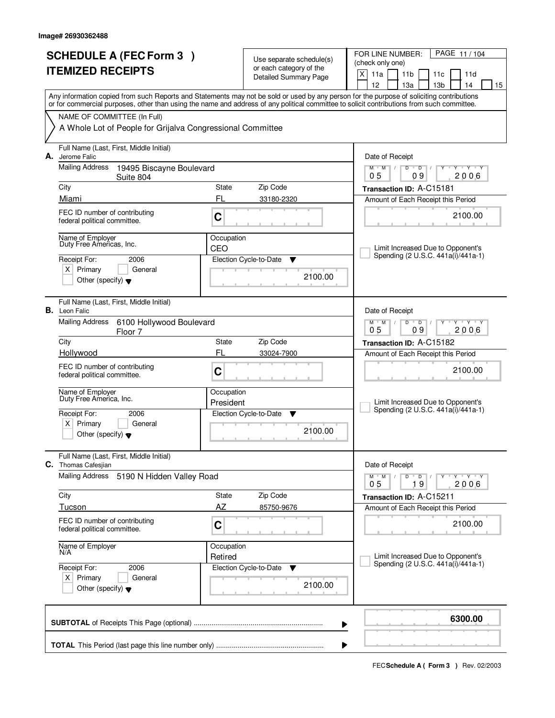|    | <b>SCHEDULE A (FEC Form 3)</b><br><b>ITEMIZED RECEIPTS</b>                                                                                 |                         | Use separate schedule(s)<br>or each category of the<br><b>Detailed Summary Page</b> | PAGE 11/104<br>FOR LINE NUMBER:<br>(check only one)<br>X<br>11a<br>11 <sub>b</sub><br>11d<br>11c<br>12<br>13a<br>13 <sub>b</sub><br>14<br>15 |
|----|--------------------------------------------------------------------------------------------------------------------------------------------|-------------------------|-------------------------------------------------------------------------------------|----------------------------------------------------------------------------------------------------------------------------------------------|
|    | or for commercial purposes, other than using the name and address of any political committee to solicit contributions from such committee. |                         |                                                                                     | Any information copied from such Reports and Statements may not be sold or used by any person for the purpose of soliciting contributions    |
|    | NAME OF COMMITTEE (In Full)<br>A Whole Lot of People for Grijalva Congressional Committee                                                  |                         |                                                                                     |                                                                                                                                              |
|    |                                                                                                                                            |                         |                                                                                     |                                                                                                                                              |
| А. | Full Name (Last, First, Middle Initial)<br>Jerome Falic                                                                                    |                         |                                                                                     | Date of Receipt                                                                                                                              |
|    | <b>Mailing Address</b><br>19495 Biscayne Boulevard<br>Suite 804                                                                            |                         |                                                                                     | $\mathsf D$<br>$Y$ $Y$<br>$M$ <sup>-1</sup><br>M<br>D<br>Y<br>┳<br>09<br>2006<br>05                                                          |
|    | City                                                                                                                                       | State                   | Zip Code                                                                            | Transaction ID: A-C15181                                                                                                                     |
|    | Miami                                                                                                                                      | FL                      | 33180-2320                                                                          | Amount of Each Receipt this Period                                                                                                           |
|    | FEC ID number of contributing<br>federal political committee.                                                                              | C                       |                                                                                     | 2100.00                                                                                                                                      |
|    | Name of Employer<br>Duty Free Americas, Inc.                                                                                               | Occupation<br>CEO       |                                                                                     | Limit Increased Due to Opponent's                                                                                                            |
|    | Receipt For:<br>2006                                                                                                                       |                         | Election Cycle-to-Date<br>Y                                                         | Spending (2 U.S.C. 441a(i)/441a-1)                                                                                                           |
|    | $X$ Primary<br>General<br>Other (specify) $\blacktriangledown$                                                                             |                         | 2100.00                                                                             |                                                                                                                                              |
|    | Full Name (Last, First, Middle Initial)<br><b>B.</b> Leon Falic                                                                            |                         |                                                                                     | Date of Receipt                                                                                                                              |
|    | <b>Mailing Address</b><br>6100 Hollywood Boulevard<br>Floor 7                                                                              |                         |                                                                                     | $M$ $M$ /<br>D<br>$\overline{D}$<br>Y Y Y Y<br>0 <sub>5</sub><br>09<br>2006                                                                  |
|    | City                                                                                                                                       | State                   | Zip Code                                                                            | Transaction ID: A-C15182                                                                                                                     |
|    | Hollywood                                                                                                                                  | FL                      | 33024-7900                                                                          | Amount of Each Receipt this Period                                                                                                           |
|    | FEC ID number of contributing<br>federal political committee.                                                                              | C                       |                                                                                     | 2100.00                                                                                                                                      |
|    | Name of Employer<br>Duty Free America, Inc.                                                                                                | Occupation<br>President |                                                                                     | Limit Increased Due to Opponent's                                                                                                            |
|    | Receipt For:<br>2006                                                                                                                       |                         | Election Cycle-to-Date<br>▼                                                         | Spending (2 U.S.C. 441a(i)/441a-1)                                                                                                           |
|    | $\times$<br>Primary<br>General<br>Other (specify) $\bullet$                                                                                |                         | 2100.00                                                                             |                                                                                                                                              |
| C. | Full Name (Last, First, Middle Initial)<br>Thomas Cafesjian                                                                                |                         |                                                                                     | Date of Receipt                                                                                                                              |
|    | <b>Mailing Address</b><br>5190 N Hidden Valley Road                                                                                        |                         |                                                                                     | $M$ $M$ $M$<br>$D$ $D$ $l$<br>Y FY FY FY<br>0 <sub>5</sub><br>19<br>2006                                                                     |
|    | City                                                                                                                                       | State                   | Zip Code                                                                            | Transaction ID: A-C15211                                                                                                                     |
|    | Tucson                                                                                                                                     | AZ                      | 85750-9676                                                                          | Amount of Each Receipt this Period                                                                                                           |
|    | FEC ID number of contributing<br>federal political committee.                                                                              | C                       |                                                                                     | 2100.00                                                                                                                                      |
|    | Name of Employer<br>N/A                                                                                                                    | Occupation              |                                                                                     |                                                                                                                                              |
|    | Receipt For:<br>2006                                                                                                                       | Retired                 | Election Cycle-to-Date<br>v                                                         | Limit Increased Due to Opponent's<br>Spending (2 U.S.C. 441a(i)/441a-1)                                                                      |
|    | $X$ Primary<br>General<br>Other (specify) $\blacktriangledown$                                                                             |                         | 2100.00                                                                             |                                                                                                                                              |
|    |                                                                                                                                            |                         |                                                                                     | 6300.00<br>▶                                                                                                                                 |
|    |                                                                                                                                            |                         |                                                                                     | ▶                                                                                                                                            |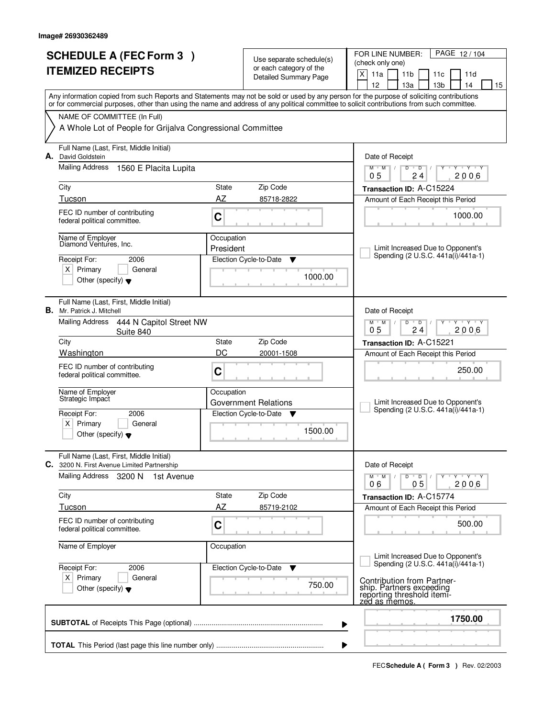| <b>SCHEDULE A (FEC Form 3)</b><br><b>ITEMIZED RECEIPTS</b> |                                                                                                                                                                                                                                                                                         | Use separate schedule(s) |                                                         | PAGE 12/104<br>FOR LINE NUMBER:<br>(check only one)                                                                                      |
|------------------------------------------------------------|-----------------------------------------------------------------------------------------------------------------------------------------------------------------------------------------------------------------------------------------------------------------------------------------|--------------------------|---------------------------------------------------------|------------------------------------------------------------------------------------------------------------------------------------------|
|                                                            |                                                                                                                                                                                                                                                                                         |                          | or each category of the<br><b>Detailed Summary Page</b> | X<br>11a<br>11 <sub>b</sub><br>11c<br>11d<br>12<br>13 <sub>b</sub><br>14<br>13a<br>15                                                    |
|                                                            | Any information copied from such Reports and Statements may not be sold or used by any person for the purpose of soliciting contributions<br>or for commercial purposes, other than using the name and address of any political committee to solicit contributions from such committee. |                          |                                                         |                                                                                                                                          |
|                                                            | NAME OF COMMITTEE (In Full)<br>A Whole Lot of People for Grijalva Congressional Committee                                                                                                                                                                                               |                          |                                                         |                                                                                                                                          |
|                                                            | Full Name (Last, First, Middle Initial)<br>A. David Goldstein                                                                                                                                                                                                                           |                          |                                                         |                                                                                                                                          |
|                                                            | Mailing Address<br>1560 E Placita Lupita                                                                                                                                                                                                                                                |                          |                                                         | Date of Receipt<br>$\overline{Y}$ $\overline{Y}$ $\overline{Y}$<br>$M$ $M$ /<br>D<br>$\overline{D}$<br>Y<br>0 <sub>5</sub><br>2006<br>24 |
|                                                            | City                                                                                                                                                                                                                                                                                    | State                    | Zip Code                                                | Transaction ID: A-C15224                                                                                                                 |
|                                                            | Tucson                                                                                                                                                                                                                                                                                  | AZ                       | 85718-2822                                              | Amount of Each Receipt this Period                                                                                                       |
|                                                            | FEC ID number of contributing<br>federal political committee.                                                                                                                                                                                                                           | $\mathbf C$              |                                                         | 1000.00                                                                                                                                  |
|                                                            | Name of Employer                                                                                                                                                                                                                                                                        | Occupation               |                                                         |                                                                                                                                          |
|                                                            | Diamond Ventures, Inc.                                                                                                                                                                                                                                                                  | President                |                                                         | Limit Increased Due to Opponent's                                                                                                        |
|                                                            | Receipt For:<br>2006                                                                                                                                                                                                                                                                    |                          | Election Cycle-to-Date<br>Y                             | Spending (2 U.S.C. 441a(i)/441a-1)                                                                                                       |
|                                                            | $X$ Primary<br>General<br>Other (specify) $\blacktriangledown$                                                                                                                                                                                                                          |                          | 1000.00                                                 |                                                                                                                                          |
|                                                            | Full Name (Last, First, Middle Initial)<br><b>B.</b> Mr. Patrick J. Mitchell                                                                                                                                                                                                            |                          |                                                         | Date of Receipt                                                                                                                          |
|                                                            | <b>Mailing Address</b><br>444 N Capitol Street NW<br>Suite 840                                                                                                                                                                                                                          |                          |                                                         | D<br>$Y - Y - Y$<br>$M$ $M$ /<br>$\overline{D}$<br>0 <sub>5</sub><br>2006<br>24                                                          |
|                                                            | City                                                                                                                                                                                                                                                                                    | State                    | Zip Code                                                | Transaction ID: A-C15221                                                                                                                 |
|                                                            | Washington                                                                                                                                                                                                                                                                              | DC                       | 20001-1508                                              | Amount of Each Receipt this Period                                                                                                       |
|                                                            | FEC ID number of contributing<br>federal political committee.                                                                                                                                                                                                                           | C                        |                                                         | 250.00                                                                                                                                   |
|                                                            | Name of Employer<br>Strategic Impact                                                                                                                                                                                                                                                    | Occupation               | Government Relations                                    | Limit Increased Due to Opponent's                                                                                                        |
|                                                            | Receipt For:<br>2006                                                                                                                                                                                                                                                                    |                          | Election Cycle-to-Date ▼                                | Spending (2 U.S.C. 441a(i)/441a-1)                                                                                                       |
|                                                            | $x \mid$<br>Primary<br>General<br>Other (specify) $\blacktriangledown$                                                                                                                                                                                                                  |                          | 1500.00                                                 |                                                                                                                                          |
|                                                            | Full Name (Last, First, Middle Initial)<br>C. 3200 N. First Avenue Limited Partnership                                                                                                                                                                                                  |                          |                                                         | Date of Receipt                                                                                                                          |
|                                                            | Mailing Address 3200 N<br>1st Avenue                                                                                                                                                                                                                                                    |                          |                                                         | $M^{\prime}$ M $\rightarrow$ M<br>$D$ $D$ $/$<br>$\gamma$ - $\gamma$ - $\gamma$ - $\gamma$<br>2006<br>05<br>06                           |
|                                                            | City                                                                                                                                                                                                                                                                                    | State                    | Zip Code                                                | Transaction ID: A-C15774                                                                                                                 |
|                                                            | Tucson                                                                                                                                                                                                                                                                                  | <b>AZ</b>                | 85719-2102                                              | Amount of Each Receipt this Period                                                                                                       |
|                                                            | FEC ID number of contributing<br>federal political committee.                                                                                                                                                                                                                           | C                        |                                                         | 500.00                                                                                                                                   |
|                                                            | Name of Employer                                                                                                                                                                                                                                                                        | Occupation               |                                                         |                                                                                                                                          |
|                                                            | Receipt For:<br>2006                                                                                                                                                                                                                                                                    |                          | Election Cycle-to-Date ▼                                | Limit Increased Due to Opponent's<br>Spending (2 U.S.C. 441a(i)/441a-1)                                                                  |
|                                                            | $X$ Primary<br>General<br>Other (specify) $\blacktriangledown$                                                                                                                                                                                                                          |                          | 750.00                                                  | Contribution from Partner-<br>ship. Partners exceeding<br>reporting threshold itemi-<br>zed as memos.                                    |
|                                                            |                                                                                                                                                                                                                                                                                         |                          | ▶                                                       | 1750.00                                                                                                                                  |
|                                                            |                                                                                                                                                                                                                                                                                         |                          | ▶                                                       |                                                                                                                                          |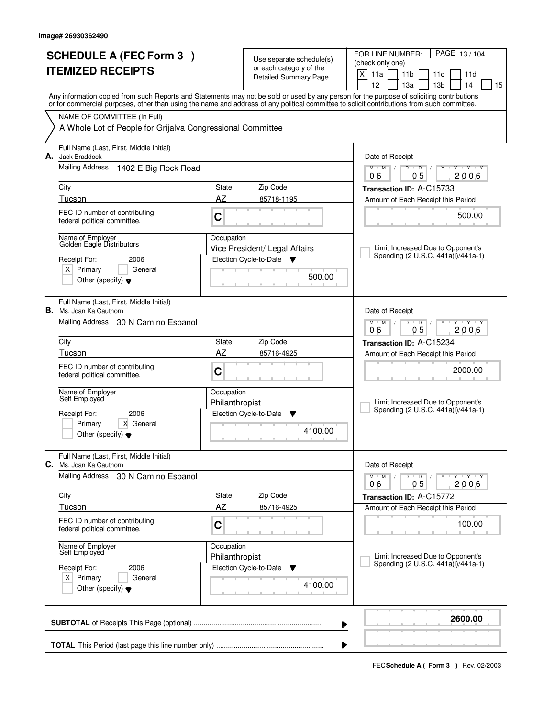|    | <b>SCHEDULE A (FEC Form 3)</b><br><b>ITEMIZED RECEIPTS</b>                                                                              |                              | Use separate schedule(s)<br>or each category of the<br><b>Detailed Summary Page</b> | PAGE 13/104<br>FOR LINE NUMBER:<br>(check only one)<br>X<br>11a<br>11 <sub>b</sub><br>11d<br>11c<br>12<br>13a<br>13 <sub>b</sub><br>14<br>15                                                                                                                                            |
|----|-----------------------------------------------------------------------------------------------------------------------------------------|------------------------------|-------------------------------------------------------------------------------------|-----------------------------------------------------------------------------------------------------------------------------------------------------------------------------------------------------------------------------------------------------------------------------------------|
|    | NAME OF COMMITTEE (In Full)<br>A Whole Lot of People for Grijalva Congressional Committee                                               |                              |                                                                                     | Any information copied from such Reports and Statements may not be sold or used by any person for the purpose of soliciting contributions<br>or for commercial purposes, other than using the name and address of any political committee to solicit contributions from such committee. |
| А. | Full Name (Last, First, Middle Initial)<br>Jack Braddock<br>Mailing Address<br>1402 E Big Rock Road                                     |                              |                                                                                     | Date of Receipt<br>$\mathsf D$<br>$Y$ $Y$<br>$M$ <sup>-1</sup><br>$M$ /<br>D<br>Y<br>0 <sub>5</sub><br>2006<br>06                                                                                                                                                                       |
|    | City<br>Tucson                                                                                                                          | State<br>AZ                  | Zip Code<br>85718-1195                                                              | Transaction ID: A-C15733<br>Amount of Each Receipt this Period                                                                                                                                                                                                                          |
|    | FEC ID number of contributing<br>federal political committee.                                                                           | C                            |                                                                                     | 500.00                                                                                                                                                                                                                                                                                  |
|    | Name of Employer<br>Golden Eagle Distributors<br>Receipt For:<br>2006<br>$X$ Primary<br>General<br>Other (specify) $\blacktriangledown$ | Occupation                   | Vice President/ Legal Affairs<br>Election Cycle-to-Date<br>Y<br>500.00              | Limit Increased Due to Opponent's<br>Spending (2 U.S.C. 441a(i)/441a-1)                                                                                                                                                                                                                 |
|    | Full Name (Last, First, Middle Initial)<br><b>B.</b> Ms. Joan Ka Cauthorn<br>Mailing Address 30 N Camino Espanol                        |                              |                                                                                     | Date of Receipt<br>$M$ $M$ /<br>D<br>$\overline{D}$<br>$T$ $Y$ $T$ $Y$<br>05<br>06<br>2006                                                                                                                                                                                              |
|    | City<br>State<br>Zip Code                                                                                                               |                              |                                                                                     | Transaction ID: A-C15234                                                                                                                                                                                                                                                                |
|    | Tucson<br>FEC ID number of contributing<br>federal political committee.                                                                 | AZ<br>C                      | 85716-4925                                                                          | Amount of Each Receipt this Period<br>2000.00                                                                                                                                                                                                                                           |
|    | Name of Employer<br>Self Employed                                                                                                       | Occupation<br>Philanthropist |                                                                                     | Limit Increased Due to Opponent's<br>Spending (2 U.S.C. 441a(i)/441a-1)                                                                                                                                                                                                                 |
|    | 2006<br>Receipt For:<br>X General<br>Primary<br>Other (specify) $\blacktriangledown$                                                    |                              | Election Cycle-to-Date<br>▼<br>4100.00                                              |                                                                                                                                                                                                                                                                                         |
| C. | Full Name (Last, First, Middle Initial)<br>Ms. Joan Ka Cauthorn                                                                         |                              |                                                                                     | Date of Receipt                                                                                                                                                                                                                                                                         |
|    | Mailing Address<br>30 N Camino Espanol                                                                                                  |                              |                                                                                     | $D$ $D$ $/$<br>$M$ $M$ $M$<br>Y Y Y Y Y Y<br>05<br>2006<br>06                                                                                                                                                                                                                           |
|    | City<br>Tucson                                                                                                                          | State<br>AZ                  | Zip Code<br>85716-4925                                                              | Transaction ID: A-C15772                                                                                                                                                                                                                                                                |
|    | FEC ID number of contributing<br>federal political committee.                                                                           | C                            |                                                                                     | Amount of Each Receipt this Period<br>100.00                                                                                                                                                                                                                                            |
|    | Name of Employer<br>Self Employed                                                                                                       | Occupation<br>Philanthropist |                                                                                     | Limit Increased Due to Opponent's<br>Spending (2 U.S.C. 441a(i)/441a-1)                                                                                                                                                                                                                 |
|    | Receipt For:<br>2006<br>$X$ Primary<br>General<br>Other (specify) $\blacktriangledown$                                                  |                              | Election Cycle-to-Date<br>▼<br>4100.00                                              |                                                                                                                                                                                                                                                                                         |
|    |                                                                                                                                         |                              |                                                                                     | 2600.00<br>▶                                                                                                                                                                                                                                                                            |
|    |                                                                                                                                         |                              |                                                                                     |                                                                                                                                                                                                                                                                                         |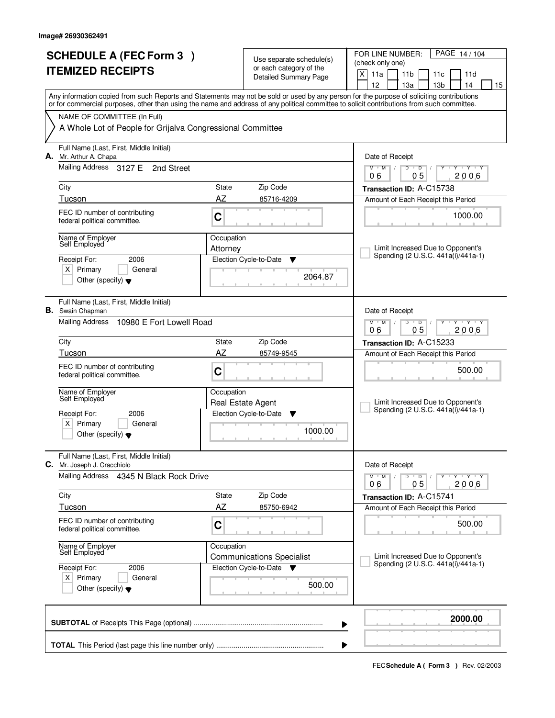| <b>SCHEDULE A (FEC Form 3)</b><br><b>ITEMIZED RECEIPTS</b> |                                                                                           |                        | Use separate schedule(s)<br>or each category of the<br><b>Detailed Summary Page</b> | PAGE 14/104<br>FOR LINE NUMBER:<br>(check only one)<br>X<br>11a<br>11 <sub>b</sub><br>11c<br>11d                                                                                                                                                                                                                                    |
|------------------------------------------------------------|-------------------------------------------------------------------------------------------|------------------------|-------------------------------------------------------------------------------------|-------------------------------------------------------------------------------------------------------------------------------------------------------------------------------------------------------------------------------------------------------------------------------------------------------------------------------------|
|                                                            |                                                                                           |                        |                                                                                     | 12<br>13a<br>13 <sub>b</sub><br>14<br>15<br>Any information copied from such Reports and Statements may not be sold or used by any person for the purpose of soliciting contributions<br>or for commercial purposes, other than using the name and address of any political committee to solicit contributions from such committee. |
|                                                            | NAME OF COMMITTEE (In Full)<br>A Whole Lot of People for Grijalva Congressional Committee |                        |                                                                                     |                                                                                                                                                                                                                                                                                                                                     |
| А.                                                         | Full Name (Last, First, Middle Initial)<br>Mr. Arthur A. Chapa                            |                        |                                                                                     | Date of Receipt                                                                                                                                                                                                                                                                                                                     |
|                                                            | Mailing Address 3127 E<br>2nd Street                                                      |                        |                                                                                     | $M$ $M$ /<br>$D$ $D$ $/$<br>Y<br>0 <sub>5</sub><br>06<br>2006                                                                                                                                                                                                                                                                       |
|                                                            | City<br>Tucson                                                                            | State<br>AZ            | Zip Code<br>85716-4209                                                              | Transaction ID: A-C15738<br>Amount of Each Receipt this Period                                                                                                                                                                                                                                                                      |
|                                                            | FEC ID number of contributing<br>federal political committee.                             | C                      |                                                                                     | 1000.00                                                                                                                                                                                                                                                                                                                             |
|                                                            | Name of Employer<br>Self Employed                                                         | Occupation<br>Attorney |                                                                                     | Limit Increased Due to Opponent's<br>Spending (2 U.S.C. 441a(i)/441a-1)                                                                                                                                                                                                                                                             |
|                                                            | Receipt For:<br>2006<br>$X$ Primary<br>General<br>Other (specify) $\blacktriangledown$    |                        | Election Cycle-to-Date<br>▼<br>2064.87                                              |                                                                                                                                                                                                                                                                                                                                     |
|                                                            | Full Name (Last, First, Middle Initial)<br><b>B.</b> Swain Chapman<br>Mailing Address     |                        |                                                                                     | Date of Receipt                                                                                                                                                                                                                                                                                                                     |
|                                                            | 10980 E Fort Lowell Road<br>City                                                          |                        | Zip Code                                                                            | $M$ $M$<br>D<br>$\overline{D}$<br>$T - Y$<br>0 <sub>5</sub><br>2006<br>06                                                                                                                                                                                                                                                           |
|                                                            | Tucson                                                                                    | State<br>AZ            |                                                                                     | Transaction ID: A-C15233                                                                                                                                                                                                                                                                                                            |
|                                                            | FEC ID number of contributing<br>federal political committee.                             | C                      | 85749-9545                                                                          | Amount of Each Receipt this Period<br>500.00                                                                                                                                                                                                                                                                                        |
|                                                            | Name of Employer<br>Self Employed                                                         | Occupation             | Real Estate Agent                                                                   | Limit Increased Due to Opponent's                                                                                                                                                                                                                                                                                                   |
|                                                            | 2006<br>Receipt For:<br>Primary<br>ΧI<br>General<br>Other (specify) $\blacktriangledown$  |                        | Election Cycle-to-Date<br>▼<br>1000.00                                              | Spending (2 U.S.C. 441a(i)/441a-1)                                                                                                                                                                                                                                                                                                  |
| С.                                                         | Full Name (Last, First, Middle Initial)<br>Mr. Joseph J. Cracchiolo                       |                        |                                                                                     | Date of Receipt                                                                                                                                                                                                                                                                                                                     |
|                                                            | <b>Mailing Address</b><br>4345 N Black Rock Drive                                         |                        |                                                                                     | D<br>$M$ $M$ /<br>$\overline{D}$<br>Y Y Y Y<br>Υ<br>05<br>2006<br>06                                                                                                                                                                                                                                                                |
|                                                            | City                                                                                      | State                  | Zip Code                                                                            | Transaction ID: A-C15741                                                                                                                                                                                                                                                                                                            |
|                                                            | Tucson                                                                                    | AZ                     | 85750-6942                                                                          | Amount of Each Receipt this Period                                                                                                                                                                                                                                                                                                  |
|                                                            | FEC ID number of contributing<br>federal political committee.                             | C                      |                                                                                     | 500.00                                                                                                                                                                                                                                                                                                                              |
|                                                            | Name of Employer<br>Self Employed<br>Receipt For:<br>2006                                 | Occupation             | <b>Communications Specialist</b><br>Election Cycle-to-Date<br>▼                     | Limit Increased Due to Opponent's<br>Spending (2 U.S.C. 441a(i)/441a-1)                                                                                                                                                                                                                                                             |
|                                                            | $X$ Primary<br>General<br>Other (specify) $\blacktriangledown$                            |                        | 500.00                                                                              |                                                                                                                                                                                                                                                                                                                                     |
|                                                            |                                                                                           |                        |                                                                                     | 2000.00<br>▶                                                                                                                                                                                                                                                                                                                        |
|                                                            |                                                                                           |                        |                                                                                     | ▶                                                                                                                                                                                                                                                                                                                                   |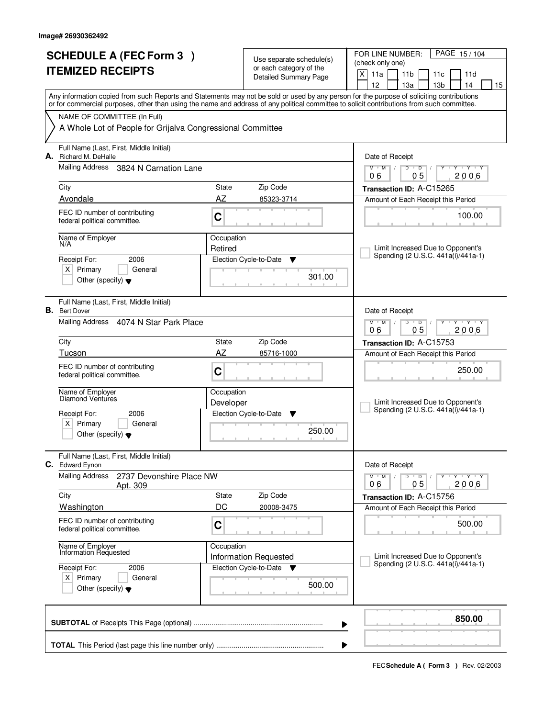| <b>SCHEDULE A (FEC Form 3)</b><br><b>ITEMIZED RECEIPTS</b> |                                                                        |                       | Use separate schedule(s)<br>or each category of the | PAGE 15/104<br>FOR LINE NUMBER:<br>(check only one)<br>X<br>11a<br>11 <sub>b</sub><br>11 <sub>c</sub><br>11d                                                                                                                                                                            |
|------------------------------------------------------------|------------------------------------------------------------------------|-----------------------|-----------------------------------------------------|-----------------------------------------------------------------------------------------------------------------------------------------------------------------------------------------------------------------------------------------------------------------------------------------|
|                                                            |                                                                        |                       | <b>Detailed Summary Page</b>                        | 12<br>14<br>13а<br>13 <sub>b</sub><br>15                                                                                                                                                                                                                                                |
|                                                            |                                                                        |                       |                                                     | Any information copied from such Reports and Statements may not be sold or used by any person for the purpose of soliciting contributions<br>or for commercial purposes, other than using the name and address of any political committee to solicit contributions from such committee. |
|                                                            | NAME OF COMMITTEE (In Full)                                            |                       |                                                     |                                                                                                                                                                                                                                                                                         |
|                                                            | A Whole Lot of People for Grijalva Congressional Committee             |                       |                                                     |                                                                                                                                                                                                                                                                                         |
| А.                                                         | Full Name (Last, First, Middle Initial)<br>Richard M. DeHalle          |                       |                                                     | Date of Receipt                                                                                                                                                                                                                                                                         |
|                                                            | Mailing Address 3824 N Carnation Lane                                  |                       |                                                     | $M$ $M$ /<br>$D$ $D$<br>$Y - Y - Y$<br>0 <sub>5</sub><br>2006<br>06                                                                                                                                                                                                                     |
|                                                            | City                                                                   | State                 | Zip Code                                            | Transaction ID: A-C15265                                                                                                                                                                                                                                                                |
|                                                            | Avondale                                                               | AZ                    | 85323-3714                                          | Amount of Each Receipt this Period                                                                                                                                                                                                                                                      |
|                                                            | FEC ID number of contributing<br>federal political committee.          | C                     |                                                     | 100.00                                                                                                                                                                                                                                                                                  |
|                                                            | Name of Employer<br>N/A                                                | Occupation<br>Retired |                                                     | Limit Increased Due to Opponent's                                                                                                                                                                                                                                                       |
|                                                            | 2006<br>Receipt For:                                                   |                       | Election Cycle-to-Date<br>▼                         | Spending (2 U.S.C. 441a(i)/441a-1)                                                                                                                                                                                                                                                      |
|                                                            | $X$ Primary<br>General<br>Other (specify) $\blacktriangledown$         |                       | 301.00                                              |                                                                                                                                                                                                                                                                                         |
|                                                            | Full Name (Last, First, Middle Initial)                                |                       |                                                     |                                                                                                                                                                                                                                                                                         |
|                                                            | <b>B.</b> Bert Dover                                                   |                       |                                                     | Date of Receipt                                                                                                                                                                                                                                                                         |
|                                                            | Mailing Address 4074 N Star Park Place                                 |                       |                                                     | $M$ $M$ /<br>D<br>$\overline{D}$<br>Y 'Y 'Y<br>0 <sub>5</sub><br>06<br>2006                                                                                                                                                                                                             |
|                                                            | City                                                                   | State                 | Zip Code                                            | Transaction ID: A-C15753                                                                                                                                                                                                                                                                |
|                                                            | Tucson                                                                 | AZ                    | 85716-1000                                          | Amount of Each Receipt this Period                                                                                                                                                                                                                                                      |
|                                                            | FEC ID number of contributing<br>federal political committee.          | C                     |                                                     | 250.00                                                                                                                                                                                                                                                                                  |
|                                                            | Name of Employer<br>Diamond Ventures                                   | Occupation            |                                                     |                                                                                                                                                                                                                                                                                         |
|                                                            |                                                                        | Developer             |                                                     | Limit Increased Due to Opponent's<br>Spending (2 U.S.C. 441a(i)/441a-1)                                                                                                                                                                                                                 |
|                                                            | Receipt For:<br>2006                                                   |                       | Election Cycle-to-Date<br>Y                         |                                                                                                                                                                                                                                                                                         |
|                                                            | $x \mid$<br>Primary<br>General<br>Other (specify) $\blacktriangledown$ |                       | 250.00                                              |                                                                                                                                                                                                                                                                                         |
| С.                                                         | Full Name (Last, First, Middle Initial)<br><b>Edward Eynon</b>         |                       |                                                     | Date of Receipt                                                                                                                                                                                                                                                                         |
|                                                            | <b>Mailing Address</b><br>2737 Devonshire Place NW<br>Apt. 309         |                       |                                                     | $M$ $M$ $M$<br>$D$ $D$ $/$<br>Y TY TY TY<br>05<br>2006<br>06                                                                                                                                                                                                                            |
|                                                            | City                                                                   | State                 | Zip Code                                            | Transaction ID: A-C15756                                                                                                                                                                                                                                                                |
|                                                            | <b>Washington</b>                                                      | DC                    | 20008-3475                                          | Amount of Each Receipt this Period                                                                                                                                                                                                                                                      |
|                                                            | FEC ID number of contributing<br>federal political committee.          | C                     |                                                     | 500.00                                                                                                                                                                                                                                                                                  |
|                                                            | Name of Employer<br>Information Requested                              | Occupation            |                                                     |                                                                                                                                                                                                                                                                                         |
|                                                            |                                                                        |                       | <b>Information Requested</b>                        | Limit Increased Due to Opponent's<br>Spending (2 U.S.C. 441a(i)/441a-1)                                                                                                                                                                                                                 |
|                                                            | Receipt For:<br>2006                                                   |                       | Election Cycle-to-Date ▼                            |                                                                                                                                                                                                                                                                                         |
|                                                            | $X$ Primary<br>General<br>Other (specify) $\blacktriangledown$         |                       | 500.00                                              |                                                                                                                                                                                                                                                                                         |
|                                                            |                                                                        |                       |                                                     | 850.00<br>▶                                                                                                                                                                                                                                                                             |
|                                                            |                                                                        |                       |                                                     | ▶                                                                                                                                                                                                                                                                                       |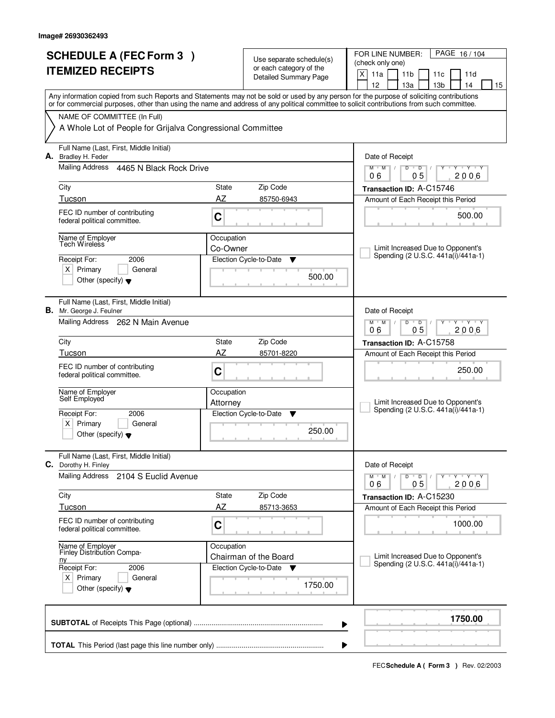|                          | <b>SCHEDULE A (FEC Form 3)</b>                                             | Use separate schedule(s) |                                                             | PAGE 16/104<br>FOR LINE NUMBER:<br>(check only one)                                                                                                                                                                                                                                     |  |  |  |  |
|--------------------------|----------------------------------------------------------------------------|--------------------------|-------------------------------------------------------------|-----------------------------------------------------------------------------------------------------------------------------------------------------------------------------------------------------------------------------------------------------------------------------------------|--|--|--|--|
| <b>ITEMIZED RECEIPTS</b> |                                                                            |                          | or each category of the<br><b>Detailed Summary Page</b>     | X<br>11a<br>11 <sub>b</sub><br>11c<br>11d                                                                                                                                                                                                                                               |  |  |  |  |
|                          |                                                                            |                          |                                                             | 12<br>14<br>13a<br>13 <sub>b</sub><br>15                                                                                                                                                                                                                                                |  |  |  |  |
|                          |                                                                            |                          |                                                             | Any information copied from such Reports and Statements may not be sold or used by any person for the purpose of soliciting contributions<br>or for commercial purposes, other than using the name and address of any political committee to solicit contributions from such committee. |  |  |  |  |
|                          | NAME OF COMMITTEE (In Full)                                                |                          |                                                             |                                                                                                                                                                                                                                                                                         |  |  |  |  |
|                          | A Whole Lot of People for Grijalva Congressional Committee                 |                          |                                                             |                                                                                                                                                                                                                                                                                         |  |  |  |  |
|                          | Full Name (Last, First, Middle Initial)<br>A. Bradley H. Feder             |                          |                                                             | Date of Receipt                                                                                                                                                                                                                                                                         |  |  |  |  |
|                          | Mailing Address<br>4465 N Black Rock Drive                                 |                          |                                                             | $M$ /<br>$\overline{D}$<br>$\overline{D}$<br>$Y$ $Y$<br>$M$ <sup><math>+</math></sup><br>0 <sub>5</sub><br>2006<br>06                                                                                                                                                                   |  |  |  |  |
|                          | City                                                                       | State                    | Zip Code                                                    | Transaction ID: A-C15746                                                                                                                                                                                                                                                                |  |  |  |  |
|                          | Tucson                                                                     | AZ                       | 85750-6943                                                  | Amount of Each Receipt this Period                                                                                                                                                                                                                                                      |  |  |  |  |
|                          | FEC ID number of contributing<br>federal political committee.              | C                        |                                                             | 500.00                                                                                                                                                                                                                                                                                  |  |  |  |  |
|                          | Name of Employer<br>Tech Wireless                                          | Occupation<br>Co-Owner   |                                                             | Limit Increased Due to Opponent's                                                                                                                                                                                                                                                       |  |  |  |  |
|                          | 2006<br>Receipt For:                                                       |                          | Election Cycle-to-Date<br>Y                                 | Spending (2 U.S.C. 441a(i)/441a-1)                                                                                                                                                                                                                                                      |  |  |  |  |
|                          | $X$ Primary<br>General                                                     |                          | 500.00                                                      |                                                                                                                                                                                                                                                                                         |  |  |  |  |
|                          | Other (specify) $\blacktriangledown$                                       |                          |                                                             |                                                                                                                                                                                                                                                                                         |  |  |  |  |
|                          | Full Name (Last, First, Middle Initial)<br><b>B.</b> Mr. George J. Feulner |                          |                                                             | Date of Receipt                                                                                                                                                                                                                                                                         |  |  |  |  |
|                          | Mailing Address 262 N Main Avenue                                          |                          |                                                             | $M$ $M$ /<br>$D$ $D$<br>$Y - Y - Y$<br>0 <sub>5</sub><br>06<br>2006                                                                                                                                                                                                                     |  |  |  |  |
|                          | City                                                                       | State                    | Zip Code                                                    | Transaction ID: A-C15758                                                                                                                                                                                                                                                                |  |  |  |  |
|                          | Tucson                                                                     | AZ                       | 85701-8220                                                  | Amount of Each Receipt this Period                                                                                                                                                                                                                                                      |  |  |  |  |
|                          | FEC ID number of contributing<br>federal political committee.              | C                        |                                                             | 250.00                                                                                                                                                                                                                                                                                  |  |  |  |  |
|                          | Name of Employer<br>Self Employed                                          | Occupation<br>Attorney   |                                                             | Limit Increased Due to Opponent's                                                                                                                                                                                                                                                       |  |  |  |  |
|                          | Receipt For:<br>2006                                                       |                          | Election Cycle-to-Date<br>v                                 | Spending (2 U.S.C. 441a(i)/441a-1)                                                                                                                                                                                                                                                      |  |  |  |  |
|                          | $x \mid$<br>Primary<br>General                                             |                          | 250.00                                                      |                                                                                                                                                                                                                                                                                         |  |  |  |  |
|                          | Other (specify) $\blacktriangledown$                                       |                          |                                                             |                                                                                                                                                                                                                                                                                         |  |  |  |  |
|                          | Full Name (Last, First, Middle Initial)<br>C. Dorothy H. Finley            |                          |                                                             | Date of Receipt                                                                                                                                                                                                                                                                         |  |  |  |  |
|                          | <b>Mailing Address</b><br>2104 S Euclid Avenue                             |                          |                                                             | $M = M$<br>$D$ $D$ $/$<br>Y TY TY TY<br>2006<br>05<br>06                                                                                                                                                                                                                                |  |  |  |  |
|                          | City                                                                       | State                    | Zip Code                                                    | Transaction ID: A-C15230                                                                                                                                                                                                                                                                |  |  |  |  |
|                          | Tucson                                                                     | AZ                       | 85713-3653                                                  | Amount of Each Receipt this Period                                                                                                                                                                                                                                                      |  |  |  |  |
|                          | FEC ID number of contributing<br>federal political committee.              | C                        |                                                             | 1000.00                                                                                                                                                                                                                                                                                 |  |  |  |  |
|                          | Name of Employer<br>Finley Distribution Compa-                             | Occupation               |                                                             | Limit Increased Due to Opponent's                                                                                                                                                                                                                                                       |  |  |  |  |
|                          | <u>ny</u><br>Receipt For:<br>2006                                          |                          | Chairman of the Board<br>Election Cycle-to-Date<br><b>V</b> | Spending (2 U.S.C. 441a(i)/441a-1)                                                                                                                                                                                                                                                      |  |  |  |  |
|                          | $X$ Primary<br>General                                                     |                          | 1750.00                                                     |                                                                                                                                                                                                                                                                                         |  |  |  |  |
|                          | Other (specify) $\blacktriangledown$                                       |                          |                                                             |                                                                                                                                                                                                                                                                                         |  |  |  |  |
|                          |                                                                            |                          |                                                             | 1750.00<br>▶                                                                                                                                                                                                                                                                            |  |  |  |  |
|                          |                                                                            |                          |                                                             |                                                                                                                                                                                                                                                                                         |  |  |  |  |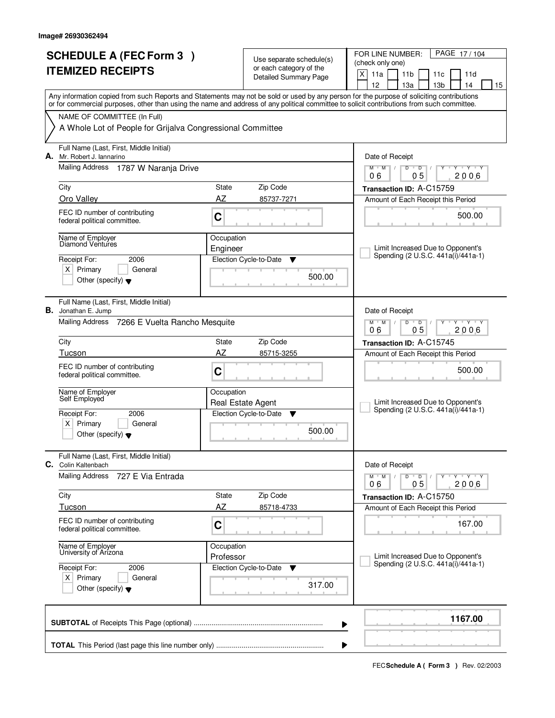|                          | <b>SCHEDULE A (FEC Form 3)</b>                                                                                                                                            | Use separate schedule(s) |                                                         | PAGE 17/104<br>FOR LINE NUMBER:<br>(check only one)                                                                                                                                   |  |
|--------------------------|---------------------------------------------------------------------------------------------------------------------------------------------------------------------------|--------------------------|---------------------------------------------------------|---------------------------------------------------------------------------------------------------------------------------------------------------------------------------------------|--|
| <b>ITEMIZED RECEIPTS</b> |                                                                                                                                                                           |                          | or each category of the<br><b>Detailed Summary Page</b> | X<br>11a<br>11 <sub>b</sub><br>11c<br>11d                                                                                                                                             |  |
|                          |                                                                                                                                                                           |                          |                                                         | 12<br>13 <sub>b</sub><br>14<br>13a<br>15<br>Any information copied from such Reports and Statements may not be sold or used by any person for the purpose of soliciting contributions |  |
|                          | or for commercial purposes, other than using the name and address of any political committee to solicit contributions from such committee.<br>NAME OF COMMITTEE (In Full) |                          |                                                         |                                                                                                                                                                                       |  |
|                          | A Whole Lot of People for Grijalva Congressional Committee                                                                                                                |                          |                                                         |                                                                                                                                                                                       |  |
|                          | Full Name (Last, First, Middle Initial)<br>A. Mr. Robert J. lannarino<br>Mailing Address 1787 W Naranja Drive                                                             |                          |                                                         | Date of Receipt                                                                                                                                                                       |  |
|                          |                                                                                                                                                                           |                          |                                                         | $\overline{Y}$ $\overline{Y}$ $\overline{Y}$<br>$M$ <sup>U</sup><br>$M$ /<br>D<br>$\overline{D}$<br>Y<br>0 <sub>5</sub><br>2006<br>06                                                 |  |
|                          | City                                                                                                                                                                      | State                    | Zip Code                                                | Transaction ID: A-C15759                                                                                                                                                              |  |
|                          | Oro Valley                                                                                                                                                                | AZ                       | 85737-7271                                              | Amount of Each Receipt this Period                                                                                                                                                    |  |
|                          | FEC ID number of contributing<br>federal political committee.                                                                                                             | $\mathbf C$              |                                                         | 500.00                                                                                                                                                                                |  |
|                          | Name of Employer<br>Diamond Ventures                                                                                                                                      | Occupation               |                                                         |                                                                                                                                                                                       |  |
|                          |                                                                                                                                                                           | Engineer                 |                                                         | Limit Increased Due to Opponent's<br>Spending (2 U.S.C. 441a(i)/441a-1)                                                                                                               |  |
|                          | 2006<br>Receipt For:<br>$X$ Primary<br>General                                                                                                                            |                          | Election Cycle-to-Date<br>Y                             |                                                                                                                                                                                       |  |
|                          | Other (specify) $\blacktriangledown$                                                                                                                                      |                          | 500.00                                                  |                                                                                                                                                                                       |  |
|                          | Full Name (Last, First, Middle Initial)<br><b>B.</b> Jonathan E. Jump                                                                                                     |                          |                                                         | Date of Receipt                                                                                                                                                                       |  |
|                          | Mailing Address 7266 E Vuelta Rancho Mesquite                                                                                                                             |                          |                                                         | D<br>$Y - Y - Y$<br>$M$ $M$ /<br>$\overline{D}$<br>0 <sub>5</sub><br>2006<br>06                                                                                                       |  |
|                          | City                                                                                                                                                                      | State                    | Zip Code                                                | Transaction ID: A-C15745                                                                                                                                                              |  |
|                          | Tucson                                                                                                                                                                    | AZ                       | 85715-3255                                              | Amount of Each Receipt this Period                                                                                                                                                    |  |
|                          | FEC ID number of contributing<br>federal political committee.                                                                                                             | C                        |                                                         | 500.00                                                                                                                                                                                |  |
|                          | Name of Employer<br>Self Employed                                                                                                                                         | Occupation               |                                                         |                                                                                                                                                                                       |  |
|                          |                                                                                                                                                                           |                          | Real Estate Agent                                       | Limit Increased Due to Opponent's<br>Spending (2 U.S.C. 441a(i)/441a-1)                                                                                                               |  |
|                          | Receipt For:<br>2006<br>x <sub>1</sub><br>Primary<br>General                                                                                                              |                          | Election Cycle-to-Date<br>▼                             |                                                                                                                                                                                       |  |
|                          | Other (specify) $\blacktriangledown$                                                                                                                                      |                          | 500.00                                                  |                                                                                                                                                                                       |  |
|                          | Full Name (Last, First, Middle Initial)<br><b>C.</b> Colin Kaltenbach                                                                                                     |                          |                                                         | Date of Receipt                                                                                                                                                                       |  |
|                          | Mailing Address<br>727 E Via Entrada                                                                                                                                      |                          |                                                         | $M^+M^-$<br>$D$ $D$ $/$<br>Y Y Y Y Y Y<br>$\sqrt{2}$<br>2006<br>05<br>06                                                                                                              |  |
|                          | City                                                                                                                                                                      | State                    | Zip Code                                                | Transaction ID: A-C15750                                                                                                                                                              |  |
|                          | Tucson                                                                                                                                                                    | AZ                       | 85718-4733                                              | Amount of Each Receipt this Period                                                                                                                                                    |  |
|                          | FEC ID number of contributing<br>federal political committee.                                                                                                             | C                        |                                                         | 167.00                                                                                                                                                                                |  |
|                          | Name of Employer<br>University of Arizona                                                                                                                                 | Occupation<br>Professor  |                                                         | Limit Increased Due to Opponent's                                                                                                                                                     |  |
|                          | Receipt For:<br>2006                                                                                                                                                      |                          | Election Cycle-to-Date<br>v                             | Spending (2 U.S.C. 441a(i)/441a-1)                                                                                                                                                    |  |
|                          | $X$ Primary<br>General<br>Other (specify) $\blacktriangledown$                                                                                                            |                          | 317.00                                                  |                                                                                                                                                                                       |  |
|                          |                                                                                                                                                                           |                          | ▶                                                       | 1167.00                                                                                                                                                                               |  |
|                          |                                                                                                                                                                           |                          |                                                         |                                                                                                                                                                                       |  |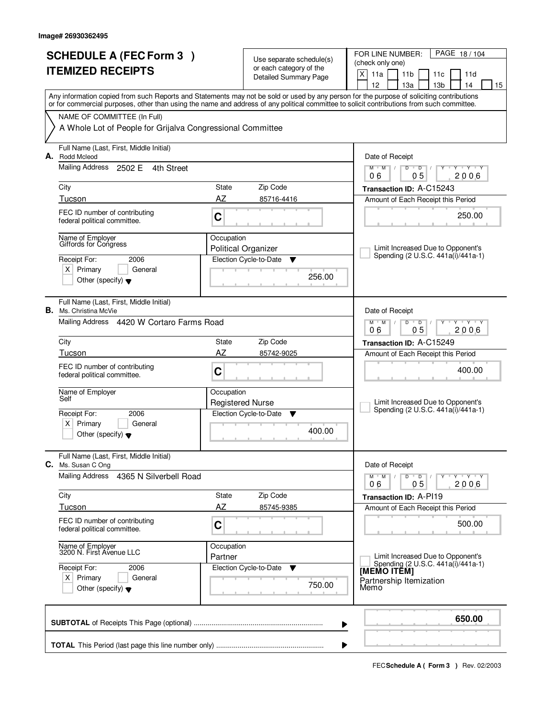| <b>SCHEDULE A (FEC Form 3)</b><br><b>ITEMIZED RECEIPTS</b> |                                                                                                                                            |                       | Use separate schedule(s)<br>or each category of the<br><b>Detailed Summary Page</b> | PAGE 18/104<br>FOR LINE NUMBER:<br>(check only one)<br>X<br>11a<br>11 <sub>b</sub><br>11c<br>11d                                          |
|------------------------------------------------------------|--------------------------------------------------------------------------------------------------------------------------------------------|-----------------------|-------------------------------------------------------------------------------------|-------------------------------------------------------------------------------------------------------------------------------------------|
|                                                            |                                                                                                                                            |                       |                                                                                     | 12<br>13a<br>13 <sub>b</sub><br>14<br>15                                                                                                  |
|                                                            | or for commercial purposes, other than using the name and address of any political committee to solicit contributions from such committee. |                       |                                                                                     | Any information copied from such Reports and Statements may not be sold or used by any person for the purpose of soliciting contributions |
|                                                            | NAME OF COMMITTEE (In Full)                                                                                                                |                       |                                                                                     |                                                                                                                                           |
|                                                            | A Whole Lot of People for Grijalva Congressional Committee                                                                                 |                       |                                                                                     |                                                                                                                                           |
|                                                            | Full Name (Last, First, Middle Initial)<br>A. Rodd Mcleod<br>Mailing Address 2502 E<br>4th Street                                          |                       |                                                                                     | Date of Receipt                                                                                                                           |
|                                                            |                                                                                                                                            |                       |                                                                                     | $T$ $Y$ $T$ $Y$<br>$M$ $M$ /<br>D<br>$\overline{D}$<br>Y<br>0 <sub>5</sub><br>2006<br>06                                                  |
|                                                            | City                                                                                                                                       | State                 | Zip Code                                                                            | Transaction ID: A-C15243                                                                                                                  |
|                                                            | Tucson                                                                                                                                     | AZ                    | 85716-4416                                                                          | Amount of Each Receipt this Period                                                                                                        |
|                                                            | FEC ID number of contributing<br>federal political committee.                                                                              | C                     |                                                                                     | 250.00                                                                                                                                    |
|                                                            | Name of Employer<br>Giffords for Congress                                                                                                  | Occupation            |                                                                                     |                                                                                                                                           |
|                                                            |                                                                                                                                            |                       | <b>Political Organizer</b>                                                          | Limit Increased Due to Opponent's<br>Spending (2 U.S.C. 441a(i)/441a-1)                                                                   |
|                                                            | Receipt For:<br>2006<br>$X$ Primary<br>General                                                                                             |                       | Election Cycle-to-Date<br>$\blacktriangledown$                                      |                                                                                                                                           |
|                                                            | Other (specify) $\blacktriangledown$                                                                                                       |                       | 256.00                                                                              |                                                                                                                                           |
| В.                                                         | Full Name (Last, First, Middle Initial)<br>Ms. Christina McVie                                                                             |                       |                                                                                     | Date of Receipt                                                                                                                           |
|                                                            | Mailing Address 4420 W Cortaro Farms Road                                                                                                  |                       |                                                                                     | $M$ $M$ /<br>D<br>$\overline{D}$<br>$Y$ $Y$<br>0 <sub>5</sub><br>2006<br>06                                                               |
|                                                            | City                                                                                                                                       | State                 | Zip Code                                                                            | Transaction ID: A-C15249                                                                                                                  |
|                                                            | Tucson                                                                                                                                     | AZ                    | 85742-9025                                                                          | Amount of Each Receipt this Period                                                                                                        |
|                                                            | FEC ID number of contributing<br>federal political committee.                                                                              | C                     |                                                                                     | 400.00                                                                                                                                    |
|                                                            | Name of Employer<br>Self                                                                                                                   | Occupation            | <b>Registered Nurse</b>                                                             | Limit Increased Due to Opponent's                                                                                                         |
|                                                            | Receipt For:<br>2006                                                                                                                       |                       | Election Cycle-to-Date<br>v                                                         | Spending (2 U.S.C. 441a(i)/441a-1)                                                                                                        |
|                                                            | $X$ Primary<br>General<br>Other (specify) $\blacktriangledown$                                                                             |                       | 400.00                                                                              |                                                                                                                                           |
| C.                                                         | Full Name (Last, First, Middle Initial)<br>Ms. Susan C Ong                                                                                 |                       |                                                                                     | Date of Receipt                                                                                                                           |
|                                                            | Mailing Address<br>4365 N Silverbell Road                                                                                                  |                       |                                                                                     | $D$ $D$<br>Y Y Y Y<br>$M$ <sup><math>+</math></sup><br>M<br>2006<br>05<br>06                                                              |
|                                                            | City                                                                                                                                       | State                 | Zip Code                                                                            | <b>Transaction ID: A-P119</b>                                                                                                             |
|                                                            | Tucson                                                                                                                                     | AZ                    | 85745-9385                                                                          | Amount of Each Receipt this Period                                                                                                        |
|                                                            | FEC ID number of contributing<br>federal political committee.                                                                              | C                     |                                                                                     | 500.00                                                                                                                                    |
|                                                            | Name of Employer<br>3200 N. First Avenue LLC                                                                                               | Occupation<br>Partner |                                                                                     | Limit Increased Due to Opponent's                                                                                                         |
|                                                            | Receipt For:<br>2006                                                                                                                       |                       | Election Cycle-to-Date<br>v                                                         | Spending (2 U.S.C. 441a(i)/441a-1)<br>[MEMO ITÊM]                                                                                         |
|                                                            | $X$ Primary<br>General<br>Other (specify) $\blacktriangledown$                                                                             |                       | 750.00                                                                              | Partnership Itemization<br>Memo                                                                                                           |
|                                                            |                                                                                                                                            |                       | ▶                                                                                   | 650.00                                                                                                                                    |
|                                                            |                                                                                                                                            |                       | ▶                                                                                   |                                                                                                                                           |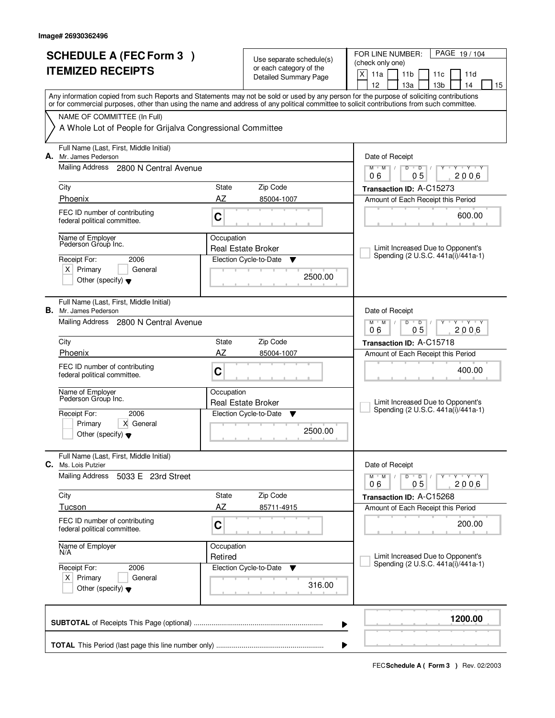| <b>SCHEDULE A (FEC Form 3)</b><br><b>ITEMIZED RECEIPTS</b> |                                                                                                                                            |                       | Use separate schedule(s)<br>or each category of the<br><b>Detailed Summary Page</b> | PAGE 19/104<br>FOR LINE NUMBER:<br>(check only one)<br>X<br>11a<br>11 <sub>b</sub><br>11 <sub>c</sub><br>11d                                                                          |  |  |  |
|------------------------------------------------------------|--------------------------------------------------------------------------------------------------------------------------------------------|-----------------------|-------------------------------------------------------------------------------------|---------------------------------------------------------------------------------------------------------------------------------------------------------------------------------------|--|--|--|
|                                                            |                                                                                                                                            |                       |                                                                                     | 12<br>13а<br>13 <sub>b</sub><br>14<br>15<br>Any information copied from such Reports and Statements may not be sold or used by any person for the purpose of soliciting contributions |  |  |  |
|                                                            | or for commercial purposes, other than using the name and address of any political committee to solicit contributions from such committee. |                       |                                                                                     |                                                                                                                                                                                       |  |  |  |
|                                                            | NAME OF COMMITTEE (In Full)<br>A Whole Lot of People for Grijalva Congressional Committee                                                  |                       |                                                                                     |                                                                                                                                                                                       |  |  |  |
| А.                                                         | Full Name (Last, First, Middle Initial)<br>Mr. James Pederson                                                                              |                       |                                                                                     | Date of Receipt                                                                                                                                                                       |  |  |  |
|                                                            | Mailing Address 2800 N Central Avenue                                                                                                      |                       |                                                                                     | $M$ $M$ /<br>$D$ $D$<br>$Y - Y - Y$<br>0 <sub>5</sub><br>2006<br>06                                                                                                                   |  |  |  |
|                                                            | City                                                                                                                                       | State                 | Zip Code                                                                            | Transaction ID: A-C15273                                                                                                                                                              |  |  |  |
|                                                            | Phoenix                                                                                                                                    | AZ                    | 85004-1007                                                                          | Amount of Each Receipt this Period                                                                                                                                                    |  |  |  |
|                                                            | FEC ID number of contributing<br>federal political committee.                                                                              | C                     |                                                                                     | 600.00                                                                                                                                                                                |  |  |  |
|                                                            | Name of Employer<br>Pederson Group Inc.                                                                                                    | Occupation            | <b>Real Estate Broker</b>                                                           | Limit Increased Due to Opponent's                                                                                                                                                     |  |  |  |
|                                                            | 2006<br>Receipt For:                                                                                                                       |                       | Election Cycle-to-Date<br>▼                                                         | Spending (2 U.S.C. 441a(i)/441a-1)                                                                                                                                                    |  |  |  |
|                                                            | $X$ Primary<br>General<br>Other (specify) $\blacktriangledown$                                                                             |                       | 2500.00                                                                             |                                                                                                                                                                                       |  |  |  |
|                                                            | Full Name (Last, First, Middle Initial)<br><b>B.</b> Mr. James Pederson                                                                    |                       |                                                                                     | Date of Receipt                                                                                                                                                                       |  |  |  |
|                                                            | Mailing Address 2800 N Central Avenue                                                                                                      |                       |                                                                                     | $M$ $M$ /<br>D<br>$\overline{D}$<br>Y 'Y 'Y<br>0 <sub>5</sub><br>06<br>2006                                                                                                           |  |  |  |
|                                                            | City                                                                                                                                       | State                 | Zip Code                                                                            | Transaction ID: A-C15718                                                                                                                                                              |  |  |  |
|                                                            | Phoenix                                                                                                                                    | AZ                    | 85004-1007                                                                          | Amount of Each Receipt this Period                                                                                                                                                    |  |  |  |
|                                                            | FEC ID number of contributing<br>federal political committee.                                                                              | C                     |                                                                                     | 400.00                                                                                                                                                                                |  |  |  |
|                                                            | Name of Employer<br>Pederson Group Inc.                                                                                                    | Occupation            | <b>Real Estate Broker</b>                                                           | Limit Increased Due to Opponent's                                                                                                                                                     |  |  |  |
|                                                            | 2006<br>Receipt For:                                                                                                                       |                       | Election Cycle-to-Date<br>v                                                         | Spending (2 U.S.C. 441a(i)/441a-1)                                                                                                                                                    |  |  |  |
|                                                            | Primary<br>X General<br>Other (specify) $\blacktriangledown$                                                                               |                       | 2500.00                                                                             |                                                                                                                                                                                       |  |  |  |
| C.                                                         | Full Name (Last, First, Middle Initial)<br>Ms. Lois Putzier                                                                                |                       |                                                                                     | Date of Receipt                                                                                                                                                                       |  |  |  |
|                                                            | <b>Mailing Address</b><br>5033 E 23rd Street                                                                                               |                       |                                                                                     | $D$ $D$ $/$<br>$M-M$ /<br>Y FY FY FY<br>05<br>2006<br>06                                                                                                                              |  |  |  |
|                                                            | City                                                                                                                                       | State                 | Zip Code                                                                            | Transaction ID: A-C15268                                                                                                                                                              |  |  |  |
|                                                            | Tucson                                                                                                                                     | AZ                    | 85711-4915                                                                          | Amount of Each Receipt this Period                                                                                                                                                    |  |  |  |
|                                                            | FEC ID number of contributing<br>federal political committee.                                                                              | C                     |                                                                                     | 200.00                                                                                                                                                                                |  |  |  |
|                                                            | Name of Employer<br>N/A                                                                                                                    | Occupation<br>Retired |                                                                                     | Limit Increased Due to Opponent's                                                                                                                                                     |  |  |  |
|                                                            | Receipt For:<br>2006                                                                                                                       |                       | Election Cycle-to-Date<br><b>V</b>                                                  | Spending (2 U.S.C. 441a(i)/441a-1)                                                                                                                                                    |  |  |  |
|                                                            | $X$ Primary<br>General<br>Other (specify) $\blacktriangledown$                                                                             |                       | 316.00                                                                              |                                                                                                                                                                                       |  |  |  |
|                                                            |                                                                                                                                            |                       |                                                                                     | 1200.00<br>▶                                                                                                                                                                          |  |  |  |
|                                                            | ▶                                                                                                                                          |                       |                                                                                     |                                                                                                                                                                                       |  |  |  |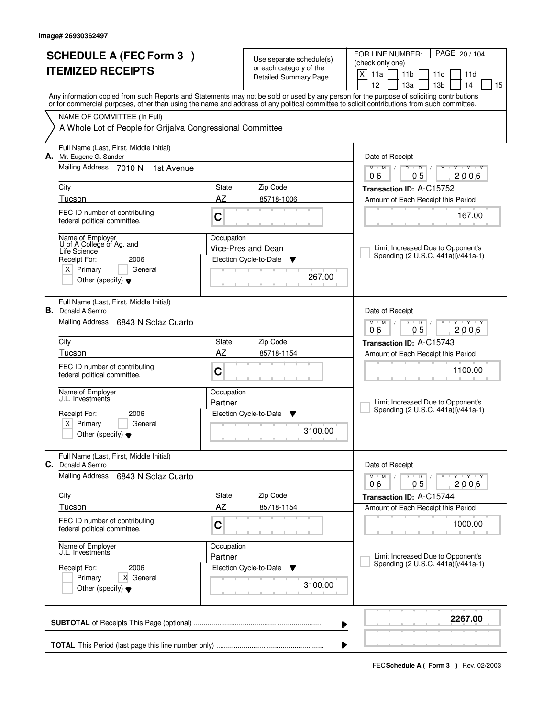| <b>SCHEDULE A (FEC Form 3)</b><br><b>ITEMIZED RECEIPTS</b> |                                                                                                                                                                                                                                                                                         | Use separate schedule(s)<br>or each category of the                         |                              | PAGE 20 / 104<br>FOR LINE NUMBER:<br>(check only one)                                 |  |
|------------------------------------------------------------|-----------------------------------------------------------------------------------------------------------------------------------------------------------------------------------------------------------------------------------------------------------------------------------------|-----------------------------------------------------------------------------|------------------------------|---------------------------------------------------------------------------------------|--|
|                                                            |                                                                                                                                                                                                                                                                                         |                                                                             | <b>Detailed Summary Page</b> | X<br>11a<br>11 <sub>b</sub><br>11c<br>11d<br>12<br>13a<br>13 <sub>b</sub><br>14<br>15 |  |
|                                                            | Any information copied from such Reports and Statements may not be sold or used by any person for the purpose of soliciting contributions<br>or for commercial purposes, other than using the name and address of any political committee to solicit contributions from such committee. |                                                                             |                              |                                                                                       |  |
|                                                            | NAME OF COMMITTEE (In Full)                                                                                                                                                                                                                                                             |                                                                             |                              |                                                                                       |  |
|                                                            | A Whole Lot of People for Grijalva Congressional Committee                                                                                                                                                                                                                              |                                                                             |                              |                                                                                       |  |
|                                                            | Full Name (Last, First, Middle Initial)<br>A. Mr. Eugene G. Sander                                                                                                                                                                                                                      |                                                                             |                              | Date of Receipt                                                                       |  |
|                                                            | Mailing Address 7010 N<br>1st Avenue                                                                                                                                                                                                                                                    |                                                                             |                              | $M$ $M$ /<br>D<br>$\overline{D}$<br>$T - Y$<br>Y<br>0 <sub>5</sub><br>2006<br>06      |  |
|                                                            | City                                                                                                                                                                                                                                                                                    | State                                                                       | Zip Code                     | Transaction ID: A-C15752                                                              |  |
|                                                            | Tucson                                                                                                                                                                                                                                                                                  | AZ                                                                          | 85718-1006                   | Amount of Each Receipt this Period                                                    |  |
|                                                            | FEC ID number of contributing<br>federal political committee.                                                                                                                                                                                                                           | C                                                                           |                              | 167.00                                                                                |  |
|                                                            | Name of Employer<br>U of A College of Ag. and                                                                                                                                                                                                                                           | Occupation                                                                  |                              |                                                                                       |  |
|                                                            | Life Science                                                                                                                                                                                                                                                                            |                                                                             | Vice-Pres and Dean           | Limit Increased Due to Opponent's<br>Spending (2 U.S.C. 441a(i)/441a-1)               |  |
|                                                            | Receipt For:<br>2006<br>$X$ Primary<br>General                                                                                                                                                                                                                                          |                                                                             | Election Cycle-to-Date<br>▼  |                                                                                       |  |
|                                                            | Other (specify) $\blacktriangledown$                                                                                                                                                                                                                                                    |                                                                             | 267.00                       |                                                                                       |  |
|                                                            | Full Name (Last, First, Middle Initial)<br><b>B.</b> Donald A Semro                                                                                                                                                                                                                     |                                                                             |                              | Date of Receipt                                                                       |  |
|                                                            | Mailing Address<br>6843 N Solaz Cuarto                                                                                                                                                                                                                                                  | $M$ $M$ /<br>D<br>$\overline{D}$<br>$Y$ $Y$<br>0 <sub>5</sub><br>2006<br>06 |                              |                                                                                       |  |
|                                                            | City                                                                                                                                                                                                                                                                                    | State                                                                       | Zip Code                     | Transaction ID: A-C15743                                                              |  |
|                                                            | Tucson                                                                                                                                                                                                                                                                                  | AZ                                                                          | 85718-1154                   | Amount of Each Receipt this Period                                                    |  |
|                                                            | FEC ID number of contributing<br>federal political committee.                                                                                                                                                                                                                           | C                                                                           |                              | 1100.00                                                                               |  |
|                                                            | Name of Employer<br>J.L. Investments                                                                                                                                                                                                                                                    | Occupation<br>Partner                                                       |                              | Limit Increased Due to Opponent's                                                     |  |
|                                                            | Receipt For:<br>2006                                                                                                                                                                                                                                                                    |                                                                             | Election Cycle-to-Date<br>v  | Spending (2 U.S.C. 441a(i)/441a-1)                                                    |  |
|                                                            | $\times$<br>Primary<br>General<br>Other (specify) $\blacktriangledown$                                                                                                                                                                                                                  |                                                                             | 3100.00                      |                                                                                       |  |
|                                                            | Full Name (Last, First, Middle Initial)<br>C. Donald A Semro                                                                                                                                                                                                                            |                                                                             |                              | Date of Receipt                                                                       |  |
|                                                            | <b>Mailing Address</b><br>6843 N Solaz Cuarto                                                                                                                                                                                                                                           |                                                                             |                              | Y Y Y Y<br>$M$ M<br>$D$ $D$<br>2006<br>05<br>06                                       |  |
|                                                            | City                                                                                                                                                                                                                                                                                    | State                                                                       | Zip Code                     | Transaction ID: A-C15744                                                              |  |
|                                                            | Tucson                                                                                                                                                                                                                                                                                  | <b>AZ</b>                                                                   | 85718-1154                   | Amount of Each Receipt this Period                                                    |  |
|                                                            | FEC ID number of contributing<br>federal political committee.                                                                                                                                                                                                                           | С                                                                           |                              | 1000.00                                                                               |  |
|                                                            | Name of Employer<br>J.L. Investments                                                                                                                                                                                                                                                    | Occupation<br>Partner                                                       |                              | Limit Increased Due to Opponent's                                                     |  |
|                                                            | 2006<br>Receipt For:                                                                                                                                                                                                                                                                    |                                                                             | Election Cycle-to-Date<br>v  | Spending (2 U.S.C. 441a(i)/441a-1)                                                    |  |
|                                                            | X General<br>Primary<br>Other (specify) $\blacktriangledown$                                                                                                                                                                                                                            |                                                                             | 3100.00                      |                                                                                       |  |
|                                                            |                                                                                                                                                                                                                                                                                         |                                                                             | ▶                            | 2267.00                                                                               |  |
|                                                            |                                                                                                                                                                                                                                                                                         |                                                                             |                              |                                                                                       |  |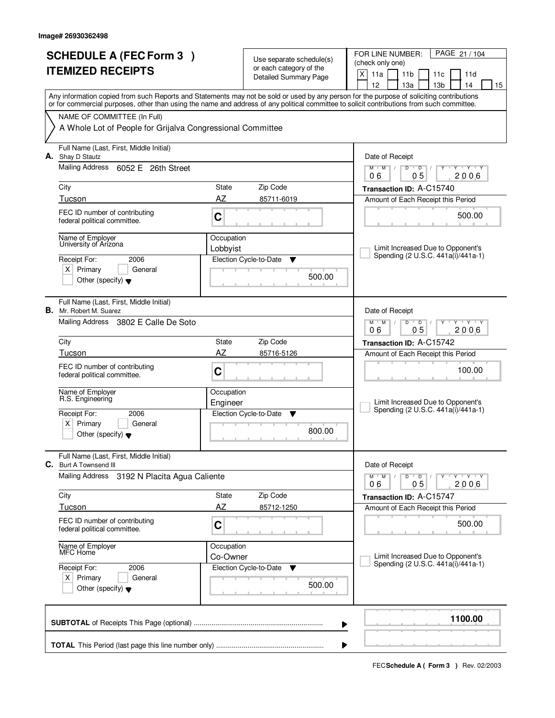|    | <b>SCHEDULE A (FEC Form 3)</b><br><b>ITEMIZED RECEIPTS</b>                                                                                                                                                                        |                                            | Use separate schedule(s)<br>or each category of the<br><b>Detailed Summary Page</b> | PAGE 21 / 104<br>FOR LINE NUMBER:<br>(check only one)<br>X<br>11a<br>11 <sub>b</sub><br>11d<br>11c<br>12<br>13a<br>13 <sub>b</sub><br>14<br>15                                                                                                                                          |
|----|-----------------------------------------------------------------------------------------------------------------------------------------------------------------------------------------------------------------------------------|--------------------------------------------|-------------------------------------------------------------------------------------|-----------------------------------------------------------------------------------------------------------------------------------------------------------------------------------------------------------------------------------------------------------------------------------------|
|    | NAME OF COMMITTEE (In Full)<br>A Whole Lot of People for Grijalva Congressional Committee                                                                                                                                         |                                            |                                                                                     | Any information copied from such Reports and Statements may not be sold or used by any person for the purpose of soliciting contributions<br>or for commercial purposes, other than using the name and address of any political committee to solicit contributions from such committee. |
|    | Full Name (Last, First, Middle Initial)<br>A. Shay D Stautz<br>Mailing Address 6052 E 26th Street<br>City<br>Tucson<br>FEC ID number of contributing<br>federal political committee.<br>Name of Employer<br>University of Arizona | State<br>AZ<br>C<br>Occupation<br>Lobbyist | Zip Code<br>85711-6019                                                              | Date of Receipt<br>$\mathsf D$<br>$Y$ $Y$<br>$M$ <sup>-1</sup><br>$M$ /<br>D<br>Y<br>┳<br>0 <sub>5</sub><br>2006<br>06<br>Transaction ID: A-C15740<br>Amount of Each Receipt this Period<br>500.00<br>Limit Increased Due to Opponent's                                                 |
|    | 2006<br>Receipt For:<br>$X$ Primary<br>General<br>Other (specify) $\blacktriangledown$<br>Full Name (Last, First, Middle Initial)                                                                                                 |                                            | Election Cycle-to-Date<br>▼<br>500.00                                               | Spending (2 U.S.C. 441a(i)/441a-1)                                                                                                                                                                                                                                                      |
|    | <b>B.</b> Mr. Robert M. Suarez<br>Mailing Address 3802 E Calle De Soto<br>City<br>Tucson                                                                                                                                          | State<br>AZ                                | Zip Code<br>85716-5126                                                              | Date of Receipt<br>$M$ $M$ /<br>D<br>$\overline{D}$<br>Y Y Y Y<br>05<br>06<br>2006<br>Transaction ID: A-C15742<br>Amount of Each Receipt this Period                                                                                                                                    |
|    | FEC ID number of contributing<br>federal political committee.<br>Name of Employer<br>R.S. Engineering<br>Receipt For:<br>2006<br>$x \mid$<br>Primary<br>General<br>Other (specify) $\bullet$                                      | C<br>Occupation<br>Engineer                | Election Cycle-to-Date<br>▼<br>800.00                                               | 100.00<br>Limit Increased Due to Opponent's<br>Spending (2 U.S.C. 441a(i)/441a-1)                                                                                                                                                                                                       |
| C. | Full Name (Last, First, Middle Initial)<br>Burt A Townsend III<br>Mailing Address<br>3192 N Placita Agua Caliente                                                                                                                 |                                            |                                                                                     | Date of Receipt<br>$D$ $D$ $/$<br>$M$ $M$ $M$<br>Y Y Y Y Y Y<br>05<br>2006<br>06                                                                                                                                                                                                        |
|    | City<br>Tucson<br>FEC ID number of contributing<br>federal political committee.                                                                                                                                                   | State<br>AZ<br>C                           | Zip Code<br>85712-1250                                                              | Transaction ID: A-C15747<br>Amount of Each Receipt this Period<br>500.00                                                                                                                                                                                                                |
|    | Name of Employer<br>MFC Home<br>Receipt For:<br>2006<br>$X$ Primary<br>General<br>Other (specify) $\blacktriangledown$                                                                                                            | Occupation<br>Co-Owner                     | Election Cycle-to-Date<br><b>V</b><br>500.00                                        | Limit Increased Due to Opponent's<br>Spending (2 U.S.C. 441a(i)/441a-1)                                                                                                                                                                                                                 |
|    |                                                                                                                                                                                                                                   |                                            |                                                                                     | 1100.00<br>▶                                                                                                                                                                                                                                                                            |
|    |                                                                                                                                                                                                                                   |                                            |                                                                                     |                                                                                                                                                                                                                                                                                         |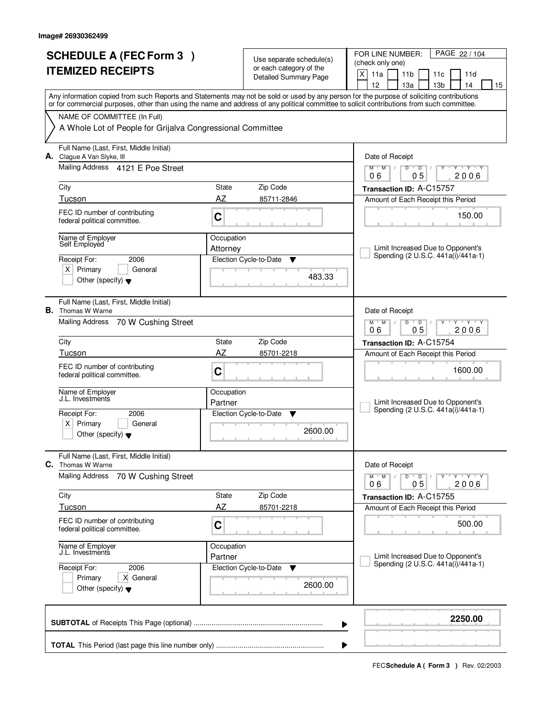| (check only one)<br>or each category of the<br><b>ITEMIZED RECEIPTS</b><br>X<br>11a<br>11 <sub>b</sub><br>11c<br>11d<br><b>Detailed Summary Page</b><br>12<br>13 <sub>b</sub><br>14<br>13a<br>Any information copied from such Reports and Statements may not be sold or used by any person for the purpose of soliciting contributions<br>or for commercial purposes, other than using the name and address of any political committee to solicit contributions from such committee.<br>NAME OF COMMITTEE (In Full)<br>A Whole Lot of People for Grijalva Congressional Committee<br>Full Name (Last, First, Middle Initial)<br>A. Clague A Van Slyke, III<br>Date of Receipt<br>Mailing Address 4121 E Poe Street<br>$\overline{D}$<br>$+Y+Y$<br>$M$ <sup>U</sup><br>$M$ /<br>D<br>Y<br>0 <sub>5</sub><br>2006<br>06<br>City<br>State<br>Zip Code<br>Transaction ID: A-C15757<br>AZ<br>Tucson<br>85711-2846<br>Amount of Each Receipt this Period<br>FEC ID number of contributing<br>150.00<br>$\mathbf C$<br>federal political committee.<br>Name of Employer<br>Occupation<br>Self Employed<br>Limit Increased Due to Opponent's<br>Attorney<br>Spending (2 U.S.C. 441a(i)/441a-1)<br>2006<br>Receipt For:<br>Election Cycle-to-Date<br>Y<br>$X$ Primary<br>General<br>483.33<br>Other (specify) $\blacktriangledown$<br>Full Name (Last, First, Middle Initial)<br><b>B.</b> Thomas W Warne<br>Date of Receipt<br>Mailing Address<br>70 W Cushing Street<br>D<br>$Y - Y - Y$<br>$M$ $M$ /<br>$\overline{D}$<br>0 <sub>5</sub><br>2006<br>06<br>City<br>Zip Code<br>State<br>Transaction ID: A-C15754<br>AZ<br>Tucson<br>85701-2218<br>Amount of Each Receipt this Period<br>FEC ID number of contributing<br>1600.00<br>C<br>federal political committee.<br>Occupation<br>Name of Employer<br>J.L. Investments<br>Limit Increased Due to Opponent's<br>Partner<br>Spending (2 U.S.C. 441a(i)/441a-1)<br>Receipt For:<br>2006<br>Election Cycle-to-Date<br>v<br>$x \mid$<br>Primary<br>General<br>2600.00<br>Other (specify) $\blacktriangledown$<br>Full Name (Last, First, Middle Initial)<br><b>C.</b> Thomas W Warne<br>Date of Receipt<br><b>Mailing Address</b><br>70 W Cushing Street<br>$M$ $M$ $M$<br>$D$ $D$ $/$<br>Y Y Y Y Y Y<br>2006<br>05<br>06<br>Zip Code<br>City<br>State<br>Transaction ID: A-C15755<br>AZ<br>Tucson<br>85701-2218<br>Amount of Each Receipt this Period<br>FEC ID number of contributing<br>C<br>500.00<br>federal political committee.<br>Name of Employer<br>Occupation<br>J.L. Investments<br>Limit Increased Due to Opponent's<br>Partner<br>Spending (2 U.S.C. 441a(i)/441a-1)<br>Election Cycle-to-Date<br>Receipt For:<br>2006<br>v<br>X General<br>Primary<br>2600.00<br>Other (specify) $\blacktriangledown$<br>2250.00<br>▶ |  | <b>SCHEDULE A (FEC Form 3)</b> | Use separate schedule(s) | PAGE 22/104<br>FOR LINE NUMBER: |
|--------------------------------------------------------------------------------------------------------------------------------------------------------------------------------------------------------------------------------------------------------------------------------------------------------------------------------------------------------------------------------------------------------------------------------------------------------------------------------------------------------------------------------------------------------------------------------------------------------------------------------------------------------------------------------------------------------------------------------------------------------------------------------------------------------------------------------------------------------------------------------------------------------------------------------------------------------------------------------------------------------------------------------------------------------------------------------------------------------------------------------------------------------------------------------------------------------------------------------------------------------------------------------------------------------------------------------------------------------------------------------------------------------------------------------------------------------------------------------------------------------------------------------------------------------------------------------------------------------------------------------------------------------------------------------------------------------------------------------------------------------------------------------------------------------------------------------------------------------------------------------------------------------------------------------------------------------------------------------------------------------------------------------------------------------------------------------------------------------------------------------------------------------------------------------------------------------------------------------------------------------------------------------------------------------------------------------------------------------------------------------------------------------------------------------------------------------------------------------------------------------------------------------------------------------------------------------------------------------------------------------------------------------------------------------------------------------------------------------------------------------------------------------|--|--------------------------------|--------------------------|---------------------------------|
|                                                                                                                                                                                                                                                                                                                                                                                                                                                                                                                                                                                                                                                                                                                                                                                                                                                                                                                                                                                                                                                                                                                                                                                                                                                                                                                                                                                                                                                                                                                                                                                                                                                                                                                                                                                                                                                                                                                                                                                                                                                                                                                                                                                                                                                                                                                                                                                                                                                                                                                                                                                                                                                                                                                                                                                |  |                                |                          |                                 |
|                                                                                                                                                                                                                                                                                                                                                                                                                                                                                                                                                                                                                                                                                                                                                                                                                                                                                                                                                                                                                                                                                                                                                                                                                                                                                                                                                                                                                                                                                                                                                                                                                                                                                                                                                                                                                                                                                                                                                                                                                                                                                                                                                                                                                                                                                                                                                                                                                                                                                                                                                                                                                                                                                                                                                                                |  |                                |                          | 15                              |
|                                                                                                                                                                                                                                                                                                                                                                                                                                                                                                                                                                                                                                                                                                                                                                                                                                                                                                                                                                                                                                                                                                                                                                                                                                                                                                                                                                                                                                                                                                                                                                                                                                                                                                                                                                                                                                                                                                                                                                                                                                                                                                                                                                                                                                                                                                                                                                                                                                                                                                                                                                                                                                                                                                                                                                                |  |                                |                          |                                 |
|                                                                                                                                                                                                                                                                                                                                                                                                                                                                                                                                                                                                                                                                                                                                                                                                                                                                                                                                                                                                                                                                                                                                                                                                                                                                                                                                                                                                                                                                                                                                                                                                                                                                                                                                                                                                                                                                                                                                                                                                                                                                                                                                                                                                                                                                                                                                                                                                                                                                                                                                                                                                                                                                                                                                                                                |  |                                |                          |                                 |
|                                                                                                                                                                                                                                                                                                                                                                                                                                                                                                                                                                                                                                                                                                                                                                                                                                                                                                                                                                                                                                                                                                                                                                                                                                                                                                                                                                                                                                                                                                                                                                                                                                                                                                                                                                                                                                                                                                                                                                                                                                                                                                                                                                                                                                                                                                                                                                                                                                                                                                                                                                                                                                                                                                                                                                                |  |                                |                          |                                 |
|                                                                                                                                                                                                                                                                                                                                                                                                                                                                                                                                                                                                                                                                                                                                                                                                                                                                                                                                                                                                                                                                                                                                                                                                                                                                                                                                                                                                                                                                                                                                                                                                                                                                                                                                                                                                                                                                                                                                                                                                                                                                                                                                                                                                                                                                                                                                                                                                                                                                                                                                                                                                                                                                                                                                                                                |  |                                |                          |                                 |
|                                                                                                                                                                                                                                                                                                                                                                                                                                                                                                                                                                                                                                                                                                                                                                                                                                                                                                                                                                                                                                                                                                                                                                                                                                                                                                                                                                                                                                                                                                                                                                                                                                                                                                                                                                                                                                                                                                                                                                                                                                                                                                                                                                                                                                                                                                                                                                                                                                                                                                                                                                                                                                                                                                                                                                                |  |                                |                          |                                 |
|                                                                                                                                                                                                                                                                                                                                                                                                                                                                                                                                                                                                                                                                                                                                                                                                                                                                                                                                                                                                                                                                                                                                                                                                                                                                                                                                                                                                                                                                                                                                                                                                                                                                                                                                                                                                                                                                                                                                                                                                                                                                                                                                                                                                                                                                                                                                                                                                                                                                                                                                                                                                                                                                                                                                                                                |  |                                |                          |                                 |
|                                                                                                                                                                                                                                                                                                                                                                                                                                                                                                                                                                                                                                                                                                                                                                                                                                                                                                                                                                                                                                                                                                                                                                                                                                                                                                                                                                                                                                                                                                                                                                                                                                                                                                                                                                                                                                                                                                                                                                                                                                                                                                                                                                                                                                                                                                                                                                                                                                                                                                                                                                                                                                                                                                                                                                                |  |                                |                          |                                 |
|                                                                                                                                                                                                                                                                                                                                                                                                                                                                                                                                                                                                                                                                                                                                                                                                                                                                                                                                                                                                                                                                                                                                                                                                                                                                                                                                                                                                                                                                                                                                                                                                                                                                                                                                                                                                                                                                                                                                                                                                                                                                                                                                                                                                                                                                                                                                                                                                                                                                                                                                                                                                                                                                                                                                                                                |  |                                |                          |                                 |
|                                                                                                                                                                                                                                                                                                                                                                                                                                                                                                                                                                                                                                                                                                                                                                                                                                                                                                                                                                                                                                                                                                                                                                                                                                                                                                                                                                                                                                                                                                                                                                                                                                                                                                                                                                                                                                                                                                                                                                                                                                                                                                                                                                                                                                                                                                                                                                                                                                                                                                                                                                                                                                                                                                                                                                                |  |                                |                          |                                 |
|                                                                                                                                                                                                                                                                                                                                                                                                                                                                                                                                                                                                                                                                                                                                                                                                                                                                                                                                                                                                                                                                                                                                                                                                                                                                                                                                                                                                                                                                                                                                                                                                                                                                                                                                                                                                                                                                                                                                                                                                                                                                                                                                                                                                                                                                                                                                                                                                                                                                                                                                                                                                                                                                                                                                                                                |  |                                |                          |                                 |
|                                                                                                                                                                                                                                                                                                                                                                                                                                                                                                                                                                                                                                                                                                                                                                                                                                                                                                                                                                                                                                                                                                                                                                                                                                                                                                                                                                                                                                                                                                                                                                                                                                                                                                                                                                                                                                                                                                                                                                                                                                                                                                                                                                                                                                                                                                                                                                                                                                                                                                                                                                                                                                                                                                                                                                                |  |                                |                          |                                 |
|                                                                                                                                                                                                                                                                                                                                                                                                                                                                                                                                                                                                                                                                                                                                                                                                                                                                                                                                                                                                                                                                                                                                                                                                                                                                                                                                                                                                                                                                                                                                                                                                                                                                                                                                                                                                                                                                                                                                                                                                                                                                                                                                                                                                                                                                                                                                                                                                                                                                                                                                                                                                                                                                                                                                                                                |  |                                |                          |                                 |
|                                                                                                                                                                                                                                                                                                                                                                                                                                                                                                                                                                                                                                                                                                                                                                                                                                                                                                                                                                                                                                                                                                                                                                                                                                                                                                                                                                                                                                                                                                                                                                                                                                                                                                                                                                                                                                                                                                                                                                                                                                                                                                                                                                                                                                                                                                                                                                                                                                                                                                                                                                                                                                                                                                                                                                                |  |                                |                          |                                 |
|                                                                                                                                                                                                                                                                                                                                                                                                                                                                                                                                                                                                                                                                                                                                                                                                                                                                                                                                                                                                                                                                                                                                                                                                                                                                                                                                                                                                                                                                                                                                                                                                                                                                                                                                                                                                                                                                                                                                                                                                                                                                                                                                                                                                                                                                                                                                                                                                                                                                                                                                                                                                                                                                                                                                                                                |  |                                |                          |                                 |
|                                                                                                                                                                                                                                                                                                                                                                                                                                                                                                                                                                                                                                                                                                                                                                                                                                                                                                                                                                                                                                                                                                                                                                                                                                                                                                                                                                                                                                                                                                                                                                                                                                                                                                                                                                                                                                                                                                                                                                                                                                                                                                                                                                                                                                                                                                                                                                                                                                                                                                                                                                                                                                                                                                                                                                                |  |                                |                          |                                 |
|                                                                                                                                                                                                                                                                                                                                                                                                                                                                                                                                                                                                                                                                                                                                                                                                                                                                                                                                                                                                                                                                                                                                                                                                                                                                                                                                                                                                                                                                                                                                                                                                                                                                                                                                                                                                                                                                                                                                                                                                                                                                                                                                                                                                                                                                                                                                                                                                                                                                                                                                                                                                                                                                                                                                                                                |  |                                |                          |                                 |
|                                                                                                                                                                                                                                                                                                                                                                                                                                                                                                                                                                                                                                                                                                                                                                                                                                                                                                                                                                                                                                                                                                                                                                                                                                                                                                                                                                                                                                                                                                                                                                                                                                                                                                                                                                                                                                                                                                                                                                                                                                                                                                                                                                                                                                                                                                                                                                                                                                                                                                                                                                                                                                                                                                                                                                                |  |                                |                          |                                 |
|                                                                                                                                                                                                                                                                                                                                                                                                                                                                                                                                                                                                                                                                                                                                                                                                                                                                                                                                                                                                                                                                                                                                                                                                                                                                                                                                                                                                                                                                                                                                                                                                                                                                                                                                                                                                                                                                                                                                                                                                                                                                                                                                                                                                                                                                                                                                                                                                                                                                                                                                                                                                                                                                                                                                                                                |  |                                |                          |                                 |
|                                                                                                                                                                                                                                                                                                                                                                                                                                                                                                                                                                                                                                                                                                                                                                                                                                                                                                                                                                                                                                                                                                                                                                                                                                                                                                                                                                                                                                                                                                                                                                                                                                                                                                                                                                                                                                                                                                                                                                                                                                                                                                                                                                                                                                                                                                                                                                                                                                                                                                                                                                                                                                                                                                                                                                                |  |                                |                          |                                 |
|                                                                                                                                                                                                                                                                                                                                                                                                                                                                                                                                                                                                                                                                                                                                                                                                                                                                                                                                                                                                                                                                                                                                                                                                                                                                                                                                                                                                                                                                                                                                                                                                                                                                                                                                                                                                                                                                                                                                                                                                                                                                                                                                                                                                                                                                                                                                                                                                                                                                                                                                                                                                                                                                                                                                                                                |  |                                |                          |                                 |
|                                                                                                                                                                                                                                                                                                                                                                                                                                                                                                                                                                                                                                                                                                                                                                                                                                                                                                                                                                                                                                                                                                                                                                                                                                                                                                                                                                                                                                                                                                                                                                                                                                                                                                                                                                                                                                                                                                                                                                                                                                                                                                                                                                                                                                                                                                                                                                                                                                                                                                                                                                                                                                                                                                                                                                                |  |                                |                          |                                 |
|                                                                                                                                                                                                                                                                                                                                                                                                                                                                                                                                                                                                                                                                                                                                                                                                                                                                                                                                                                                                                                                                                                                                                                                                                                                                                                                                                                                                                                                                                                                                                                                                                                                                                                                                                                                                                                                                                                                                                                                                                                                                                                                                                                                                                                                                                                                                                                                                                                                                                                                                                                                                                                                                                                                                                                                |  |                                |                          |                                 |
|                                                                                                                                                                                                                                                                                                                                                                                                                                                                                                                                                                                                                                                                                                                                                                                                                                                                                                                                                                                                                                                                                                                                                                                                                                                                                                                                                                                                                                                                                                                                                                                                                                                                                                                                                                                                                                                                                                                                                                                                                                                                                                                                                                                                                                                                                                                                                                                                                                                                                                                                                                                                                                                                                                                                                                                |  |                                |                          |                                 |
|                                                                                                                                                                                                                                                                                                                                                                                                                                                                                                                                                                                                                                                                                                                                                                                                                                                                                                                                                                                                                                                                                                                                                                                                                                                                                                                                                                                                                                                                                                                                                                                                                                                                                                                                                                                                                                                                                                                                                                                                                                                                                                                                                                                                                                                                                                                                                                                                                                                                                                                                                                                                                                                                                                                                                                                |  |                                |                          |                                 |
|                                                                                                                                                                                                                                                                                                                                                                                                                                                                                                                                                                                                                                                                                                                                                                                                                                                                                                                                                                                                                                                                                                                                                                                                                                                                                                                                                                                                                                                                                                                                                                                                                                                                                                                                                                                                                                                                                                                                                                                                                                                                                                                                                                                                                                                                                                                                                                                                                                                                                                                                                                                                                                                                                                                                                                                |  |                                |                          |                                 |
|                                                                                                                                                                                                                                                                                                                                                                                                                                                                                                                                                                                                                                                                                                                                                                                                                                                                                                                                                                                                                                                                                                                                                                                                                                                                                                                                                                                                                                                                                                                                                                                                                                                                                                                                                                                                                                                                                                                                                                                                                                                                                                                                                                                                                                                                                                                                                                                                                                                                                                                                                                                                                                                                                                                                                                                |  |                                |                          |                                 |
|                                                                                                                                                                                                                                                                                                                                                                                                                                                                                                                                                                                                                                                                                                                                                                                                                                                                                                                                                                                                                                                                                                                                                                                                                                                                                                                                                                                                                                                                                                                                                                                                                                                                                                                                                                                                                                                                                                                                                                                                                                                                                                                                                                                                                                                                                                                                                                                                                                                                                                                                                                                                                                                                                                                                                                                |  |                                |                          |                                 |
|                                                                                                                                                                                                                                                                                                                                                                                                                                                                                                                                                                                                                                                                                                                                                                                                                                                                                                                                                                                                                                                                                                                                                                                                                                                                                                                                                                                                                                                                                                                                                                                                                                                                                                                                                                                                                                                                                                                                                                                                                                                                                                                                                                                                                                                                                                                                                                                                                                                                                                                                                                                                                                                                                                                                                                                |  |                                |                          |                                 |
|                                                                                                                                                                                                                                                                                                                                                                                                                                                                                                                                                                                                                                                                                                                                                                                                                                                                                                                                                                                                                                                                                                                                                                                                                                                                                                                                                                                                                                                                                                                                                                                                                                                                                                                                                                                                                                                                                                                                                                                                                                                                                                                                                                                                                                                                                                                                                                                                                                                                                                                                                                                                                                                                                                                                                                                |  |                                |                          |                                 |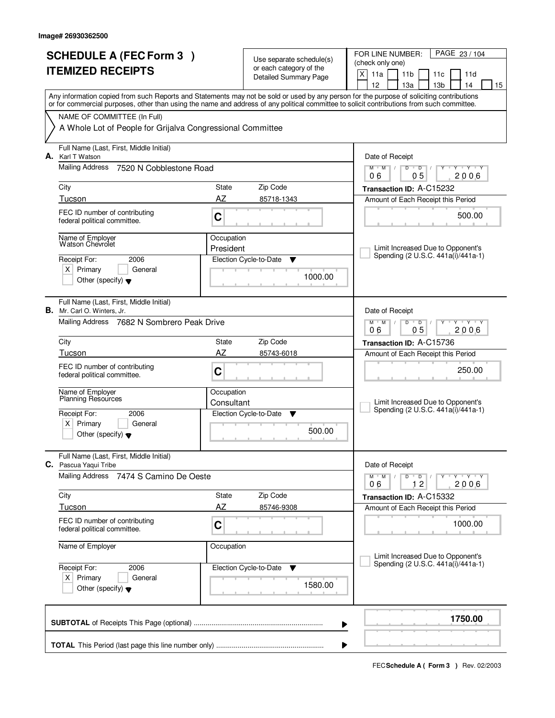| <b>SCHEDULE A (FEC Form 3)</b> |                                                                               | Use separate schedule(s)<br>or each category of the |                              | PAGE 23 / 104<br>FOR LINE NUMBER:<br>(check only one)                                                                                                                                 |
|--------------------------------|-------------------------------------------------------------------------------|-----------------------------------------------------|------------------------------|---------------------------------------------------------------------------------------------------------------------------------------------------------------------------------------|
|                                | <b>ITEMIZED RECEIPTS</b>                                                      |                                                     | <b>Detailed Summary Page</b> | X<br>11a<br>11 <sub>b</sub><br>11d<br>11c                                                                                                                                             |
|                                |                                                                               |                                                     |                              | 12<br>13a<br>13 <sub>b</sub><br>14<br>15<br>Any information copied from such Reports and Statements may not be sold or used by any person for the purpose of soliciting contributions |
|                                |                                                                               |                                                     |                              | or for commercial purposes, other than using the name and address of any political committee to solicit contributions from such committee.                                            |
|                                | NAME OF COMMITTEE (In Full)                                                   |                                                     |                              |                                                                                                                                                                                       |
|                                | A Whole Lot of People for Grijalva Congressional Committee                    |                                                     |                              |                                                                                                                                                                                       |
| А.                             | Full Name (Last, First, Middle Initial)<br>Karl T Watson                      |                                                     |                              | Date of Receipt                                                                                                                                                                       |
|                                | Mailing Address<br>7520 N Cobblestone Road                                    |                                                     |                              | $M$ /<br>$D$ $D$<br>$Y \cup Y$<br>$M$ <sup>U</sup><br>Y<br>┳<br>0 <sub>5</sub><br>2006<br>06                                                                                          |
|                                | City                                                                          | State                                               | Zip Code                     | Transaction ID: A-C15232                                                                                                                                                              |
|                                | Tucson                                                                        | AZ                                                  | 85718-1343                   | Amount of Each Receipt this Period                                                                                                                                                    |
|                                | FEC ID number of contributing<br>federal political committee.                 | C                                                   |                              | 500.00                                                                                                                                                                                |
|                                | Name of Employer<br>Watson Chevrolet                                          | Occupation                                          |                              |                                                                                                                                                                                       |
|                                | 2006<br>Receipt For:                                                          | President                                           | Election Cycle-to-Date<br>▼  | Limit Increased Due to Opponent's<br>Spending (2 U.S.C. 441a(i)/441a-1)                                                                                                               |
|                                | $X$ Primary<br>General                                                        |                                                     |                              |                                                                                                                                                                                       |
|                                | Other (specify) $\blacktriangledown$                                          |                                                     | 1000.00                      |                                                                                                                                                                                       |
|                                | Full Name (Last, First, Middle Initial)<br><b>B.</b> Mr. Carl O. Winters, Jr. |                                                     |                              | Date of Receipt                                                                                                                                                                       |
|                                | Mailing Address 7682 N Sombrero Peak Drive                                    |                                                     |                              | $M$ $M$ /<br>D<br>$\overline{D}$<br>Y Y Y Y<br>05<br>06<br>2006                                                                                                                       |
|                                | City                                                                          | State                                               | Zip Code                     | Transaction ID: A-C15736                                                                                                                                                              |
|                                | Tucson                                                                        | AZ                                                  | 85743-6018                   | Amount of Each Receipt this Period                                                                                                                                                    |
|                                | FEC ID number of contributing<br>federal political committee.                 | C                                                   |                              | 250.00                                                                                                                                                                                |
|                                | Name of Employer<br>Planning Resources                                        | Occupation                                          |                              |                                                                                                                                                                                       |
|                                |                                                                               | Consultant                                          |                              | Limit Increased Due to Opponent's<br>Spending (2 U.S.C. 441a(i)/441a-1)                                                                                                               |
|                                | Receipt For:<br>2006<br>x <sub>1</sub><br>Primary<br>General                  |                                                     | Election Cycle-to-Date<br>▼  |                                                                                                                                                                                       |
|                                | Other (specify) $\blacktriangledown$                                          |                                                     | 500.00                       |                                                                                                                                                                                       |
|                                | Full Name (Last, First, Middle Initial)<br>C. Pascua Yaqui Tribe              |                                                     |                              | Date of Receipt                                                                                                                                                                       |
|                                | <b>Mailing Address</b><br>7474 S Camino De Oeste                              |                                                     |                              | $D$ $D$ $I$<br>$M$ $M$ $/$<br>Y TY TY TY<br>12<br>2006<br>06                                                                                                                          |
|                                | City                                                                          | State                                               | Zip Code                     | Transaction ID: A-C15332                                                                                                                                                              |
|                                | Tucson                                                                        | AZ                                                  | 85746-9308                   | Amount of Each Receipt this Period                                                                                                                                                    |
|                                | FEC ID number of contributing<br>federal political committee.                 | C                                                   |                              | 1000.00                                                                                                                                                                               |
|                                | Name of Employer                                                              | Occupation                                          |                              | Limit Increased Due to Opponent's                                                                                                                                                     |
|                                | Receipt For:<br>2006                                                          |                                                     | Election Cycle-to-Date ▼     | Spending (2 U.S.C. 441a(i)/441a-1)                                                                                                                                                    |
|                                | $X$ Primary<br>General<br>Other (specify) $\blacktriangledown$                |                                                     | 1580.00                      |                                                                                                                                                                                       |
|                                |                                                                               |                                                     |                              | 1750.00<br>▶                                                                                                                                                                          |
|                                |                                                                               |                                                     |                              | ▶                                                                                                                                                                                     |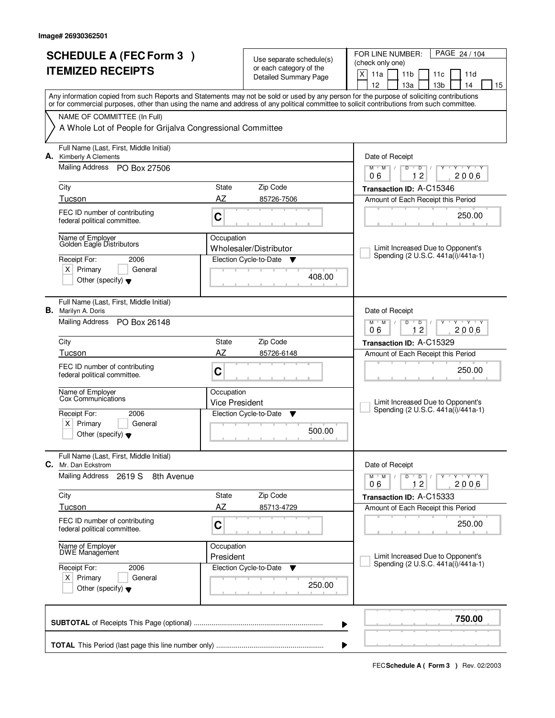| <b>SCHEDULE A (FEC Form 3)</b><br><b>ITEMIZED RECEIPTS</b>                                                                                                                                                                                                                                                                                                                           |                                                         | Use separate schedule(s)<br>or each category of the<br><b>Detailed Summary Page</b>       | PAGE 24 / 104<br>FOR LINE NUMBER:<br>(check only one)<br>X<br>11a<br>11 <sub>b</sub><br>11d<br>11c<br>12<br>13a<br>13 <sub>b</sub><br>14<br>15                                                                                                                     |
|--------------------------------------------------------------------------------------------------------------------------------------------------------------------------------------------------------------------------------------------------------------------------------------------------------------------------------------------------------------------------------------|---------------------------------------------------------|-------------------------------------------------------------------------------------------|--------------------------------------------------------------------------------------------------------------------------------------------------------------------------------------------------------------------------------------------------------------------|
| Any information copied from such Reports and Statements may not be sold or used by any person for the purpose of soliciting contributions<br>or for commercial purposes, other than using the name and address of any political committee to solicit contributions from such committee.<br>NAME OF COMMITTEE (In Full)<br>A Whole Lot of People for Grijalva Congressional Committee |                                                         |                                                                                           |                                                                                                                                                                                                                                                                    |
| Full Name (Last, First, Middle Initial)<br><b>Kimberly A Clements</b><br>А.<br>Mailing Address PO Box 27506<br>City<br>Tucson<br>FEC ID number of contributing<br>federal political committee.<br>Name of Employer<br>Golden Eagle Distributors<br>Receipt For:<br>2006<br>$X$ Primary<br>General<br>Other (specify) $\blacktriangledown$                                            | State<br>AZ<br>C<br>Occupation                          | Zip Code<br>85726-7506<br>Wholesaler/Distributor<br>Election Cycle-to-Date<br>v<br>408.00 | Date of Receipt<br>$M$ /<br>$\mathsf D$<br>$Y$ $Y$<br>$M$ <sup>U</sup><br>D<br>Y<br>┳<br>12<br>2006<br>06<br>Transaction ID: A-C15346<br>Amount of Each Receipt this Period<br>250.00<br>Limit Increased Due to Opponent's<br>Spending (2 U.S.C. 441a(i)/441a-1)   |
| Full Name (Last, First, Middle Initial)<br><b>B.</b> Marilyn A. Doris<br>Mailing Address<br>PO Box 26148<br>City<br>Tucson<br>FEC ID number of contributing<br>federal political committee.<br>Name of Employer<br>Cox Communications<br>Receipt For:<br>2006<br>$x \mid$<br>Primary<br>General<br>Other (specify) $\blacktriangledown$                                              | State<br>AZ<br>C<br>Occupation<br><b>Vice President</b> | Zip Code<br>85726-6148<br>Election Cycle-to-Date<br>▼<br>500.00                           | Date of Receipt<br>$M$ $M$ /<br>D<br>$\overline{D}$<br>Y Y Y Y<br>12<br>06<br>2006<br>Transaction ID: A-C15329<br>Amount of Each Receipt this Period<br>250.00<br>Limit Increased Due to Opponent's<br>Spending (2 U.S.C. 441a(i)/441a-1)                          |
| Full Name (Last, First, Middle Initial)<br>C.<br>Mr. Dan Eckstrom<br><b>Mailing Address</b><br>2619 S<br>8th Avenue<br>City<br>Tucson<br>FEC ID number of contributing<br>federal political committee.<br>Name of Employer<br>DWE Management<br>Receipt For:<br>2006<br>$X$ Primary<br>General<br>Other (specify) $\blacktriangledown$                                               | State<br>AZ<br>C<br>Occupation<br>President             | Zip Code<br>85713-4729<br>Election Cycle-to-Date<br><b>V</b><br>250.00                    | Date of Receipt<br>$D$ $D$ $I$<br>$M^{\prime}$ $M^{\prime}$ $M^{\prime}$<br>Y Y Y Y Y Y<br>12<br>2006<br>06<br>Transaction ID: A-C15333<br>Amount of Each Receipt this Period<br>250.00<br>Limit Increased Due to Opponent's<br>Spending (2 U.S.C. 441a(i)/441a-1) |
|                                                                                                                                                                                                                                                                                                                                                                                      |                                                         |                                                                                           | 750.00<br>▶                                                                                                                                                                                                                                                        |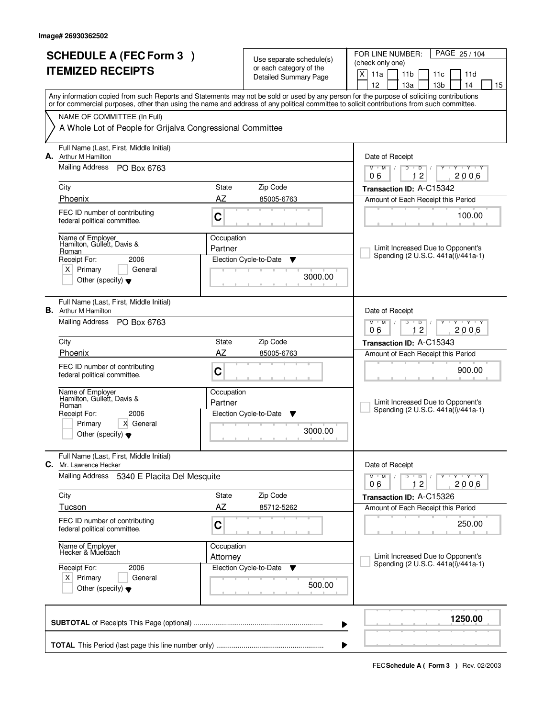|    | <b>SCHEDULE A (FEC Form 3)</b><br><b>ITEMIZED RECEIPTS</b>                                                                                      |                        | Use separate schedule(s)<br>or each category of the<br><b>Detailed Summary Page</b> | PAGE 25 / 104<br>FOR LINE NUMBER:<br>(check only one)<br>X<br>11a<br>11 <sub>b</sub><br>11d<br>11c<br>12<br>13a<br>13 <sub>b</sub><br>14<br>15                                                                                                                                          |
|----|-------------------------------------------------------------------------------------------------------------------------------------------------|------------------------|-------------------------------------------------------------------------------------|-----------------------------------------------------------------------------------------------------------------------------------------------------------------------------------------------------------------------------------------------------------------------------------------|
|    | NAME OF COMMITTEE (In Full)<br>A Whole Lot of People for Grijalva Congressional Committee                                                       |                        |                                                                                     | Any information copied from such Reports and Statements may not be sold or used by any person for the purpose of soliciting contributions<br>or for commercial purposes, other than using the name and address of any political committee to solicit contributions from such committee. |
|    | Full Name (Last, First, Middle Initial)<br><b>A.</b> Arthur M Hamilton<br>Mailing Address<br>PO Box 6763<br>City                                | State                  | Zip Code                                                                            | Date of Receipt<br>$M$ /<br>$\mathsf D$<br>$\overline{Y}$ $\overline{Y}$<br>$M$ <sup>-1</sup><br>D<br>Y<br>12<br>2006<br>06<br>Transaction ID: A-C15342                                                                                                                                 |
|    | Phoenix<br>FEC ID number of contributing<br>federal political committee.<br>Name of Employer                                                    | AZ<br>C<br>Occupation  | 85005-6763                                                                          | Amount of Each Receipt this Period<br>100.00                                                                                                                                                                                                                                            |
|    | Hamilton, Gullett, Davis &<br>Roman<br>Receipt For:<br>2006<br>$X$ Primary<br>General<br>Other (specify) $\blacktriangledown$                   | Partner                | Election Cycle-to-Date<br>Y<br>3000.00                                              | Limit Increased Due to Opponent's<br>Spending (2 U.S.C. 441a(i)/441a-1)                                                                                                                                                                                                                 |
|    | Full Name (Last, First, Middle Initial)<br><b>B.</b> Arthur M Hamilton<br>Mailing Address PO Box 6763                                           |                        |                                                                                     | Date of Receipt<br>$M$ $M$ /<br>D<br>D<br>Y Y Y Y<br>12<br>06<br>2006                                                                                                                                                                                                                   |
|    | City                                                                                                                                            | State                  | Zip Code                                                                            | Transaction ID: A-C15343                                                                                                                                                                                                                                                                |
|    | Phoenix<br>FEC ID number of contributing<br>federal political committee.                                                                        | AZ<br>C                | 85005-6763                                                                          | Amount of Each Receipt this Period<br>900.00                                                                                                                                                                                                                                            |
|    | Name of Employer<br>Hamilton, Gullett, Davis &<br>Roman<br>Receipt For:<br>2006<br>X General<br>Primary<br>Other (specify) $\blacktriangledown$ | Occupation<br>Partner  | Election Cycle-to-Date<br>v<br>3000.00                                              | Limit Increased Due to Opponent's<br>Spending (2 U.S.C. 441a(i)/441a-1)                                                                                                                                                                                                                 |
| C. | Full Name (Last, First, Middle Initial)<br>Mr. Lawrence Hecker                                                                                  |                        |                                                                                     | Date of Receipt                                                                                                                                                                                                                                                                         |
|    | <b>Mailing Address</b><br>5340 E Placita Del Mesquite                                                                                           |                        |                                                                                     | $M$ $M$ $M$ $I$<br>$D$ $D$ $/$<br>Y Y Y Y Y Y<br>12<br>2006<br>06                                                                                                                                                                                                                       |
|    | City                                                                                                                                            | State<br>AZ            | Zip Code                                                                            | Transaction ID: A-C15326                                                                                                                                                                                                                                                                |
|    | Tucson<br>FEC ID number of contributing<br>federal political committee.                                                                         | C                      | 85712-5262                                                                          | Amount of Each Receipt this Period<br>250.00                                                                                                                                                                                                                                            |
|    | Name of Employer<br>Hecker & Muelbach                                                                                                           | Occupation<br>Attorney |                                                                                     | Limit Increased Due to Opponent's                                                                                                                                                                                                                                                       |
|    | Receipt For:<br>2006<br>$X$ Primary<br>General<br>Other (specify) $\blacktriangledown$                                                          |                        | Election Cycle-to-Date<br><b>V</b><br>500.00                                        | Spending (2 U.S.C. 441a(i)/441a-1)                                                                                                                                                                                                                                                      |
|    |                                                                                                                                                 |                        |                                                                                     | 1250.00<br>▶                                                                                                                                                                                                                                                                            |
|    |                                                                                                                                                 |                        |                                                                                     |                                                                                                                                                                                                                                                                                         |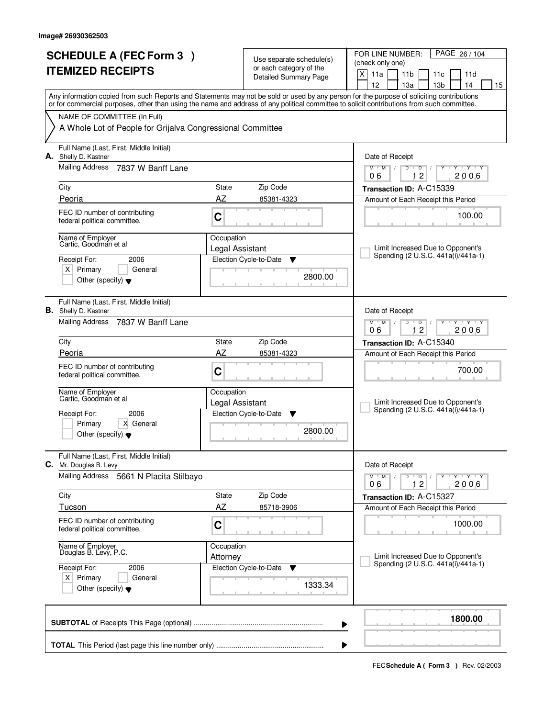| <b>SCHEDULE A (FEC Form 3)</b><br><b>ITEMIZED RECEIPTS</b> |                                                                                           |                        | Use separate schedule(s)                                | PAGE 26/104<br>FOR LINE NUMBER:<br>(check only one)                                                                                                                                                                                                                                     |
|------------------------------------------------------------|-------------------------------------------------------------------------------------------|------------------------|---------------------------------------------------------|-----------------------------------------------------------------------------------------------------------------------------------------------------------------------------------------------------------------------------------------------------------------------------------------|
|                                                            |                                                                                           |                        | or each category of the<br><b>Detailed Summary Page</b> | X<br>11a<br>11 <sub>b</sub><br>11c<br>11d<br>12<br>13 <sub>b</sub><br>14<br>13a<br>15                                                                                                                                                                                                   |
|                                                            |                                                                                           |                        |                                                         | Any information copied from such Reports and Statements may not be sold or used by any person for the purpose of soliciting contributions<br>or for commercial purposes, other than using the name and address of any political committee to solicit contributions from such committee. |
|                                                            | NAME OF COMMITTEE (In Full)<br>A Whole Lot of People for Grijalva Congressional Committee |                        |                                                         |                                                                                                                                                                                                                                                                                         |
|                                                            |                                                                                           |                        |                                                         |                                                                                                                                                                                                                                                                                         |
|                                                            | Full Name (Last, First, Middle Initial)<br>A. Shelly D. Kastner                           |                        |                                                         | Date of Receipt                                                                                                                                                                                                                                                                         |
|                                                            | Mailing Address<br>7837 W Banff Lane                                                      |                        |                                                         | $\overline{Y}$ $\overline{Y}$ $\overline{Y}$<br>$M$ <sup>U</sup><br>$M$ /<br>D<br>$\overline{D}$<br>Y<br>12<br>2006<br>06                                                                                                                                                               |
|                                                            | City                                                                                      | State                  | Zip Code                                                | Transaction ID: A-C15339                                                                                                                                                                                                                                                                |
|                                                            | Peoria                                                                                    | AZ                     | 85381-4323                                              | Amount of Each Receipt this Period                                                                                                                                                                                                                                                      |
|                                                            | FEC ID number of contributing<br>federal political committee.                             | $\mathbf C$            |                                                         | 100.00                                                                                                                                                                                                                                                                                  |
|                                                            | Name of Employer<br>Cartic, Goodman et al                                                 | Occupation             |                                                         |                                                                                                                                                                                                                                                                                         |
|                                                            |                                                                                           | Legal Assistant        |                                                         | Limit Increased Due to Opponent's<br>Spending (2 U.S.C. 441a(i)/441a-1)                                                                                                                                                                                                                 |
|                                                            | 2006<br>Receipt For:<br>$X$ Primary<br>General                                            |                        | Election Cycle-to-Date<br>Y                             |                                                                                                                                                                                                                                                                                         |
|                                                            | Other (specify) $\blacktriangledown$                                                      |                        | 2800.00                                                 |                                                                                                                                                                                                                                                                                         |
|                                                            | Full Name (Last, First, Middle Initial)<br><b>B.</b> Shelly D. Kastner                    |                        |                                                         | Date of Receipt                                                                                                                                                                                                                                                                         |
|                                                            | <b>Mailing Address</b><br>7837 W Banff Lane                                               |                        |                                                         | $Y - Y - Y$<br>$M$ $M$ /<br>D<br>$\overline{D}$<br>12<br>2006<br>06                                                                                                                                                                                                                     |
|                                                            | City                                                                                      | State                  | Zip Code                                                | Transaction ID: A-C15340                                                                                                                                                                                                                                                                |
|                                                            | Peoria                                                                                    | AZ                     | 85381-4323                                              | Amount of Each Receipt this Period                                                                                                                                                                                                                                                      |
|                                                            | FEC ID number of contributing<br>federal political committee.                             | C                      |                                                         | 700.00                                                                                                                                                                                                                                                                                  |
|                                                            | Name of Employer<br>Cartic, Goodman et al                                                 | Occupation             |                                                         |                                                                                                                                                                                                                                                                                         |
|                                                            |                                                                                           | Legal Assistant        |                                                         | Limit Increased Due to Opponent's<br>Spending (2 U.S.C. 441a(i)/441a-1)                                                                                                                                                                                                                 |
|                                                            | Receipt For:<br>2006<br>Primary<br>X General                                              |                        | Election Cycle-to-Date<br>▼                             |                                                                                                                                                                                                                                                                                         |
|                                                            | Other (specify) $\blacktriangledown$                                                      |                        | 2800.00                                                 |                                                                                                                                                                                                                                                                                         |
|                                                            | Full Name (Last, First, Middle Initial)<br>C. Mr. Douglas B. Levy                         |                        |                                                         | Date of Receipt                                                                                                                                                                                                                                                                         |
|                                                            | <b>Mailing Address</b><br>5661 N Placita Stilbayo                                         |                        |                                                         | $M^+M^-$<br>$D$ $D$ $/$<br>Y Y Y Y Y Y<br>$\sqrt{2}$<br>2006<br>12<br>06                                                                                                                                                                                                                |
|                                                            | City                                                                                      | State                  | Zip Code                                                | Transaction ID: A-C15327                                                                                                                                                                                                                                                                |
|                                                            | Tucson                                                                                    | <b>AZ</b>              | 85718-3906                                              | Amount of Each Receipt this Period                                                                                                                                                                                                                                                      |
|                                                            | FEC ID number of contributing<br>federal political committee.                             | C                      |                                                         | 1000.00                                                                                                                                                                                                                                                                                 |
|                                                            | Name of Employer<br>Douglas B. Levy, P.C.                                                 | Occupation<br>Attorney |                                                         | Limit Increased Due to Opponent's                                                                                                                                                                                                                                                       |
|                                                            | Receipt For:<br>2006                                                                      |                        | Election Cycle-to-Date<br>v                             | Spending (2 U.S.C. 441a(i)/441a-1)                                                                                                                                                                                                                                                      |
|                                                            | $X$ Primary<br>General<br>Other (specify) $\blacktriangledown$                            |                        | 1333.34                                                 |                                                                                                                                                                                                                                                                                         |
|                                                            |                                                                                           |                        | ▶                                                       | 1800.00                                                                                                                                                                                                                                                                                 |
|                                                            |                                                                                           |                        |                                                         |                                                                                                                                                                                                                                                                                         |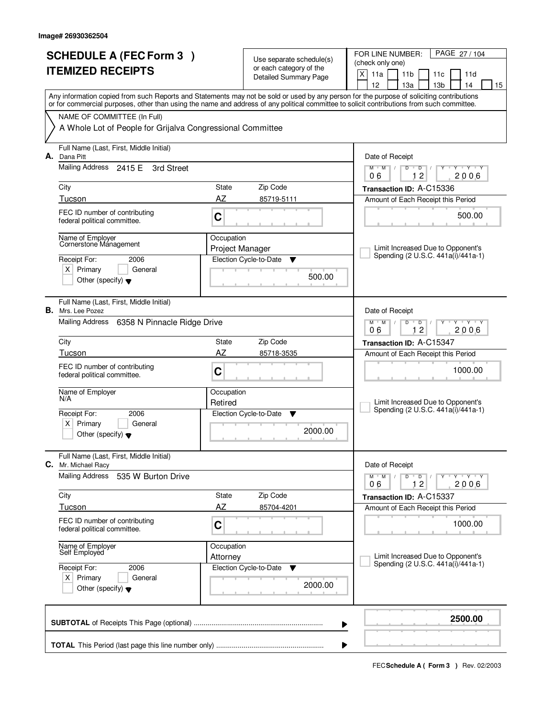|    | <b>SCHEDULE A (FEC Form 3)</b><br><b>ITEMIZED RECEIPTS</b>                                                                           |                               | Use separate schedule(s)<br>or each category of the<br><b>Detailed Summary Page</b> | PAGE 27 / 104<br>FOR LINE NUMBER:<br>(check only one)<br>X<br>11a<br>11 <sub>b</sub><br>11c<br>11d<br>12<br>13а<br>13 <sub>b</sub><br>14<br>15                                                                                                                                          |
|----|--------------------------------------------------------------------------------------------------------------------------------------|-------------------------------|-------------------------------------------------------------------------------------|-----------------------------------------------------------------------------------------------------------------------------------------------------------------------------------------------------------------------------------------------------------------------------------------|
|    | NAME OF COMMITTEE (In Full)<br>A Whole Lot of People for Grijalva Congressional Committee                                            |                               |                                                                                     | Any information copied from such Reports and Statements may not be sold or used by any person for the purpose of soliciting contributions<br>or for commercial purposes, other than using the name and address of any political committee to solicit contributions from such committee. |
|    | Full Name (Last, First, Middle Initial)                                                                                              |                               |                                                                                     |                                                                                                                                                                                                                                                                                         |
| А. | Dana Pitt<br>Mailing Address 2415 E<br>3rd Street                                                                                    |                               |                                                                                     | Date of Receipt<br>$M$ $M$ /<br>$\mathsf D$<br>$Y - Y - Y$<br>$D$ <sup><math>\Box</math></sup><br>Ÿ<br>12<br>2006<br>06                                                                                                                                                                 |
|    | City                                                                                                                                 | State                         | Zip Code                                                                            | Transaction ID: A-C15336                                                                                                                                                                                                                                                                |
|    | Tucson<br>FEC ID number of contributing<br>federal political committee.                                                              | AZ<br>C                       | 85719-5111                                                                          | Amount of Each Receipt this Period<br>500.00                                                                                                                                                                                                                                            |
|    | Name of Employer<br>Cornerstone Mánagement<br>Receipt For:<br>2006<br>$X$ Primary<br>General<br>Other (specify) $\blacktriangledown$ | Occupation<br>Project Manager | Election Cycle-to-Date<br>▼<br>500.00                                               | Limit Increased Due to Opponent's<br>Spending (2 U.S.C. 441a(i)/441a-1)                                                                                                                                                                                                                 |
|    | Full Name (Last, First, Middle Initial)<br><b>B.</b> Mrs. Lee Pozez<br>Mailing Address<br>6358 N Pinnacle Ridge Drive                |                               |                                                                                     | Date of Receipt<br>$M$ $M$ /<br>D<br>$\overline{D}$<br>Y 'Y 'Y<br>12                                                                                                                                                                                                                    |
|    | City                                                                                                                                 | State                         | Zip Code                                                                            | 06<br>2006<br>Transaction ID: A-C15347                                                                                                                                                                                                                                                  |
|    | Tucson                                                                                                                               | AZ                            | 85718-3535                                                                          | Amount of Each Receipt this Period                                                                                                                                                                                                                                                      |
|    | FEC ID number of contributing<br>federal political committee.                                                                        | C                             |                                                                                     | 1000.00                                                                                                                                                                                                                                                                                 |
|    | Name of Employer<br>N/A                                                                                                              | Occupation<br>Retired         |                                                                                     | Limit Increased Due to Opponent's<br>Spending (2 U.S.C. 441a(i)/441a-1)                                                                                                                                                                                                                 |
|    | Receipt For:<br>2006<br>x <sub>1</sub><br>Primary<br>General<br>Other (specify) $\blacktriangledown$                                 |                               | Election Cycle-to-Date<br>Y<br>2000.00                                              |                                                                                                                                                                                                                                                                                         |
| C. | Full Name (Last, First, Middle Initial)<br>Mr. Michael Racy                                                                          |                               |                                                                                     | Date of Receipt                                                                                                                                                                                                                                                                         |
|    | <b>Mailing Address</b><br>535 W Burton Drive                                                                                         |                               |                                                                                     | $M$ $M$ $M$<br>$D$ $D$ $I$<br>Y Y Y Y Y Y<br>12<br>2006<br>06                                                                                                                                                                                                                           |
|    | City<br>Tucson                                                                                                                       | State<br>AZ                   | Zip Code<br>85704-4201                                                              | Transaction ID: A-C15337<br>Amount of Each Receipt this Period                                                                                                                                                                                                                          |
|    | FEC ID number of contributing<br>federal political committee.                                                                        | $\mathbf C$                   |                                                                                     | 1000.00                                                                                                                                                                                                                                                                                 |
|    | Name of Employer<br>Self Employed                                                                                                    | Occupation<br>Attorney        |                                                                                     | Limit Increased Due to Opponent's<br>Spending (2 U.S.C. 441a(i)/441a-1)                                                                                                                                                                                                                 |
|    | Receipt For:<br>2006<br>$X$ Primary<br>General<br>Other (specify) $\blacktriangledown$                                               |                               | Election Cycle-to-Date<br>v<br>2000.00                                              |                                                                                                                                                                                                                                                                                         |
|    |                                                                                                                                      |                               |                                                                                     | 2500.00<br>▶                                                                                                                                                                                                                                                                            |
|    |                                                                                                                                      |                               |                                                                                     |                                                                                                                                                                                                                                                                                         |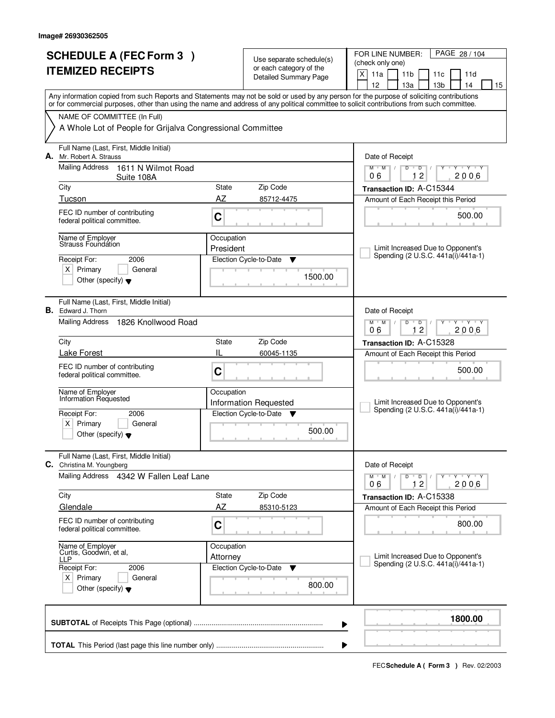|    | <b>SCHEDULE A (FEC Form 3)</b><br><b>ITEMIZED RECEIPTS</b>                                                                                        |                            | Use separate schedule(s)<br>or each category of the<br><b>Detailed Summary Page</b> | PAGE 28 / 104<br>FOR LINE NUMBER:<br>(check only one)<br>X<br>11a<br>11 <sub>b</sub><br>11c<br>11d<br>12<br>13а<br>13 <sub>b</sub><br>14<br>15                                                                                                                                          |
|----|---------------------------------------------------------------------------------------------------------------------------------------------------|----------------------------|-------------------------------------------------------------------------------------|-----------------------------------------------------------------------------------------------------------------------------------------------------------------------------------------------------------------------------------------------------------------------------------------|
|    | NAME OF COMMITTEE (In Full)<br>A Whole Lot of People for Grijalva Congressional Committee                                                         |                            |                                                                                     | Any information copied from such Reports and Statements may not be sold or used by any person for the purpose of soliciting contributions<br>or for commercial purposes, other than using the name and address of any political committee to solicit contributions from such committee. |
| А. | Full Name (Last, First, Middle Initial)<br>Mr. Robert A. Strauss<br>Mailing Address<br>1611 N Wilmot Road<br>Suite 108A<br>City                   | State                      | Zip Code                                                                            | Date of Receipt<br>$M$ $M$ /<br>$\mathsf D$<br>$Y - Y - Y$<br>$D$ <sup><math>\Box</math></sup><br>$\overline{2}$<br>2006<br>06<br>1.<br>Transaction ID: A-C15344                                                                                                                        |
|    | Tucson<br>FEC ID number of contributing<br>federal political committee.                                                                           | AZ<br>C                    | 85712-4475                                                                          | Amount of Each Receipt this Period<br>500.00                                                                                                                                                                                                                                            |
|    | Name of Emplover<br>Strauss Foundation<br>2006<br>Receipt For:<br>$X$ Primary<br>General<br>Other (specify) $\blacktriangledown$                  | Occupation<br>President    | Election Cycle-to-Date<br>Y<br>1500.00                                              | Limit Increased Due to Opponent's<br>Spending (2 U.S.C. 441a(i)/441a-1)                                                                                                                                                                                                                 |
|    | Full Name (Last, First, Middle Initial)<br><b>B.</b> Edward J. Thorn<br><b>Mailing Address</b><br>1826 Knollwood Road                             |                            |                                                                                     | Date of Receipt<br>$M$ $M$ /<br>D<br>$\overline{D}$<br>Y 'Y 'Y<br>12<br>06<br>2006                                                                                                                                                                                                      |
|    | City<br>Lake Forest<br>FEC ID number of contributing<br>federal political committee.                                                              | State<br>IL<br>C           | Zip Code<br>60045-1135                                                              | Transaction ID: A-C15328<br>Amount of Each Receipt this Period<br>500.00                                                                                                                                                                                                                |
|    | Name of Employer<br>Information Requested<br>Receipt For:<br>2006<br>x <sub>1</sub><br>Primary<br>General<br>Other (specify) $\blacktriangledown$ | Occupation                 | <b>Information Requested</b><br>Election Cycle-to-Date ▼<br>500.00                  | Limit Increased Due to Opponent's<br>Spending (2 U.S.C. 441a(i)/441a-1)                                                                                                                                                                                                                 |
|    | Full Name (Last, First, Middle Initial)<br>C. Christina M. Youngberg                                                                              |                            |                                                                                     | Date of Receipt                                                                                                                                                                                                                                                                         |
|    | Mailing Address 4342 W Fallen Leaf Lane<br>City<br>Glendale<br>FEC ID number of contributing<br>federal political committee.                      | State<br>AZ<br>$\mathbf C$ | Zip Code<br>85310-5123                                                              | $M$ $M$ $M$ $M$<br>$D$ $D$ $I$<br>YULYULYULY<br>12<br>2006<br>06<br>Transaction ID: A-C15338<br>Amount of Each Receipt this Period<br>800.00                                                                                                                                            |
|    | Name of Employer<br>Curtis, Goodwin, et al,<br>LLP<br>Receipt For:<br>2006<br>$X$ Primary<br>General<br>Other (specify) $\blacktriangledown$      | Occupation<br>Attorney     | Election Cycle-to-Date<br><b>V</b><br>800.00                                        | Limit Increased Due to Opponent's<br>Spending (2 U.S.C. 441a(i)/441a-1)                                                                                                                                                                                                                 |
|    |                                                                                                                                                   |                            |                                                                                     | 1800.00<br>▶                                                                                                                                                                                                                                                                            |
|    |                                                                                                                                                   |                            |                                                                                     |                                                                                                                                                                                                                                                                                         |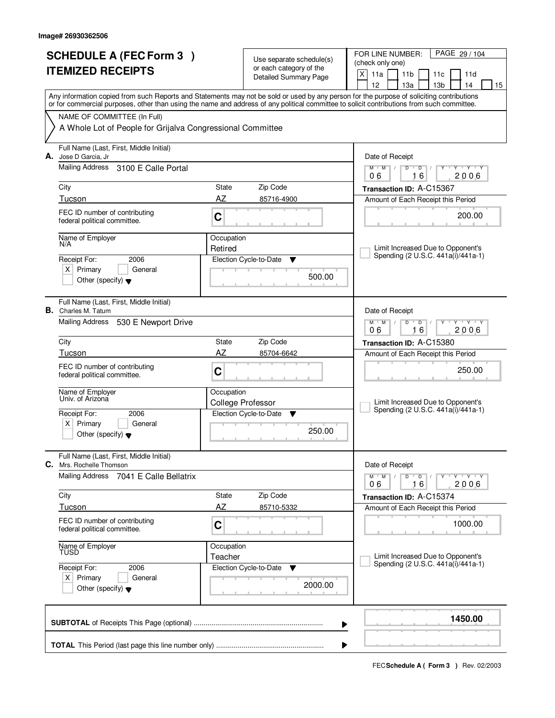| <b>SCHEDULE A (FEC Form 3)</b><br><b>ITEMIZED RECEIPTS</b>                                                                                                                                                                                                                                                                                                                           |                                                     | Use separate schedule(s)<br>or each category of the<br><b>Detailed Summary Page</b>         | PAGE 29 / 104<br>FOR LINE NUMBER:<br>(check only one)<br>X<br>11a<br>11 <sub>b</sub><br>11c<br>11d<br>12<br>13а<br>13 <sub>b</sub><br>14<br>15                                                                                                               |
|--------------------------------------------------------------------------------------------------------------------------------------------------------------------------------------------------------------------------------------------------------------------------------------------------------------------------------------------------------------------------------------|-----------------------------------------------------|---------------------------------------------------------------------------------------------|--------------------------------------------------------------------------------------------------------------------------------------------------------------------------------------------------------------------------------------------------------------|
| Any information copied from such Reports and Statements may not be sold or used by any person for the purpose of soliciting contributions<br>or for commercial purposes, other than using the name and address of any political committee to solicit contributions from such committee.<br>NAME OF COMMITTEE (In Full)<br>A Whole Lot of People for Grijalva Congressional Committee |                                                     |                                                                                             |                                                                                                                                                                                                                                                              |
| Full Name (Last, First, Middle Initial)<br>A. Jose D Garcia, Jr<br>Mailing Address<br>3100 E Calle Portal<br>City<br>Tucson<br>FEC ID number of contributing<br>federal political committee.<br>Name of Employer<br>N/A<br>2006<br>Receipt For:<br>$X$ Primary<br>General<br>Other (specify) $\blacktriangledown$                                                                    | State<br>AZ<br>C<br>Occupation<br>Retired           | Zip Code<br>85716-4900<br>Election Cycle-to-Date<br>▼<br>500.00                             | Date of Receipt<br>$M$ $M$ /<br>$\overline{D}$<br>$Y - Y - Y$<br>$D$ <sup>U</sup><br>16<br>2006<br>06<br>Transaction ID: A-C15367<br>Amount of Each Receipt this Period<br>200.00<br>Limit Increased Due to Opponent's<br>Spending (2 U.S.C. 441a(i)/441a-1) |
| Full Name (Last, First, Middle Initial)<br><b>B.</b> Charles M. Tatum<br>Mailing Address<br>530 E Newport Drive<br>City<br>Tucson<br>FEC ID number of contributing<br>federal political committee.<br>Name of Employer<br>Univ. of Arizona<br>Receipt For:<br>2006<br>x <sub>1</sub><br>Primary<br>General<br>Other (specify) $\blacktriangledown$                                   | State<br>AZ<br>C<br>Occupation                      | Zip Code<br>85704-6642<br><b>College Professor</b><br>Election Cycle-to-Date<br>▼<br>250.00 | Date of Receipt<br>$M$ $M$ /<br>D<br>$\overline{D}$<br>Y 'Y 'Y<br>16<br>06<br>2006<br>Transaction ID: A-C15380<br>Amount of Each Receipt this Period<br>250.00<br>Limit Increased Due to Opponent's<br>Spending (2 U.S.C. 441a(i)/441a-1)                    |
| Full Name (Last, First, Middle Initial)<br>C.<br>Mrs. Rochelle Thomson<br>Mailing Address<br>7041 E Calle Bellatrix<br>City<br>Tucson<br>FEC ID number of contributing<br>federal political committee.<br>Name of Employer<br>Receipt For:<br>2006<br>$X$ Primary<br>General<br>Other (specify) $\blacktriangledown$                                                                 | State<br>AZ<br>$\mathbf C$<br>Occupation<br>Teacher | Zip Code<br>85710-5332<br>Election Cycle-to-Date<br>v<br>2000.00                            | Date of Receipt<br>$D$ $D$ $/$<br>$M$ $M$ $M$<br>YULYULYULY<br>16<br>2006<br>06<br>Transaction ID: A-C15374<br>Amount of Each Receipt this Period<br>1000.00<br>Limit Increased Due to Opponent's<br>Spending (2 U.S.C. 441a(i)/441a-1)                      |
|                                                                                                                                                                                                                                                                                                                                                                                      |                                                     |                                                                                             | 1450.00<br>▶                                                                                                                                                                                                                                                 |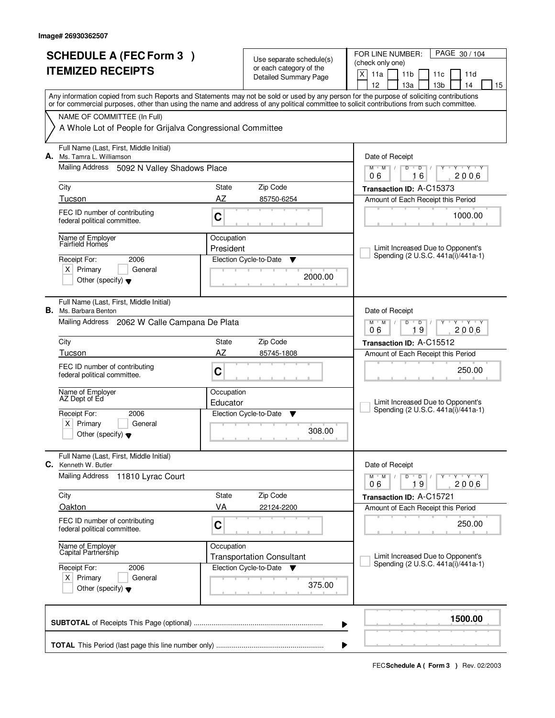| <b>SCHEDULE A (FEC Form 3)</b>                                                                                                             | Use separate schedule(s)                                |                                                                                                                                        |  |  |
|--------------------------------------------------------------------------------------------------------------------------------------------|---------------------------------------------------------|----------------------------------------------------------------------------------------------------------------------------------------|--|--|
| <b>ITEMIZED RECEIPTS</b>                                                                                                                   | or each category of the<br><b>Detailed Summary Page</b> | (check only one)                                                                                                                       |  |  |
|                                                                                                                                            |                                                         | $\times$<br>11a<br>11 <sub>b</sub><br>11c<br>11d<br>12<br>13 <sub>b</sub><br>14<br>13a<br>15                                           |  |  |
| Any information copied from such Reports and Statements may not be sold or used by any person for the purpose of soliciting contributions  |                                                         |                                                                                                                                        |  |  |
| or for commercial purposes, other than using the name and address of any political committee to solicit contributions from such committee. |                                                         |                                                                                                                                        |  |  |
| NAME OF COMMITTEE (In Full)<br>A Whole Lot of People for Grijalva Congressional Committee                                                  |                                                         |                                                                                                                                        |  |  |
|                                                                                                                                            |                                                         |                                                                                                                                        |  |  |
| Full Name (Last, First, Middle Initial)<br>A. Ms. Tamra L. Williamson                                                                      |                                                         |                                                                                                                                        |  |  |
| Mailing Address<br>5092 N Valley Shadows Place                                                                                             |                                                         | $M$ $M$ /<br>$\overline{D}$<br>Y Y Y Y<br>D<br>$\frac{1}{2}$<br>16<br>2006<br>06                                                       |  |  |
| City<br>State                                                                                                                              | Zip Code                                                | Transaction ID: A-C15373                                                                                                               |  |  |
| AZ<br>Tucson                                                                                                                               | 85750-6254                                              | Amount of Each Receipt this Period                                                                                                     |  |  |
| FEC ID number of contributing<br>C<br>federal political committee.                                                                         |                                                         | 1000.00                                                                                                                                |  |  |
| Occupation<br>Name of Employer<br>Fairfield Homes                                                                                          |                                                         |                                                                                                                                        |  |  |
| President                                                                                                                                  |                                                         | Limit Increased Due to Opponent's                                                                                                      |  |  |
| Receipt For:<br>2006                                                                                                                       | Election Cycle-to-Date<br>▼                             | Spending (2 U.S.C. 441a(i)/441a-1)                                                                                                     |  |  |
| $X$ Primary<br>General<br>Other (specify) $\blacktriangledown$                                                                             | 2000.00                                                 |                                                                                                                                        |  |  |
| Full Name (Last, First, Middle Initial)<br>В.<br>Ms. Barbara Benton                                                                        |                                                         | Date of Receipt                                                                                                                        |  |  |
| Mailing Address 2062 W Calle Campana De Plata                                                                                              |                                                         | M<br>M<br>D<br>D<br>$Y$ $Y$<br>19<br>06<br>2006                                                                                        |  |  |
| City<br><b>State</b>                                                                                                                       | Zip Code                                                | Transaction ID: A-C15512                                                                                                               |  |  |
| AZ<br>Tucson                                                                                                                               | 85745-1808                                              | Amount of Each Receipt this Period                                                                                                     |  |  |
| FEC ID number of contributing<br>C<br>federal political committee.                                                                         |                                                         | 250.00                                                                                                                                 |  |  |
| Name of Employer<br>Occupation<br>AZ Dept of Ed<br>Educator                                                                                |                                                         | Limit Increased Due to Opponent's                                                                                                      |  |  |
| Receipt For:<br>2006                                                                                                                       | Election Cycle-to-Date<br>v                             | Spending (2 U.S.C. 441a(i)/441a-1)                                                                                                     |  |  |
| Primary<br>$\times$<br>General<br>Other (specify) $\blacktriangledown$                                                                     | 308.00                                                  |                                                                                                                                        |  |  |
| Full Name (Last, First, Middle Initial)<br>Kenneth W. Butler<br>С.                                                                         |                                                         | Date of Receipt                                                                                                                        |  |  |
| <b>Mailing Address</b><br>11810 Lyrac Court                                                                                                |                                                         | $\mathsf{Y} \dashv \mathsf{Y} \dashv \mathsf{Y}$<br>$M$ <sup><math>+</math></sup><br>M<br>D<br>$\overline{D}$<br>Y<br>06<br>19<br>2006 |  |  |
| City<br>State                                                                                                                              | Zip Code                                                | Transaction ID: A-C15721                                                                                                               |  |  |
| Oakton<br>VA                                                                                                                               | 22124-2200                                              | Amount of Each Receipt this Period                                                                                                     |  |  |
| FEC ID number of contributing<br>C<br>federal political committee.                                                                         |                                                         | 250.00                                                                                                                                 |  |  |
| Name of Employer<br>Capital Partnership<br>Occupation                                                                                      | <b>Transportation Consultant</b>                        | Limit Increased Due to Opponent's                                                                                                      |  |  |
| Receipt For:<br>2006                                                                                                                       | Election Cycle-to-Date<br>▼                             | Spending (2 U.S.C. 441a(i)/441a-1)                                                                                                     |  |  |
| $X$ Primary<br>General<br>Other (specify) $\blacktriangledown$                                                                             | 375.00                                                  |                                                                                                                                        |  |  |
|                                                                                                                                            | ▶                                                       | 1500.00                                                                                                                                |  |  |
|                                                                                                                                            | ▶                                                       |                                                                                                                                        |  |  |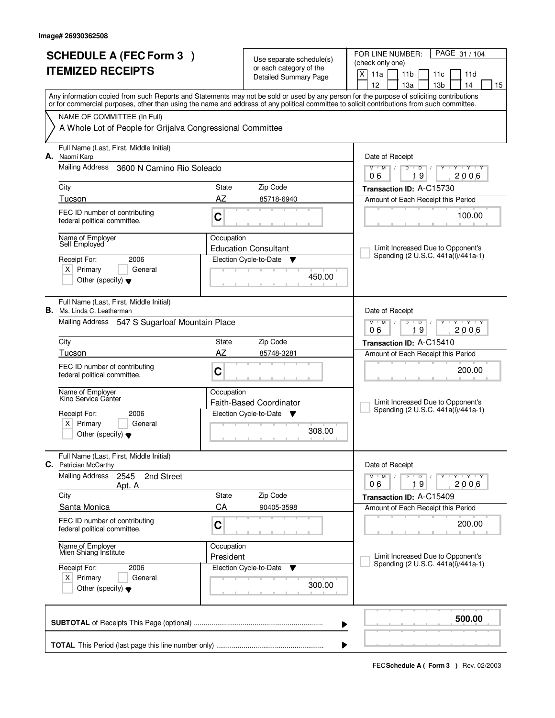| <b>SCHEDULE A (FEC Form 3)</b>                                               | Use separate schedule(s)                          | PAGE 31 / 104<br>FOR LINE NUMBER:                                                                                                                                                                                                                                                       |
|------------------------------------------------------------------------------|---------------------------------------------------|-----------------------------------------------------------------------------------------------------------------------------------------------------------------------------------------------------------------------------------------------------------------------------------------|
| <b>ITEMIZED RECEIPTS</b>                                                     | or each category of the                           | (check only one)<br>X<br>11a<br>11 <sub>b</sub><br>11c<br>11d                                                                                                                                                                                                                           |
|                                                                              | Detailed Summary Page                             | 12<br>13a<br>13 <sub>b</sub><br>14<br>15                                                                                                                                                                                                                                                |
|                                                                              |                                                   | Any information copied from such Reports and Statements may not be sold or used by any person for the purpose of soliciting contributions<br>or for commercial purposes, other than using the name and address of any political committee to solicit contributions from such committee. |
| NAME OF COMMITTEE (In Full)                                                  |                                                   |                                                                                                                                                                                                                                                                                         |
| A Whole Lot of People for Grijalva Congressional Committee                   |                                                   |                                                                                                                                                                                                                                                                                         |
| Full Name (Last, First, Middle Initial)<br>Naomi Karp<br>А.                  |                                                   | Date of Receipt                                                                                                                                                                                                                                                                         |
| <b>Mailing Address</b><br>3600 N Camino Rio Soleado                          |                                                   | $\mathsf D$<br>$Y$ $Y$<br>$M$ <sup>U</sup><br>$M$ /<br>D<br>Y<br>┳<br>19<br>2006<br>06                                                                                                                                                                                                  |
| City                                                                         | Zip Code<br>State                                 | Transaction ID: A-C15730                                                                                                                                                                                                                                                                |
| Tucson                                                                       | AZ<br>85718-6940                                  | Amount of Each Receipt this Period                                                                                                                                                                                                                                                      |
| FEC ID number of contributing<br>federal political committee.                | C                                                 | 100.00                                                                                                                                                                                                                                                                                  |
| Name of Employer<br>Self Employed                                            | Occupation<br><b>Education Consultant</b>         | Limit Increased Due to Opponent's                                                                                                                                                                                                                                                       |
| 2006<br>Receipt For:                                                         | Election Cycle-to-Date<br>v                       | Spending (2 U.S.C. 441a(i)/441a-1)                                                                                                                                                                                                                                                      |
| $X$ Primary<br>General<br>Other (specify) $\blacktriangledown$               | 450.00                                            |                                                                                                                                                                                                                                                                                         |
| Full Name (Last, First, Middle Initial)<br><b>B.</b> Ms. Linda C. Leatherman |                                                   | Date of Receipt                                                                                                                                                                                                                                                                         |
| Mailing Address 547 S Sugarloaf Mountain Place                               |                                                   | $M$ $M$ /<br>D<br>$\overline{D}$<br>$T$ $Y$ $T$ $Y$<br>19<br>06<br>2006                                                                                                                                                                                                                 |
| City                                                                         | State<br>Zip Code                                 | Transaction ID: A-C15410                                                                                                                                                                                                                                                                |
| Tucson                                                                       | AZ<br>85748-3281                                  | Amount of Each Receipt this Period                                                                                                                                                                                                                                                      |
| FEC ID number of contributing<br>federal political committee.                | C                                                 | 200.00                                                                                                                                                                                                                                                                                  |
| Name of Employer<br>Kino Service Cénter                                      | Occupation<br><b>Faith-Based Coordinator</b>      | Limit Increased Due to Opponent's                                                                                                                                                                                                                                                       |
| Receipt For:<br>2006                                                         | Election Cycle-to-Date ▼                          | Spending (2 U.S.C. 441a(i)/441a-1)                                                                                                                                                                                                                                                      |
| $X$ Primary<br>General<br>Other (specify) $\blacktriangledown$               | 308.00                                            |                                                                                                                                                                                                                                                                                         |
| Full Name (Last, First, Middle Initial)<br><b>C.</b> Patrician McCarthy      |                                                   | Date of Receipt                                                                                                                                                                                                                                                                         |
| <b>Mailing Address</b><br>2545<br>2nd Street<br>Apt. A                       |                                                   | $M$ $M$ $M$ $I$<br>$D$ $D$ $/$<br>Y TY TY TY<br>19<br>2006<br>06                                                                                                                                                                                                                        |
| City                                                                         | Zip Code<br>State                                 | Transaction ID: A-C15409                                                                                                                                                                                                                                                                |
| Santa Monica                                                                 | CA<br>90405-3598                                  | Amount of Each Receipt this Period                                                                                                                                                                                                                                                      |
| FEC ID number of contributing<br>federal political committee.                | C                                                 | 200.00                                                                                                                                                                                                                                                                                  |
| Name of Employer<br>Mien Shiang Institute                                    | Occupation<br>President                           | Limit Increased Due to Opponent's                                                                                                                                                                                                                                                       |
| Receipt For:<br>2006                                                         | Election Cycle-to-Date<br>$\overline{\mathbf{v}}$ | Spending (2 U.S.C. 441a(i)/441a-1)                                                                                                                                                                                                                                                      |
| $X$ Primary<br>General<br>Other (specify) $\blacktriangledown$               | 300.00                                            |                                                                                                                                                                                                                                                                                         |
|                                                                              |                                                   | 500.00<br>▶                                                                                                                                                                                                                                                                             |
|                                                                              |                                                   |                                                                                                                                                                                                                                                                                         |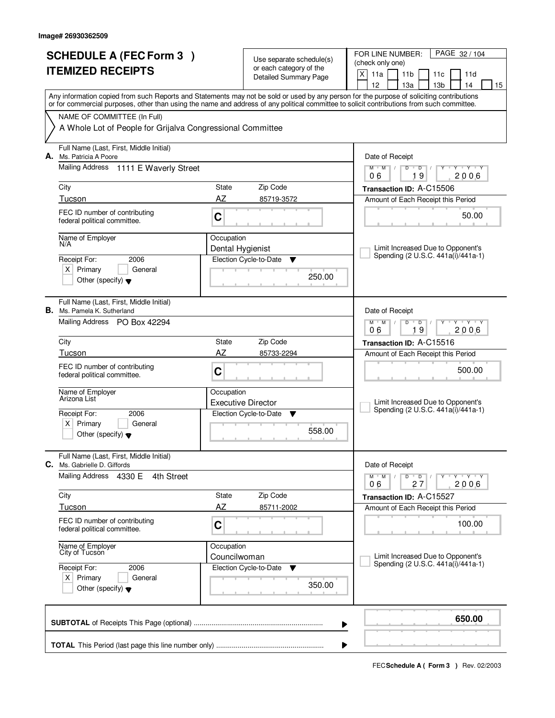|                                                            |                                                                                        |                            |                                                  | PAGE 32/104<br>FOR LINE NUMBER:                                                                                                                                                                                                                                                         |  |
|------------------------------------------------------------|----------------------------------------------------------------------------------------|----------------------------|--------------------------------------------------|-----------------------------------------------------------------------------------------------------------------------------------------------------------------------------------------------------------------------------------------------------------------------------------------|--|
| <b>SCHEDULE A (FEC Form 3)</b><br><b>ITEMIZED RECEIPTS</b> |                                                                                        |                            | Use separate schedule(s)                         | (check only one)                                                                                                                                                                                                                                                                        |  |
|                                                            |                                                                                        |                            | or each category of the<br>Detailed Summary Page | X<br>11a<br>11 <sub>b</sub><br>11c<br>11d                                                                                                                                                                                                                                               |  |
|                                                            |                                                                                        |                            |                                                  | 12 <sup>2</sup><br>13 <sub>b</sub><br>14<br>13a<br>15                                                                                                                                                                                                                                   |  |
|                                                            |                                                                                        |                            |                                                  | Any information copied from such Reports and Statements may not be sold or used by any person for the purpose of soliciting contributions<br>or for commercial purposes, other than using the name and address of any political committee to solicit contributions from such committee. |  |
|                                                            | NAME OF COMMITTEE (In Full)                                                            |                            |                                                  |                                                                                                                                                                                                                                                                                         |  |
|                                                            | A Whole Lot of People for Grijalva Congressional Committee                             |                            |                                                  |                                                                                                                                                                                                                                                                                         |  |
|                                                            | Full Name (Last, First, Middle Initial)<br>A. Ms. Patricia A Poore                     |                            |                                                  | Date of Receipt                                                                                                                                                                                                                                                                         |  |
|                                                            | Mailing Address 1111 E Waverly Street                                                  |                            |                                                  | $\overline{D}$<br>$+Y+Y$<br>$M$ <sup>U</sup><br>$M$ /<br>D<br>Y<br>19<br>2006<br>06                                                                                                                                                                                                     |  |
|                                                            | City                                                                                   | State                      | Zip Code                                         | Transaction ID: A-C15506                                                                                                                                                                                                                                                                |  |
|                                                            | Tucson                                                                                 | AZ                         | 85719-3572                                       | Amount of Each Receipt this Period                                                                                                                                                                                                                                                      |  |
|                                                            | FEC ID number of contributing<br>federal political committee.                          | C                          |                                                  | 50.00                                                                                                                                                                                                                                                                                   |  |
|                                                            | Name of Employer                                                                       | Occupation                 |                                                  |                                                                                                                                                                                                                                                                                         |  |
|                                                            | N/A                                                                                    | Dental Hygienist           |                                                  | Limit Increased Due to Opponent's                                                                                                                                                                                                                                                       |  |
|                                                            | 2006<br>Receipt For:                                                                   |                            | Election Cycle-to-Date<br>▼                      | Spending (2 U.S.C. 441a(i)/441a-1)                                                                                                                                                                                                                                                      |  |
|                                                            | $X$ Primary<br>General<br>Other (specify) $\blacktriangledown$                         |                            | 250.00                                           |                                                                                                                                                                                                                                                                                         |  |
|                                                            | Full Name (Last, First, Middle Initial)<br><b>B.</b> Ms. Pamela K. Sutherland          |                            |                                                  | Date of Receipt                                                                                                                                                                                                                                                                         |  |
|                                                            | Mailing Address PO Box 42294                                                           |                            |                                                  | $M$ $M$ /<br>D<br>$\overline{D}$<br>Y 'Y 'Y<br>19<br>2006<br>06                                                                                                                                                                                                                         |  |
|                                                            | City                                                                                   | State                      | Zip Code                                         | Transaction ID: A-C15516                                                                                                                                                                                                                                                                |  |
|                                                            | Tucson                                                                                 | AZ                         | 85733-2294                                       | Amount of Each Receipt this Period                                                                                                                                                                                                                                                      |  |
|                                                            | FEC ID number of contributing<br>federal political committee.                          | C                          |                                                  | 500.00                                                                                                                                                                                                                                                                                  |  |
|                                                            | Name of Employer<br>Arizona List                                                       | Occupation                 |                                                  |                                                                                                                                                                                                                                                                                         |  |
|                                                            |                                                                                        |                            | <b>Executive Director</b>                        | Limit Increased Due to Opponent's<br>Spending (2 U.S.C. 441a(i)/441a-1)                                                                                                                                                                                                                 |  |
|                                                            | Receipt For:<br>2006                                                                   |                            | Election Cycle-to-Date<br><b>V</b>               |                                                                                                                                                                                                                                                                                         |  |
|                                                            | $X$ Primary<br>General<br>Other (specify) $\blacktriangledown$                         |                            | 558.00                                           |                                                                                                                                                                                                                                                                                         |  |
|                                                            | Full Name (Last, First, Middle Initial)<br>C. Ms. Gabrielle D. Giffords                |                            |                                                  | Date of Receipt                                                                                                                                                                                                                                                                         |  |
|                                                            | Mailing Address 4330 E<br>4th Street                                                   |                            |                                                  | $M$ $M$ $M$<br>$D$ $D$ $/$<br>יץ ייץ ייד<br>2006<br>27<br>06                                                                                                                                                                                                                            |  |
|                                                            | City                                                                                   | State                      | Zip Code                                         | Transaction ID: A-C15527                                                                                                                                                                                                                                                                |  |
|                                                            | Tucson                                                                                 | AZ                         | 85711-2002                                       | Amount of Each Receipt this Period                                                                                                                                                                                                                                                      |  |
|                                                            | FEC ID number of contributing<br>federal political committee.                          | C                          |                                                  | 100.00                                                                                                                                                                                                                                                                                  |  |
|                                                            | Name of Employer<br>City of Tucson                                                     | Occupation<br>Councilwoman |                                                  | Limit Increased Due to Opponent's                                                                                                                                                                                                                                                       |  |
|                                                            | Receipt For:<br>2006<br>$X$ Primary<br>General<br>Other (specify) $\blacktriangledown$ |                            | Election Cycle-to-Date<br>▼<br>350.00            | Spending (2 U.S.C. 441a(i)/441a-1)                                                                                                                                                                                                                                                      |  |
|                                                            |                                                                                        |                            |                                                  | 650.00<br>▶                                                                                                                                                                                                                                                                             |  |
|                                                            |                                                                                        |                            |                                                  |                                                                                                                                                                                                                                                                                         |  |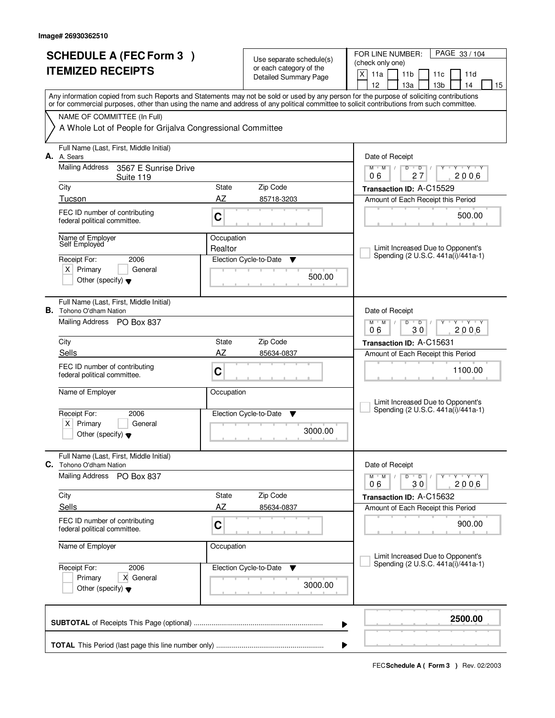|                          | <b>SCHEDULE A (FEC Form 3)</b>                                                                                                             |            |                                                     | PAGE 33 / 104<br>FOR LINE NUMBER:                                                                                                                                                                  |  |
|--------------------------|--------------------------------------------------------------------------------------------------------------------------------------------|------------|-----------------------------------------------------|----------------------------------------------------------------------------------------------------------------------------------------------------------------------------------------------------|--|
| <b>ITEMIZED RECEIPTS</b> |                                                                                                                                            |            | Use separate schedule(s)<br>or each category of the | (check only one)                                                                                                                                                                                   |  |
|                          |                                                                                                                                            |            | Detailed Summary Page                               | X<br>11a<br>11 <sub>b</sub><br>11c<br>11d                                                                                                                                                          |  |
|                          |                                                                                                                                            |            |                                                     | 12 <sup>2</sup><br>13 <sub>b</sub><br>14<br>13a<br>15<br>Any information copied from such Reports and Statements may not be sold or used by any person for the purpose of soliciting contributions |  |
|                          | or for commercial purposes, other than using the name and address of any political committee to solicit contributions from such committee. |            |                                                     |                                                                                                                                                                                                    |  |
|                          | NAME OF COMMITTEE (In Full)                                                                                                                |            |                                                     |                                                                                                                                                                                                    |  |
|                          | A Whole Lot of People for Grijalva Congressional Committee                                                                                 |            |                                                     |                                                                                                                                                                                                    |  |
|                          | Full Name (Last, First, Middle Initial)<br>A. A. Sears                                                                                     |            |                                                     | Date of Receipt                                                                                                                                                                                    |  |
|                          | <b>Mailing Address</b><br>3567 E Sunrise Drive<br>Suite 119                                                                                |            |                                                     | $\overline{D}$<br>$T - Y - T - Y$<br>M<br>$M$ /<br>D<br>Y<br>27<br>2006<br>06                                                                                                                      |  |
|                          | City                                                                                                                                       | State      | Zip Code                                            | Transaction ID: A-C15529                                                                                                                                                                           |  |
|                          | Tucson                                                                                                                                     | AZ         | 85718-3203                                          | Amount of Each Receipt this Period                                                                                                                                                                 |  |
|                          | FEC ID number of contributing<br>federal political committee.                                                                              | C          |                                                     | 500.00                                                                                                                                                                                             |  |
|                          | Name of Employer                                                                                                                           | Occupation |                                                     |                                                                                                                                                                                                    |  |
|                          | Self Employed                                                                                                                              | Realtor    |                                                     | Limit Increased Due to Opponent's<br>Spending (2 U.S.C. 441a(i)/441a-1)                                                                                                                            |  |
|                          | 2006<br>Receipt For:                                                                                                                       |            | Election Cycle-to-Date<br>▼                         |                                                                                                                                                                                                    |  |
|                          | $X$ Primary<br>General<br>Other (specify) $\blacktriangledown$                                                                             |            | 500.00                                              |                                                                                                                                                                                                    |  |
|                          | Full Name (Last, First, Middle Initial)<br><b>B.</b> Tohono O'dham Nation                                                                  |            |                                                     | Date of Receipt                                                                                                                                                                                    |  |
|                          | Mailing Address PO Box 837                                                                                                                 |            |                                                     | D<br>$Y - Y - Y$<br>$M$ $M$ /<br>$\overline{D}$<br>30<br>2006<br>06                                                                                                                                |  |
|                          | City                                                                                                                                       | State      | Zip Code                                            | Transaction ID: A-C15631                                                                                                                                                                           |  |
|                          | Sells                                                                                                                                      | AZ         | 85634-0837                                          | Amount of Each Receipt this Period                                                                                                                                                                 |  |
|                          | FEC ID number of contributing<br>federal political committee.                                                                              | C          |                                                     | 1100.00                                                                                                                                                                                            |  |
|                          | Name of Employer                                                                                                                           | Occupation |                                                     |                                                                                                                                                                                                    |  |
|                          |                                                                                                                                            |            | Election Cycle-to-Date                              | Limit Increased Due to Opponent's<br>Spending (2 U.S.C. 441a(i)/441a-1)                                                                                                                            |  |
|                          | Receipt For:<br>2006<br>$X$ Primary<br>General                                                                                             |            | - V                                                 |                                                                                                                                                                                                    |  |
|                          | Other (specify) $\blacktriangledown$                                                                                                       |            | 3000.00                                             |                                                                                                                                                                                                    |  |
|                          | Full Name (Last, First, Middle Initial)<br><b>C.</b> Tohono O'dham Nation                                                                  |            |                                                     | Date of Receipt                                                                                                                                                                                    |  |
|                          | <b>Mailing Address</b><br>PO Box 837                                                                                                       |            |                                                     | $M^+M^-$<br>$D$ $D$ $I$<br>≕⊏γ≕−γ≕γ<br>$\sqrt{2}$<br>2006<br>30<br>06                                                                                                                              |  |
|                          | City                                                                                                                                       | State      | Zip Code                                            | Transaction ID: A-C15632                                                                                                                                                                           |  |
|                          | Sells                                                                                                                                      | AZ         | 85634-0837                                          | Amount of Each Receipt this Period                                                                                                                                                                 |  |
|                          | FEC ID number of contributing<br>federal political committee.                                                                              | C          |                                                     | 900.00                                                                                                                                                                                             |  |
|                          | Name of Employer                                                                                                                           | Occupation |                                                     | Limit Increased Due to Opponent's                                                                                                                                                                  |  |
|                          | Receipt For:<br>2006                                                                                                                       |            | Election Cycle-to-Date<br>v                         | Spending (2 U.S.C. 441a(i)/441a-1)                                                                                                                                                                 |  |
|                          | Primary<br>X General<br>Other (specify) $\blacktriangledown$                                                                               |            | 3000.00                                             |                                                                                                                                                                                                    |  |
|                          |                                                                                                                                            |            |                                                     | 2500.00                                                                                                                                                                                            |  |
|                          |                                                                                                                                            |            |                                                     | ▶                                                                                                                                                                                                  |  |
|                          |                                                                                                                                            |            |                                                     |                                                                                                                                                                                                    |  |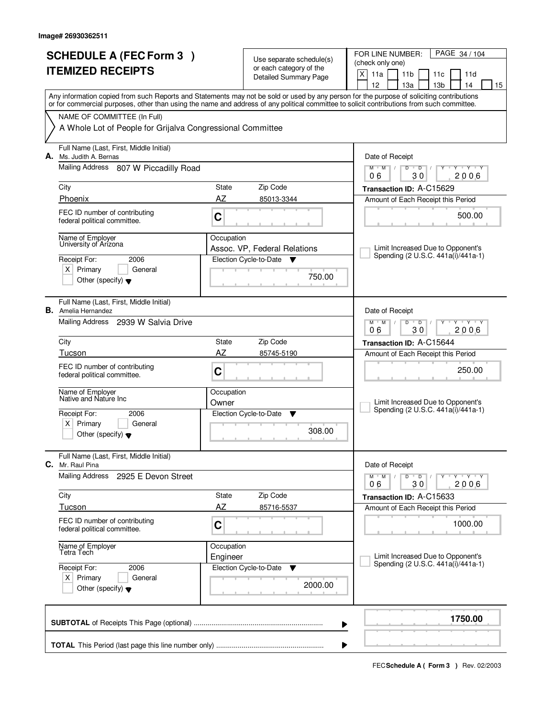|              | <b>SCHEDULE A (FEC Form 3)</b>                                                                                                                                                                                                                                                          |            | Use separate schedule(s)                          | PAGE 34 / 104<br>FOR LINE NUMBER:                                                     |  |  |  |  |  |  |
|--------------|-----------------------------------------------------------------------------------------------------------------------------------------------------------------------------------------------------------------------------------------------------------------------------------------|------------|---------------------------------------------------|---------------------------------------------------------------------------------------|--|--|--|--|--|--|
|              | <b>ITEMIZED RECEIPTS</b>                                                                                                                                                                                                                                                                |            | or each category of the                           | (check only one)                                                                      |  |  |  |  |  |  |
|              |                                                                                                                                                                                                                                                                                         |            | Detailed Summary Page                             | X<br>11a<br>11 <sub>b</sub><br>11d<br>11c<br>12<br>13a<br>13 <sub>b</sub><br>14<br>15 |  |  |  |  |  |  |
|              |                                                                                                                                                                                                                                                                                         |            |                                                   |                                                                                       |  |  |  |  |  |  |
|              | Any information copied from such Reports and Statements may not be sold or used by any person for the purpose of soliciting contributions<br>or for commercial purposes, other than using the name and address of any political committee to solicit contributions from such committee. |            |                                                   |                                                                                       |  |  |  |  |  |  |
|              | NAME OF COMMITTEE (In Full)<br>A Whole Lot of People for Grijalva Congressional Committee                                                                                                                                                                                               |            |                                                   |                                                                                       |  |  |  |  |  |  |
|              |                                                                                                                                                                                                                                                                                         |            |                                                   |                                                                                       |  |  |  |  |  |  |
| А.           | Full Name (Last, First, Middle Initial)<br>Ms. Judith A. Bernas                                                                                                                                                                                                                         |            |                                                   | Date of Receipt                                                                       |  |  |  |  |  |  |
|              | Mailing Address 807 W Piccadilly Road                                                                                                                                                                                                                                                   |            |                                                   | $M$ $M$ /<br>D<br>$\overline{D}$<br>$Y + Y + Y$<br>30<br>2006<br>06                   |  |  |  |  |  |  |
|              | City                                                                                                                                                                                                                                                                                    | State      | Zip Code                                          | Transaction ID: A-C15629                                                              |  |  |  |  |  |  |
|              | Phoenix                                                                                                                                                                                                                                                                                 | AZ         | 85013-3344                                        | Amount of Each Receipt this Period                                                    |  |  |  |  |  |  |
|              | FEC ID number of contributing<br>federal political committee.                                                                                                                                                                                                                           | C          |                                                   | 500.00                                                                                |  |  |  |  |  |  |
|              | Name of Employer<br>University of Arizona                                                                                                                                                                                                                                               | Occupation | Assoc. VP, Federal Relations                      | Limit Increased Due to Opponent's                                                     |  |  |  |  |  |  |
|              | Receipt For:<br>2006<br>$X$ Primary<br>General                                                                                                                                                                                                                                          |            | Election Cycle-to-Date<br>$\overline{\mathbf{v}}$ | Spending (2 U.S.C. 441a(i)/441a-1)                                                    |  |  |  |  |  |  |
|              |                                                                                                                                                                                                                                                                                         |            | 750.00                                            |                                                                                       |  |  |  |  |  |  |
|              | Other (specify) $\blacktriangledown$                                                                                                                                                                                                                                                    |            |                                                   |                                                                                       |  |  |  |  |  |  |
|              | Full Name (Last, First, Middle Initial)<br><b>B.</b> Amelia Hernandez                                                                                                                                                                                                                   |            |                                                   | Date of Receipt                                                                       |  |  |  |  |  |  |
|              | Mailing Address 2939 W Salvia Drive                                                                                                                                                                                                                                                     |            |                                                   | $M$ $M$ /<br>$Y \vdash Y \vdash Y$<br>D<br>$\overline{D}$<br>30<br>2006<br>06         |  |  |  |  |  |  |
|              | City                                                                                                                                                                                                                                                                                    | State      | Zip Code                                          | Transaction ID: A-C15644                                                              |  |  |  |  |  |  |
|              | Tucson                                                                                                                                                                                                                                                                                  | AZ         | 85745-5190                                        | Amount of Each Receipt this Period                                                    |  |  |  |  |  |  |
|              | FEC ID number of contributing<br>federal political committee.                                                                                                                                                                                                                           | C          |                                                   | 250.00                                                                                |  |  |  |  |  |  |
|              | Occupation<br>Name of Employer<br>Native and Nature Inc                                                                                                                                                                                                                                 |            |                                                   |                                                                                       |  |  |  |  |  |  |
|              |                                                                                                                                                                                                                                                                                         | Owner      |                                                   | Limit Increased Due to Opponent's<br>Spending (2 U.S.C. 441a(i)/441a-1)               |  |  |  |  |  |  |
|              | Receipt For:<br>2006                                                                                                                                                                                                                                                                    |            | Election Cycle-to-Date<br>v                       |                                                                                       |  |  |  |  |  |  |
|              | Primary<br>X∣<br>General<br>Other (specify) $\blacktriangledown$                                                                                                                                                                                                                        |            | 308.00                                            |                                                                                       |  |  |  |  |  |  |
| С.           | Full Name (Last, First, Middle Initial)<br>Mr. Raul Pina                                                                                                                                                                                                                                |            |                                                   |                                                                                       |  |  |  |  |  |  |
|              | Mailing Address<br>2925 E Devon Street                                                                                                                                                                                                                                                  |            |                                                   | Date of Receipt<br>$D$ $D$<br>$M$ $M$ /<br>$Y + Y + Y$<br>30<br>2006<br>06            |  |  |  |  |  |  |
|              | City                                                                                                                                                                                                                                                                                    | State      | Zip Code                                          | Transaction ID: A-C15633                                                              |  |  |  |  |  |  |
|              | Tucson                                                                                                                                                                                                                                                                                  | <b>AZ</b>  | 85716-5537                                        | Amount of Each Receipt this Period                                                    |  |  |  |  |  |  |
|              | FEC ID number of contributing<br>federal political committee.                                                                                                                                                                                                                           | C          |                                                   | 1000.00                                                                               |  |  |  |  |  |  |
|              | Name of Employer<br>Tetra Tech                                                                                                                                                                                                                                                          |            |                                                   |                                                                                       |  |  |  |  |  |  |
|              |                                                                                                                                                                                                                                                                                         | Engineer   |                                                   | Limit Increased Due to Opponent's<br>Spending (2 U.S.C. 441a(i)/441a-1)               |  |  |  |  |  |  |
|              | Receipt For:<br>2006                                                                                                                                                                                                                                                                    |            | Election Cycle-to-Date<br>v                       |                                                                                       |  |  |  |  |  |  |
|              | $X$ Primary<br>General<br>Other (specify) $\blacktriangledown$                                                                                                                                                                                                                          |            | 2000.00                                           |                                                                                       |  |  |  |  |  |  |
| 1750.00<br>▶ |                                                                                                                                                                                                                                                                                         |            |                                                   |                                                                                       |  |  |  |  |  |  |
|              |                                                                                                                                                                                                                                                                                         |            |                                                   |                                                                                       |  |  |  |  |  |  |
|              |                                                                                                                                                                                                                                                                                         |            |                                                   |                                                                                       |  |  |  |  |  |  |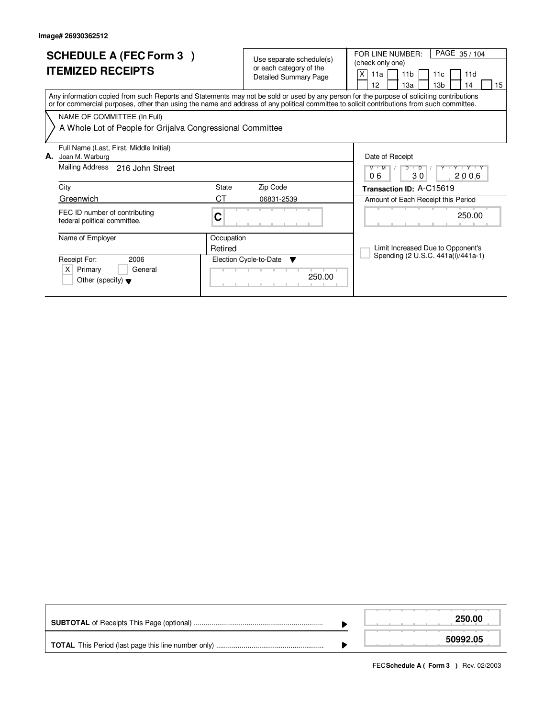| <b>SCHEDULE A (FEC Form 3)</b><br><b>ITEMIZED RECEIPTS</b>                                                                                                                                                                                                                              |                 | Use separate schedule(s)<br>or each category of the<br><b>Detailed Summary Page</b> | PAGE 35/104<br>FOR LINE NUMBER:<br>(check only one)<br>X<br>11 <sub>b</sub><br>11d<br>11a<br>11c<br>13 <sub>b</sub><br>12<br>13a<br>14<br>15 |  |  |  |  |
|-----------------------------------------------------------------------------------------------------------------------------------------------------------------------------------------------------------------------------------------------------------------------------------------|-----------------|-------------------------------------------------------------------------------------|----------------------------------------------------------------------------------------------------------------------------------------------|--|--|--|--|
| Any information copied from such Reports and Statements may not be sold or used by any person for the purpose of soliciting contributions<br>or for commercial purposes, other than using the name and address of any political committee to solicit contributions from such committee. |                 |                                                                                     |                                                                                                                                              |  |  |  |  |
| NAME OF COMMITTEE (In Full)                                                                                                                                                                                                                                                             |                 |                                                                                     |                                                                                                                                              |  |  |  |  |
| A Whole Lot of People for Grijalva Congressional Committee                                                                                                                                                                                                                              |                 |                                                                                     |                                                                                                                                              |  |  |  |  |
| Full Name (Last, First, Middle Initial)                                                                                                                                                                                                                                                 | Date of Receipt |                                                                                     |                                                                                                                                              |  |  |  |  |
| А.                                                                                                                                                                                                                                                                                      | Joan M. Warburg |                                                                                     |                                                                                                                                              |  |  |  |  |
| Mailing Address<br>216 John Street                                                                                                                                                                                                                                                      |                 |                                                                                     | $D$ $D$<br>Y Y Y Y Y<br>$M$ $M$<br>06<br>30<br>2006                                                                                          |  |  |  |  |
| City                                                                                                                                                                                                                                                                                    | <b>State</b>    | Zip Code                                                                            | Transaction ID: A-C15619                                                                                                                     |  |  |  |  |
| Greenwich                                                                                                                                                                                                                                                                               | CТ              | 06831-2539                                                                          | Amount of Each Receipt this Period                                                                                                           |  |  |  |  |
| FEC ID number of contributing<br>federal political committee.                                                                                                                                                                                                                           | C               |                                                                                     | 250.00                                                                                                                                       |  |  |  |  |
| Name of Employer                                                                                                                                                                                                                                                                        | Occupation      |                                                                                     |                                                                                                                                              |  |  |  |  |
|                                                                                                                                                                                                                                                                                         | Retired         |                                                                                     | Limit Increased Due to Opponent's                                                                                                            |  |  |  |  |
| Receipt For:<br>2006                                                                                                                                                                                                                                                                    |                 | Election Cycle-to-Date<br>▼                                                         | Spending (2 U.S.C. 441a(i)/441a-1)                                                                                                           |  |  |  |  |
| $\times$<br>Primary<br>General<br>Other (specify) $\blacktriangledown$                                                                                                                                                                                                                  |                 | 250.00<br>.                                                                         |                                                                                                                                              |  |  |  |  |

|  | 250.00   |
|--|----------|
|  | 50992.05 |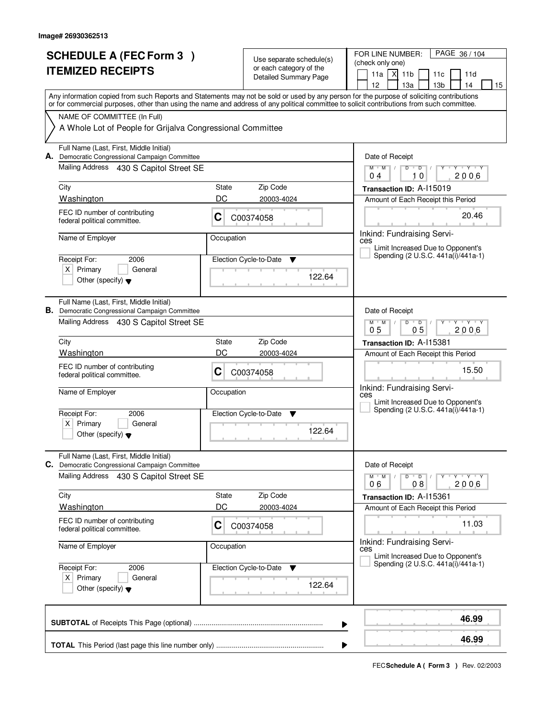|                                                                                                                                                                                                                                                                                         | <b>SCHEDULE A (FEC Form 3)</b>                                                                                                       |             | Use separate schedule(s)                                | PAGE 36 / 104<br>FOR LINE NUMBER:<br>(check only one)                           |  |  |  |  |  |
|-----------------------------------------------------------------------------------------------------------------------------------------------------------------------------------------------------------------------------------------------------------------------------------------|--------------------------------------------------------------------------------------------------------------------------------------|-------------|---------------------------------------------------------|---------------------------------------------------------------------------------|--|--|--|--|--|
|                                                                                                                                                                                                                                                                                         | <b>ITEMIZED RECEIPTS</b>                                                                                                             |             | or each category of the<br><b>Detailed Summary Page</b> | $X$ 11b<br>11a<br>11d<br>11c<br>12<br>13a<br>13 <sub>b</sub><br>14<br>15        |  |  |  |  |  |
| Any information copied from such Reports and Statements may not be sold or used by any person for the purpose of soliciting contributions<br>or for commercial purposes, other than using the name and address of any political committee to solicit contributions from such committee. |                                                                                                                                      |             |                                                         |                                                                                 |  |  |  |  |  |
|                                                                                                                                                                                                                                                                                         | NAME OF COMMITTEE (In Full)<br>A Whole Lot of People for Grijalva Congressional Committee                                            |             |                                                         |                                                                                 |  |  |  |  |  |
|                                                                                                                                                                                                                                                                                         | Full Name (Last, First, Middle Initial)<br>A. Democratic Congressional Campaign Committee<br>Mailing Address 430 S Capitol Street SE |             |                                                         | Date of Receipt<br>$Y$ $Y$ $Y$<br>$M$ $M$ /<br>D<br>$\overline{D}$              |  |  |  |  |  |
|                                                                                                                                                                                                                                                                                         | City                                                                                                                                 | State       | 2006<br>04<br>10<br>Transaction ID: A-115019            |                                                                                 |  |  |  |  |  |
|                                                                                                                                                                                                                                                                                         | Washington                                                                                                                           | DC          | Zip Code<br>20003-4024                                  | Amount of Each Receipt this Period                                              |  |  |  |  |  |
|                                                                                                                                                                                                                                                                                         | FEC ID number of contributing<br>federal political committee.                                                                        | C           | C00374058                                               | 20.46<br>Inkind: Fundraising Servi-<br>ces<br>Limit Increased Due to Opponent's |  |  |  |  |  |
|                                                                                                                                                                                                                                                                                         | Name of Employer                                                                                                                     | Occupation  |                                                         |                                                                                 |  |  |  |  |  |
|                                                                                                                                                                                                                                                                                         | Receipt For:<br>2006<br>$X$ Primary<br>General                                                                                       |             | Election Cycle-to-Date<br>▼                             | Spending (2 U.S.C. 441a(i)/441a-1)                                              |  |  |  |  |  |
|                                                                                                                                                                                                                                                                                         | Other (specify) $\blacktriangledown$                                                                                                 |             | 122.64                                                  |                                                                                 |  |  |  |  |  |
|                                                                                                                                                                                                                                                                                         | Full Name (Last, First, Middle Initial)<br><b>B.</b> Democratic Congressional Campaign Committee                                     |             | Date of Receipt                                         |                                                                                 |  |  |  |  |  |
|                                                                                                                                                                                                                                                                                         | Mailing Address 430 S Capitol Street SE                                                                                              |             |                                                         | $M$ $M$ /<br>D<br>$\overline{D}$<br>Y 'Y 'Y<br>0 <sub>5</sub><br>2006<br>05     |  |  |  |  |  |
|                                                                                                                                                                                                                                                                                         | City<br>State<br>Zip Code                                                                                                            |             |                                                         | Transaction ID: A-115381                                                        |  |  |  |  |  |
|                                                                                                                                                                                                                                                                                         | Washington                                                                                                                           | DC          | 20003-4024                                              | Amount of Each Receipt this Period                                              |  |  |  |  |  |
|                                                                                                                                                                                                                                                                                         | FEC ID number of contributing<br>federal political committee.                                                                        | C           | C00374058                                               | 15.50                                                                           |  |  |  |  |  |
|                                                                                                                                                                                                                                                                                         | Name of Employer                                                                                                                     | Occupation  |                                                         | Inkind: Fundraising Servi-<br>ces<br>Limit Increased Due to Opponent's          |  |  |  |  |  |
|                                                                                                                                                                                                                                                                                         | Receipt For:<br>2006                                                                                                                 |             | Election Cycle-to-Date<br>v                             | Spending (2 U.S.C. 441a(i)/441a-1)                                              |  |  |  |  |  |
|                                                                                                                                                                                                                                                                                         | $X$ Primary<br>General<br>Other (specify) $\blacktriangledown$                                                                       |             | 122.64                                                  |                                                                                 |  |  |  |  |  |
|                                                                                                                                                                                                                                                                                         | Full Name (Last, First, Middle Initial)<br>C. Democratic Congressional Campaign Committee                                            |             |                                                         | Date of Receipt                                                                 |  |  |  |  |  |
|                                                                                                                                                                                                                                                                                         | <b>Mailing Address</b><br>430 S Capitol Street SE                                                                                    |             |                                                         | $M$ $M$ $/$ $D$ $D$ $/$<br>yuryuryury<br>08<br>2006<br>06                       |  |  |  |  |  |
|                                                                                                                                                                                                                                                                                         | City<br>Washington                                                                                                                   | State<br>DC | Zip Code<br>20003-4024                                  | Transaction ID: A-115361<br>Amount of Each Receipt this Period                  |  |  |  |  |  |
|                                                                                                                                                                                                                                                                                         | FEC ID number of contributing<br>federal political committee.                                                                        | C           | C00374058                                               | 11.03                                                                           |  |  |  |  |  |
|                                                                                                                                                                                                                                                                                         | Name of Employer                                                                                                                     | Occupation  |                                                         | Inkind: Fundraising Servi-<br>ces<br>Limit Increased Due to Opponent's          |  |  |  |  |  |
|                                                                                                                                                                                                                                                                                         | Receipt For:<br>2006<br>$X$ Primary<br>General<br>Other (specify) $\blacktriangledown$                                               |             | Election Cycle-to-Date ▼<br>122.64                      | Spending (2 U.S.C. 441a(i)/441a-1)                                              |  |  |  |  |  |
| 46.99<br>▶                                                                                                                                                                                                                                                                              |                                                                                                                                      |             |                                                         |                                                                                 |  |  |  |  |  |
| ▶                                                                                                                                                                                                                                                                                       |                                                                                                                                      |             |                                                         |                                                                                 |  |  |  |  |  |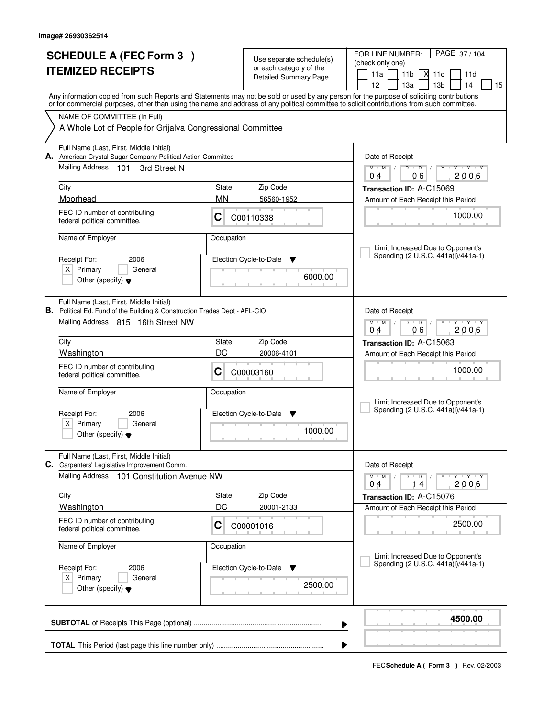| <b>SCHEDULE A (FEC Form 3)</b> |                                                                                                                                            | Use separate schedule(s)                         |                               | PAGE 37/104<br>FOR LINE NUMBER:<br>(check only one)                                                                                                                                   |  |  |
|--------------------------------|--------------------------------------------------------------------------------------------------------------------------------------------|--------------------------------------------------|-------------------------------|---------------------------------------------------------------------------------------------------------------------------------------------------------------------------------------|--|--|
|                                | <b>ITEMIZED RECEIPTS</b>                                                                                                                   | or each category of the<br>Detailed Summary Page |                               | 11 <sub>b</sub><br>М<br>11a<br>11c<br>11d                                                                                                                                             |  |  |
|                                |                                                                                                                                            |                                                  |                               | 13 <sub>b</sub><br>12<br>13a<br>14<br>15<br>Any information copied from such Reports and Statements may not be sold or used by any person for the purpose of soliciting contributions |  |  |
|                                | or for commercial purposes, other than using the name and address of any political committee to solicit contributions from such committee. |                                                  |                               |                                                                                                                                                                                       |  |  |
|                                | NAME OF COMMITTEE (In Full)                                                                                                                |                                                  |                               |                                                                                                                                                                                       |  |  |
|                                | A Whole Lot of People for Grijalva Congressional Committee                                                                                 |                                                  |                               |                                                                                                                                                                                       |  |  |
|                                | Full Name (Last, First, Middle Initial)<br>A. American Crystal Sugar Company Political Action Committee                                    |                                                  |                               | Date of Receipt                                                                                                                                                                       |  |  |
|                                | Mailing Address 101<br>3rd Street N                                                                                                        |                                                  |                               | $D$ $D$ $/$<br>$Y + Y + Y + Y$<br>$M$ $M$                                                                                                                                             |  |  |
|                                | City                                                                                                                                       | State                                            | Zip Code                      | 06<br>2006<br>0 <sub>4</sub><br>Transaction ID: A-C15069                                                                                                                              |  |  |
|                                | Moorhead                                                                                                                                   | <b>MN</b>                                        | 56560-1952                    | Amount of Each Receipt this Period                                                                                                                                                    |  |  |
|                                | FEC ID number of contributing<br>federal political committee.                                                                              | C                                                | C00110338                     | 1000.00                                                                                                                                                                               |  |  |
|                                | Name of Employer                                                                                                                           | Occupation                                       |                               |                                                                                                                                                                                       |  |  |
|                                | Receipt For:<br>2006                                                                                                                       |                                                  | Election Cycle-to-Date<br>▼   | Limit Increased Due to Opponent's<br>Spending (2 U.S.C. 441a(i)/441a-1)                                                                                                               |  |  |
|                                | $X$ Primary<br>General                                                                                                                     |                                                  |                               |                                                                                                                                                                                       |  |  |
|                                | Other (specify) $\blacktriangledown$                                                                                                       |                                                  | 6000.00                       |                                                                                                                                                                                       |  |  |
|                                | Full Name (Last, First, Middle Initial)<br><b>B.</b> Political Ed. Fund of the Building & Construction Trades Dept - AFL-CIO               |                                                  |                               | Date of Receipt                                                                                                                                                                       |  |  |
|                                | Mailing Address 815 16th Street NW                                                                                                         |                                                  |                               | $M$ $M$ /<br>D<br>$\overline{D}$<br>Y Y Y Y                                                                                                                                           |  |  |
|                                | City                                                                                                                                       | State                                            | Zip Code                      | 06<br>2006<br>04<br>Transaction ID: A-C15063                                                                                                                                          |  |  |
|                                | Washington                                                                                                                                 | DC                                               | 20006-4101                    | Amount of Each Receipt this Period                                                                                                                                                    |  |  |
|                                | FEC ID number of contributing<br>federal political committee.                                                                              | С                                                | C00003160                     | 1000.00                                                                                                                                                                               |  |  |
|                                | Name of Employer                                                                                                                           | Occupation                                       |                               | Limit Increased Due to Opponent's                                                                                                                                                     |  |  |
|                                | Receipt For:<br>2006                                                                                                                       |                                                  | Election Cycle-to-Date<br>- V | Spending (2 U.S.C. 441a(i)/441a-1)                                                                                                                                                    |  |  |
|                                | Primary<br>$X \mid$<br>General<br>Other (specify) $\blacktriangledown$                                                                     |                                                  | 1000.00                       |                                                                                                                                                                                       |  |  |
|                                | Full Name (Last, First, Middle Initial)<br>C. Carpenters' Legislative Improvement Comm.                                                    |                                                  |                               | Date of Receipt                                                                                                                                                                       |  |  |
|                                | <b>Mailing Address</b><br>101 Constitution Avenue NW                                                                                       |                                                  |                               | $D$ $D$ $/$<br>$M$ $M$ /<br>$Y - Y - Y$<br>Y                                                                                                                                          |  |  |
|                                | City                                                                                                                                       | State                                            | Zip Code                      | 2006<br>04<br>14<br>Transaction ID: A-C15076                                                                                                                                          |  |  |
|                                | <b>Washington</b>                                                                                                                          | DC                                               | 20001-2133                    | Amount of Each Receipt this Period                                                                                                                                                    |  |  |
|                                | FEC ID number of contributing<br>federal political committee.                                                                              | C                                                | C00001016                     | 2500.00                                                                                                                                                                               |  |  |
|                                | Name of Employer                                                                                                                           | Occupation                                       |                               |                                                                                                                                                                                       |  |  |
|                                | Receipt For:<br>2006                                                                                                                       |                                                  | Election Cycle-to-Date<br>v   | Limit Increased Due to Opponent's<br>Spending (2 U.S.C. 441a(i)/441a-1)                                                                                                               |  |  |
|                                | $X$ Primary<br>General                                                                                                                     |                                                  | 2500.00                       |                                                                                                                                                                                       |  |  |
|                                | Other (specify) $\blacktriangledown$                                                                                                       |                                                  |                               |                                                                                                                                                                                       |  |  |
|                                | 4500.00<br>▶                                                                                                                               |                                                  |                               |                                                                                                                                                                                       |  |  |
|                                |                                                                                                                                            |                                                  |                               |                                                                                                                                                                                       |  |  |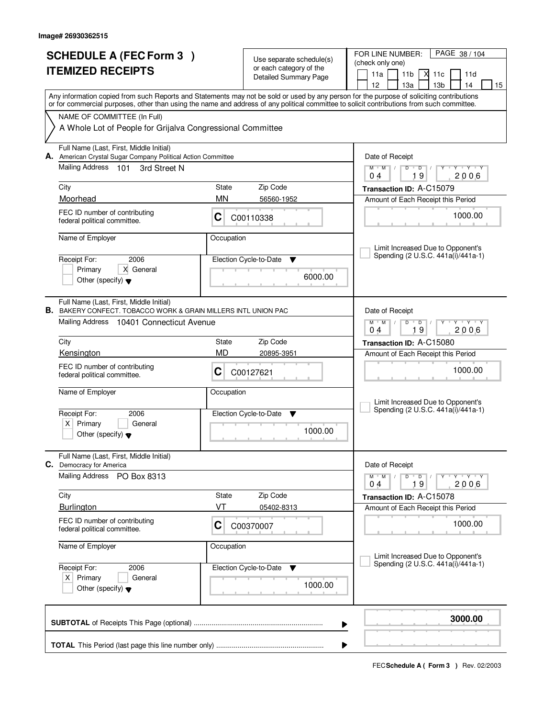|    | <b>SCHEDULE A (FEC Form 3)</b><br><b>ITEMIZED RECEIPTS</b>                                                                                                                                                          |                           | Use separate schedule(s)<br>or each category of the<br>Detailed Summary Page | PAGE 38 / 104<br>FOR LINE NUMBER:<br>(check only one)<br>М<br>11a<br>11 <sub>b</sub><br>11c<br>11d<br>12<br>13a<br>13 <sub>b</sub><br>14<br>15                                                                                                                                          |
|----|---------------------------------------------------------------------------------------------------------------------------------------------------------------------------------------------------------------------|---------------------------|------------------------------------------------------------------------------|-----------------------------------------------------------------------------------------------------------------------------------------------------------------------------------------------------------------------------------------------------------------------------------------|
|    | NAME OF COMMITTEE (In Full)<br>A Whole Lot of People for Grijalva Congressional Committee                                                                                                                           |                           |                                                                              | Any information copied from such Reports and Statements may not be sold or used by any person for the purpose of soliciting contributions<br>or for commercial purposes, other than using the name and address of any political committee to solicit contributions from such committee. |
| А. | Full Name (Last, First, Middle Initial)<br>American Crystal Sugar Company Political Action Committee<br>Mailing Address<br>- 101<br>3rd Street N<br>City<br>Moorhead                                                | State<br><b>MN</b>        | Zip Code<br>56560-1952                                                       | Date of Receipt<br>$Y + Y + Y + Y$<br>$M$ $M$ /<br>$D$ $D$ $I$<br>19<br>2006<br>0 <sub>4</sub><br>Transaction ID: A-C15079<br>Amount of Each Receipt this Period                                                                                                                        |
|    | FEC ID number of contributing<br>federal political committee.<br>Name of Employer<br>Receipt For:<br>2006<br>X General<br>Primary<br>Other (specify) $\blacktriangledown$                                           | C<br>Occupation           | C00110338<br>Election Cycle-to-Date<br>▼<br>6000.00                          | 1000.00<br>Limit Increased Due to Opponent's<br>Spending (2 U.S.C. 441a(i)/441a-1)                                                                                                                                                                                                      |
|    | Full Name (Last, First, Middle Initial)<br><b>B.</b> BAKERY CONFECT. TOBACCO WORK & GRAIN MILLERS INTL UNION PAC<br>Mailing Address 10401 Connecticut Avenue<br>City<br>Kensington<br>FEC ID number of contributing | <b>State</b><br><b>MD</b> | Zip Code<br>20895-3951                                                       | Date of Receipt<br>$M$ $M$ /<br><b>TY TY</b><br>D<br>$\overline{D}$<br>19<br>2006<br>04<br>Transaction ID: A-C15080<br>Amount of Each Receipt this Period<br>1000.00                                                                                                                    |
|    | federal political committee.<br>Name of Employer<br>Receipt For:<br>2006<br>Primary<br>ΧI<br>General<br>Other (specify) $\blacktriangledown$                                                                        | С<br>Occupation           | C00127621<br>Election Cycle-to-Date<br>v<br>1000.00                          | Limit Increased Due to Opponent's<br>Spending (2 U.S.C. 441a(i)/441a-1)                                                                                                                                                                                                                 |
| С. | Full Name (Last, First, Middle Initial)<br>Democracy for America<br><b>Mailing Address</b><br>PO Box 8313<br>City<br>Burlington<br>FEC ID number of contributing<br>federal political committee.                    | State<br>VT<br>C          | Zip Code<br>05402-8313<br>C00370007                                          | Date of Receipt<br>$D$ $D$ $/$<br>$M$ $M$ $/$<br>$Y - Y - Y$<br>Y<br>19<br>2006<br>04<br>Transaction ID: A-C15078<br>Amount of Each Receipt this Period<br>1000.00                                                                                                                      |
|    | Name of Employer<br>Receipt For:<br>2006<br>$X$ Primary<br>General<br>Other (specify) $\blacktriangledown$                                                                                                          | Occupation                | Election Cycle-to-Date<br>v<br>1000.00                                       | Limit Increased Due to Opponent's<br>Spending (2 U.S.C. 441a(i)/441a-1)                                                                                                                                                                                                                 |
|    |                                                                                                                                                                                                                     |                           |                                                                              | 3000.00<br>▶                                                                                                                                                                                                                                                                            |
|    |                                                                                                                                                                                                                     |                           |                                                                              |                                                                                                                                                                                                                                                                                         |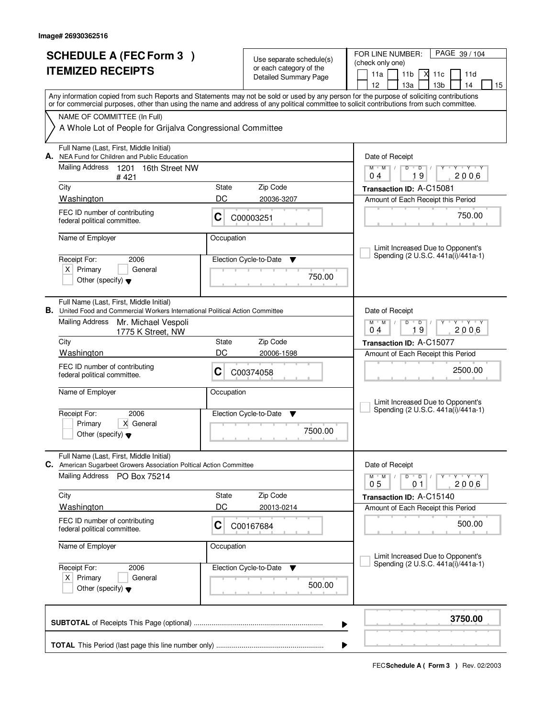| <b>SCHEDULE A (FEC Form 3)</b> |                                                                                                                                                                                                                                                                                         | Use separate schedule(s)<br>or each category of the |                              | PAGE 39 / 104<br>FOR LINE NUMBER:<br>(check only one)                                 |  |  |
|--------------------------------|-----------------------------------------------------------------------------------------------------------------------------------------------------------------------------------------------------------------------------------------------------------------------------------------|-----------------------------------------------------|------------------------------|---------------------------------------------------------------------------------------|--|--|
|                                | <b>ITEMIZED RECEIPTS</b>                                                                                                                                                                                                                                                                |                                                     | <b>Detailed Summary Page</b> | 11 <sub>b</sub><br>X<br>11a<br>11c<br>11d<br>12<br>13 <sub>b</sub><br>13a<br>14<br>15 |  |  |
|                                | Any information copied from such Reports and Statements may not be sold or used by any person for the purpose of soliciting contributions<br>or for commercial purposes, other than using the name and address of any political committee to solicit contributions from such committee. |                                                     |                              |                                                                                       |  |  |
|                                | NAME OF COMMITTEE (In Full)<br>A Whole Lot of People for Grijalva Congressional Committee                                                                                                                                                                                               |                                                     |                              |                                                                                       |  |  |
| А.                             | Full Name (Last, First, Middle Initial)<br>NEA Fund for Children and Public Education                                                                                                                                                                                                   |                                                     |                              | Date of Receipt                                                                       |  |  |
|                                | <b>Mailing Address</b><br>1201 16th Street NW<br>#421                                                                                                                                                                                                                                   |                                                     |                              | $Y + Y + Y$<br>$M$ $M$<br>$D$ $D$ $1$<br>Y<br>19<br>2006<br>0 <sub>4</sub>            |  |  |
|                                | City                                                                                                                                                                                                                                                                                    | State                                               | Zip Code                     | Transaction ID: A-C15081                                                              |  |  |
|                                | Washington<br>FEC ID number of contributing                                                                                                                                                                                                                                             | DC<br>C                                             | 20036-3207                   | Amount of Each Receipt this Period<br>750.00                                          |  |  |
|                                | federal political committee.                                                                                                                                                                                                                                                            |                                                     | C00003251                    |                                                                                       |  |  |
|                                | Name of Employer                                                                                                                                                                                                                                                                        | Occupation                                          |                              | Limit Increased Due to Opponent's                                                     |  |  |
|                                | Receipt For:<br>2006                                                                                                                                                                                                                                                                    |                                                     | Election Cycle-to-Date<br>▼  | Spending (2 U.S.C. 441a(i)/441a-1)                                                    |  |  |
|                                | $X$ Primary<br>General<br>Other (specify) $\blacktriangledown$                                                                                                                                                                                                                          |                                                     | 750.00                       |                                                                                       |  |  |
|                                | Full Name (Last, First, Middle Initial)<br>B. United Food and Commercial Workers International Political Action Committee                                                                                                                                                               |                                                     |                              | Date of Receipt                                                                       |  |  |
|                                | <b>Mailing Address</b><br>Mr. Michael Vespoli<br>1775 K Street, NW                                                                                                                                                                                                                      |                                                     |                              | $M$ $M$ /<br>$Y - Y - Y$<br>D<br>$\overline{D}$<br>19<br>2006<br>04                   |  |  |
|                                | City                                                                                                                                                                                                                                                                                    | <b>State</b>                                        | Zip Code                     | Transaction ID: A-C15077                                                              |  |  |
|                                | Washington                                                                                                                                                                                                                                                                              | DC                                                  | 20006-1598                   | Amount of Each Receipt this Period                                                    |  |  |
|                                | FEC ID number of contributing<br>federal political committee.                                                                                                                                                                                                                           | С                                                   | C00374058                    | 2500.00                                                                               |  |  |
|                                | Name of Employer                                                                                                                                                                                                                                                                        | Occupation                                          |                              | Limit Increased Due to Opponent's                                                     |  |  |
|                                | Receipt For:<br>2006                                                                                                                                                                                                                                                                    |                                                     | Election Cycle-to-Date<br>v  | Spending (2 U.S.C. 441a(i)/441a-1)                                                    |  |  |
|                                | Primary<br>X General<br>Other (specify) $\blacktriangledown$                                                                                                                                                                                                                            |                                                     | 7500.00                      |                                                                                       |  |  |
|                                | Full Name (Last, First, Middle Initial)<br>C. American Sugarbeet Growers Association Poltical Action Committee                                                                                                                                                                          |                                                     |                              | Date of Receipt                                                                       |  |  |
|                                | <b>Mailing Address</b><br>PO Box 75214                                                                                                                                                                                                                                                  |                                                     |                              | $D$ $D$ $/$<br>$M$ $M$ /<br>түтүтү<br>Y<br>0 <sub>5</sub><br>2006<br>01               |  |  |
|                                | City                                                                                                                                                                                                                                                                                    | State                                               | Zip Code                     | Transaction ID: A-C15140                                                              |  |  |
|                                | <b>Washington</b>                                                                                                                                                                                                                                                                       | DC                                                  | 20013-0214                   | Amount of Each Receipt this Period                                                    |  |  |
|                                | FEC ID number of contributing<br>federal political committee.                                                                                                                                                                                                                           | C                                                   | C00167684                    | 500.00                                                                                |  |  |
|                                | Name of Employer                                                                                                                                                                                                                                                                        | Occupation                                          |                              | Limit Increased Due to Opponent's                                                     |  |  |
|                                | Receipt For:<br>2006                                                                                                                                                                                                                                                                    |                                                     | Election Cycle-to-Date<br>v  | Spending (2 U.S.C. 441a(i)/441a-1)                                                    |  |  |
|                                | $X$ Primary<br>General<br>Other (specify) $\blacktriangledown$                                                                                                                                                                                                                          |                                                     | 500.00                       |                                                                                       |  |  |
|                                |                                                                                                                                                                                                                                                                                         |                                                     | ▶                            | 3750.00                                                                               |  |  |
|                                |                                                                                                                                                                                                                                                                                         |                                                     |                              |                                                                                       |  |  |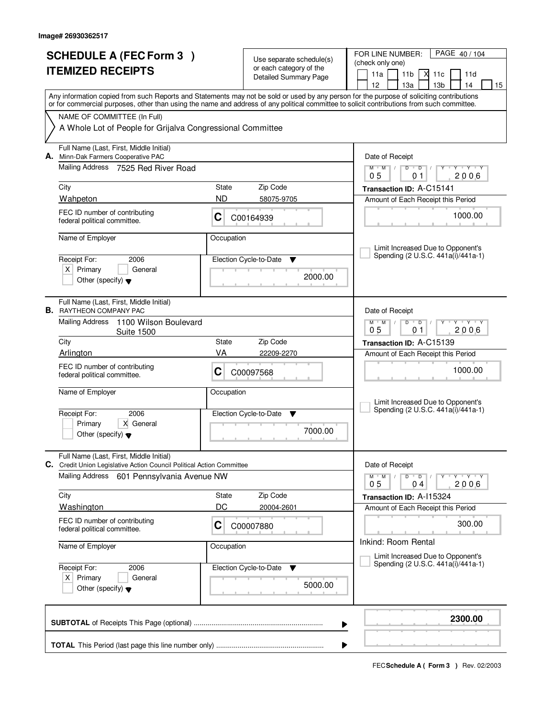|                                                 | <b>SCHEDULE A (FEC Form 3)</b>                                                                                                                                                                                                                                                          |            |                                                     | FOR LINE NUMBER:<br>PAGE 40/104                                                                                 |  |  |  |  |
|-------------------------------------------------|-----------------------------------------------------------------------------------------------------------------------------------------------------------------------------------------------------------------------------------------------------------------------------------------|------------|-----------------------------------------------------|-----------------------------------------------------------------------------------------------------------------|--|--|--|--|
| <b>ITEMIZED RECEIPTS</b>                        |                                                                                                                                                                                                                                                                                         |            | Use separate schedule(s)<br>or each category of the | (check only one)                                                                                                |  |  |  |  |
|                                                 |                                                                                                                                                                                                                                                                                         |            | <b>Detailed Summary Page</b>                        | 11a<br>11 <sub>b</sub><br>М<br>11c<br>11d<br>12<br>13 <sub>b</sub><br>14                                        |  |  |  |  |
|                                                 |                                                                                                                                                                                                                                                                                         |            |                                                     | 13a<br>15                                                                                                       |  |  |  |  |
|                                                 | Any information copied from such Reports and Statements may not be sold or used by any person for the purpose of soliciting contributions<br>or for commercial purposes, other than using the name and address of any political committee to solicit contributions from such committee. |            |                                                     |                                                                                                                 |  |  |  |  |
|                                                 | NAME OF COMMITTEE (In Full)                                                                                                                                                                                                                                                             |            |                                                     |                                                                                                                 |  |  |  |  |
|                                                 | A Whole Lot of People for Grijalva Congressional Committee                                                                                                                                                                                                                              |            |                                                     |                                                                                                                 |  |  |  |  |
| А.                                              | Full Name (Last, First, Middle Initial)<br>Minn-Dak Farmers Cooperative PAC                                                                                                                                                                                                             |            |                                                     | Date of Receipt                                                                                                 |  |  |  |  |
|                                                 | Mailing Address<br>7525 Red River Road                                                                                                                                                                                                                                                  |            |                                                     | $D$ $D$ $/$<br>$Y - Y - Y$<br>$M$ $M$ /<br>Y<br>2006<br>05<br>01                                                |  |  |  |  |
|                                                 | City                                                                                                                                                                                                                                                                                    | State      | Zip Code                                            | Transaction ID: A-C15141                                                                                        |  |  |  |  |
|                                                 | Wahpeton                                                                                                                                                                                                                                                                                | <b>ND</b>  | 58075-9705                                          | Amount of Each Receipt this Period                                                                              |  |  |  |  |
|                                                 | FEC ID number of contributing<br>federal political committee.                                                                                                                                                                                                                           | C          | C00164939                                           | 1000.00                                                                                                         |  |  |  |  |
|                                                 | Name of Employer                                                                                                                                                                                                                                                                        | Occupation |                                                     | Limit Increased Due to Opponent's                                                                               |  |  |  |  |
|                                                 | Receipt For:<br>2006                                                                                                                                                                                                                                                                    |            | Election Cycle-to-Date<br>v                         | Spending (2 U.S.C. 441a(i)/441a-1)                                                                              |  |  |  |  |
|                                                 | $X$ Primary<br>General                                                                                                                                                                                                                                                                  |            | 2000.00                                             |                                                                                                                 |  |  |  |  |
|                                                 | Other (specify) $\blacktriangledown$                                                                                                                                                                                                                                                    |            |                                                     |                                                                                                                 |  |  |  |  |
|                                                 | Full Name (Last, First, Middle Initial)<br><b>B.</b> RAYTHEON COMPANY PAC                                                                                                                                                                                                               |            |                                                     | Date of Receipt                                                                                                 |  |  |  |  |
|                                                 | <b>Mailing Address</b><br>1100 Wilson Boulevard<br><b>Suite 1500</b>                                                                                                                                                                                                                    |            |                                                     | $M$ $M$ $/$<br>$D$ $D$<br>$\mathbf{Y}$ $\mathbf{Y}$<br>Y<br>0 <sub>5</sub><br>2006<br>01                        |  |  |  |  |
|                                                 | City<br>State                                                                                                                                                                                                                                                                           |            | Zip Code                                            | Transaction ID: A-C15139                                                                                        |  |  |  |  |
|                                                 | Arlington                                                                                                                                                                                                                                                                               | VA         | 22209-2270                                          | Amount of Each Receipt this Period                                                                              |  |  |  |  |
|                                                 | FEC ID number of contributing<br>federal political committee.                                                                                                                                                                                                                           | С          | C00097568                                           | 1000.00                                                                                                         |  |  |  |  |
|                                                 | Name of Employer                                                                                                                                                                                                                                                                        | Occupation |                                                     | Limit Increased Due to Opponent's                                                                               |  |  |  |  |
|                                                 | Receipt For:<br>2006                                                                                                                                                                                                                                                                    |            | Election Cycle-to-Date<br>v                         | Spending (2 U.S.C. 441a(i)/441a-1)                                                                              |  |  |  |  |
|                                                 | Primary<br>X General                                                                                                                                                                                                                                                                    |            | 7000.00                                             |                                                                                                                 |  |  |  |  |
|                                                 | Other (specify) $\blacktriangledown$                                                                                                                                                                                                                                                    |            |                                                     |                                                                                                                 |  |  |  |  |
|                                                 | Full Name (Last, First, Middle Initial)<br>C. Credit Union Legislative Action Council Political Action Committee                                                                                                                                                                        |            |                                                     | Date of Receipt                                                                                                 |  |  |  |  |
|                                                 | Mailing Address<br>601 Pennsylvania Avenue NW                                                                                                                                                                                                                                           |            |                                                     | D<br>$M$ $M$ /<br>$\overline{\phantom{0}}$ D $\overline{\phantom{0}}$ /<br>$Y + Y + Y$<br>Y<br>2006<br>05<br>04 |  |  |  |  |
|                                                 | City                                                                                                                                                                                                                                                                                    | State      | Zip Code                                            | Transaction ID: A-115324                                                                                        |  |  |  |  |
|                                                 | <b>Washington</b>                                                                                                                                                                                                                                                                       | DC         | 20004-2601                                          | Amount of Each Receipt this Period                                                                              |  |  |  |  |
|                                                 | FEC ID number of contributing<br>federal political committee.                                                                                                                                                                                                                           | C          | C00007880                                           | 300.00                                                                                                          |  |  |  |  |
|                                                 | Name of Employer                                                                                                                                                                                                                                                                        | Occupation |                                                     | Inkind: Room Rental<br>Limit Increased Due to Opponent's                                                        |  |  |  |  |
|                                                 | Receipt For:<br>2006<br>$X$ Primary<br>General                                                                                                                                                                                                                                          |            | Election Cycle-to-Date<br>v                         | Spending (2 U.S.C. 441a(i)/441a-1)                                                                              |  |  |  |  |
|                                                 |                                                                                                                                                                                                                                                                                         |            |                                                     |                                                                                                                 |  |  |  |  |
| 5000.00<br>Other (specify) $\blacktriangledown$ |                                                                                                                                                                                                                                                                                         |            |                                                     |                                                                                                                 |  |  |  |  |
|                                                 |                                                                                                                                                                                                                                                                                         |            |                                                     | 2300.00<br>▶                                                                                                    |  |  |  |  |
|                                                 |                                                                                                                                                                                                                                                                                         |            |                                                     |                                                                                                                 |  |  |  |  |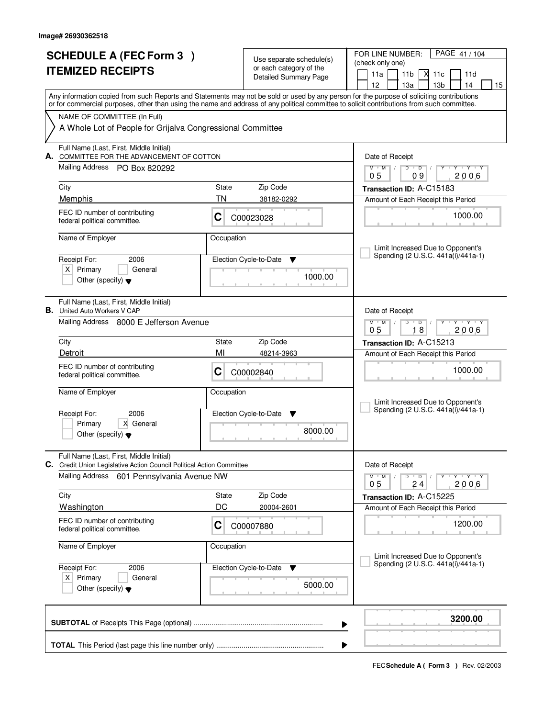| <b>SCHEDULE A (FEC Form 3)</b> |                                                                                    | Use separate schedule(s)                         |                               | PAGE 41 / 104<br>FOR LINE NUMBER:<br>(check only one)                                                                                                                                                                                                                                   |  |  |
|--------------------------------|------------------------------------------------------------------------------------|--------------------------------------------------|-------------------------------|-----------------------------------------------------------------------------------------------------------------------------------------------------------------------------------------------------------------------------------------------------------------------------------------|--|--|
|                                | <b>ITEMIZED RECEIPTS</b>                                                           | or each category of the<br>Detailed Summary Page |                               | 11 <sub>b</sub><br>М<br>11a<br>11c<br>11d                                                                                                                                                                                                                                               |  |  |
|                                |                                                                                    |                                                  |                               | 13 <sub>b</sub><br>12<br>13a<br>14<br>15                                                                                                                                                                                                                                                |  |  |
|                                |                                                                                    |                                                  |                               | Any information copied from such Reports and Statements may not be sold or used by any person for the purpose of soliciting contributions<br>or for commercial purposes, other than using the name and address of any political committee to solicit contributions from such committee. |  |  |
|                                | NAME OF COMMITTEE (In Full)                                                        |                                                  |                               |                                                                                                                                                                                                                                                                                         |  |  |
|                                | A Whole Lot of People for Grijalva Congressional Committee                         |                                                  |                               |                                                                                                                                                                                                                                                                                         |  |  |
| А.                             | Full Name (Last, First, Middle Initial)<br>COMMITTEE FOR THE ADVANCEMENT OF COTTON |                                                  |                               | Date of Receipt                                                                                                                                                                                                                                                                         |  |  |
|                                | Mailing Address PO Box 820292                                                      |                                                  |                               | $Y + Y + Y + Y$<br>$M$ $M$ $/$<br>$D$ $D$ $I$<br>09<br>2006<br>05                                                                                                                                                                                                                       |  |  |
|                                | City                                                                               | State                                            | Zip Code                      | Transaction ID: A-C15183                                                                                                                                                                                                                                                                |  |  |
|                                | Memphis                                                                            | TN                                               | 38182-0292                    | Amount of Each Receipt this Period                                                                                                                                                                                                                                                      |  |  |
|                                | FEC ID number of contributing<br>federal political committee.                      | C                                                | C00023028                     | 1000.00                                                                                                                                                                                                                                                                                 |  |  |
|                                | Name of Employer                                                                   | Occupation                                       |                               | Limit Increased Due to Opponent's                                                                                                                                                                                                                                                       |  |  |
|                                | Receipt For:<br>2006                                                               |                                                  | Election Cycle-to-Date<br>▼   | Spending (2 U.S.C. 441a(i)/441a-1)                                                                                                                                                                                                                                                      |  |  |
|                                | $X$ Primary<br>General                                                             |                                                  |                               |                                                                                                                                                                                                                                                                                         |  |  |
|                                | Other (specify) $\blacktriangledown$                                               |                                                  | 1000.00                       |                                                                                                                                                                                                                                                                                         |  |  |
|                                | Full Name (Last, First, Middle Initial)<br><b>B.</b> United Auto Workers V CAP     |                                                  |                               | Date of Receipt                                                                                                                                                                                                                                                                         |  |  |
|                                | Mailing Address 8000 E Jefferson Avenue                                            |                                                  |                               | $M$ M<br>D<br>$\overline{D}$<br>Y Y Y Y<br>18<br>0 <sub>5</sub><br>2006                                                                                                                                                                                                                 |  |  |
|                                | City                                                                               | State                                            | Zip Code                      | Transaction ID: A-C15213                                                                                                                                                                                                                                                                |  |  |
|                                | Detroit                                                                            | MI                                               | 48214-3963                    | Amount of Each Receipt this Period                                                                                                                                                                                                                                                      |  |  |
|                                | FEC ID number of contributing<br>federal political committee.                      | С                                                | C00002840                     | 1000.00                                                                                                                                                                                                                                                                                 |  |  |
|                                | Name of Employer                                                                   | Occupation                                       |                               | Limit Increased Due to Opponent's                                                                                                                                                                                                                                                       |  |  |
|                                | Receipt For:<br>2006                                                               |                                                  | Election Cycle-to-Date<br>- V | Spending (2 U.S.C. 441a(i)/441a-1)                                                                                                                                                                                                                                                      |  |  |
|                                | Primary<br>X General<br>Other (specify) $\blacktriangledown$                       |                                                  | 8000.00                       |                                                                                                                                                                                                                                                                                         |  |  |
|                                | Full Name (Last, First, Middle Initial)                                            |                                                  |                               |                                                                                                                                                                                                                                                                                         |  |  |
|                                | C. Credit Union Legislative Action Council Political Action Committee              |                                                  |                               | Date of Receipt                                                                                                                                                                                                                                                                         |  |  |
|                                | Mailing Address<br>601 Pennsylvania Avenue NW                                      |                                                  |                               | $D$ $D$<br>$M$ $M$ $/$<br>$Y - Y - Y$<br>0 <sub>5</sub><br>24<br>2006                                                                                                                                                                                                                   |  |  |
|                                | City                                                                               | State                                            | Zip Code                      | Transaction ID: A-C15225                                                                                                                                                                                                                                                                |  |  |
|                                | <b>Washington</b>                                                                  | DC                                               | 20004-2601                    | Amount of Each Receipt this Period                                                                                                                                                                                                                                                      |  |  |
|                                | FEC ID number of contributing<br>federal political committee.                      | C                                                | C00007880                     | 1200.00                                                                                                                                                                                                                                                                                 |  |  |
|                                | Name of Employer                                                                   | Occupation                                       |                               | Limit Increased Due to Opponent's                                                                                                                                                                                                                                                       |  |  |
|                                | Receipt For:<br>2006                                                               |                                                  | Election Cycle-to-Date<br>v   | Spending (2 U.S.C. 441a(i)/441a-1)                                                                                                                                                                                                                                                      |  |  |
|                                | $X$ Primary<br>General                                                             |                                                  |                               |                                                                                                                                                                                                                                                                                         |  |  |
|                                | Other (specify) $\blacktriangledown$                                               |                                                  | 5000.00                       |                                                                                                                                                                                                                                                                                         |  |  |
|                                |                                                                                    |                                                  | ▶                             | 3200.00                                                                                                                                                                                                                                                                                 |  |  |
|                                |                                                                                    |                                                  |                               |                                                                                                                                                                                                                                                                                         |  |  |
|                                |                                                                                    |                                                  |                               |                                                                                                                                                                                                                                                                                         |  |  |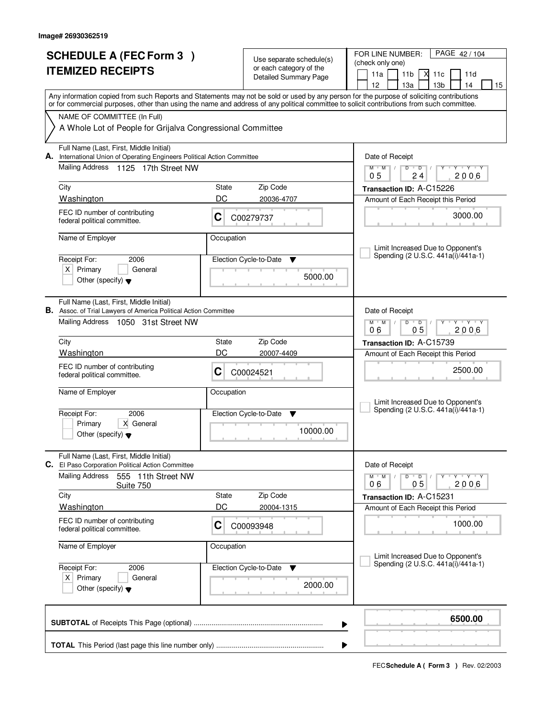|    | <b>SCHEDULE A (FEC Form 3)</b><br><b>ITEMIZED RECEIPTS</b>                                                                                                                                                                                                                              |            | Use separate schedule(s)<br>or each category of the | PAGE 42/104<br>FOR LINE NUMBER:<br>(check only one)<br>X<br>11a<br>11 <sub>b</sub><br>11c<br>11d |
|----|-----------------------------------------------------------------------------------------------------------------------------------------------------------------------------------------------------------------------------------------------------------------------------------------|------------|-----------------------------------------------------|--------------------------------------------------------------------------------------------------|
|    |                                                                                                                                                                                                                                                                                         |            | <b>Detailed Summary Page</b>                        | 12 <sup>2</sup><br>14<br>13a<br>13 <sub>b</sub><br>15                                            |
|    | Any information copied from such Reports and Statements may not be sold or used by any person for the purpose of soliciting contributions<br>or for commercial purposes, other than using the name and address of any political committee to solicit contributions from such committee. |            |                                                     |                                                                                                  |
|    | NAME OF COMMITTEE (In Full)                                                                                                                                                                                                                                                             |            |                                                     |                                                                                                  |
|    | A Whole Lot of People for Grijalva Congressional Committee                                                                                                                                                                                                                              |            |                                                     |                                                                                                  |
| А. | Full Name (Last, First, Middle Initial)<br>International Union of Operating Engineers Political Action Committee                                                                                                                                                                        |            |                                                     | Date of Receipt                                                                                  |
|    | Mailing Address 1125 17th Street NW                                                                                                                                                                                                                                                     |            |                                                     | Y Y Y Y<br>$M$ <sup>U</sup><br>M<br>D<br>$\Box$<br>2006<br>0 <sub>5</sub><br>24                  |
|    | City                                                                                                                                                                                                                                                                                    | State      | Zip Code                                            | Transaction ID: A-C15226                                                                         |
|    | Washington                                                                                                                                                                                                                                                                              | DC         | 20036-4707                                          | Amount of Each Receipt this Period                                                               |
|    | FEC ID number of contributing<br>federal political committee.                                                                                                                                                                                                                           | C          | C00279737                                           | 3000.00                                                                                          |
|    | Name of Employer                                                                                                                                                                                                                                                                        | Occupation |                                                     | Limit Increased Due to Opponent's                                                                |
|    | Receipt For:<br>2006                                                                                                                                                                                                                                                                    |            | Election Cycle-to-Date<br>▼                         | Spending (2 U.S.C. 441a(i)/441a-1)                                                               |
|    | $X$ Primary<br>General                                                                                                                                                                                                                                                                  |            | 5000.00                                             |                                                                                                  |
|    | Other (specify) $\blacktriangledown$                                                                                                                                                                                                                                                    |            |                                                     |                                                                                                  |
|    | Full Name (Last, First, Middle Initial)<br><b>B.</b> Assoc. of Trial Lawyers of America Political Action Committee                                                                                                                                                                      |            |                                                     | Date of Receipt                                                                                  |
|    | Mailing Address 1050 31st Street NW                                                                                                                                                                                                                                                     |            |                                                     | $M$ $M$ /<br>D<br>$\overline{D}$<br>Y 'Y 'Y<br>05<br>06<br>2006                                  |
|    | City                                                                                                                                                                                                                                                                                    | State      | Zip Code                                            | Transaction ID: A-C15739                                                                         |
|    | Washington                                                                                                                                                                                                                                                                              | DC         | 20007-4409                                          | Amount of Each Receipt this Period                                                               |
|    | FEC ID number of contributing<br>federal political committee.                                                                                                                                                                                                                           | С          | C00024521                                           | 2500.00                                                                                          |
|    | Name of Employer                                                                                                                                                                                                                                                                        | Occupation |                                                     | Limit Increased Due to Opponent's                                                                |
|    | Receipt For:<br>2006                                                                                                                                                                                                                                                                    |            | Election Cycle-to-Date<br>v                         | Spending (2 U.S.C. 441a(i)/441a-1)                                                               |
|    | Primary<br>X General<br>Other (specify) $\blacktriangledown$                                                                                                                                                                                                                            |            | 10000.00                                            |                                                                                                  |
|    | Full Name (Last, First, Middle Initial)<br><b>C.</b> El Paso Corporation Political Action Committee                                                                                                                                                                                     |            |                                                     | Date of Receipt                                                                                  |
|    | <b>Mailing Address</b><br>555 11th Street NW<br>Suite 750                                                                                                                                                                                                                               |            |                                                     | $D$ $D$ $/$<br>$M$ $M$ $M$ $I$<br>Y TY TY TY<br>05<br>2006<br>06                                 |
|    | City                                                                                                                                                                                                                                                                                    | State      | Zip Code                                            | Transaction ID: A-C15231                                                                         |
|    | Washington                                                                                                                                                                                                                                                                              | DC         | 20004-1315                                          | Amount of Each Receipt this Period                                                               |
|    | FEC ID number of contributing<br>federal political committee.                                                                                                                                                                                                                           | C          | C00093948                                           | 1000.00                                                                                          |
|    | Name of Employer                                                                                                                                                                                                                                                                        | Occupation |                                                     | Limit Increased Due to Opponent's                                                                |
|    | Receipt For:<br>2006                                                                                                                                                                                                                                                                    |            | Election Cycle-to-Date ▼                            | Spending (2 U.S.C. 441a(i)/441a-1)                                                               |
|    | $X$ Primary<br>General<br>Other (specify) $\blacktriangledown$                                                                                                                                                                                                                          |            | 2000.00                                             |                                                                                                  |
|    |                                                                                                                                                                                                                                                                                         |            | ▶                                                   | 6500.00                                                                                          |
|    |                                                                                                                                                                                                                                                                                         |            |                                                     |                                                                                                  |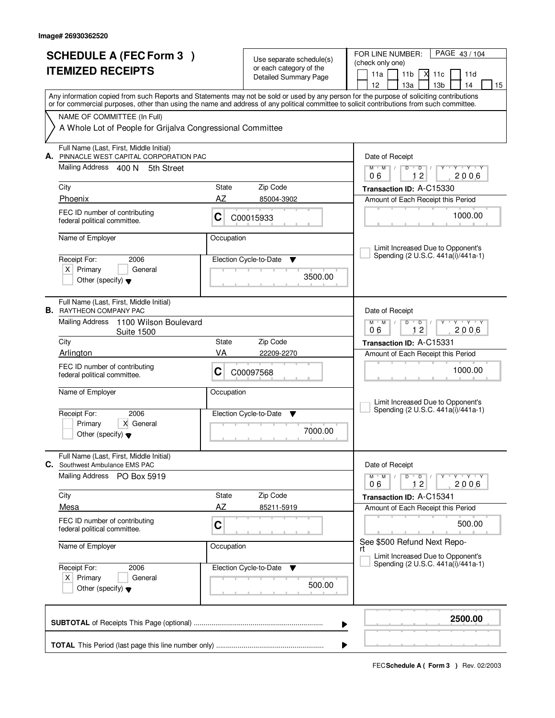|                          | <b>SCHEDULE A (FEC Form 3)</b>                                                   |            | Use separate schedule(s)                                | PAGE 43/104<br>FOR LINE NUMBER:                                                                                                                                                                                                                                                         |  |  |
|--------------------------|----------------------------------------------------------------------------------|------------|---------------------------------------------------------|-----------------------------------------------------------------------------------------------------------------------------------------------------------------------------------------------------------------------------------------------------------------------------------------|--|--|
| <b>ITEMIZED RECEIPTS</b> |                                                                                  |            | or each category of the<br><b>Detailed Summary Page</b> | (check only one)<br>X<br>11a<br>11 <sub>b</sub><br>11c<br>11d                                                                                                                                                                                                                           |  |  |
|                          |                                                                                  |            |                                                         | 12 <sup>2</sup><br>14<br>13a<br>13 <sub>b</sub><br>15                                                                                                                                                                                                                                   |  |  |
|                          |                                                                                  |            |                                                         | Any information copied from such Reports and Statements may not be sold or used by any person for the purpose of soliciting contributions<br>or for commercial purposes, other than using the name and address of any political committee to solicit contributions from such committee. |  |  |
|                          | NAME OF COMMITTEE (In Full)                                                      |            |                                                         |                                                                                                                                                                                                                                                                                         |  |  |
|                          | A Whole Lot of People for Grijalva Congressional Committee                       |            |                                                         |                                                                                                                                                                                                                                                                                         |  |  |
| А.                       | Full Name (Last, First, Middle Initial)<br>PINNACLE WEST CAPITAL CORPORATION PAC |            |                                                         | Date of Receipt                                                                                                                                                                                                                                                                         |  |  |
|                          | Mailing Address 400 N<br>5th Street                                              |            |                                                         | $M$ /<br>$\mathsf D$<br>$Y - Y - Y$<br>$M$ <sup>U</sup><br>D<br>12<br>2006<br>06                                                                                                                                                                                                        |  |  |
|                          | City                                                                             | State      | Zip Code                                                | Transaction ID: A-C15330                                                                                                                                                                                                                                                                |  |  |
|                          | Phoenix                                                                          | AZ         | 85004-3902                                              | Amount of Each Receipt this Period                                                                                                                                                                                                                                                      |  |  |
|                          | FEC ID number of contributing<br>federal political committee.                    | C          | C00015933                                               | 1000.00                                                                                                                                                                                                                                                                                 |  |  |
|                          | Name of Employer                                                                 | Occupation |                                                         | Limit Increased Due to Opponent's                                                                                                                                                                                                                                                       |  |  |
|                          | Receipt For:<br>2006                                                             |            | Election Cycle-to-Date<br>▼                             | Spending (2 U.S.C. 441a(i)/441a-1)                                                                                                                                                                                                                                                      |  |  |
|                          | $X$ Primary<br>General                                                           |            | 3500.00                                                 |                                                                                                                                                                                                                                                                                         |  |  |
|                          | Other (specify) $\blacktriangledown$                                             |            |                                                         |                                                                                                                                                                                                                                                                                         |  |  |
|                          | Full Name (Last, First, Middle Initial)<br><b>B.</b> RAYTHEON COMPANY PAC        |            |                                                         | Date of Receipt                                                                                                                                                                                                                                                                         |  |  |
|                          | <b>Mailing Address</b><br>1100 Wilson Boulevard<br><b>Suite 1500</b>             |            |                                                         | $M$ $M$ /<br>D<br>$\overline{D}$<br>Y 'Y 'Y<br>12<br>06<br>2006                                                                                                                                                                                                                         |  |  |
|                          | City                                                                             | State      | Zip Code                                                | Transaction ID: A-C15331                                                                                                                                                                                                                                                                |  |  |
|                          | Arlington                                                                        | VA         | 22209-2270                                              | Amount of Each Receipt this Period                                                                                                                                                                                                                                                      |  |  |
|                          | FEC ID number of contributing<br>federal political committee.                    | С          | C00097568                                               | 1000.00                                                                                                                                                                                                                                                                                 |  |  |
|                          | Name of Employer                                                                 | Occupation |                                                         | Limit Increased Due to Opponent's                                                                                                                                                                                                                                                       |  |  |
|                          | Receipt For:<br>2006                                                             |            | Election Cycle-to-Date<br>v                             | Spending (2 U.S.C. 441a(i)/441a-1)                                                                                                                                                                                                                                                      |  |  |
|                          | Primary<br>X General<br>Other (specify) $\blacktriangledown$                     |            | 7000.00                                                 |                                                                                                                                                                                                                                                                                         |  |  |
|                          | Full Name (Last, First, Middle Initial)<br>C. Southwest Ambulance EMS PAC        |            |                                                         | Date of Receipt                                                                                                                                                                                                                                                                         |  |  |
|                          | Mailing Address PO Box 5919                                                      |            |                                                         | $M$ $M$ $M$ $I$<br>$D$ $D$ $/$<br>Y FY FY FY<br>12<br>2006<br>06                                                                                                                                                                                                                        |  |  |
|                          | City                                                                             | State      | Zip Code                                                | Transaction ID: A-C15341                                                                                                                                                                                                                                                                |  |  |
|                          | <b>Mesa</b>                                                                      | AZ         | 85211-5919                                              | Amount of Each Receipt this Period                                                                                                                                                                                                                                                      |  |  |
|                          | FEC ID number of contributing<br>federal political committee.                    | C          |                                                         | 500.00                                                                                                                                                                                                                                                                                  |  |  |
|                          | Name of Employer                                                                 | Occupation |                                                         | See \$500 Refund Next Repo-<br>rt<br>Limit Increased Due to Opponent's                                                                                                                                                                                                                  |  |  |
|                          | Receipt For:<br>2006                                                             |            | Election Cycle-to-Date ▼                                | Spending (2 U.S.C. 441a(i)/441a-1)                                                                                                                                                                                                                                                      |  |  |
|                          | $X$ Primary<br>General<br>Other (specify) $\blacktriangledown$                   |            | 500.00                                                  |                                                                                                                                                                                                                                                                                         |  |  |
|                          | 2500.00                                                                          |            |                                                         |                                                                                                                                                                                                                                                                                         |  |  |
|                          |                                                                                  |            |                                                         | ▶                                                                                                                                                                                                                                                                                       |  |  |
|                          |                                                                                  |            |                                                         | ▶                                                                                                                                                                                                                                                                                       |  |  |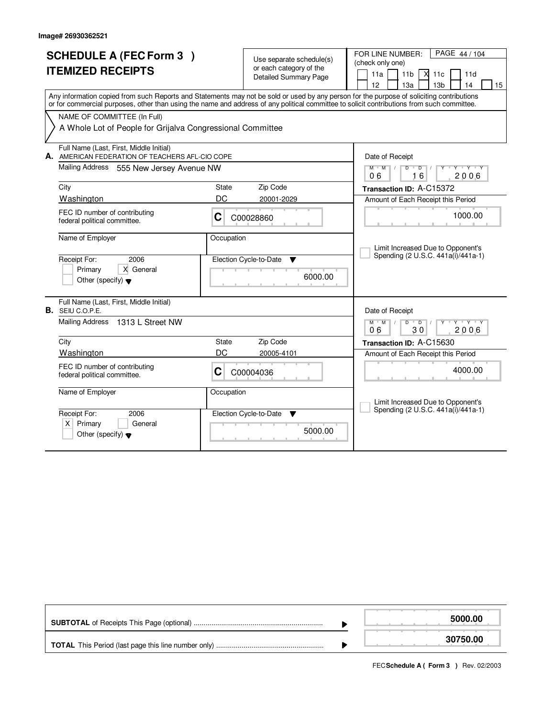|    | <b>SCHEDULE A (FEC Form 3)</b><br><b>ITEMIZED RECEIPTS</b>                                                                                                                                                                                                                              |              | Use separate schedule(s)<br>or each category of the<br><b>Detailed Summary Page</b> | FOR LINE NUMBER:<br>PAGE 44 / 104<br>(check only one)<br>$X$ 11 $c$<br>11a<br>11 <sub>b</sub><br>11d<br>12<br>13 <sub>b</sub><br>14<br>13a<br>15 |
|----|-----------------------------------------------------------------------------------------------------------------------------------------------------------------------------------------------------------------------------------------------------------------------------------------|--------------|-------------------------------------------------------------------------------------|--------------------------------------------------------------------------------------------------------------------------------------------------|
|    | Any information copied from such Reports and Statements may not be sold or used by any person for the purpose of soliciting contributions<br>or for commercial purposes, other than using the name and address of any political committee to solicit contributions from such committee. |              |                                                                                     |                                                                                                                                                  |
|    | NAME OF COMMITTEE (In Full)<br>A Whole Lot of People for Grijalva Congressional Committee                                                                                                                                                                                               |              |                                                                                     |                                                                                                                                                  |
| А. | Full Name (Last, First, Middle Initial)<br>AMERICAN FEDERATION OF TEACHERS AFL-CIO COPE                                                                                                                                                                                                 |              |                                                                                     | Date of Receipt                                                                                                                                  |
|    | <b>Mailing Address</b><br>555 New Jersey Avenue NW                                                                                                                                                                                                                                      |              |                                                                                     | $+$ $\gamma$ $+$ $\gamma$ $+$ $\gamma$<br>$M$ M<br>$D$ <sup>U</sup><br>$\overline{D}$<br>16<br>2006<br>06                                        |
|    | City                                                                                                                                                                                                                                                                                    | State        | Zip Code                                                                            | Transaction ID: A-C15372                                                                                                                         |
|    | Washington                                                                                                                                                                                                                                                                              | DC           | 20001-2029                                                                          | Amount of Each Receipt this Period                                                                                                               |
|    | FEC ID number of contributing<br>federal political committee.                                                                                                                                                                                                                           | C            | C00028860                                                                           | 1000.00                                                                                                                                          |
|    | Name of Employer<br>Receipt For:<br>2006<br>X General<br>Primary<br>Other (specify) $\blacktriangledown$                                                                                                                                                                                | Occupation   | Election Cycle-to-Date<br>▼<br>6000.00                                              | Limit Increased Due to Opponent's<br>Spending (2 U.S.C. 441a(i)/441a-1)                                                                          |
|    | Full Name (Last, First, Middle Initial)<br><b>B.</b> SEIU C.O.P.E.                                                                                                                                                                                                                      |              |                                                                                     |                                                                                                                                                  |
|    | Mailing Address 1313 L Street NW                                                                                                                                                                                                                                                        |              |                                                                                     | Date of Receipt<br>$M$ $M$ $/$<br>$D$ $D$ $1$<br>Y<br>30<br>2006<br>06                                                                           |
|    | City                                                                                                                                                                                                                                                                                    | <b>State</b> | Zip Code                                                                            | Transaction ID: A-C15630                                                                                                                         |
|    | Washington                                                                                                                                                                                                                                                                              | DC           | 20005-4101                                                                          | Amount of Each Receipt this Period                                                                                                               |
|    | FEC ID number of contributing<br>federal political committee.                                                                                                                                                                                                                           | С            | C00004036                                                                           | 4000.00                                                                                                                                          |
|    | Name of Employer                                                                                                                                                                                                                                                                        | Occupation   |                                                                                     | Limit Increased Due to Opponent's                                                                                                                |
|    | Receipt For:<br>2006<br>$X$ Primary<br>General<br>Other (specify) $\blacktriangledown$                                                                                                                                                                                                  |              | Election Cycle-to-Date<br><b>V</b><br>5000.00                                       | Spending (2 U.S.C. 441a(i)/441a-1)                                                                                                               |

|  | 5000.00  |
|--|----------|
|  | 30750.00 |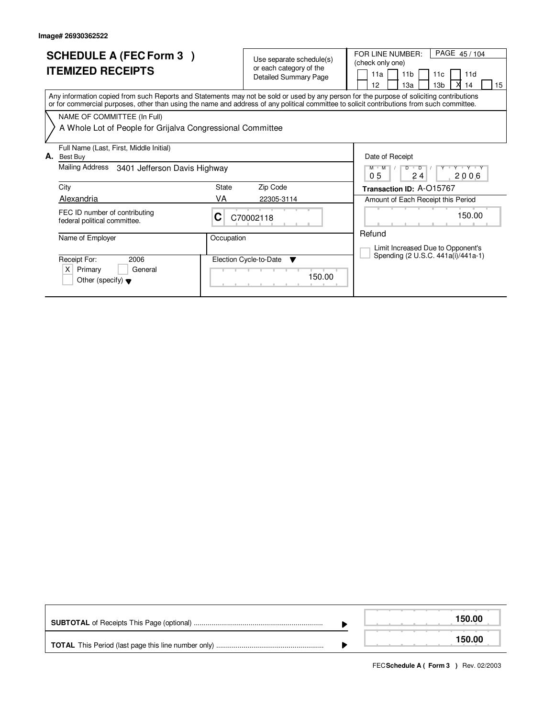| <b>SCHEDULE A (FEC Form 3)</b><br><b>ITEMIZED RECEIPTS</b>                                     | Use separate schedule(s)<br>or each category of the<br><b>Detailed Summary Page</b>                                                                                                                                                                                                     | PAGE 45 / 104<br>FOR LINE NUMBER:<br>(check only one)<br>11a<br>11 <sub>b</sub><br>11d<br>11c<br>12<br>13 <sub>b</sub><br>13a<br>14<br>15 |
|------------------------------------------------------------------------------------------------|-----------------------------------------------------------------------------------------------------------------------------------------------------------------------------------------------------------------------------------------------------------------------------------------|-------------------------------------------------------------------------------------------------------------------------------------------|
|                                                                                                | Any information copied from such Reports and Statements may not be sold or used by any person for the purpose of soliciting contributions<br>or for commercial purposes, other than using the name and address of any political committee to solicit contributions from such committee. |                                                                                                                                           |
| NAME OF COMMITTEE (In Full)<br>A Whole Lot of People for Grijalva Congressional Committee      |                                                                                                                                                                                                                                                                                         |                                                                                                                                           |
| Full Name (Last, First, Middle Initial)<br>А.<br>Best Buy                                      |                                                                                                                                                                                                                                                                                         | Date of Receipt                                                                                                                           |
| Mailing Address<br>3401 Jefferson Davis Highway                                                |                                                                                                                                                                                                                                                                                         | $Y+Y$<br>$M$ $M$<br>$\overline{D}$<br>$\overline{D}$<br>05<br>24<br>2006                                                                  |
| City                                                                                           | Zip Code<br>State                                                                                                                                                                                                                                                                       | Transaction ID: A-015767                                                                                                                  |
| <b>Alexandria</b>                                                                              | VA<br>22305-3114                                                                                                                                                                                                                                                                        | Amount of Each Receipt this Period                                                                                                        |
| FEC ID number of contributing<br>federal political committee.                                  | C<br>C70002118                                                                                                                                                                                                                                                                          | 150.00                                                                                                                                    |
| Name of Employer                                                                               | Occupation                                                                                                                                                                                                                                                                              | Refund<br>Limit Increased Due to Opponent's                                                                                               |
| Receipt For:<br>2006<br>General<br>Primary<br>$\times$<br>Other (specify) $\blacktriangledown$ | Election Cycle-to-Date<br>▼<br>150.00                                                                                                                                                                                                                                                   | Spending (2 U.S.C. 441a(i)/441a-1)                                                                                                        |

|  | 150.00 |
|--|--------|
|  | 150.00 |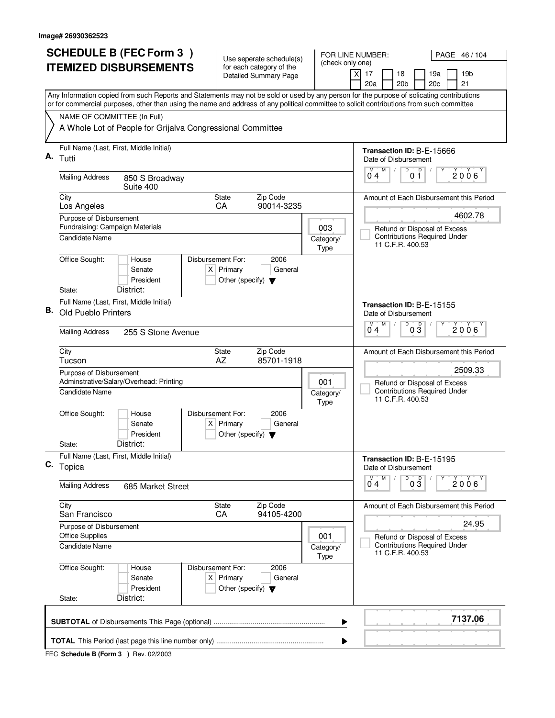|    | <b>SCHEDULE B (FEC Form 3)</b>                                                                                                                                                                                                                                                         | Use seperate schedule(s)                                 | FOR LINE NUMBER:         | PAGE 46/104                                                                             |  |  |  |  |
|----|----------------------------------------------------------------------------------------------------------------------------------------------------------------------------------------------------------------------------------------------------------------------------------------|----------------------------------------------------------|--------------------------|-----------------------------------------------------------------------------------------|--|--|--|--|
|    | <b>ITEMIZED DISBURSEMENTS</b>                                                                                                                                                                                                                                                          | for each category of the<br><b>Detailed Summary Page</b> | (check only one)<br>xl   | 17<br>18<br>19a<br>19 <sub>b</sub>                                                      |  |  |  |  |
|    |                                                                                                                                                                                                                                                                                        |                                                          |                          | 20 <sub>b</sub><br>20c<br>21<br>20a                                                     |  |  |  |  |
|    | Any Information copied from such Reports and Statements may not be sold or used by any person for the purpose of solicating contributions<br>or for commercial purposes, other than using the name and address of any political committee to solicit contributions from such committee |                                                          |                          |                                                                                         |  |  |  |  |
|    | NAME OF COMMITTEE (In Full)                                                                                                                                                                                                                                                            |                                                          |                          |                                                                                         |  |  |  |  |
|    | A Whole Lot of People for Grijalva Congressional Committee                                                                                                                                                                                                                             |                                                          |                          |                                                                                         |  |  |  |  |
| А. | Full Name (Last, First, Middle Initial)<br>Tutti                                                                                                                                                                                                                                       |                                                          |                          | Transaction ID: B-E-15666<br>Date of Disbursement                                       |  |  |  |  |
|    | <b>Mailing Address</b><br>850 S Broadway<br>Suite 400                                                                                                                                                                                                                                  |                                                          |                          | D<br>D<br>M<br>M<br>2006<br>04<br>01                                                    |  |  |  |  |
|    | City<br>State<br>Los Angeles<br>CA                                                                                                                                                                                                                                                     | Zip Code<br>90014-3235                                   |                          | Amount of Each Disbursement this Period                                                 |  |  |  |  |
|    | Purpose of Disbursement<br>Fundraising: Campaign Materials                                                                                                                                                                                                                             |                                                          |                          | 4602.78                                                                                 |  |  |  |  |
|    | <b>Candidate Name</b>                                                                                                                                                                                                                                                                  |                                                          | 003<br>Category/<br>Type | Refund or Disposal of Excess<br><b>Contributions Required Under</b><br>11 C.F.R. 400.53 |  |  |  |  |
|    | Office Sought:<br>Disbursement For:<br>House<br>$X$ Primary<br>Senate<br>President                                                                                                                                                                                                     | 2006<br>General<br>Other (specify) $\blacktriangledown$  |                          |                                                                                         |  |  |  |  |
|    | District:<br>State:                                                                                                                                                                                                                                                                    |                                                          |                          |                                                                                         |  |  |  |  |
|    | Full Name (Last, First, Middle Initial)<br><b>B.</b> Old Pueblo Printers                                                                                                                                                                                                               |                                                          |                          | Transaction ID: B-E-15155<br>Date of Disbursement<br>D<br>M<br>M                        |  |  |  |  |
|    | <b>Mailing Address</b><br>255 S Stone Avenue                                                                                                                                                                                                                                           |                                                          |                          | $0\overline{3}$<br>2006<br>04                                                           |  |  |  |  |
|    | City<br>State<br>AZ<br>Tucson                                                                                                                                                                                                                                                          | Zip Code<br>85701-1918                                   |                          | Amount of Each Disbursement this Period                                                 |  |  |  |  |
|    | Purpose of Disbursement<br>Adminstrative/Salary/Overhead: Printing                                                                                                                                                                                                                     |                                                          | 001                      | 2509.33<br>Refund or Disposal of Excess                                                 |  |  |  |  |
|    | Candidate Name                                                                                                                                                                                                                                                                         |                                                          | Category/<br>Type        | <b>Contributions Required Under</b><br>11 C.F.R. 400.53                                 |  |  |  |  |
|    | Office Sought:<br>Disbursement For:<br>House<br>Senate<br>$X$ Primary<br>President                                                                                                                                                                                                     | 2006<br>General<br>Other (specify) $\blacktriangledown$  |                          |                                                                                         |  |  |  |  |
|    | District:<br>State:                                                                                                                                                                                                                                                                    |                                                          |                          |                                                                                         |  |  |  |  |
| C. | Full Name (Last, First, Middle Initial)<br>Topica                                                                                                                                                                                                                                      |                                                          |                          | Transaction ID: B-E-15195<br>Date of Disbursement                                       |  |  |  |  |
|    | <b>Mailing Address</b><br>685 Market Street                                                                                                                                                                                                                                            |                                                          |                          | D<br>$\overline{0}^M$ 4<br>M<br>$0\frac{D}{3}$<br>2006                                  |  |  |  |  |
|    | City<br>State<br>San Francisco<br>CA                                                                                                                                                                                                                                                   | Zip Code<br>94105-4200                                   |                          | Amount of Each Disbursement this Period                                                 |  |  |  |  |
|    | Purpose of Disbursement<br><b>Office Supplies</b><br>001                                                                                                                                                                                                                               |                                                          |                          | 24.95<br>Refund or Disposal of Excess                                                   |  |  |  |  |
|    | Candidate Name                                                                                                                                                                                                                                                                         |                                                          | Category/<br>Type        | <b>Contributions Required Under</b><br>11 C.F.R. 400.53                                 |  |  |  |  |
|    | Office Sought:<br>House<br>Disbursement For:<br>Senate<br>$X$ Primary<br>President                                                                                                                                                                                                     | 2006<br>General<br>Other (specify) $\blacktriangledown$  |                          |                                                                                         |  |  |  |  |
|    | District:<br>State:                                                                                                                                                                                                                                                                    |                                                          |                          |                                                                                         |  |  |  |  |
|    |                                                                                                                                                                                                                                                                                        |                                                          | ▶                        | 7137.06                                                                                 |  |  |  |  |
|    |                                                                                                                                                                                                                                                                                        |                                                          | ▶                        |                                                                                         |  |  |  |  |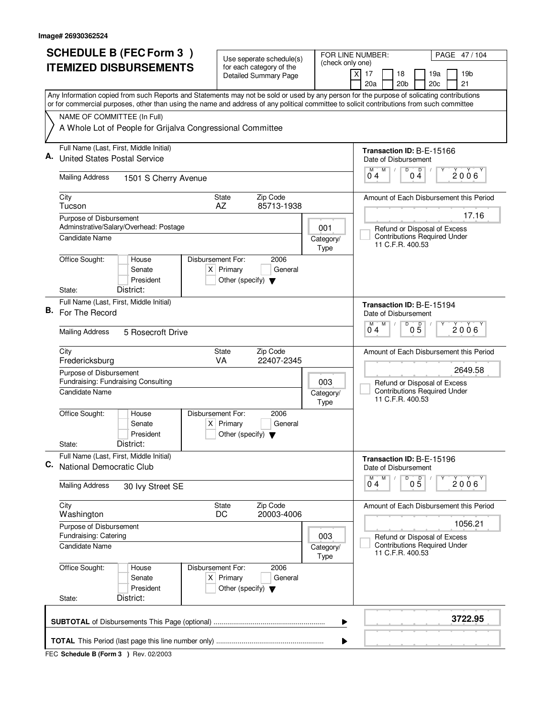|    |                                                                | <b>SCHEDULE B (FEC Form 3)</b>                                                                                                                                                                                                                                                         |                                  |                                                     | Use seperate schedule(s)                                 |  |                                     | FOR LINE NUMBER:                                  |                                     | PAGE 47/104                             |
|----|----------------------------------------------------------------|----------------------------------------------------------------------------------------------------------------------------------------------------------------------------------------------------------------------------------------------------------------------------------------|----------------------------------|-----------------------------------------------------|----------------------------------------------------------|--|-------------------------------------|---------------------------------------------------|-------------------------------------|-----------------------------------------|
|    |                                                                | <b>ITEMIZED DISBURSEMENTS</b>                                                                                                                                                                                                                                                          |                                  |                                                     | for each category of the<br><b>Detailed Summary Page</b> |  | (check only one)                    | $\boldsymbol{\mathsf{X}}$<br>17<br>18             | 19a                                 | 19 <sub>b</sub>                         |
|    |                                                                |                                                                                                                                                                                                                                                                                        |                                  |                                                     |                                                          |  |                                     | 20 <sub>b</sub><br>20a                            | 20c                                 | 21                                      |
|    |                                                                | Any Information copied from such Reports and Statements may not be sold or used by any person for the purpose of solicating contributions<br>or for commercial purposes, other than using the name and address of any political committee to solicit contributions from such committee |                                  |                                                     |                                                          |  |                                     |                                                   |                                     |                                         |
|    | NAME OF COMMITTEE (In Full)                                    |                                                                                                                                                                                                                                                                                        |                                  |                                                     |                                                          |  |                                     |                                                   |                                     |                                         |
|    |                                                                | A Whole Lot of People for Grijalva Congressional Committee                                                                                                                                                                                                                             |                                  |                                                     |                                                          |  |                                     |                                                   |                                     |                                         |
|    | <b>United States Postal Service</b>                            | Full Name (Last, First, Middle Initial)                                                                                                                                                                                                                                                |                                  |                                                     |                                                          |  |                                     | Transaction ID: B-E-15166<br>Date of Disbursement |                                     |                                         |
|    | <b>Mailing Address</b>                                         | 1501 S Cherry Avenue                                                                                                                                                                                                                                                                   |                                  |                                                     |                                                          |  |                                     | M<br>M<br>04                                      | D<br>D<br>04                        | 2006                                    |
|    | City<br>Tucson                                                 |                                                                                                                                                                                                                                                                                        | <b>State</b><br>AZ               |                                                     | Zip Code<br>85713-1938                                   |  |                                     |                                                   |                                     | Amount of Each Disbursement this Period |
|    | Purpose of Disbursement                                        | Adminstrative/Salary/Overhead: Postage                                                                                                                                                                                                                                                 |                                  |                                                     |                                                          |  | 001                                 |                                                   | Refund or Disposal of Excess        | 17.16                                   |
|    | <b>Candidate Name</b>                                          |                                                                                                                                                                                                                                                                                        |                                  |                                                     |                                                          |  | Category/<br>Type                   | 11 C.F.R. 400.53                                  | <b>Contributions Required Under</b> |                                         |
|    | Office Sought:                                                 | House<br>Senate<br>President                                                                                                                                                                                                                                                           | Disbursement For:                | $X$ Primary<br>Other (specify) $\blacktriangledown$ | 2006<br>General                                          |  |                                     |                                                   |                                     |                                         |
|    | State:                                                         | District:                                                                                                                                                                                                                                                                              |                                  |                                                     |                                                          |  |                                     |                                                   |                                     |                                         |
| В. | For The Record                                                 | Full Name (Last, First, Middle Initial)                                                                                                                                                                                                                                                |                                  |                                                     |                                                          |  |                                     | Transaction ID: B-E-15194<br>Date of Disbursement |                                     |                                         |
|    | <b>Mailing Address</b>                                         | 5 Rosecroft Drive                                                                                                                                                                                                                                                                      |                                  |                                                     |                                                          |  |                                     | M<br>M<br>04                                      | $\overline{D}$<br>$0\overline{5}$   | 2006                                    |
|    | City<br>Fredericksburg                                         |                                                                                                                                                                                                                                                                                        | State<br>VA                      |                                                     | Zip Code<br>22407-2345                                   |  |                                     |                                                   |                                     | Amount of Each Disbursement this Period |
|    | Purpose of Disbursement<br>Fundraising: Fundraising Consulting |                                                                                                                                                                                                                                                                                        |                                  |                                                     |                                                          |  | 003<br>Refund or Disposal of Excess |                                                   |                                     | 2649.58                                 |
|    | <b>Candidate Name</b>                                          |                                                                                                                                                                                                                                                                                        |                                  |                                                     |                                                          |  | Category/<br>Type                   | 11 C.F.R. 400.53                                  | <b>Contributions Required Under</b> |                                         |
|    | Office Sought:                                                 | House<br>Senate<br>President                                                                                                                                                                                                                                                           | Disbursement For:<br>$X$ Primary | Other (specify) $\blacktriangledown$                | 2006<br>General                                          |  |                                     |                                                   |                                     |                                         |
|    | State:                                                         | District:                                                                                                                                                                                                                                                                              |                                  |                                                     |                                                          |  |                                     |                                                   |                                     |                                         |
| С. | National Democratic Club                                       | Full Name (Last, First, Middle Initial)                                                                                                                                                                                                                                                |                                  |                                                     |                                                          |  |                                     | Transaction ID: B-E-15196<br>Date of Disbursement |                                     |                                         |
|    | <b>Mailing Address</b>                                         | 30 Ivy Street SE                                                                                                                                                                                                                                                                       |                                  |                                                     |                                                          |  |                                     | M<br>$\overline{0}^M$ 4                           | D<br>$0\overline{5}$                | 2006                                    |
|    | City<br>Washington                                             |                                                                                                                                                                                                                                                                                        | State<br>DC                      |                                                     | Zip Code<br>20003-4006                                   |  |                                     |                                                   |                                     | Amount of Each Disbursement this Period |
|    | Purpose of Disbursement<br>Fundraising: Catering               |                                                                                                                                                                                                                                                                                        |                                  |                                                     |                                                          |  | 003                                 |                                                   | Refund or Disposal of Excess        | 1056.21                                 |
|    | <b>Candidate Name</b>                                          |                                                                                                                                                                                                                                                                                        |                                  |                                                     |                                                          |  | Category/<br>Type                   | 11 C.F.R. 400.53                                  | <b>Contributions Required Under</b> |                                         |
|    | Office Sought:                                                 | House<br>Senate<br>President                                                                                                                                                                                                                                                           | Disbursement For:                | $X$ Primary<br>Other (specify) $\blacktriangledown$ | 2006<br>General                                          |  |                                     |                                                   |                                     |                                         |
|    | State:                                                         | District:                                                                                                                                                                                                                                                                              |                                  |                                                     |                                                          |  |                                     |                                                   |                                     |                                         |
|    |                                                                |                                                                                                                                                                                                                                                                                        |                                  |                                                     |                                                          |  | ▶                                   |                                                   |                                     | 3722.95                                 |
|    |                                                                |                                                                                                                                                                                                                                                                                        |                                  |                                                     |                                                          |  | ▶                                   |                                                   |                                     |                                         |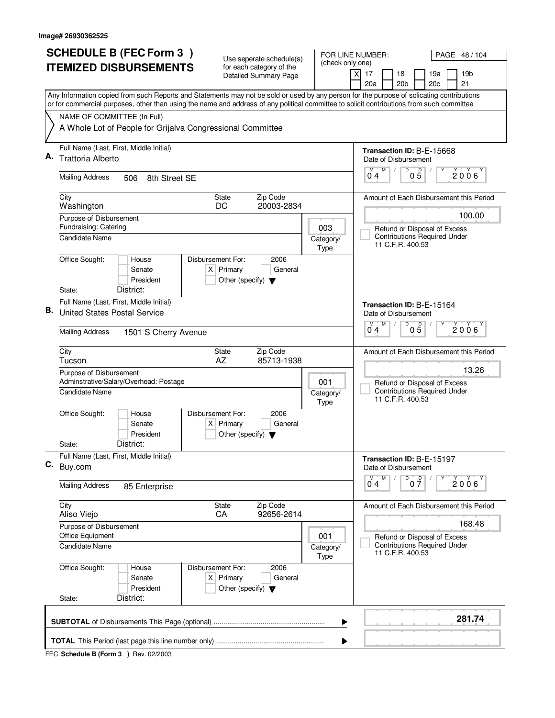|    | <b>SCHEDULE B (FEC Form 3)</b>                                                                                                            | Use seperate schedule(s)                                               |                                                         | FOR LINE NUMBER:<br>PAGE 48 / 104                                                       |
|----|-------------------------------------------------------------------------------------------------------------------------------------------|------------------------------------------------------------------------|---------------------------------------------------------|-----------------------------------------------------------------------------------------|
|    | <b>ITEMIZED DISBURSEMENTS</b>                                                                                                             | for each category of the<br><b>Detailed Summary Page</b>               | (check only one)                                        | $\times$<br>17<br>18<br>19a<br>19b<br>20 <sub>b</sub><br>20c<br>21<br>20a               |
|    | Any Information copied from such Reports and Statements may not be sold or used by any person for the purpose of solicating contributions |                                                                        |                                                         |                                                                                         |
|    | or for commercial purposes, other than using the name and address of any political committee to solicit contributions from such committee |                                                                        |                                                         |                                                                                         |
|    | NAME OF COMMITTEE (In Full)<br>A Whole Lot of People for Grijalva Congressional Committee                                                 |                                                                        |                                                         |                                                                                         |
|    | Full Name (Last, First, Middle Initial)                                                                                                   |                                                                        |                                                         | Transaction ID: B-E-15668                                                               |
| А. | Trattoria Alberto                                                                                                                         |                                                                        |                                                         | Date of Disbursement                                                                    |
|    | <b>Mailing Address</b><br>506<br>8th Street SE                                                                                            |                                                                        |                                                         | M<br>D<br>$0\overline{5}$<br>М<br>$2006^\circ$<br>04                                    |
|    | City<br>Washington                                                                                                                        | Zip Code<br><b>State</b><br>20003-2834<br>DC                           |                                                         | Amount of Each Disbursement this Period                                                 |
|    | Purpose of Disbursement                                                                                                                   |                                                                        |                                                         | 100.00                                                                                  |
|    | Fundraising: Catering<br><b>Candidate Name</b>                                                                                            |                                                                        | 003<br>Category/                                        | Refund or Disposal of Excess<br><b>Contributions Required Under</b>                     |
|    |                                                                                                                                           |                                                                        | Type                                                    | 11 C.F.R. 400.53                                                                        |
|    | Office Sought:<br>Disbursement For:<br>House<br>Senate<br>President                                                                       | 2006<br>$X$ Primary<br>General<br>Other (specify) $\blacktriangledown$ |                                                         |                                                                                         |
|    | District:<br>State:                                                                                                                       |                                                                        |                                                         |                                                                                         |
| В. | Full Name (Last, First, Middle Initial)                                                                                                   |                                                                        |                                                         | Transaction ID: B-E-15164                                                               |
|    | <b>United States Postal Service</b>                                                                                                       |                                                                        |                                                         | Date of Disbursement<br>$\overline{D}$<br>M<br>M                                        |
|    | <b>Mailing Address</b><br>1501 S Cherry Avenue                                                                                            |                                                                        |                                                         | $0\overline{5}$<br>$2006^{\circ}$<br>04                                                 |
|    | City<br>Tucson                                                                                                                            | Zip Code<br>State<br>AZ<br>85713-1938                                  |                                                         | Amount of Each Disbursement this Period                                                 |
|    | Purpose of Disbursement<br>Adminstrative/Salary/Overhead: Postage                                                                         | 13.26<br>Refund or Disposal of Excess                                  |                                                         |                                                                                         |
|    | Candidate Name                                                                                                                            | Category/<br>Type                                                      | <b>Contributions Required Under</b><br>11 C.F.R. 400.53 |                                                                                         |
|    | Office Sought:<br>Disbursement For:<br>House<br>Senate<br>President                                                                       | 2006<br>$X$ Primary<br>General<br>Other (specify) $\blacktriangledown$ |                                                         |                                                                                         |
|    | District:<br>State:                                                                                                                       |                                                                        |                                                         |                                                                                         |
| С. | Full Name (Last, First, Middle Initial)<br>Buy.com                                                                                        |                                                                        |                                                         | Transaction ID: B-E-15197<br>Date of Disbursement                                       |
|    | <b>Mailing Address</b><br>85 Enterprise                                                                                                   |                                                                        |                                                         | D<br>M<br>M<br>0 <sup>0</sup><br>2006<br>04                                             |
|    | City<br>Aliso Viejo                                                                                                                       | State<br>Zip Code<br>CA<br>92656-2614                                  |                                                         | Amount of Each Disbursement this Period                                                 |
|    | Purpose of Disbursement                                                                                                                   |                                                                        |                                                         | 168.48                                                                                  |
|    | Office Equipment<br>Candidate Name                                                                                                        |                                                                        | 001<br>Category/<br>Type                                | Refund or Disposal of Excess<br><b>Contributions Required Under</b><br>11 C.F.R. 400.53 |
|    | Office Sought:<br>Disbursement For:<br>House<br>Senate<br>President                                                                       | 2006<br>$X$ Primary<br>General<br>Other (specify) $\blacktriangledown$ |                                                         |                                                                                         |
|    | District:<br>State:                                                                                                                       |                                                                        |                                                         |                                                                                         |
|    |                                                                                                                                           |                                                                        | ▶                                                       | 281.74                                                                                  |
|    |                                                                                                                                           |                                                                        | ▶                                                       |                                                                                         |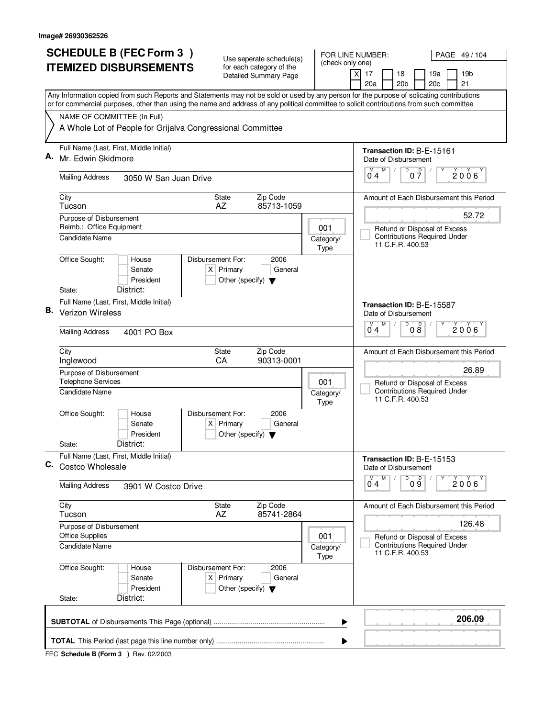|    | <b>SCHEDULE B (FEC Form 3)</b>                                                                                                                                                                                                                                                         | Use seperate schedule(s)                                                                    |                                                                                         | FOR LINE NUMBER:<br>PAGE 49/104                                                         |  |
|----|----------------------------------------------------------------------------------------------------------------------------------------------------------------------------------------------------------------------------------------------------------------------------------------|---------------------------------------------------------------------------------------------|-----------------------------------------------------------------------------------------|-----------------------------------------------------------------------------------------|--|
|    | <b>ITEMIZED DISBURSEMENTS</b>                                                                                                                                                                                                                                                          | for each category of the<br><b>Detailed Summary Page</b>                                    | (check only one)                                                                        | $\boldsymbol{\mathsf{X}}$<br>17<br>18<br>19a<br>19 <sub>b</sub>                         |  |
|    |                                                                                                                                                                                                                                                                                        |                                                                                             |                                                                                         | 20 <sub>b</sub><br>20c<br>21<br>20a                                                     |  |
|    | Any Information copied from such Reports and Statements may not be sold or used by any person for the purpose of solicating contributions<br>or for commercial purposes, other than using the name and address of any political committee to solicit contributions from such committee |                                                                                             |                                                                                         |                                                                                         |  |
|    | NAME OF COMMITTEE (In Full)                                                                                                                                                                                                                                                            |                                                                                             |                                                                                         |                                                                                         |  |
|    | A Whole Lot of People for Grijalva Congressional Committee                                                                                                                                                                                                                             |                                                                                             |                                                                                         |                                                                                         |  |
| А. | Full Name (Last, First, Middle Initial)<br>Mr. Edwin Skidmore                                                                                                                                                                                                                          |                                                                                             |                                                                                         | Transaction ID: B-E-15161                                                               |  |
|    |                                                                                                                                                                                                                                                                                        |                                                                                             |                                                                                         | Date of Disbursement<br>D<br>M<br>$0\frac{D}{7}$<br>М                                   |  |
|    | <b>Mailing Address</b><br>3050 W San Juan Drive                                                                                                                                                                                                                                        |                                                                                             |                                                                                         | 2006<br>04                                                                              |  |
|    | City<br>Tucson                                                                                                                                                                                                                                                                         | Zip Code<br><b>State</b><br>85713-1059<br>AZ                                                |                                                                                         | Amount of Each Disbursement this Period                                                 |  |
|    | Purpose of Disbursement<br>Reimb.: Office Equipment                                                                                                                                                                                                                                    |                                                                                             |                                                                                         | 52.72                                                                                   |  |
|    | Candidate Name                                                                                                                                                                                                                                                                         |                                                                                             | 001<br>Category/                                                                        | Refund or Disposal of Excess<br><b>Contributions Required Under</b><br>11 C.F.R. 400.53 |  |
|    | Office Sought:<br>House                                                                                                                                                                                                                                                                | Disbursement For:<br>2006                                                                   | Type                                                                                    |                                                                                         |  |
|    | Senate                                                                                                                                                                                                                                                                                 | $X$ Primary<br>General                                                                      |                                                                                         |                                                                                         |  |
|    | President<br>District:<br>State:                                                                                                                                                                                                                                                       | Other (specify) $\blacktriangledown$                                                        |                                                                                         |                                                                                         |  |
|    | Full Name (Last, First, Middle Initial)                                                                                                                                                                                                                                                |                                                                                             |                                                                                         | Transaction ID: B-E-15587                                                               |  |
| В. | Verizon Wireless                                                                                                                                                                                                                                                                       |                                                                                             |                                                                                         | Date of Disbursement                                                                    |  |
|    | <b>Mailing Address</b><br>4001 PO Box                                                                                                                                                                                                                                                  | D<br>D<br>M<br>M<br>2006<br>08<br>04                                                        |                                                                                         |                                                                                         |  |
|    | City<br>Inglewood                                                                                                                                                                                                                                                                      | Zip Code<br><b>State</b><br>90313-0001<br>CA                                                |                                                                                         | Amount of Each Disbursement this Period                                                 |  |
|    | Purpose of Disbursement<br><b>Telephone Services</b>                                                                                                                                                                                                                                   | 26.89                                                                                       |                                                                                         |                                                                                         |  |
|    | Candidate Name                                                                                                                                                                                                                                                                         | 001<br>Category/<br>Type                                                                    | Refund or Disposal of Excess<br><b>Contributions Required Under</b><br>11 C.F.R. 400.53 |                                                                                         |  |
|    | Office Sought:<br>House<br>Senate                                                                                                                                                                                                                                                      | Disbursement For:<br>2006<br>$X$ Primary<br>General                                         |                                                                                         |                                                                                         |  |
|    | President<br>District:<br>State:                                                                                                                                                                                                                                                       | Other (specify) $\blacktriangledown$                                                        |                                                                                         |                                                                                         |  |
| С. | Full Name (Last, First, Middle Initial)<br>Costco Wholesale                                                                                                                                                                                                                            |                                                                                             |                                                                                         | Transaction ID: B-E-15153<br>Date of Disbursement                                       |  |
|    |                                                                                                                                                                                                                                                                                        |                                                                                             |                                                                                         | D<br>M<br>09<br>М<br>2006<br>0 <sub>4</sub>                                             |  |
|    | <b>Mailing Address</b><br>3901 W Costco Drive                                                                                                                                                                                                                                          |                                                                                             |                                                                                         |                                                                                         |  |
|    | City<br>Tucson                                                                                                                                                                                                                                                                         | State<br>Zip Code<br>AZ<br>85741-2864                                                       |                                                                                         | Amount of Each Disbursement this Period                                                 |  |
|    | Purpose of Disbursement                                                                                                                                                                                                                                                                |                                                                                             |                                                                                         | 126.48                                                                                  |  |
|    | <b>Office Supplies</b><br><b>Candidate Name</b>                                                                                                                                                                                                                                        |                                                                                             | 001<br>Category/<br>Type                                                                | Refund or Disposal of Excess<br><b>Contributions Required Under</b><br>11 C.F.R. 400.53 |  |
|    | Office Sought:<br>House<br>Senate<br>President                                                                                                                                                                                                                                         | Disbursement For:<br>2006<br>$X$ Primary<br>General<br>Other (specify) $\blacktriangledown$ |                                                                                         |                                                                                         |  |
|    | District:<br>State:                                                                                                                                                                                                                                                                    |                                                                                             |                                                                                         |                                                                                         |  |
|    |                                                                                                                                                                                                                                                                                        |                                                                                             | ▶                                                                                       | 206.09                                                                                  |  |
|    |                                                                                                                                                                                                                                                                                        |                                                                                             | ▶                                                                                       |                                                                                         |  |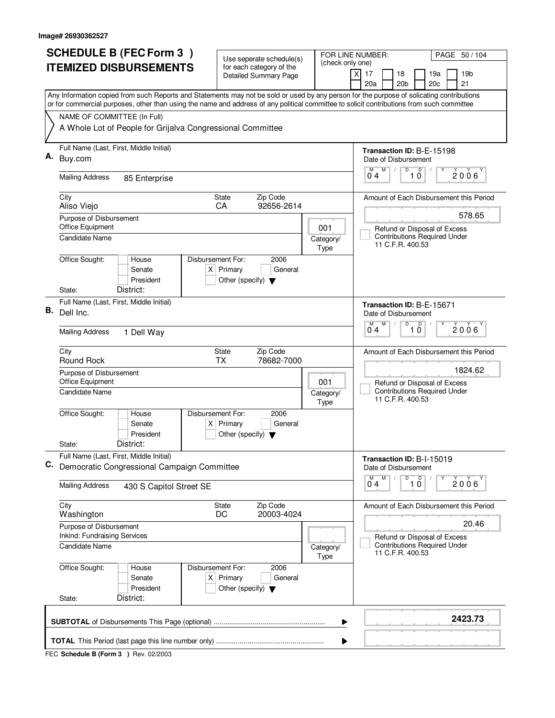|    | <b>SCHEDULE B (FEC Form 3)</b>                                                                                                                                                                                                                                                         | Use seperate schedule(s)                                       |                   | FOR LINE NUMBER:<br>PAGE 50 / 104                                                       |
|----|----------------------------------------------------------------------------------------------------------------------------------------------------------------------------------------------------------------------------------------------------------------------------------------|----------------------------------------------------------------|-------------------|-----------------------------------------------------------------------------------------|
|    | <b>ITEMIZED DISBURSEMENTS</b>                                                                                                                                                                                                                                                          | for each category of the<br><b>Detailed Summary Page</b>       | (check only one)  | χļ<br>17<br>18<br>19a<br>19 <sub>b</sub><br>20a<br>20 <sub>b</sub><br>20c<br>21         |
|    | Any Information copied from such Reports and Statements may not be sold or used by any person for the purpose of solicating contributions<br>or for commercial purposes, other than using the name and address of any political committee to solicit contributions from such committee |                                                                |                   |                                                                                         |
|    | NAME OF COMMITTEE (In Full)                                                                                                                                                                                                                                                            |                                                                |                   |                                                                                         |
|    | A Whole Lot of People for Grijalva Congressional Committee                                                                                                                                                                                                                             |                                                                |                   |                                                                                         |
|    | Full Name (Last, First, Middle Initial)                                                                                                                                                                                                                                                |                                                                |                   | Transaction ID: B-E-15198                                                               |
| Α. | Buy.com                                                                                                                                                                                                                                                                                |                                                                |                   | Date of Disbursement                                                                    |
|    | <b>Mailing Address</b><br>85 Enterprise                                                                                                                                                                                                                                                |                                                                |                   | M<br>D<br>$\overline{10}$<br>$2006^\circ$<br>04                                         |
|    | City<br>Aliso Viejo                                                                                                                                                                                                                                                                    | Zip Code<br>State<br>92656-2614<br><b>CA</b>                   |                   | Amount of Each Disbursement this Period                                                 |
|    | Purpose of Disbursement                                                                                                                                                                                                                                                                |                                                                |                   | 578.65                                                                                  |
|    | Office Equipment<br><b>Candidate Name</b>                                                                                                                                                                                                                                              |                                                                | 001               | Refund or Disposal of Excess<br><b>Contributions Required Under</b>                     |
|    |                                                                                                                                                                                                                                                                                        |                                                                | Category/<br>Type | 11 C.F.R. 400.53                                                                        |
|    | Office Sought:<br>Disbursement For:<br>House                                                                                                                                                                                                                                           | 2006                                                           |                   |                                                                                         |
|    | Senate                                                                                                                                                                                                                                                                                 | $X$ Primary<br>General                                         |                   |                                                                                         |
|    | President<br>District:<br>State:                                                                                                                                                                                                                                                       | Other (specify) $\blacktriangledown$                           |                   |                                                                                         |
|    | Full Name (Last, First, Middle Initial)                                                                                                                                                                                                                                                |                                                                |                   |                                                                                         |
| В. | Dell Inc.                                                                                                                                                                                                                                                                              |                                                                |                   | Transaction ID: B-E-15671<br>Date of Disbursement                                       |
|    |                                                                                                                                                                                                                                                                                        |                                                                |                   | M<br>D<br>D<br>M<br>$2006^{\circ}$                                                      |
|    | <b>Mailing Address</b><br>1 Dell Way                                                                                                                                                                                                                                                   |                                                                |                   | 10<br>04                                                                                |
|    | City<br>Round Rock                                                                                                                                                                                                                                                                     | Zip Code<br>State<br>78682-7000<br><b>TX</b>                   |                   | Amount of Each Disbursement this Period                                                 |
|    | Purpose of Disbursement                                                                                                                                                                                                                                                                |                                                                |                   | 1824.62                                                                                 |
|    | Office Equipment                                                                                                                                                                                                                                                                       |                                                                | 001               | Refund or Disposal of Excess                                                            |
|    | Candidate Name                                                                                                                                                                                                                                                                         |                                                                | Category/<br>Type | <b>Contributions Required Under</b><br>11 C.F.R. 400.53                                 |
|    | Office Sought:<br>Disbursement For:<br>House                                                                                                                                                                                                                                           | 2006                                                           |                   |                                                                                         |
|    | Senate<br>President                                                                                                                                                                                                                                                                    | $X$ Primary<br>General<br>Other (specify) $\blacktriangledown$ |                   |                                                                                         |
|    | District:<br>State:                                                                                                                                                                                                                                                                    |                                                                |                   |                                                                                         |
|    | Full Name (Last, First, Middle Initial)                                                                                                                                                                                                                                                |                                                                |                   | Transaction ID: B-I-15019                                                               |
| C. | Democratic Congressional Campaign Committee                                                                                                                                                                                                                                            |                                                                |                   | Date of Disbursement                                                                    |
|    | <b>Mailing Address</b><br>430 S Capitol Street SE                                                                                                                                                                                                                                      |                                                                |                   | D<br>M<br>$\overline{10}$<br>2006'<br>0 <sub>4</sub>                                    |
|    | City                                                                                                                                                                                                                                                                                   | Zip Code<br>State                                              |                   | Amount of Each Disbursement this Period                                                 |
|    | Washington                                                                                                                                                                                                                                                                             | DC<br>20003-4024                                               |                   |                                                                                         |
|    | Purpose of Disbursement<br><b>Inkind: Fundraising Services</b>                                                                                                                                                                                                                         |                                                                |                   | 20.46                                                                                   |
|    | Candidate Name                                                                                                                                                                                                                                                                         |                                                                | Category/<br>Type | Refund or Disposal of Excess<br><b>Contributions Required Under</b><br>11 C.F.R. 400.53 |
|    | Office Sought:<br>Disbursement For:<br>House                                                                                                                                                                                                                                           | 2006                                                           |                   |                                                                                         |
|    | Senate                                                                                                                                                                                                                                                                                 | $X$ Primary<br>General                                         |                   |                                                                                         |
|    | President<br>District:<br>State:                                                                                                                                                                                                                                                       | Other (specify) $\blacktriangledown$                           |                   |                                                                                         |
|    |                                                                                                                                                                                                                                                                                        |                                                                |                   |                                                                                         |
|    |                                                                                                                                                                                                                                                                                        |                                                                | ▶                 | 2423.73                                                                                 |
|    |                                                                                                                                                                                                                                                                                        |                                                                | ▶                 |                                                                                         |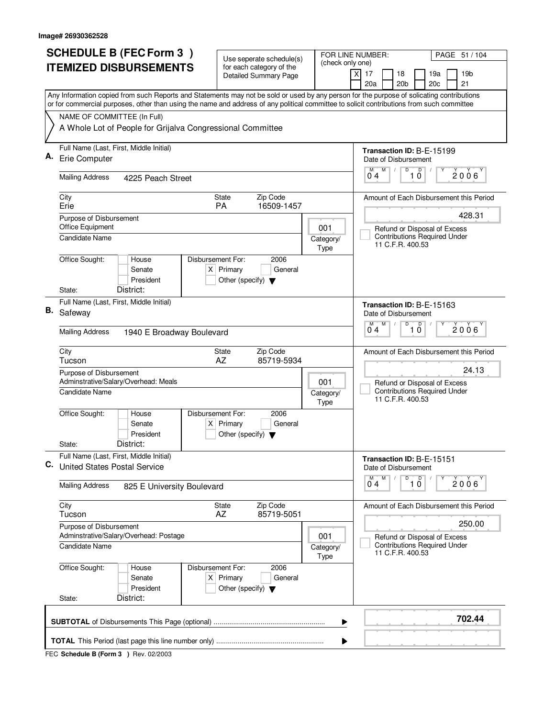|    | <b>SCHEDULE B (FEC Form 3)</b>                                                                                                            | Use seperate schedule(s)                                       |                                                                     | FOR LINE NUMBER:<br>PAGE 51 / 104                                                                      |  |  |  |
|----|-------------------------------------------------------------------------------------------------------------------------------------------|----------------------------------------------------------------|---------------------------------------------------------------------|--------------------------------------------------------------------------------------------------------|--|--|--|
|    | <b>ITEMIZED DISBURSEMENTS</b>                                                                                                             | for each category of the                                       | (check only one)                                                    |                                                                                                        |  |  |  |
|    |                                                                                                                                           | <b>Detailed Summary Page</b>                                   |                                                                     | $\boldsymbol{\mathsf{X}}$<br>17<br>18<br>19a<br>19 <sub>b</sub><br>20 <sub>b</sub><br>20c<br>21<br>20a |  |  |  |
|    | Any Information copied from such Reports and Statements may not be sold or used by any person for the purpose of solicating contributions |                                                                |                                                                     |                                                                                                        |  |  |  |
|    | or for commercial purposes, other than using the name and address of any political committee to solicit contributions from such committee |                                                                |                                                                     |                                                                                                        |  |  |  |
|    | NAME OF COMMITTEE (In Full)                                                                                                               |                                                                |                                                                     |                                                                                                        |  |  |  |
|    | A Whole Lot of People for Grijalva Congressional Committee                                                                                |                                                                |                                                                     |                                                                                                        |  |  |  |
|    | Full Name (Last, First, Middle Initial)                                                                                                   |                                                                |                                                                     | Transaction ID: B-E-15199                                                                              |  |  |  |
|    | Erie Computer                                                                                                                             |                                                                |                                                                     | Date of Disbursement<br>$\overline{D}$<br>$\overline{D}$<br>M                                          |  |  |  |
|    | <b>Mailing Address</b><br>4225 Peach Street                                                                                               |                                                                |                                                                     | 2006<br>10<br>04                                                                                       |  |  |  |
|    | City                                                                                                                                      | Zip Code<br><b>State</b>                                       |                                                                     | Amount of Each Disbursement this Period                                                                |  |  |  |
|    | Erie<br>Purpose of Disbursement                                                                                                           | <b>PA</b><br>16509-1457                                        |                                                                     | 428.31                                                                                                 |  |  |  |
|    | Office Equipment                                                                                                                          |                                                                | 001                                                                 | Refund or Disposal of Excess                                                                           |  |  |  |
|    | <b>Candidate Name</b>                                                                                                                     |                                                                | Category/<br>Type                                                   | <b>Contributions Required Under</b><br>11 C.F.R. 400.53                                                |  |  |  |
|    | Office Sought:<br>Disbursement For:<br>House                                                                                              | 2006                                                           |                                                                     |                                                                                                        |  |  |  |
|    | Senate                                                                                                                                    | $X$ Primary<br>General                                         |                                                                     |                                                                                                        |  |  |  |
|    | President<br>District:<br>State:                                                                                                          | Other (specify) $\blacktriangledown$                           |                                                                     |                                                                                                        |  |  |  |
|    | Full Name (Last, First, Middle Initial)                                                                                                   |                                                                |                                                                     | Transaction ID: B-E-15163                                                                              |  |  |  |
| В. | Safeway                                                                                                                                   |                                                                |                                                                     | Date of Disbursement                                                                                   |  |  |  |
|    | <b>Mailing Address</b><br>1940 E Broadway Boulevard                                                                                       |                                                                | $\overline{D}$<br>M<br>$\mathsf D$<br>M<br>2006<br>$1\bar{0}$<br>04 |                                                                                                        |  |  |  |
|    | City                                                                                                                                      | Zip Code<br>State                                              |                                                                     | Amount of Each Disbursement this Period                                                                |  |  |  |
|    | Tucson<br>Purpose of Disbursement                                                                                                         | AZ<br>85719-5934                                               |                                                                     | 24.13                                                                                                  |  |  |  |
|    | Adminstrative/Salary/Overhead: Meals                                                                                                      | 001                                                            | Refund or Disposal of Excess                                        |                                                                                                        |  |  |  |
|    | <b>Candidate Name</b>                                                                                                                     |                                                                | Category/<br>Type                                                   | <b>Contributions Required Under</b><br>11 C.F.R. 400.53                                                |  |  |  |
|    | Office Sought:<br>Disbursement For:<br>House                                                                                              | 2006                                                           |                                                                     |                                                                                                        |  |  |  |
|    | Senate<br>President                                                                                                                       | $X$ Primary<br>General<br>Other (specify) $\blacktriangledown$ |                                                                     |                                                                                                        |  |  |  |
|    | District:<br>State:                                                                                                                       |                                                                |                                                                     |                                                                                                        |  |  |  |
| C. | Full Name (Last, First, Middle Initial)<br><b>United States Postal Service</b>                                                            |                                                                |                                                                     | Transaction ID: B-E-15151                                                                              |  |  |  |
|    |                                                                                                                                           |                                                                |                                                                     | Date of Disbursement<br>M<br>D<br>M                                                                    |  |  |  |
|    | <b>Mailing Address</b><br>825 E University Boulevard                                                                                      |                                                                |                                                                     | $\overline{1}$ $\overline{0}$<br>2006<br>$0^{\degree}4$                                                |  |  |  |
|    | City<br>Tucson                                                                                                                            | Zip Code<br><b>State</b><br>85719-5051<br>AZ                   |                                                                     | Amount of Each Disbursement this Period                                                                |  |  |  |
|    | Purpose of Disbursement<br>Adminstrative/Salary/Overhead: Postage                                                                         |                                                                |                                                                     | 250.00                                                                                                 |  |  |  |
|    | <b>Candidate Name</b>                                                                                                                     |                                                                | 001<br>Category/<br>Type                                            | Refund or Disposal of Excess<br><b>Contributions Required Under</b><br>11 C.F.R. 400.53                |  |  |  |
|    | Office Sought:<br>Disbursement For:<br>House                                                                                              | 2006                                                           |                                                                     |                                                                                                        |  |  |  |
|    | Senate                                                                                                                                    | $X$ Primary<br>General                                         |                                                                     |                                                                                                        |  |  |  |
|    | President<br>District:<br>State:                                                                                                          | Other (specify) $\blacktriangledown$                           |                                                                     |                                                                                                        |  |  |  |
|    |                                                                                                                                           |                                                                |                                                                     |                                                                                                        |  |  |  |
|    |                                                                                                                                           |                                                                | ▶                                                                   | 702.44                                                                                                 |  |  |  |
|    |                                                                                                                                           |                                                                |                                                                     |                                                                                                        |  |  |  |
|    |                                                                                                                                           |                                                                | ▶                                                                   |                                                                                                        |  |  |  |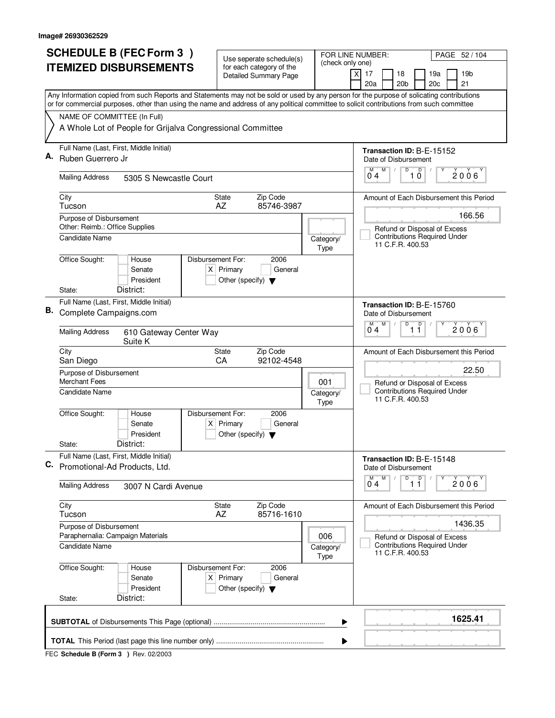|    | <b>SCHEDULE B (FEC Form 3)</b>                                                                                                            | Use seperate schedule(s)                                       |                          | FOR LINE NUMBER:<br>PAGE 52/104                                                         |
|----|-------------------------------------------------------------------------------------------------------------------------------------------|----------------------------------------------------------------|--------------------------|-----------------------------------------------------------------------------------------|
|    | <b>ITEMIZED DISBURSEMENTS</b>                                                                                                             | for each category of the<br><b>Detailed Summary Page</b>       | (check only one)         | $\times$<br>17<br>18<br>19a<br>19b                                                      |
|    | Any Information copied from such Reports and Statements may not be sold or used by any person for the purpose of solicating contributions |                                                                |                          | 20 <sub>b</sub><br>20c<br>21<br>20a                                                     |
|    | or for commercial purposes, other than using the name and address of any political committee to solicit contributions from such committee |                                                                |                          |                                                                                         |
|    | NAME OF COMMITTEE (In Full)                                                                                                               |                                                                |                          |                                                                                         |
|    | A Whole Lot of People for Grijalva Congressional Committee                                                                                |                                                                |                          |                                                                                         |
| Α. | Full Name (Last, First, Middle Initial)                                                                                                   |                                                                |                          | Transaction ID: B-F-15152                                                               |
|    | Ruben Guerrero Jr                                                                                                                         |                                                                |                          | Date of Disbursement<br>M<br>D<br>М                                                     |
|    | <b>Mailing Address</b><br>5305 S Newcastle Court                                                                                          |                                                                |                          | $\overline{1}$ $\overline{0}$<br>$2006^\circ$<br>04                                     |
|    | City<br>Tucson                                                                                                                            | Zip Code<br><b>State</b><br>85746-3987<br>AZ                   |                          | Amount of Each Disbursement this Period                                                 |
|    | Purpose of Disbursement                                                                                                                   |                                                                |                          | 166.56                                                                                  |
|    | Other: Reimb.: Office Supplies                                                                                                            |                                                                |                          | Refund or Disposal of Excess                                                            |
|    | Candidate Name                                                                                                                            |                                                                | Category/<br>Type        | <b>Contributions Required Under</b><br>11 C.F.R. 400.53                                 |
|    | Office Sought:<br>Disbursement For:<br>House                                                                                              | 2006                                                           |                          |                                                                                         |
|    | Senate<br>President                                                                                                                       | $X$ Primary<br>General<br>Other (specify) $\blacktriangledown$ |                          |                                                                                         |
|    | District:<br>State:                                                                                                                       |                                                                |                          |                                                                                         |
|    | Full Name (Last, First, Middle Initial)                                                                                                   |                                                                |                          | Transaction ID: B-E-15760                                                               |
| В. | Complete Campaigns.com                                                                                                                    |                                                                |                          | Date of Disbursement                                                                    |
|    | <b>Mailing Address</b><br>610 Gateway Center Way<br>Suite K                                                                               | M<br>D<br>D<br>M<br>$2006^{\circ}$<br>04<br>11                 |                          |                                                                                         |
|    | City<br>San Diego                                                                                                                         | Zip Code<br>State<br>CA<br>92102-4548                          |                          | Amount of Each Disbursement this Period                                                 |
|    | Purpose of Disbursement<br><b>Merchant Fees</b>                                                                                           | 22.50                                                          |                          |                                                                                         |
|    | Candidate Name                                                                                                                            |                                                                | 001<br>Category/<br>Type | Refund or Disposal of Excess<br><b>Contributions Required Under</b><br>11 C.F.R. 400.53 |
|    | Office Sought:<br>Disbursement For:<br>House                                                                                              | 2006                                                           |                          |                                                                                         |
|    | Senate                                                                                                                                    | $X$ Primary<br>General                                         |                          |                                                                                         |
|    | President<br>District:<br>State:                                                                                                          | Other (specify) $\blacktriangledown$                           |                          |                                                                                         |
| С. | Full Name (Last, First, Middle Initial)                                                                                                   |                                                                |                          | Transaction ID: B-E-15148                                                               |
|    | Promotional-Ad Products, Ltd.                                                                                                             |                                                                |                          | Date of Disbursement<br>D<br>M                                                          |
|    | <b>Mailing Address</b><br>3007 N Cardi Avenue                                                                                             |                                                                |                          | $\overline{1}$ $\overline{1}$<br>2006<br>04                                             |
|    | City<br>Tucson                                                                                                                            | Zip Code<br>State<br>85716-1610<br>AZ                          |                          | Amount of Each Disbursement this Period                                                 |
|    | Purpose of Disbursement                                                                                                                   |                                                                |                          | 1436.35                                                                                 |
|    | Paraphernalia: Campaign Materials<br>Candidate Name                                                                                       |                                                                | 006<br>Category/         | Refund or Disposal of Excess<br><b>Contributions Required Under</b>                     |
|    |                                                                                                                                           |                                                                | Type                     | 11 C.F.R. 400.53                                                                        |
|    | Office Sought:<br>Disbursement For:<br>House<br>Senate                                                                                    | 2006<br>$X$ Primary<br>General                                 |                          |                                                                                         |
|    | President<br>District:<br>State:                                                                                                          | Other (specify) $\blacktriangledown$                           |                          |                                                                                         |
|    |                                                                                                                                           |                                                                | ▶<br>▶                   | 1625.41                                                                                 |
|    |                                                                                                                                           |                                                                |                          |                                                                                         |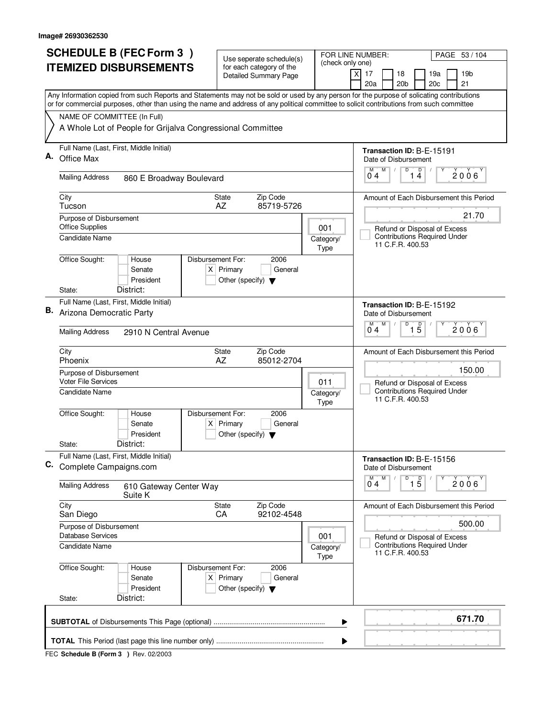| <b>SCHEDULE B (FEC Form 3)</b>                                                                                                                                                                                                                                                         | Use seperate schedule(s)                                       | FOR LINE NUMBER:                                                                        | PAGE 53 / 104                                                                           |  |  |
|----------------------------------------------------------------------------------------------------------------------------------------------------------------------------------------------------------------------------------------------------------------------------------------|----------------------------------------------------------------|-----------------------------------------------------------------------------------------|-----------------------------------------------------------------------------------------|--|--|
| <b>ITEMIZED DISBURSEMENTS</b>                                                                                                                                                                                                                                                          | for each category of the<br><b>Detailed Summary Page</b>       | (check only one)<br>$\times$                                                            | 17<br>18<br>19a<br>19b                                                                  |  |  |
|                                                                                                                                                                                                                                                                                        |                                                                |                                                                                         | 20a<br>20 <sub>b</sub><br>20c<br>21                                                     |  |  |
| Any Information copied from such Reports and Statements may not be sold or used by any person for the purpose of solicating contributions<br>or for commercial purposes, other than using the name and address of any political committee to solicit contributions from such committee |                                                                |                                                                                         |                                                                                         |  |  |
| NAME OF COMMITTEE (In Full)                                                                                                                                                                                                                                                            |                                                                |                                                                                         |                                                                                         |  |  |
| A Whole Lot of People for Grijalva Congressional Committee                                                                                                                                                                                                                             |                                                                |                                                                                         |                                                                                         |  |  |
| Full Name (Last, First, Middle Initial)<br>А.                                                                                                                                                                                                                                          |                                                                |                                                                                         | Transaction ID: B-E-15191                                                               |  |  |
| Office Max                                                                                                                                                                                                                                                                             |                                                                |                                                                                         | Date of Disbursement<br>M<br>D<br>М                                                     |  |  |
| <b>Mailing Address</b><br>860 E Broadway Boulevard                                                                                                                                                                                                                                     |                                                                |                                                                                         | $\overline{1\ 4}$<br>$2006^\circ$<br>04                                                 |  |  |
| City<br>Tucson                                                                                                                                                                                                                                                                         | Zip Code<br><b>State</b><br>AZ<br>85719-5726                   |                                                                                         | Amount of Each Disbursement this Period                                                 |  |  |
| Purpose of Disbursement                                                                                                                                                                                                                                                                |                                                                |                                                                                         | 21.70                                                                                   |  |  |
| <b>Office Supplies</b><br><b>Candidate Name</b>                                                                                                                                                                                                                                        |                                                                | 001<br>Category/                                                                        | Refund or Disposal of Excess<br><b>Contributions Required Under</b>                     |  |  |
|                                                                                                                                                                                                                                                                                        |                                                                | <b>Type</b>                                                                             | 11 C.F.R. 400.53                                                                        |  |  |
| Office Sought:<br>Disbursement For:<br>House<br>Senate                                                                                                                                                                                                                                 | 2006<br>$X$ Primary<br>General                                 |                                                                                         |                                                                                         |  |  |
| President                                                                                                                                                                                                                                                                              | Other (specify) $\blacktriangledown$                           |                                                                                         |                                                                                         |  |  |
| District:<br>State:                                                                                                                                                                                                                                                                    |                                                                |                                                                                         |                                                                                         |  |  |
| Full Name (Last, First, Middle Initial)<br>В.<br>Arizona Democratic Party                                                                                                                                                                                                              |                                                                |                                                                                         | Transaction ID: B-E-15192<br>Date of Disbursement                                       |  |  |
|                                                                                                                                                                                                                                                                                        |                                                                |                                                                                         |                                                                                         |  |  |
| <b>Mailing Address</b><br>2910 N Central Avenue                                                                                                                                                                                                                                        |                                                                |                                                                                         | $\overline{1\,5}$<br>$2006^{\circ}$<br>04                                               |  |  |
| City<br>Phoenix                                                                                                                                                                                                                                                                        | Zip Code<br>State<br>AZ<br>85012-2704                          |                                                                                         | Amount of Each Disbursement this Period                                                 |  |  |
| Purpose of Disbursement<br><b>Voter File Services</b>                                                                                                                                                                                                                                  | 011                                                            | 150.00                                                                                  |                                                                                         |  |  |
| <b>Candidate Name</b>                                                                                                                                                                                                                                                                  | Category/                                                      | Refund or Disposal of Excess<br><b>Contributions Required Under</b><br>11 C.F.R. 400.53 |                                                                                         |  |  |
| Office Sought:<br>Disbursement For:<br>House                                                                                                                                                                                                                                           | 2006                                                           | <b>Type</b>                                                                             |                                                                                         |  |  |
| Senate                                                                                                                                                                                                                                                                                 | $X$ Primary<br>General                                         |                                                                                         |                                                                                         |  |  |
| President<br>District:<br>State:                                                                                                                                                                                                                                                       | Other (specify) $\blacktriangledown$                           |                                                                                         |                                                                                         |  |  |
| Full Name (Last, First, Middle Initial)<br>C.                                                                                                                                                                                                                                          |                                                                |                                                                                         | Transaction ID: B-E-15156                                                               |  |  |
| Complete Campaigns.com                                                                                                                                                                                                                                                                 |                                                                |                                                                                         | Date of Disbursement<br>D<br>M<br>M                                                     |  |  |
| <b>Mailing Address</b><br>610 Gateway Center Way<br>Suite K                                                                                                                                                                                                                            |                                                                |                                                                                         | $\overline{1\,5}$<br>2006'<br>04                                                        |  |  |
| City<br>San Diego                                                                                                                                                                                                                                                                      | State<br>Zip Code<br>CA<br>92102-4548                          |                                                                                         | Amount of Each Disbursement this Period                                                 |  |  |
| Purpose of Disbursement<br>Database Services                                                                                                                                                                                                                                           |                                                                |                                                                                         | 500.00                                                                                  |  |  |
| Candidate Name                                                                                                                                                                                                                                                                         |                                                                | 001<br>Category/<br>Type                                                                | Refund or Disposal of Excess<br><b>Contributions Required Under</b><br>11 C.F.R. 400.53 |  |  |
| Office Sought:<br>House                                                                                                                                                                                                                                                                | Disbursement For:<br>2006                                      |                                                                                         |                                                                                         |  |  |
| Senate<br>President                                                                                                                                                                                                                                                                    | $X$ Primary<br>General<br>Other (specify) $\blacktriangledown$ |                                                                                         |                                                                                         |  |  |
| District:<br>State:                                                                                                                                                                                                                                                                    |                                                                |                                                                                         |                                                                                         |  |  |
|                                                                                                                                                                                                                                                                                        |                                                                | ▶                                                                                       | 671.70                                                                                  |  |  |
|                                                                                                                                                                                                                                                                                        |                                                                | ▶                                                                                       |                                                                                         |  |  |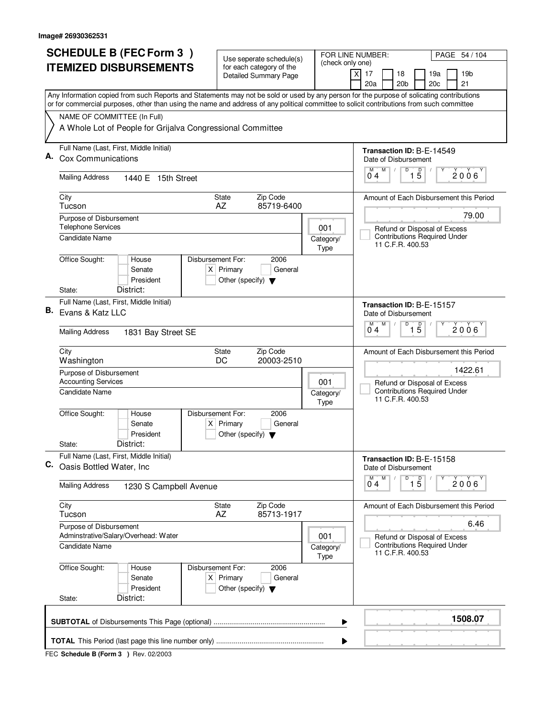|    | <b>SCHEDULE B (FEC Form 3)</b>                                                                                                                                                                                                                                                         | Use seperate schedule(s)                                                                    |                                         | FOR LINE NUMBER:<br>PAGE 54 / 104                         |
|----|----------------------------------------------------------------------------------------------------------------------------------------------------------------------------------------------------------------------------------------------------------------------------------------|---------------------------------------------------------------------------------------------|-----------------------------------------|-----------------------------------------------------------|
|    | <b>ITEMIZED DISBURSEMENTS</b>                                                                                                                                                                                                                                                          | for each category of the<br><b>Detailed Summary Page</b>                                    | (check only one)                        | x<br>17<br>18<br>19a<br>19 <sub>b</sub>                   |
|    |                                                                                                                                                                                                                                                                                        |                                                                                             |                                         | 20a<br>20 <sub>b</sub><br>20c<br>21                       |
|    | Any Information copied from such Reports and Statements may not be sold or used by any person for the purpose of solicating contributions<br>or for commercial purposes, other than using the name and address of any political committee to solicit contributions from such committee |                                                                                             |                                         |                                                           |
|    | NAME OF COMMITTEE (In Full)                                                                                                                                                                                                                                                            |                                                                                             |                                         |                                                           |
|    | A Whole Lot of People for Grijalva Congressional Committee                                                                                                                                                                                                                             |                                                                                             |                                         |                                                           |
| А. | Full Name (Last, First, Middle Initial)<br><b>Cox Communications</b>                                                                                                                                                                                                                   |                                                                                             |                                         | Transaction ID: B-E-14549<br>Date of Disbursement         |
|    | <b>Mailing Address</b><br>1440 E 15th Street                                                                                                                                                                                                                                           |                                                                                             |                                         | D<br>$1\overline{5}$<br>M<br>M<br>2006<br>04              |
|    | City<br>Tucson                                                                                                                                                                                                                                                                         | Zip Code<br>State<br>AZ<br>85719-6400                                                       |                                         | Amount of Each Disbursement this Period                   |
|    | Purpose of Disbursement<br><b>Telephone Services</b>                                                                                                                                                                                                                                   |                                                                                             | 001                                     | 79.00<br>Refund or Disposal of Excess                     |
|    | Candidate Name                                                                                                                                                                                                                                                                         |                                                                                             | Category/<br><b>Type</b>                | <b>Contributions Required Under</b><br>11 C.F.R. 400.53   |
|    | Office Sought:<br>House<br>Senate<br>President                                                                                                                                                                                                                                         | Disbursement For:<br>2006<br>$X$ Primary<br>General<br>Other (specify) $\blacktriangledown$ |                                         |                                                           |
|    | District:<br>State:                                                                                                                                                                                                                                                                    |                                                                                             |                                         |                                                           |
| В. | Full Name (Last, First, Middle Initial)<br>Evans & Katz LLC                                                                                                                                                                                                                            |                                                                                             |                                         | Transaction ID: B-E-15157<br>Date of Disbursement         |
|    | <b>Mailing Address</b><br>1831 Bay Street SE                                                                                                                                                                                                                                           |                                                                                             |                                         | D<br>M<br>M<br>$\overline{1\,5}$<br>2006<br>04            |
|    | City<br>Washington                                                                                                                                                                                                                                                                     | Zip Code<br>State<br>DC<br>20003-2510                                                       |                                         | Amount of Each Disbursement this Period                   |
|    | Purpose of Disbursement<br><b>Accounting Services</b>                                                                                                                                                                                                                                  | 001                                                                                         | 1422.61<br>Refund or Disposal of Excess |                                                           |
|    | Candidate Name                                                                                                                                                                                                                                                                         |                                                                                             | Category/<br><b>Type</b>                | <b>Contributions Required Under</b><br>11 C.F.R. 400.53   |
|    | Office Sought:<br>House<br>Senate<br>President                                                                                                                                                                                                                                         | Disbursement For:<br>2006<br>$X$ Primary<br>General<br>Other (specify) $\blacktriangledown$ |                                         |                                                           |
|    | District:<br>State:                                                                                                                                                                                                                                                                    |                                                                                             |                                         |                                                           |
| C. | Full Name (Last, First, Middle Initial)<br>Oasis Bottled Water, Inc.                                                                                                                                                                                                                   |                                                                                             |                                         | Transaction ID: B-E-15158<br>Date of Disbursement         |
|    | <b>Mailing Address</b><br>1230 S Campbell Avenue                                                                                                                                                                                                                                       |                                                                                             |                                         | M<br>D<br>$\overline{1\,5}$<br>$\overline{0}^M$ 4<br>2006 |
|    | City<br>Tucson                                                                                                                                                                                                                                                                         | Zip Code<br>State<br>AZ<br>85713-1917                                                       |                                         | Amount of Each Disbursement this Period                   |
|    | Purpose of Disbursement<br>Adminstrative/Salary/Overhead: Water                                                                                                                                                                                                                        |                                                                                             | 001                                     | 6.46<br>Refund or Disposal of Excess                      |
|    | <b>Candidate Name</b>                                                                                                                                                                                                                                                                  |                                                                                             | Category/<br>Type                       | <b>Contributions Required Under</b><br>11 C.F.R. 400.53   |
|    | Office Sought:<br>House<br>Senate<br>President                                                                                                                                                                                                                                         | Disbursement For:<br>2006<br>$X$ Primary<br>General<br>Other (specify) $\blacktriangledown$ |                                         |                                                           |
|    | District:<br>State:                                                                                                                                                                                                                                                                    |                                                                                             |                                         |                                                           |
|    |                                                                                                                                                                                                                                                                                        |                                                                                             | ▶                                       | 1508.07                                                   |
|    |                                                                                                                                                                                                                                                                                        |                                                                                             | ▶                                       |                                                           |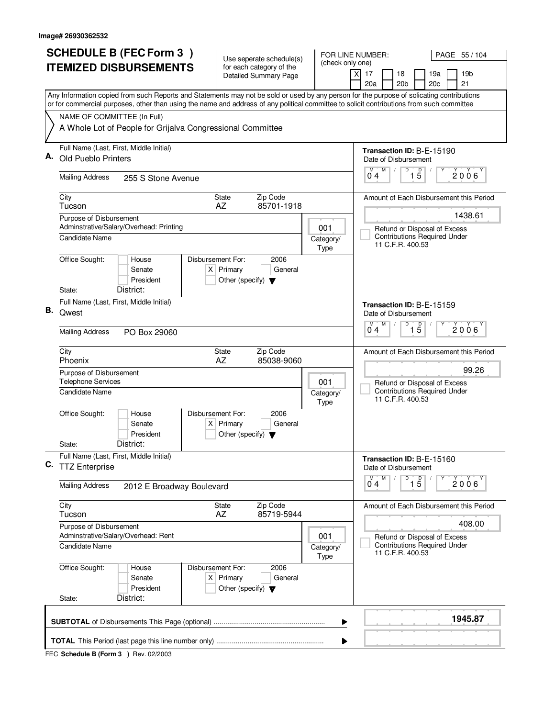|    | <b>SCHEDULE B (FEC Form 3)</b>                                                                                                                                                                                                                                                         |                           |                   | Use seperate schedule(s)                            |                                                          |  | FOR LINE NUMBER:<br>PAGE 55 / 104                                |                                 |                           |                 |                                                                     |                                         |
|----|----------------------------------------------------------------------------------------------------------------------------------------------------------------------------------------------------------------------------------------------------------------------------------------|---------------------------|-------------------|-----------------------------------------------------|----------------------------------------------------------|--|------------------------------------------------------------------|---------------------------------|---------------------------|-----------------|---------------------------------------------------------------------|-----------------------------------------|
|    | <b>ITEMIZED DISBURSEMENTS</b>                                                                                                                                                                                                                                                          |                           |                   |                                                     | for each category of the<br><b>Detailed Summary Page</b> |  | (check only one)                                                 | $\boldsymbol{\mathsf{X}}$<br>17 |                           | 18              | 19a                                                                 | 19 <sub>b</sub>                         |
|    |                                                                                                                                                                                                                                                                                        |                           |                   |                                                     |                                                          |  |                                                                  | 20a                             |                           | 20 <sub>b</sub> | 20c                                                                 | 21                                      |
|    | Any Information copied from such Reports and Statements may not be sold or used by any person for the purpose of solicating contributions<br>or for commercial purposes, other than using the name and address of any political committee to solicit contributions from such committee |                           |                   |                                                     |                                                          |  |                                                                  |                                 |                           |                 |                                                                     |                                         |
|    | NAME OF COMMITTEE (In Full)                                                                                                                                                                                                                                                            |                           |                   |                                                     |                                                          |  |                                                                  |                                 |                           |                 |                                                                     |                                         |
|    | A Whole Lot of People for Grijalva Congressional Committee                                                                                                                                                                                                                             |                           |                   |                                                     |                                                          |  |                                                                  |                                 |                           |                 |                                                                     |                                         |
|    | Full Name (Last, First, Middle Initial)                                                                                                                                                                                                                                                |                           |                   |                                                     |                                                          |  |                                                                  |                                 |                           |                 | Transaction ID: B-E-15190                                           |                                         |
|    | Old Pueblo Printers                                                                                                                                                                                                                                                                    |                           |                   |                                                     |                                                          |  |                                                                  | М                               | Date of Disbursement<br>M | D               |                                                                     |                                         |
|    | <b>Mailing Address</b>                                                                                                                                                                                                                                                                 | 255 S Stone Avenue        |                   |                                                     |                                                          |  |                                                                  | 04                              |                           |                 | $1\overline{5}$                                                     | 2006                                    |
|    | City<br>Tucson                                                                                                                                                                                                                                                                         |                           |                   | <b>State</b><br>AZ                                  | Zip Code<br>85701-1918                                   |  |                                                                  |                                 |                           |                 |                                                                     | Amount of Each Disbursement this Period |
|    | Purpose of Disbursement                                                                                                                                                                                                                                                                |                           |                   |                                                     |                                                          |  |                                                                  |                                 |                           |                 |                                                                     | 1438.61                                 |
|    | Adminstrative/Salary/Overhead: Printing<br>Candidate Name                                                                                                                                                                                                                              |                           |                   |                                                     |                                                          |  | 001<br>Category/                                                 |                                 |                           |                 | Refund or Disposal of Excess<br><b>Contributions Required Under</b> |                                         |
|    |                                                                                                                                                                                                                                                                                        |                           |                   |                                                     |                                                          |  | <b>Type</b>                                                      |                                 | 11 C.F.R. 400.53          |                 |                                                                     |                                         |
|    | Office Sought:                                                                                                                                                                                                                                                                         | House<br>Senate           | Disbursement For: | $X$ Primary                                         | 2006<br>General                                          |  |                                                                  |                                 |                           |                 |                                                                     |                                         |
|    |                                                                                                                                                                                                                                                                                        | President                 |                   | Other (specify) $\blacktriangledown$                |                                                          |  |                                                                  |                                 |                           |                 |                                                                     |                                         |
|    | District:<br>State:                                                                                                                                                                                                                                                                    |                           |                   |                                                     |                                                          |  |                                                                  |                                 |                           |                 |                                                                     |                                         |
| В. | Full Name (Last, First, Middle Initial)<br>Qwest                                                                                                                                                                                                                                       |                           |                   |                                                     |                                                          |  |                                                                  |                                 |                           |                 | Transaction ID: B-E-15159                                           |                                         |
|    |                                                                                                                                                                                                                                                                                        |                           |                   |                                                     |                                                          |  | Date of Disbursement<br>D<br>$\overline{1\,5}$<br>M<br>M<br>2006 |                                 |                           |                 |                                                                     |                                         |
|    | <b>Mailing Address</b><br>PO Box 29060                                                                                                                                                                                                                                                 |                           |                   |                                                     |                                                          |  |                                                                  | 04                              |                           |                 |                                                                     |                                         |
|    | City<br>Phoenix                                                                                                                                                                                                                                                                        |                           |                   | State<br>AZ                                         | Zip Code<br>85038-9060                                   |  |                                                                  |                                 |                           |                 |                                                                     | Amount of Each Disbursement this Period |
|    | Purpose of Disbursement                                                                                                                                                                                                                                                                |                           |                   |                                                     |                                                          |  |                                                                  |                                 |                           |                 | 99.26                                                               |                                         |
|    | <b>Telephone Services</b>                                                                                                                                                                                                                                                              |                           |                   |                                                     |                                                          |  | 001                                                              |                                 |                           |                 | Refund or Disposal of Excess<br><b>Contributions Required Under</b> |                                         |
|    | Candidate Name<br>Category/<br>Type                                                                                                                                                                                                                                                    |                           |                   |                                                     |                                                          |  |                                                                  |                                 | 11 C.F.R. 400.53          |                 |                                                                     |                                         |
|    | Office Sought:                                                                                                                                                                                                                                                                         | House                     | Disbursement For: |                                                     | 2006                                                     |  |                                                                  |                                 |                           |                 |                                                                     |                                         |
|    |                                                                                                                                                                                                                                                                                        | Senate<br>President       |                   | $X$ Primary<br>Other (specify) $\blacktriangledown$ | General                                                  |  |                                                                  |                                 |                           |                 |                                                                     |                                         |
|    | District:<br>State:                                                                                                                                                                                                                                                                    |                           |                   |                                                     |                                                          |  |                                                                  |                                 |                           |                 |                                                                     |                                         |
| С. | Full Name (Last, First, Middle Initial)<br><b>TTZ Enterprise</b>                                                                                                                                                                                                                       |                           |                   |                                                     |                                                          |  |                                                                  |                                 | Date of Disbursement      |                 | Transaction ID: B-E-15160                                           |                                         |
|    | <b>Mailing Address</b>                                                                                                                                                                                                                                                                 | 2012 E Broadway Boulevard |                   |                                                     |                                                          |  |                                                                  | М<br>0 <sub>4</sub>             | M                         | D               | $\overline{1\,5}$                                                   | 2006                                    |
|    | City<br>Tucson                                                                                                                                                                                                                                                                         |                           |                   | State<br>AZ                                         | Zip Code<br>85719-5944                                   |  |                                                                  |                                 |                           |                 |                                                                     | Amount of Each Disbursement this Period |
|    | Purpose of Disbursement                                                                                                                                                                                                                                                                |                           |                   |                                                     |                                                          |  |                                                                  |                                 |                           |                 |                                                                     | 408.00                                  |
|    | Adminstrative/Salary/Overhead: Rent                                                                                                                                                                                                                                                    |                           |                   |                                                     |                                                          |  | 001                                                              | Refund or Disposal of Excess    |                           |                 |                                                                     |                                         |
|    | Candidate Name                                                                                                                                                                                                                                                                         |                           |                   |                                                     |                                                          |  | Category/<br><b>Type</b>                                         |                                 | 11 C.F.R. 400.53          |                 | <b>Contributions Required Under</b>                                 |                                         |
|    | Office Sought:                                                                                                                                                                                                                                                                         | House                     | Disbursement For: |                                                     | 2006                                                     |  |                                                                  |                                 |                           |                 |                                                                     |                                         |
|    |                                                                                                                                                                                                                                                                                        | Senate<br>President       |                   | $X$ Primary<br>Other (specify) $\blacktriangledown$ | General                                                  |  |                                                                  |                                 |                           |                 |                                                                     |                                         |
|    | District:<br>State:                                                                                                                                                                                                                                                                    |                           |                   |                                                     |                                                          |  |                                                                  |                                 |                           |                 |                                                                     |                                         |
|    |                                                                                                                                                                                                                                                                                        |                           |                   |                                                     |                                                          |  | ▶                                                                |                                 |                           |                 |                                                                     | 1945.87                                 |
|    |                                                                                                                                                                                                                                                                                        |                           |                   |                                                     |                                                          |  | ▶                                                                |                                 |                           |                 |                                                                     |                                         |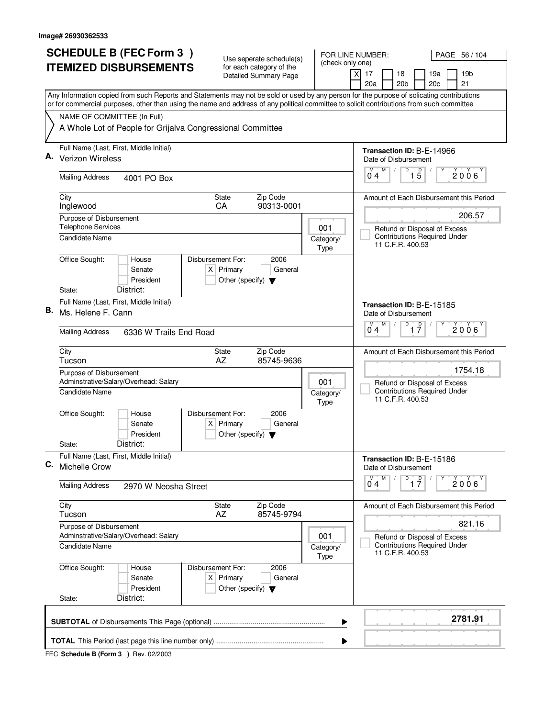|    | <b>SCHEDULE B (FEC Form 3)</b>                                                                                                                                                                                                                                                         | Use seperate schedule(s)                                               |                                                         | FOR LINE NUMBER:<br>PAGE 56 / 104                                         |
|----|----------------------------------------------------------------------------------------------------------------------------------------------------------------------------------------------------------------------------------------------------------------------------------------|------------------------------------------------------------------------|---------------------------------------------------------|---------------------------------------------------------------------------|
|    | <b>ITEMIZED DISBURSEMENTS</b>                                                                                                                                                                                                                                                          | for each category of the<br><b>Detailed Summary Page</b>               | (check only one)                                        | $\times$<br>17<br>18<br>19a<br>19b<br>20a<br>20 <sub>b</sub><br>20c<br>21 |
|    | Any Information copied from such Reports and Statements may not be sold or used by any person for the purpose of solicating contributions<br>or for commercial purposes, other than using the name and address of any political committee to solicit contributions from such committee |                                                                        |                                                         |                                                                           |
|    | NAME OF COMMITTEE (In Full)                                                                                                                                                                                                                                                            |                                                                        |                                                         |                                                                           |
|    | A Whole Lot of People for Grijalva Congressional Committee                                                                                                                                                                                                                             |                                                                        |                                                         |                                                                           |
|    | Full Name (Last, First, Middle Initial)                                                                                                                                                                                                                                                |                                                                        |                                                         | Transaction ID: B-E-14966                                                 |
| А. | <b>Verizon Wireless</b>                                                                                                                                                                                                                                                                |                                                                        |                                                         | Date of Disbursement                                                      |
|    | <b>Mailing Address</b><br>4001 PO Box                                                                                                                                                                                                                                                  |                                                                        |                                                         | M<br>D<br>$\overline{1\phantom{1}5}$<br>М<br>$2006^\circ$<br>04           |
|    | City                                                                                                                                                                                                                                                                                   | Zip Code<br><b>State</b>                                               |                                                         | Amount of Each Disbursement this Period                                   |
|    | Inglewood<br>Purpose of Disbursement                                                                                                                                                                                                                                                   | 90313-0001<br><b>CA</b>                                                |                                                         | 206.57                                                                    |
|    | <b>Telephone Services</b>                                                                                                                                                                                                                                                              |                                                                        | 001                                                     | Refund or Disposal of Excess                                              |
|    | Candidate Name                                                                                                                                                                                                                                                                         |                                                                        | Category/<br><b>Type</b>                                | <b>Contributions Required Under</b><br>11 C.F.R. 400.53                   |
|    | Office Sought:<br>Disbursement For:<br>House<br>Senate<br>President                                                                                                                                                                                                                    | 2006<br>$X$ Primary<br>General<br>Other (specify) $\blacktriangledown$ |                                                         |                                                                           |
|    | District:<br>State:                                                                                                                                                                                                                                                                    |                                                                        |                                                         |                                                                           |
| В. | Full Name (Last, First, Middle Initial)<br>Ms. Helene F. Cann                                                                                                                                                                                                                          |                                                                        |                                                         | Transaction ID: B-E-15185<br>Date of Disbursement                         |
|    | <b>Mailing Address</b><br>6336 W Trails End Road                                                                                                                                                                                                                                       |                                                                        |                                                         | M<br>D<br>$\overline{1}$ $\overline{7}$<br>M<br>$2006^{\circ}$<br>04      |
|    | City<br>Tucson                                                                                                                                                                                                                                                                         | Zip Code<br>State<br>AZ<br>85745-9636                                  |                                                         | Amount of Each Disbursement this Period                                   |
|    | Purpose of Disbursement<br>Adminstrative/Salary/Overhead: Salary                                                                                                                                                                                                                       | 1754.18<br>Refund or Disposal of Excess                                |                                                         |                                                                           |
|    | Candidate Name                                                                                                                                                                                                                                                                         | Category/<br><b>Type</b>                                               | <b>Contributions Required Under</b><br>11 C.F.R. 400.53 |                                                                           |
|    | Office Sought:<br>Disbursement For:<br>House<br>Senate<br>President                                                                                                                                                                                                                    | 2006<br>$X$ Primary<br>General<br>Other (specify) $\blacktriangledown$ |                                                         |                                                                           |
|    | District:<br>State:                                                                                                                                                                                                                                                                    |                                                                        |                                                         |                                                                           |
| С. | Full Name (Last, First, Middle Initial)<br><b>Michelle Crow</b>                                                                                                                                                                                                                        |                                                                        |                                                         | Transaction ID: B-E-15186<br>Date of Disbursement                         |
|    | <b>Mailing Address</b><br>2970 W Neosha Street                                                                                                                                                                                                                                         |                                                                        | D<br>M<br>$\overline{1}$ $\overline{7}$<br>2006<br>04   |                                                                           |
|    | City<br>Tucson                                                                                                                                                                                                                                                                         | State<br>Zip Code<br>AZ<br>85745-9794                                  |                                                         | Amount of Each Disbursement this Period                                   |
|    | Purpose of Disbursement<br>Adminstrative/Salary/Overhead: Salary                                                                                                                                                                                                                       |                                                                        | 001                                                     | 821.16<br>Refund or Disposal of Excess                                    |
|    | Candidate Name                                                                                                                                                                                                                                                                         | Category/<br>Type                                                      | <b>Contributions Required Under</b><br>11 C.F.R. 400.53 |                                                                           |
|    | Office Sought:<br>Disbursement For:<br>House<br>Senate<br>President                                                                                                                                                                                                                    | 2006<br>$X$ Primary<br>General<br>Other (specify) $\blacktriangledown$ |                                                         |                                                                           |
|    | District:<br>State:                                                                                                                                                                                                                                                                    |                                                                        |                                                         |                                                                           |
|    |                                                                                                                                                                                                                                                                                        |                                                                        | ▶                                                       | 2781.91                                                                   |
|    |                                                                                                                                                                                                                                                                                        |                                                                        | ▶                                                       |                                                                           |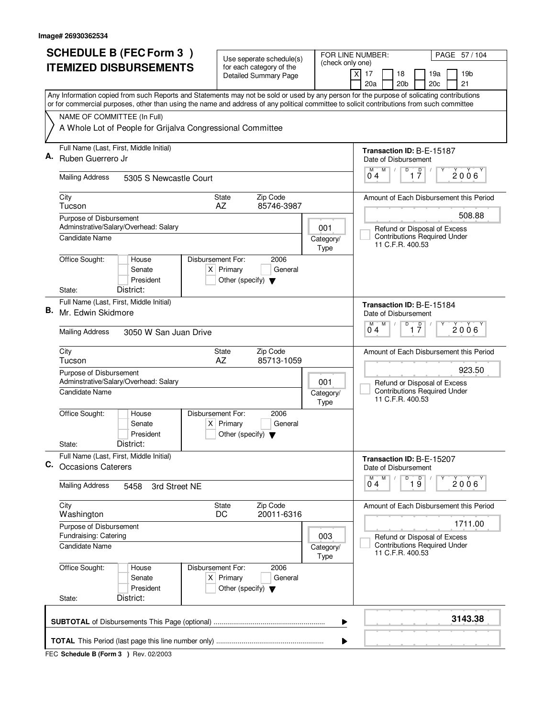|    |                                                                  | <b>SCHEDULE B (FEC Form 3)</b>                                                                                                                                                                                                                                                         |                   |                                                                          | Use seperate schedule(s)                                 |  |                                                                            | FOR LINE NUMBER:                                  |                                                 | PAGE 57 / 104                           |
|----|------------------------------------------------------------------|----------------------------------------------------------------------------------------------------------------------------------------------------------------------------------------------------------------------------------------------------------------------------------------|-------------------|--------------------------------------------------------------------------|----------------------------------------------------------|--|----------------------------------------------------------------------------|---------------------------------------------------|-------------------------------------------------|-----------------------------------------|
|    |                                                                  | <b>ITEMIZED DISBURSEMENTS</b>                                                                                                                                                                                                                                                          |                   |                                                                          | for each category of the<br><b>Detailed Summary Page</b> |  | (check only one)                                                           | $\times$<br>17<br>18                              | 19a                                             | 19 <sub>b</sub>                         |
|    |                                                                  |                                                                                                                                                                                                                                                                                        |                   |                                                                          |                                                          |  |                                                                            | 20 <sub>b</sub><br>20a                            | 20c                                             | 21                                      |
|    |                                                                  | Any Information copied from such Reports and Statements may not be sold or used by any person for the purpose of solicating contributions<br>or for commercial purposes, other than using the name and address of any political committee to solicit contributions from such committee |                   |                                                                          |                                                          |  |                                                                            |                                                   |                                                 |                                         |
|    | NAME OF COMMITTEE (In Full)                                      |                                                                                                                                                                                                                                                                                        |                   |                                                                          |                                                          |  |                                                                            |                                                   |                                                 |                                         |
|    |                                                                  | A Whole Lot of People for Grijalva Congressional Committee                                                                                                                                                                                                                             |                   |                                                                          |                                                          |  |                                                                            |                                                   |                                                 |                                         |
| А. | Ruben Guerrero Jr                                                | Full Name (Last, First, Middle Initial)                                                                                                                                                                                                                                                |                   |                                                                          |                                                          |  |                                                                            | Transaction ID: B-E-15187<br>Date of Disbursement |                                                 |                                         |
|    | <b>Mailing Address</b>                                           | 5305 S Newcastle Court                                                                                                                                                                                                                                                                 |                   |                                                                          |                                                          |  |                                                                            | M<br>M<br>04                                      | D<br>$\overline{\mathsf{D}}$<br>17              | 2006                                    |
|    | City<br>Tucson                                                   |                                                                                                                                                                                                                                                                                        |                   | <b>State</b><br>AZ                                                       | Zip Code<br>85746-3987                                   |  |                                                                            |                                                   |                                                 | Amount of Each Disbursement this Period |
|    | Purpose of Disbursement                                          | Adminstrative/Salary/Overhead: Salary                                                                                                                                                                                                                                                  |                   |                                                                          |                                                          |  | 001                                                                        |                                                   | Refund or Disposal of Excess                    | 508.88                                  |
|    | Candidate Name                                                   |                                                                                                                                                                                                                                                                                        |                   |                                                                          |                                                          |  | Category/<br><b>Type</b>                                                   | 11 C.F.R. 400.53                                  | <b>Contributions Required Under</b>             |                                         |
|    | Office Sought:                                                   | House<br>Senate<br>President                                                                                                                                                                                                                                                           | Disbursement For: | $X$ Primary<br>Other (specify) $\blacktriangledown$                      | 2006<br>General                                          |  |                                                                            |                                                   |                                                 |                                         |
|    | State:                                                           | District:                                                                                                                                                                                                                                                                              |                   |                                                                          |                                                          |  |                                                                            |                                                   |                                                 |                                         |
| В. | Mr. Edwin Skidmore                                               | Full Name (Last, First, Middle Initial)                                                                                                                                                                                                                                                |                   |                                                                          |                                                          |  |                                                                            | Transaction ID: B-E-15184<br>Date of Disbursement |                                                 |                                         |
|    | <b>Mailing Address</b>                                           | 3050 W San Juan Drive                                                                                                                                                                                                                                                                  |                   |                                                                          |                                                          |  |                                                                            | M<br>M<br>04                                      | $\overline{D}$<br>$\overline{1}$ $\overline{7}$ | 2006                                    |
|    | City<br>Tucson                                                   |                                                                                                                                                                                                                                                                                        |                   | State<br>AZ                                                              | Zip Code<br>85713-1059                                   |  |                                                                            |                                                   |                                                 | Amount of Each Disbursement this Period |
|    | Purpose of Disbursement<br>Adminstrative/Salary/Overhead: Salary |                                                                                                                                                                                                                                                                                        |                   |                                                                          |                                                          |  | 001<br>Refund or Disposal of Excess<br><b>Contributions Required Under</b> |                                                   |                                                 | 923.50                                  |
|    | <b>Candidate Name</b>                                            |                                                                                                                                                                                                                                                                                        |                   |                                                                          |                                                          |  | Category/<br>Type                                                          | 11 C.F.R. 400.53                                  |                                                 |                                         |
|    | Office Sought:                                                   | House<br>Senate<br>President                                                                                                                                                                                                                                                           | Disbursement For: | $X$ Primary<br>Other (specify) $\blacktriangledown$                      | 2006<br>General                                          |  |                                                                            |                                                   |                                                 |                                         |
|    | State:                                                           | District:                                                                                                                                                                                                                                                                              |                   |                                                                          |                                                          |  |                                                                            |                                                   |                                                 |                                         |
| С. | <b>Occasions Caterers</b>                                        | Full Name (Last, First, Middle Initial)                                                                                                                                                                                                                                                |                   |                                                                          |                                                          |  |                                                                            | Transaction ID: B-E-15207<br>Date of Disbursement |                                                 |                                         |
|    | <b>Mailing Address</b>                                           | 3rd Street NE<br>5458                                                                                                                                                                                                                                                                  |                   |                                                                          |                                                          |  |                                                                            | $\overline{0}^M$ 4<br>M                           | D<br>$\overline{1}$ $\overline{9}$<br>Υ         | 2006                                    |
|    | City<br>Washington                                               |                                                                                                                                                                                                                                                                                        |                   | State<br>DC                                                              | Zip Code<br>20011-6316                                   |  |                                                                            |                                                   |                                                 | Amount of Each Disbursement this Period |
|    | Purpose of Disbursement<br>Fundraising: Catering                 |                                                                                                                                                                                                                                                                                        |                   |                                                                          |                                                          |  | 003                                                                        |                                                   | Refund or Disposal of Excess                    | 1711.00                                 |
|    | <b>Candidate Name</b>                                            |                                                                                                                                                                                                                                                                                        |                   |                                                                          |                                                          |  | Category/<br>Type                                                          | 11 C.F.R. 400.53                                  | <b>Contributions Required Under</b>             |                                         |
|    | Office Sought:                                                   | House<br>Senate<br>President                                                                                                                                                                                                                                                           |                   | Disbursement For:<br>$X$ Primary<br>Other (specify) $\blacktriangledown$ | 2006<br>General                                          |  |                                                                            |                                                   |                                                 |                                         |
|    | State:                                                           | District:                                                                                                                                                                                                                                                                              |                   |                                                                          |                                                          |  |                                                                            |                                                   |                                                 |                                         |
|    |                                                                  |                                                                                                                                                                                                                                                                                        |                   |                                                                          |                                                          |  | ▶                                                                          |                                                   |                                                 | 3143.38                                 |
|    |                                                                  |                                                                                                                                                                                                                                                                                        |                   |                                                                          |                                                          |  | ▶                                                                          |                                                   |                                                 |                                         |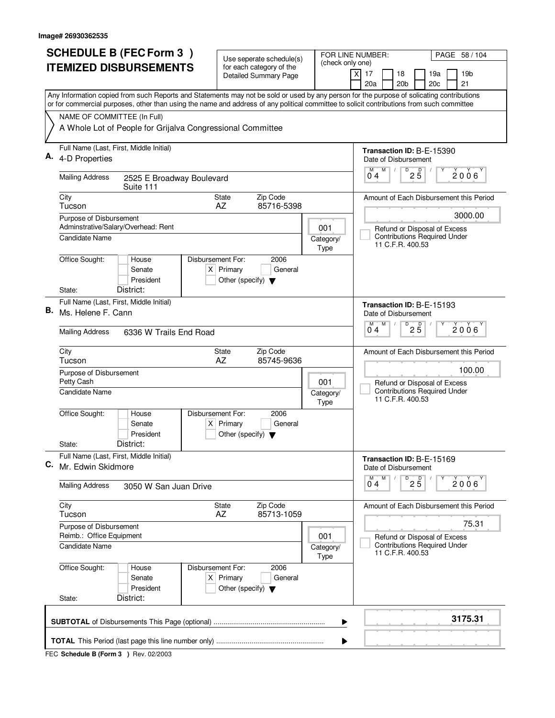|    | <b>SCHEDULE B (FEC Form 3)</b>                                                                                                                                                                                                                                                         | Use seperate schedule(s)                                               |                                                         | FOR LINE NUMBER:<br>PAGE 58 / 104                                                       |  |  |  |
|----|----------------------------------------------------------------------------------------------------------------------------------------------------------------------------------------------------------------------------------------------------------------------------------------|------------------------------------------------------------------------|---------------------------------------------------------|-----------------------------------------------------------------------------------------|--|--|--|
|    | <b>ITEMIZED DISBURSEMENTS</b>                                                                                                                                                                                                                                                          | for each category of the<br><b>Detailed Summary Page</b>               |                                                         | (check only one)<br>$\boldsymbol{\mathsf{X}}$<br>17<br>18<br>19a<br>19 <sub>b</sub>     |  |  |  |
|    |                                                                                                                                                                                                                                                                                        |                                                                        |                                                         | 20 <sub>b</sub><br>20c<br>21<br>20a                                                     |  |  |  |
|    | Any Information copied from such Reports and Statements may not be sold or used by any person for the purpose of solicating contributions<br>or for commercial purposes, other than using the name and address of any political committee to solicit contributions from such committee |                                                                        |                                                         |                                                                                         |  |  |  |
|    | NAME OF COMMITTEE (In Full)                                                                                                                                                                                                                                                            |                                                                        |                                                         |                                                                                         |  |  |  |
|    | A Whole Lot of People for Grijalva Congressional Committee                                                                                                                                                                                                                             |                                                                        |                                                         |                                                                                         |  |  |  |
|    | Full Name (Last, First, Middle Initial)                                                                                                                                                                                                                                                |                                                                        |                                                         | Transaction ID: B-E-15390                                                               |  |  |  |
|    | 4-D Properties                                                                                                                                                                                                                                                                         |                                                                        |                                                         | Date of Disbursement<br>М<br>M                                                          |  |  |  |
|    | <b>Mailing Address</b><br>2525 E Broadway Boulevard<br>Suite 111                                                                                                                                                                                                                       |                                                                        |                                                         | $D$ <sub>2</sub> $\overline{5}$<br>2006<br>04                                           |  |  |  |
|    | City<br>Tucson                                                                                                                                                                                                                                                                         | <b>State</b><br>Zip Code<br>AZ<br>85716-5398                           |                                                         | Amount of Each Disbursement this Period                                                 |  |  |  |
|    | Purpose of Disbursement                                                                                                                                                                                                                                                                |                                                                        |                                                         | 3000.00                                                                                 |  |  |  |
|    | Adminstrative/Salary/Overhead: Rent<br>Candidate Name                                                                                                                                                                                                                                  |                                                                        | 001                                                     | Refund or Disposal of Excess<br><b>Contributions Required Under</b>                     |  |  |  |
|    |                                                                                                                                                                                                                                                                                        |                                                                        | Category/<br><b>Type</b>                                | 11 C.F.R. 400.53                                                                        |  |  |  |
|    | Office Sought:<br>Disbursement For:<br>House                                                                                                                                                                                                                                           | 2006                                                                   |                                                         |                                                                                         |  |  |  |
|    | Senate<br>President                                                                                                                                                                                                                                                                    | $X$ Primary<br>General<br>Other (specify) $\blacktriangledown$         |                                                         |                                                                                         |  |  |  |
|    | District:<br>State:                                                                                                                                                                                                                                                                    |                                                                        |                                                         |                                                                                         |  |  |  |
| В. | Full Name (Last, First, Middle Initial)                                                                                                                                                                                                                                                |                                                                        |                                                         | Transaction ID: B-E-15193                                                               |  |  |  |
|    | Ms. Helene F. Cann                                                                                                                                                                                                                                                                     |                                                                        |                                                         | Date of Disbursement<br>$\overline{D}$<br>м<br>M                                        |  |  |  |
|    | <b>Mailing Address</b><br>6336 W Trails End Road                                                                                                                                                                                                                                       | $2\overline{5}$<br>2006<br>04                                          |                                                         |                                                                                         |  |  |  |
|    | City<br>Tucson                                                                                                                                                                                                                                                                         | Zip Code<br>State<br>AZ<br>85745-9636                                  |                                                         | Amount of Each Disbursement this Period                                                 |  |  |  |
|    | Purpose of Disbursement<br>Petty Cash                                                                                                                                                                                                                                                  | 100.00<br>Refund or Disposal of Excess                                 |                                                         |                                                                                         |  |  |  |
|    | Candidate Name                                                                                                                                                                                                                                                                         | 001<br>Category/<br>Type                                               | <b>Contributions Required Under</b><br>11 C.F.R. 400.53 |                                                                                         |  |  |  |
|    | Office Sought:<br>Disbursement For:<br>House                                                                                                                                                                                                                                           | 2006                                                                   |                                                         |                                                                                         |  |  |  |
|    | Senate<br>President                                                                                                                                                                                                                                                                    | $X$ Primary<br>General<br>Other (specify) $\blacktriangledown$         |                                                         |                                                                                         |  |  |  |
|    | District:<br>State:                                                                                                                                                                                                                                                                    |                                                                        |                                                         |                                                                                         |  |  |  |
| С. | Full Name (Last, First, Middle Initial)<br>Mr. Edwin Skidmore                                                                                                                                                                                                                          |                                                                        |                                                         | Transaction ID: B-E-15169<br>Date of Disbursement                                       |  |  |  |
|    | <b>Mailing Address</b><br>3050 W San Juan Drive                                                                                                                                                                                                                                        |                                                                        |                                                         | $D$ <sub>2</sub> $\overline{5}$<br>M<br>М<br>$2006^{\circ}$<br>0 <sub>4</sub>           |  |  |  |
|    | City<br>Tucson                                                                                                                                                                                                                                                                         | Zip Code<br>State<br>AZ<br>85713-1059                                  |                                                         | Amount of Each Disbursement this Period                                                 |  |  |  |
|    | Purpose of Disbursement                                                                                                                                                                                                                                                                |                                                                        |                                                         | 75.31                                                                                   |  |  |  |
|    | Reimb.: Office Equipment<br>Candidate Name                                                                                                                                                                                                                                             |                                                                        | 001<br>Category/<br><b>Type</b>                         | Refund or Disposal of Excess<br><b>Contributions Required Under</b><br>11 C.F.R. 400.53 |  |  |  |
|    | Office Sought:<br>Disbursement For:<br>House<br>Senate<br>President                                                                                                                                                                                                                    | 2006<br>$X$ Primary<br>General<br>Other (specify) $\blacktriangledown$ |                                                         |                                                                                         |  |  |  |
|    | District:<br>State:                                                                                                                                                                                                                                                                    |                                                                        |                                                         |                                                                                         |  |  |  |
|    |                                                                                                                                                                                                                                                                                        |                                                                        | ▶<br>▶                                                  | 3175.31                                                                                 |  |  |  |
|    |                                                                                                                                                                                                                                                                                        |                                                                        |                                                         |                                                                                         |  |  |  |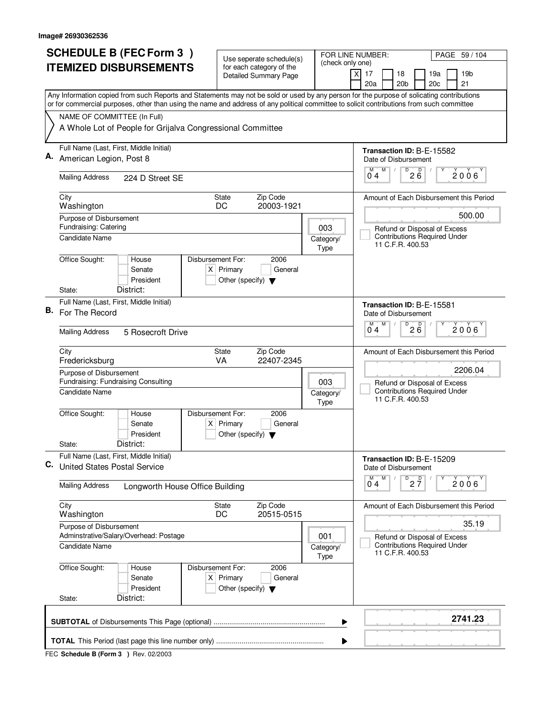|    | <b>SCHEDULE B (FEC Form 3)</b>                                                                                                                                                                                                                                                         | Use seperate schedule(s)                                       |                                                                     | FOR LINE NUMBER:<br>PAGE 59 / 104                                                       |  |  |  |  |  |  |
|----|----------------------------------------------------------------------------------------------------------------------------------------------------------------------------------------------------------------------------------------------------------------------------------------|----------------------------------------------------------------|---------------------------------------------------------------------|-----------------------------------------------------------------------------------------|--|--|--|--|--|--|
|    | <b>ITEMIZED DISBURSEMENTS</b>                                                                                                                                                                                                                                                          | for each category of the<br>Detailed Summary Page              | (check only one)                                                    | 19 <sub>b</sub><br>$\boldsymbol{\mathsf{X}}$<br>17<br>18<br>19a                         |  |  |  |  |  |  |
|    |                                                                                                                                                                                                                                                                                        |                                                                |                                                                     | 20 <sub>b</sub><br>20c<br>21<br>20a                                                     |  |  |  |  |  |  |
|    | Any Information copied from such Reports and Statements may not be sold or used by any person for the purpose of solicating contributions<br>or for commercial purposes, other than using the name and address of any political committee to solicit contributions from such committee |                                                                |                                                                     |                                                                                         |  |  |  |  |  |  |
|    | NAME OF COMMITTEE (In Full)                                                                                                                                                                                                                                                            |                                                                |                                                                     |                                                                                         |  |  |  |  |  |  |
|    | A Whole Lot of People for Grijalva Congressional Committee                                                                                                                                                                                                                             |                                                                |                                                                     |                                                                                         |  |  |  |  |  |  |
|    | Full Name (Last, First, Middle Initial)                                                                                                                                                                                                                                                |                                                                |                                                                     | Transaction ID: B-E-15582                                                               |  |  |  |  |  |  |
|    | American Legion, Post 8                                                                                                                                                                                                                                                                |                                                                |                                                                     | Date of Disbursement<br>D<br>M                                                          |  |  |  |  |  |  |
|    | <b>Mailing Address</b><br>224 D Street SE                                                                                                                                                                                                                                              |                                                                |                                                                     | 26<br>2006<br>0 <sub>4</sub>                                                            |  |  |  |  |  |  |
|    | City<br>Washington                                                                                                                                                                                                                                                                     | Zip Code<br><b>State</b><br>20003-1921<br>DC                   |                                                                     | Amount of Each Disbursement this Period                                                 |  |  |  |  |  |  |
|    | Purpose of Disbursement                                                                                                                                                                                                                                                                |                                                                |                                                                     | 500.00                                                                                  |  |  |  |  |  |  |
|    | Fundraising: Catering<br><b>Candidate Name</b>                                                                                                                                                                                                                                         |                                                                | 003<br>Category/                                                    | Refund or Disposal of Excess<br><b>Contributions Required Under</b>                     |  |  |  |  |  |  |
|    |                                                                                                                                                                                                                                                                                        |                                                                | Type                                                                | 11 C.F.R. 400.53                                                                        |  |  |  |  |  |  |
|    | Office Sought:<br>Disbursement For:<br>House<br>Senate                                                                                                                                                                                                                                 | 2006<br>$X$ Primary<br>General                                 |                                                                     |                                                                                         |  |  |  |  |  |  |
|    | President                                                                                                                                                                                                                                                                              | Other (specify) $\blacktriangledown$                           |                                                                     |                                                                                         |  |  |  |  |  |  |
|    | District:<br>State:                                                                                                                                                                                                                                                                    |                                                                |                                                                     |                                                                                         |  |  |  |  |  |  |
| В. | Full Name (Last, First, Middle Initial)<br>For The Record                                                                                                                                                                                                                              |                                                                | Transaction ID: B-E-15581                                           |                                                                                         |  |  |  |  |  |  |
|    |                                                                                                                                                                                                                                                                                        |                                                                |                                                                     | Date of Disbursement<br>D<br>M<br>M                                                     |  |  |  |  |  |  |
|    | <b>Mailing Address</b><br>5 Rosecroft Drive                                                                                                                                                                                                                                            |                                                                |                                                                     | 200<br>2006<br>04                                                                       |  |  |  |  |  |  |
|    | City<br>Fredericksburg                                                                                                                                                                                                                                                                 | Zip Code<br>State<br>VA<br>22407-2345                          |                                                                     | Amount of Each Disbursement this Period                                                 |  |  |  |  |  |  |
|    | Purpose of Disbursement                                                                                                                                                                                                                                                                | 2206.04                                                        |                                                                     |                                                                                         |  |  |  |  |  |  |
|    | Fundraising: Fundraising Consulting<br>Candidate Name                                                                                                                                                                                                                                  | 003                                                            | Refund or Disposal of Excess<br><b>Contributions Required Under</b> |                                                                                         |  |  |  |  |  |  |
|    |                                                                                                                                                                                                                                                                                        | Category/<br><b>Type</b>                                       | 11 C.F.R. 400.53                                                    |                                                                                         |  |  |  |  |  |  |
|    | Office Sought:<br>Disbursement For:<br>House                                                                                                                                                                                                                                           | 2006                                                           |                                                                     |                                                                                         |  |  |  |  |  |  |
|    | Senate<br>President                                                                                                                                                                                                                                                                    | $X$ Primary<br>General<br>Other (specify) $\blacktriangledown$ |                                                                     |                                                                                         |  |  |  |  |  |  |
|    | District:<br>State:                                                                                                                                                                                                                                                                    |                                                                |                                                                     |                                                                                         |  |  |  |  |  |  |
| C. | Full Name (Last, First, Middle Initial)<br><b>United States Postal Service</b>                                                                                                                                                                                                         |                                                                |                                                                     | Transaction ID: B-E-15209<br>Date of Disbursement                                       |  |  |  |  |  |  |
|    | <b>Mailing Address</b><br>Longworth House Office Building                                                                                                                                                                                                                              |                                                                |                                                                     | $D$ <sub>2</sub> $\frac{D}{7}$<br>M<br>M<br>2006<br>04                                  |  |  |  |  |  |  |
|    | City                                                                                                                                                                                                                                                                                   | Zip Code<br>State                                              |                                                                     | Amount of Each Disbursement this Period                                                 |  |  |  |  |  |  |
|    | Washington                                                                                                                                                                                                                                                                             | DC<br>20515-0515                                               |                                                                     |                                                                                         |  |  |  |  |  |  |
|    | Purpose of Disbursement                                                                                                                                                                                                                                                                |                                                                |                                                                     | 35.19                                                                                   |  |  |  |  |  |  |
|    | Adminstrative/Salary/Overhead: Postage<br><b>Candidate Name</b>                                                                                                                                                                                                                        |                                                                | 001<br>Category/<br><b>Type</b>                                     | Refund or Disposal of Excess<br><b>Contributions Required Under</b><br>11 C.F.R. 400.53 |  |  |  |  |  |  |
|    | Office Sought:<br>Disbursement For:<br>House                                                                                                                                                                                                                                           | 2006                                                           |                                                                     |                                                                                         |  |  |  |  |  |  |
|    | Senate                                                                                                                                                                                                                                                                                 | $X$ Primary<br>General                                         |                                                                     |                                                                                         |  |  |  |  |  |  |
|    | President<br>District:<br>State:                                                                                                                                                                                                                                                       | Other (specify) $\blacktriangledown$                           |                                                                     |                                                                                         |  |  |  |  |  |  |
|    |                                                                                                                                                                                                                                                                                        |                                                                | ▶                                                                   | 2741.23                                                                                 |  |  |  |  |  |  |
|    | ▶                                                                                                                                                                                                                                                                                      |                                                                |                                                                     |                                                                                         |  |  |  |  |  |  |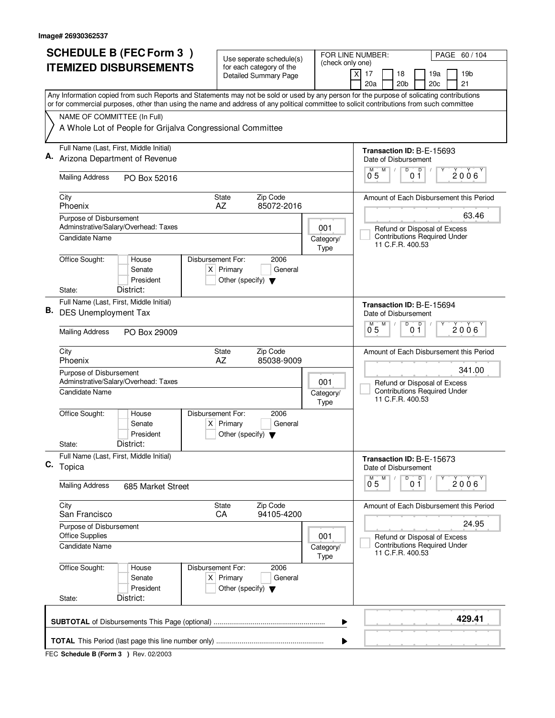|    | <b>SCHEDULE B (FEC Form 3)</b>                                                                                                                                                                                                                                                         | Use seperate schedule(s)                                                                    |                      | FOR LINE NUMBER:<br>PAGE 60 / 104 |                                                                                         |  |  |  |  |  |  |
|----|----------------------------------------------------------------------------------------------------------------------------------------------------------------------------------------------------------------------------------------------------------------------------------------|---------------------------------------------------------------------------------------------|----------------------|-----------------------------------|-----------------------------------------------------------------------------------------|--|--|--|--|--|--|
|    | <b>ITEMIZED DISBURSEMENTS</b>                                                                                                                                                                                                                                                          | for each category of the<br><b>Detailed Summary Page</b>                                    |                      | (check only one)                  | $\boldsymbol{\mathsf{X}}$<br>17<br>18<br>19a<br>19 <sub>b</sub>                         |  |  |  |  |  |  |
|    |                                                                                                                                                                                                                                                                                        |                                                                                             |                      |                                   | 20 <sub>b</sub><br>20c<br>21<br>20a                                                     |  |  |  |  |  |  |
|    | Any Information copied from such Reports and Statements may not be sold or used by any person for the purpose of solicating contributions<br>or for commercial purposes, other than using the name and address of any political committee to solicit contributions from such committee |                                                                                             |                      |                                   |                                                                                         |  |  |  |  |  |  |
|    | NAME OF COMMITTEE (In Full)                                                                                                                                                                                                                                                            |                                                                                             |                      |                                   |                                                                                         |  |  |  |  |  |  |
|    | A Whole Lot of People for Grijalva Congressional Committee                                                                                                                                                                                                                             |                                                                                             |                      |                                   |                                                                                         |  |  |  |  |  |  |
|    | Full Name (Last, First, Middle Initial)<br>Arizona Department of Revenue                                                                                                                                                                                                               |                                                                                             |                      |                                   | Transaction ID: B-E-15693                                                               |  |  |  |  |  |  |
|    |                                                                                                                                                                                                                                                                                        |                                                                                             |                      |                                   | Date of Disbursement<br>D<br>D<br>М<br>M                                                |  |  |  |  |  |  |
|    | <b>Mailing Address</b><br>PO Box 52016                                                                                                                                                                                                                                                 |                                                                                             |                      |                                   | 2006<br>0 <sub>5</sub><br>01                                                            |  |  |  |  |  |  |
|    | City<br>Phoenix                                                                                                                                                                                                                                                                        | Zip Code<br><b>State</b><br>AZ<br>85072-2016                                                |                      |                                   |                                                                                         |  |  |  |  |  |  |
|    | Purpose of Disbursement<br>Adminstrative/Salary/Overhead: Taxes                                                                                                                                                                                                                        |                                                                                             |                      | 001                               | 63.46<br>Refund or Disposal of Excess                                                   |  |  |  |  |  |  |
|    | Candidate Name                                                                                                                                                                                                                                                                         |                                                                                             |                      | Category/<br><b>Type</b>          | <b>Contributions Required Under</b><br>11 C.F.R. 400.53                                 |  |  |  |  |  |  |
|    | Office Sought:<br>House                                                                                                                                                                                                                                                                | Disbursement For:<br>2006                                                                   |                      |                                   |                                                                                         |  |  |  |  |  |  |
|    | Senate<br>President                                                                                                                                                                                                                                                                    | $X$ Primary<br>General<br>Other (specify) $\blacktriangledown$                              |                      |                                   |                                                                                         |  |  |  |  |  |  |
|    | District:<br>State:                                                                                                                                                                                                                                                                    |                                                                                             |                      |                                   |                                                                                         |  |  |  |  |  |  |
| В. | Full Name (Last, First, Middle Initial)<br><b>DES Unemployment Tax</b>                                                                                                                                                                                                                 | Transaction ID: B-E-15694<br>Date of Disbursement<br>D<br>D<br>м<br>M<br>2006               |                      |                                   |                                                                                         |  |  |  |  |  |  |
|    |                                                                                                                                                                                                                                                                                        |                                                                                             |                      |                                   |                                                                                         |  |  |  |  |  |  |
|    | <b>Mailing Address</b><br>PO Box 29009                                                                                                                                                                                                                                                 |                                                                                             | 0 <sub>5</sub><br>01 |                                   |                                                                                         |  |  |  |  |  |  |
|    | City<br>Phoenix                                                                                                                                                                                                                                                                        | Zip Code<br><b>State</b><br>AZ<br>85038-9009                                                |                      |                                   | Amount of Each Disbursement this Period                                                 |  |  |  |  |  |  |
|    | Purpose of Disbursement<br>Adminstrative/Salary/Overhead: Taxes                                                                                                                                                                                                                        | 001                                                                                         | 341.00               |                                   |                                                                                         |  |  |  |  |  |  |
|    | Candidate Name                                                                                                                                                                                                                                                                         |                                                                                             |                      | Category/<br>Type                 | Refund or Disposal of Excess<br><b>Contributions Required Under</b><br>11 C.F.R. 400.53 |  |  |  |  |  |  |
|    | Office Sought:<br>House                                                                                                                                                                                                                                                                | Disbursement For:<br>2006                                                                   |                      |                                   |                                                                                         |  |  |  |  |  |  |
|    | Senate<br>President                                                                                                                                                                                                                                                                    | $X$ Primary<br>General<br>Other (specify) $\blacktriangledown$                              |                      |                                   |                                                                                         |  |  |  |  |  |  |
|    | District:<br>State:                                                                                                                                                                                                                                                                    |                                                                                             |                      |                                   |                                                                                         |  |  |  |  |  |  |
|    | Full Name (Last, First, Middle Initial)<br>C. Topica                                                                                                                                                                                                                                   |                                                                                             |                      |                                   | Transaction ID: B-E-15673<br>Date of Disbursement                                       |  |  |  |  |  |  |
|    | <b>Mailing Address</b><br>685 Market Street                                                                                                                                                                                                                                            |                                                                                             |                      |                                   | D<br>M<br>0 <sup>0</sup><br>$\overline{0}^M$ 5<br>2006                                  |  |  |  |  |  |  |
|    |                                                                                                                                                                                                                                                                                        |                                                                                             |                      |                                   |                                                                                         |  |  |  |  |  |  |
|    | City<br>San Francisco                                                                                                                                                                                                                                                                  | Zip Code<br>State<br>CA<br>94105-4200                                                       |                      |                                   | Amount of Each Disbursement this Period                                                 |  |  |  |  |  |  |
|    | Purpose of Disbursement<br><b>Office Supplies</b>                                                                                                                                                                                                                                      |                                                                                             |                      | 001                               | 24.95                                                                                   |  |  |  |  |  |  |
|    | <b>Candidate Name</b>                                                                                                                                                                                                                                                                  |                                                                                             |                      | Category/<br><b>Type</b>          | Refund or Disposal of Excess<br><b>Contributions Required Under</b><br>11 C.F.R. 400.53 |  |  |  |  |  |  |
|    | Office Sought:<br>House<br>Senate<br>President                                                                                                                                                                                                                                         | Disbursement For:<br>2006<br>$X$ Primary<br>General<br>Other (specify) $\blacktriangledown$ |                      |                                   |                                                                                         |  |  |  |  |  |  |
|    | District:<br>State:                                                                                                                                                                                                                                                                    |                                                                                             |                      |                                   |                                                                                         |  |  |  |  |  |  |
|    |                                                                                                                                                                                                                                                                                        |                                                                                             |                      | ▶                                 | 429.41                                                                                  |  |  |  |  |  |  |
|    |                                                                                                                                                                                                                                                                                        |                                                                                             |                      | ▶                                 |                                                                                         |  |  |  |  |  |  |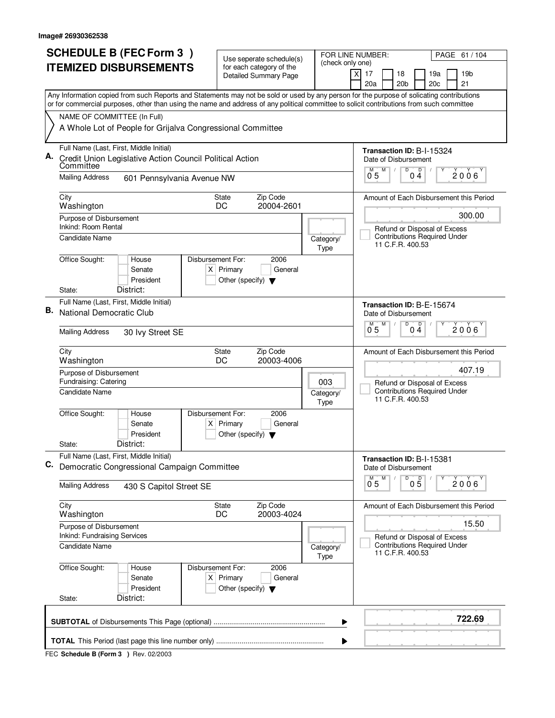| <b>SCHEDULE B (FEC Form 3)</b> |                                                                           |                                                                                                                                                                                                                                                                                        |                   | FOR LINE NUMBER:<br>Use seperate schedule(s)        |                                                          |  |                          |                                 |                                             |                                                                     | PAGE 61 / 104                           |
|--------------------------------|---------------------------------------------------------------------------|----------------------------------------------------------------------------------------------------------------------------------------------------------------------------------------------------------------------------------------------------------------------------------------|-------------------|-----------------------------------------------------|----------------------------------------------------------|--|--------------------------|---------------------------------|---------------------------------------------|---------------------------------------------------------------------|-----------------------------------------|
|                                |                                                                           | <b>ITEMIZED DISBURSEMENTS</b>                                                                                                                                                                                                                                                          |                   |                                                     | for each category of the<br><b>Detailed Summary Page</b> |  | (check only one)         | $\boldsymbol{\mathsf{X}}$<br>17 | 18                                          | 19a                                                                 | 19 <sub>b</sub>                         |
|                                |                                                                           |                                                                                                                                                                                                                                                                                        |                   |                                                     |                                                          |  |                          | 20a                             | 20 <sub>b</sub>                             | 20c                                                                 | 21                                      |
|                                |                                                                           | Any Information copied from such Reports and Statements may not be sold or used by any person for the purpose of solicating contributions<br>or for commercial purposes, other than using the name and address of any political committee to solicit contributions from such committee |                   |                                                     |                                                          |  |                          |                                 |                                             |                                                                     |                                         |
|                                | NAME OF COMMITTEE (In Full)                                               |                                                                                                                                                                                                                                                                                        |                   |                                                     |                                                          |  |                          |                                 |                                             |                                                                     |                                         |
|                                |                                                                           | A Whole Lot of People for Grijalva Congressional Committee                                                                                                                                                                                                                             |                   |                                                     |                                                          |  |                          |                                 |                                             |                                                                     |                                         |
| А.                             | Committee                                                                 | Full Name (Last, First, Middle Initial)<br>Credit Union Legislative Action Council Political Action                                                                                                                                                                                    |                   |                                                     |                                                          |  |                          |                                 | Date of Disbursement                        | Transaction ID: B-I-15324                                           |                                         |
|                                | <b>Mailing Address</b>                                                    | 601 Pennsylvania Avenue NW                                                                                                                                                                                                                                                             |                   |                                                     |                                                          |  |                          | М<br>05                         | D<br>M                                      | D<br>04                                                             | 2006                                    |
|                                | City<br>Washington                                                        |                                                                                                                                                                                                                                                                                        |                   | State<br>DC                                         | Zip Code<br>20004-2601                                   |  |                          |                                 |                                             |                                                                     | Amount of Each Disbursement this Period |
|                                | Purpose of Disbursement<br>Inkind: Room Rental                            |                                                                                                                                                                                                                                                                                        |                   |                                                     |                                                          |  |                          |                                 |                                             | Refund or Disposal of Excess                                        | 300.00                                  |
|                                | Candidate Name                                                            |                                                                                                                                                                                                                                                                                        |                   |                                                     |                                                          |  | Category/<br><b>Type</b> |                                 | 11 C.F.R. 400.53                            | <b>Contributions Required Under</b>                                 |                                         |
|                                | Office Sought:                                                            | House<br>Senate<br>President                                                                                                                                                                                                                                                           | Disbursement For: | $X$ Primary<br>Other (specify) $\blacktriangledown$ | 2006<br>General                                          |  |                          |                                 |                                             |                                                                     |                                         |
|                                | State:                                                                    | District:                                                                                                                                                                                                                                                                              |                   |                                                     |                                                          |  |                          |                                 |                                             |                                                                     |                                         |
| В.                             | <b>National Democratic Club</b>                                           | Full Name (Last, First, Middle Initial)                                                                                                                                                                                                                                                |                   |                                                     |                                                          |  |                          | M                               | Date of Disbursement<br>$\overline{D}$<br>M | Transaction ID: B-E-15674                                           |                                         |
|                                | <b>Mailing Address</b>                                                    | 30 Ivy Street SE                                                                                                                                                                                                                                                                       |                   |                                                     |                                                          |  |                          | 0 <sub>5</sub>                  |                                             | D<br>0 <sub>4</sub>                                                 | 2006                                    |
|                                | City<br>Washington                                                        |                                                                                                                                                                                                                                                                                        |                   | State<br>DC                                         | Zip Code<br>20003-4006                                   |  |                          |                                 |                                             |                                                                     | Amount of Each Disbursement this Period |
|                                | Purpose of Disbursement<br>Fundraising: Catering<br><b>Candidate Name</b> |                                                                                                                                                                                                                                                                                        |                   |                                                     |                                                          |  | 003<br>Category/<br>Type |                                 | 11 C.F.R. 400.53                            | Refund or Disposal of Excess<br><b>Contributions Required Under</b> | 407.19                                  |
|                                | Office Sought:<br>State:                                                  | House<br>Senate<br>President<br>District:                                                                                                                                                                                                                                              | Disbursement For: | $X$ Primary<br>Other (specify) $\blacktriangledown$ | 2006<br>General                                          |  |                          |                                 |                                             |                                                                     |                                         |
| С.                             |                                                                           | Full Name (Last, First, Middle Initial)<br>Democratic Congressional Campaign Committee                                                                                                                                                                                                 |                   |                                                     |                                                          |  |                          |                                 | Date of Disbursement                        | Transaction ID: B-I-15381                                           |                                         |
|                                | <b>Mailing Address</b>                                                    | 430 S Capitol Street SE                                                                                                                                                                                                                                                                |                   |                                                     |                                                          |  |                          | $\overline{0}^M$ 5              | D<br>M                                      | $0\overline{5}$                                                     | 2006                                    |
|                                | City<br>Washington                                                        |                                                                                                                                                                                                                                                                                        |                   | State<br>DC                                         | Zip Code<br>20003-4024                                   |  |                          |                                 |                                             |                                                                     | Amount of Each Disbursement this Period |
|                                | Purpose of Disbursement<br>Inkind: Fundraising Services                   |                                                                                                                                                                                                                                                                                        |                   |                                                     |                                                          |  |                          |                                 |                                             | Refund or Disposal of Excess                                        | 15.50                                   |
|                                | <b>Candidate Name</b>                                                     |                                                                                                                                                                                                                                                                                        |                   |                                                     |                                                          |  | Category/<br>Type        |                                 | 11 C.F.R. 400.53                            | <b>Contributions Required Under</b>                                 |                                         |
|                                | Office Sought:                                                            | House<br>Senate<br>President                                                                                                                                                                                                                                                           | Disbursement For: | $X$ Primary<br>Other (specify) $\blacktriangledown$ | 2006<br>General                                          |  |                          |                                 |                                             |                                                                     |                                         |
|                                | State:                                                                    | District:                                                                                                                                                                                                                                                                              |                   |                                                     |                                                          |  |                          |                                 |                                             |                                                                     |                                         |
|                                | 722.69<br>▶<br>▶                                                          |                                                                                                                                                                                                                                                                                        |                   |                                                     |                                                          |  |                          |                                 |                                             |                                                                     |                                         |
|                                |                                                                           |                                                                                                                                                                                                                                                                                        |                   |                                                     |                                                          |  |                          |                                 |                                             |                                                                     |                                         |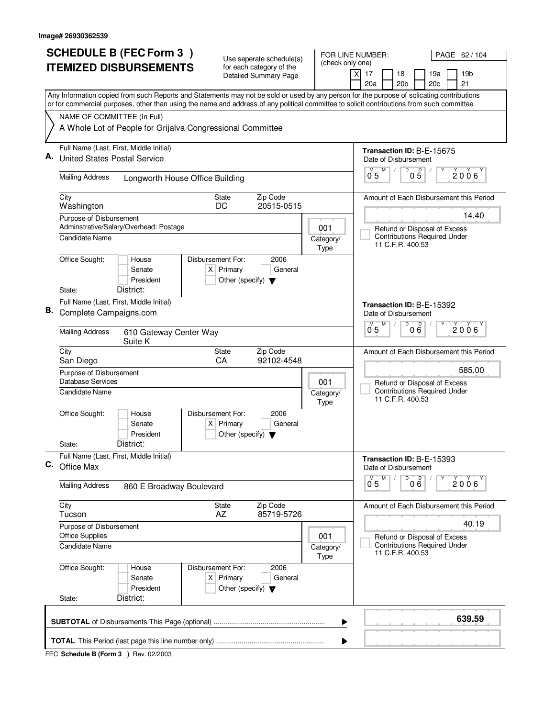| <b>SCHEDULE B (FEC Form 3)</b>                                                                                                                                           | Use seperate schedule(s)                                                                    | FOR LINE NUMBER:<br>PAGE 62 / 104<br>(check only one) |                                                                             |  |  |  |  |
|--------------------------------------------------------------------------------------------------------------------------------------------------------------------------|---------------------------------------------------------------------------------------------|-------------------------------------------------------|-----------------------------------------------------------------------------|--|--|--|--|
| <b>ITEMIZED DISBURSEMENTS</b>                                                                                                                                            | for each category of the                                                                    |                                                       | 17<br>18<br>19a<br>19b<br>X                                                 |  |  |  |  |
|                                                                                                                                                                          | Detailed Summary Page                                                                       |                                                       | 20a<br>20 <sub>b</sub><br>20c<br>21                                         |  |  |  |  |
| Any Information copied from such Reports and Statements may not be sold or used by any person for the purpose of solicating contributions                                |                                                                                             |                                                       |                                                                             |  |  |  |  |
| or for commercial purposes, other than using the name and address of any political committee to solicit contributions from such committee<br>NAME OF COMMITTEE (In Full) |                                                                                             |                                                       |                                                                             |  |  |  |  |
| A Whole Lot of People for Grijalva Congressional Committee                                                                                                               |                                                                                             |                                                       |                                                                             |  |  |  |  |
| Full Name (Last, First, Middle Initial)                                                                                                                                  |                                                                                             |                                                       | Transaction ID: B-E-15675                                                   |  |  |  |  |
| <b>United States Postal Service</b>                                                                                                                                      |                                                                                             |                                                       | Date of Disbursement<br>D<br>$0\overline{5}$<br>М<br>2006<br>0 <sub>5</sub> |  |  |  |  |
| <b>Mailing Address</b><br>Longworth House Office Building                                                                                                                |                                                                                             |                                                       | Amount of Each Disbursement this Period                                     |  |  |  |  |
| City<br>Washington                                                                                                                                                       | Zip Code<br><b>State</b><br>20515-0515<br>DC                                                |                                                       |                                                                             |  |  |  |  |
| Purpose of Disbursement<br>Adminstrative/Salary/Overhead: Postage                                                                                                        |                                                                                             | 001                                                   | 14.40<br>Refund or Disposal of Excess                                       |  |  |  |  |
| Candidate Name                                                                                                                                                           |                                                                                             | Category/<br>Type                                     | <b>Contributions Required Under</b><br>11 C.F.R. 400.53                     |  |  |  |  |
| Office Sought:<br>House<br>Senate<br>President<br>District:<br>State:                                                                                                    | Disbursement For:<br>2006<br>$X$ Primary<br>General<br>Other (specify) $\blacktriangledown$ |                                                       |                                                                             |  |  |  |  |
| Full Name (Last, First, Middle Initial)                                                                                                                                  |                                                                                             |                                                       |                                                                             |  |  |  |  |
| В.<br>Complete Campaigns.com                                                                                                                                             |                                                                                             |                                                       | Transaction ID: B-E-15392<br>Date of Disbursement<br>D<br>D<br>M            |  |  |  |  |
| <b>Mailing Address</b><br>610 Gateway Center Way<br>Suite K                                                                                                              |                                                                                             |                                                       | 2006<br>$0^{\degree}5$<br>06                                                |  |  |  |  |
| City<br>San Diego                                                                                                                                                        | Zip Code<br>State<br>CA<br>92102-4548                                                       |                                                       | Amount of Each Disbursement this Period                                     |  |  |  |  |
| Purpose of Disbursement<br><b>Database Services</b>                                                                                                                      |                                                                                             | 001                                                   | 585.00<br>Refund or Disposal of Excess                                      |  |  |  |  |
| <b>Candidate Name</b>                                                                                                                                                    |                                                                                             | Category/<br>Type                                     | <b>Contributions Required Under</b><br>11 C.F.R. 400.53                     |  |  |  |  |
| Office Sought:<br>House<br>Senate<br>President                                                                                                                           | Disbursement For:<br>2006<br>$X$ Primary<br>General<br>Other (specify) $\blacktriangledown$ |                                                       |                                                                             |  |  |  |  |
| District:<br>State:                                                                                                                                                      |                                                                                             |                                                       |                                                                             |  |  |  |  |
| Full Name (Last, First, Middle Initial)<br>C. Office Max                                                                                                                 |                                                                                             |                                                       | Transaction ID: B-E-15393<br>Date of Disbursement                           |  |  |  |  |
| <b>Mailing Address</b><br>860 E Broadway Boulevard                                                                                                                       |                                                                                             |                                                       | M<br>D<br>000<br>2006<br>0.5                                                |  |  |  |  |
| City<br>Tucson                                                                                                                                                           | State<br>Zip Code<br>AZ<br>85719-5726                                                       |                                                       | Amount of Each Disbursement this Period                                     |  |  |  |  |
| Purpose of Disbursement<br><b>Office Supplies</b>                                                                                                                        |                                                                                             | 001                                                   | 40.19<br>Refund or Disposal of Excess                                       |  |  |  |  |
| <b>Candidate Name</b>                                                                                                                                                    |                                                                                             | Category/<br>Type                                     | <b>Contributions Required Under</b><br>11 C.F.R. 400.53                     |  |  |  |  |
| Office Sought:<br>House<br>Senate<br>President<br>District:<br>State:                                                                                                    | Disbursement For:<br>2006<br>$X$ Primary<br>General<br>Other (specify) $\blacktriangledown$ |                                                       |                                                                             |  |  |  |  |
|                                                                                                                                                                          |                                                                                             |                                                       | 639.59                                                                      |  |  |  |  |
|                                                                                                                                                                          |                                                                                             | ▶                                                     |                                                                             |  |  |  |  |
|                                                                                                                                                                          |                                                                                             | ▶                                                     |                                                                             |  |  |  |  |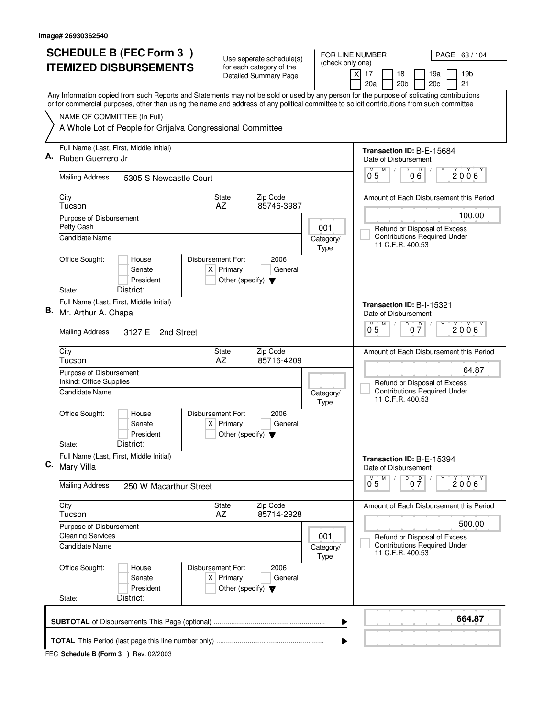| <b>SCHEDULE B (FEC Form 3)</b> |                                                                                                                                                                                                                                                                                        | Use seperate schedule(s)                                               |                                                         | FOR LINE NUMBER:<br>PAGE 63 / 104                                         |  |  |  |  |  |  |
|--------------------------------|----------------------------------------------------------------------------------------------------------------------------------------------------------------------------------------------------------------------------------------------------------------------------------------|------------------------------------------------------------------------|---------------------------------------------------------|---------------------------------------------------------------------------|--|--|--|--|--|--|
|                                | <b>ITEMIZED DISBURSEMENTS</b>                                                                                                                                                                                                                                                          | for each category of the<br><b>Detailed Summary Page</b>               | (check only one)                                        | $\times$<br>17<br>18<br>19a<br>19b<br>20 <sub>b</sub><br>20c<br>21<br>20a |  |  |  |  |  |  |
|                                | Any Information copied from such Reports and Statements may not be sold or used by any person for the purpose of solicating contributions<br>or for commercial purposes, other than using the name and address of any political committee to solicit contributions from such committee |                                                                        |                                                         |                                                                           |  |  |  |  |  |  |
|                                | NAME OF COMMITTEE (In Full)                                                                                                                                                                                                                                                            |                                                                        |                                                         |                                                                           |  |  |  |  |  |  |
|                                | A Whole Lot of People for Grijalva Congressional Committee                                                                                                                                                                                                                             |                                                                        |                                                         |                                                                           |  |  |  |  |  |  |
| Α.                             | Full Name (Last, First, Middle Initial)                                                                                                                                                                                                                                                |                                                                        | Transaction ID: B-E-15684                               |                                                                           |  |  |  |  |  |  |
|                                | Ruben Guerrero Jr                                                                                                                                                                                                                                                                      |                                                                        |                                                         | Date of Disbursement<br>$\overline{D}$<br>M                               |  |  |  |  |  |  |
|                                | <b>Mailing Address</b><br>5305 S Newcastle Court                                                                                                                                                                                                                                       |                                                                        |                                                         | 000<br>$2006^\circ$<br>0 <sub>5</sub>                                     |  |  |  |  |  |  |
|                                | City<br>Tucson                                                                                                                                                                                                                                                                         | Zip Code<br><b>State</b><br>85746-3987<br>AZ                           |                                                         | Amount of Each Disbursement this Period                                   |  |  |  |  |  |  |
|                                | Purpose of Disbursement                                                                                                                                                                                                                                                                |                                                                        |                                                         | 100.00                                                                    |  |  |  |  |  |  |
|                                | Petty Cash<br>Candidate Name                                                                                                                                                                                                                                                           |                                                                        | 001<br>Category/                                        | Refund or Disposal of Excess<br><b>Contributions Required Under</b>       |  |  |  |  |  |  |
|                                |                                                                                                                                                                                                                                                                                        |                                                                        | <b>Type</b>                                             | 11 C.F.R. 400.53                                                          |  |  |  |  |  |  |
|                                | Office Sought:<br>Disbursement For:<br>House<br>Senate<br>President                                                                                                                                                                                                                    | 2006<br>$X$ Primary<br>General<br>Other (specify) $\blacktriangledown$ |                                                         |                                                                           |  |  |  |  |  |  |
|                                | District:<br>State:                                                                                                                                                                                                                                                                    |                                                                        |                                                         |                                                                           |  |  |  |  |  |  |
| В.                             | Full Name (Last, First, Middle Initial)<br>Mr. Arthur A. Chapa                                                                                                                                                                                                                         | Transaction ID: B-I-15321<br>Date of Disbursement                      |                                                         |                                                                           |  |  |  |  |  |  |
|                                | <b>Mailing Address</b><br>3127 E<br>2nd Street                                                                                                                                                                                                                                         |                                                                        |                                                         | M<br>D<br>0 <sup>0</sup><br>M<br>$2006^{\circ}$<br>05                     |  |  |  |  |  |  |
|                                | City<br>Tucson                                                                                                                                                                                                                                                                         | Zip Code<br>State<br>AZ<br>85716-4209                                  |                                                         | Amount of Each Disbursement this Period                                   |  |  |  |  |  |  |
|                                | Purpose of Disbursement<br>Inkind: Office Supplies                                                                                                                                                                                                                                     |                                                                        | 64.87<br>Refund or Disposal of Excess                   |                                                                           |  |  |  |  |  |  |
|                                | Candidate Name                                                                                                                                                                                                                                                                         | Category/<br><b>Type</b>                                               | <b>Contributions Required Under</b><br>11 C.F.R. 400.53 |                                                                           |  |  |  |  |  |  |
|                                | Office Sought:<br>Disbursement For:<br>House<br>Senate<br>President                                                                                                                                                                                                                    | 2006<br>$X$ Primary<br>General<br>Other (specify) $\blacktriangledown$ |                                                         |                                                                           |  |  |  |  |  |  |
|                                | District:<br>State:                                                                                                                                                                                                                                                                    |                                                                        |                                                         |                                                                           |  |  |  |  |  |  |
| С.                             | Full Name (Last, First, Middle Initial)<br>Mary Villa                                                                                                                                                                                                                                  |                                                                        |                                                         | Transaction ID: B-E-15394<br>Date of Disbursement                         |  |  |  |  |  |  |
|                                | <b>Mailing Address</b><br>250 W Macarthur Street                                                                                                                                                                                                                                       |                                                                        |                                                         | D<br>M<br>0 <sup>0</sup><br>$0^{M}$ 5<br>2006                             |  |  |  |  |  |  |
|                                | City<br>Tucson                                                                                                                                                                                                                                                                         | State<br>Zip Code<br>AZ<br>85714-2928                                  |                                                         | Amount of Each Disbursement this Period                                   |  |  |  |  |  |  |
|                                | Purpose of Disbursement<br><b>Cleaning Services</b>                                                                                                                                                                                                                                    |                                                                        | 001                                                     | 500.00<br>Refund or Disposal of Excess                                    |  |  |  |  |  |  |
|                                | Candidate Name                                                                                                                                                                                                                                                                         |                                                                        | Category/<br>Type                                       | <b>Contributions Required Under</b><br>11 C.F.R. 400.53                   |  |  |  |  |  |  |
|                                | Office Sought:<br>Disbursement For:<br>House<br>Senate<br>President                                                                                                                                                                                                                    | 2006<br>$X$ Primary<br>General<br>Other (specify) $\blacktriangledown$ |                                                         |                                                                           |  |  |  |  |  |  |
|                                | District:<br>State:                                                                                                                                                                                                                                                                    |                                                                        |                                                         |                                                                           |  |  |  |  |  |  |
|                                |                                                                                                                                                                                                                                                                                        |                                                                        | ▶                                                       | 664.87                                                                    |  |  |  |  |  |  |
|                                | ▶                                                                                                                                                                                                                                                                                      |                                                                        |                                                         |                                                                           |  |  |  |  |  |  |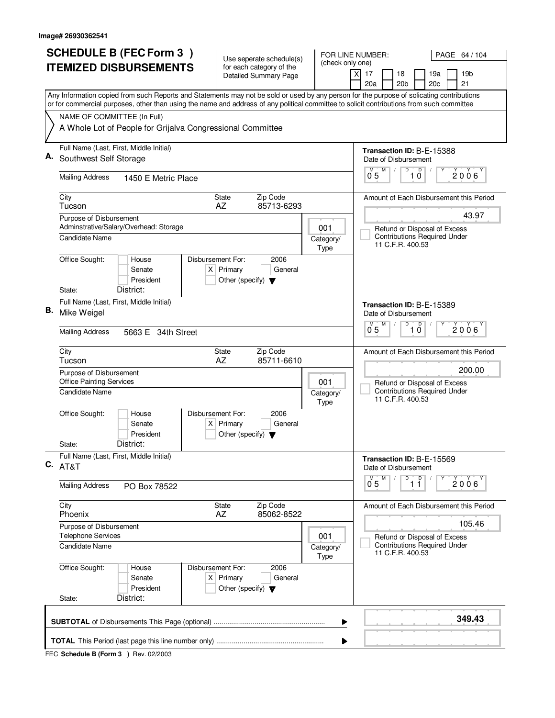| <b>SCHEDULE B (FEC Form 3)</b>                             |                                                            | Use seperate schedule(s)                                                                    | FOR LINE NUMBER:<br>PAGE 64 / 104<br>(check only one)                                   |                                                                                                                                                                                                                                                                                        |  |  |  |  |  |
|------------------------------------------------------------|------------------------------------------------------------|---------------------------------------------------------------------------------------------|-----------------------------------------------------------------------------------------|----------------------------------------------------------------------------------------------------------------------------------------------------------------------------------------------------------------------------------------------------------------------------------------|--|--|--|--|--|
|                                                            | <b>ITEMIZED DISBURSEMENTS</b>                              | for each category of the<br><b>Detailed Summary Page</b>                                    |                                                                                         | 17<br>18<br>19a<br>19 <sub>b</sub><br>X                                                                                                                                                                                                                                                |  |  |  |  |  |
|                                                            |                                                            |                                                                                             |                                                                                         | 20a<br>20 <sub>b</sub><br>21<br>20c                                                                                                                                                                                                                                                    |  |  |  |  |  |
|                                                            |                                                            |                                                                                             |                                                                                         | Any Information copied from such Reports and Statements may not be sold or used by any person for the purpose of solicating contributions<br>or for commercial purposes, other than using the name and address of any political committee to solicit contributions from such committee |  |  |  |  |  |
| NAME OF COMMITTEE (In Full)                                |                                                            |                                                                                             |                                                                                         |                                                                                                                                                                                                                                                                                        |  |  |  |  |  |
|                                                            | A Whole Lot of People for Grijalva Congressional Committee |                                                                                             |                                                                                         |                                                                                                                                                                                                                                                                                        |  |  |  |  |  |
| Α.                                                         | Full Name (Last, First, Middle Initial)                    |                                                                                             |                                                                                         | Transaction ID: B-E-15388                                                                                                                                                                                                                                                              |  |  |  |  |  |
| Southwest Self Storage                                     |                                                            |                                                                                             |                                                                                         | Date of Disbursement<br>D<br>M                                                                                                                                                                                                                                                         |  |  |  |  |  |
| <b>Mailing Address</b>                                     | 1450 E Metric Place                                        |                                                                                             |                                                                                         | $\overline{1}$ $\overline{0}$<br>$0^{M}$ 5<br>2006                                                                                                                                                                                                                                     |  |  |  |  |  |
| City<br>Tucson                                             |                                                            | Zip Code<br>State<br>85713-6293<br>AZ                                                       |                                                                                         | Amount of Each Disbursement this Period                                                                                                                                                                                                                                                |  |  |  |  |  |
| Purpose of Disbursement                                    | Adminstrative/Salary/Overhead: Storage                     |                                                                                             | 001                                                                                     | 43.97<br>Refund or Disposal of Excess                                                                                                                                                                                                                                                  |  |  |  |  |  |
| Candidate Name                                             |                                                            |                                                                                             | Category/<br>Type                                                                       | <b>Contributions Required Under</b><br>11 C.F.R. 400.53                                                                                                                                                                                                                                |  |  |  |  |  |
| Office Sought:                                             | House<br>Senate<br>President<br>District:                  | Disbursement For:<br>2006<br>$X$ Primary<br>General<br>Other (specify) $\blacktriangledown$ |                                                                                         |                                                                                                                                                                                                                                                                                        |  |  |  |  |  |
| State:                                                     | Full Name (Last, First, Middle Initial)                    |                                                                                             |                                                                                         |                                                                                                                                                                                                                                                                                        |  |  |  |  |  |
| В.<br>Mike Weigel                                          |                                                            |                                                                                             |                                                                                         | Transaction ID: B-E-15389<br>Date of Disbursement<br>D<br>M<br>D                                                                                                                                                                                                                       |  |  |  |  |  |
| <b>Mailing Address</b>                                     | 5663 E 34th Street                                         |                                                                                             |                                                                                         | $\overline{0}^M$ 5<br>2006<br>10                                                                                                                                                                                                                                                       |  |  |  |  |  |
| City<br>Tucson                                             |                                                            | Zip Code<br>State<br>AZ<br>85711-6610                                                       |                                                                                         | Amount of Each Disbursement this Period                                                                                                                                                                                                                                                |  |  |  |  |  |
| Purpose of Disbursement<br><b>Office Painting Services</b> |                                                            | 200.00                                                                                      |                                                                                         |                                                                                                                                                                                                                                                                                        |  |  |  |  |  |
| Candidate Name                                             |                                                            | 001<br>Category/<br>Type                                                                    | Refund or Disposal of Excess<br><b>Contributions Required Under</b><br>11 C.F.R. 400.53 |                                                                                                                                                                                                                                                                                        |  |  |  |  |  |
| Office Sought:                                             | House<br>Senate<br>President                               | Disbursement For:<br>2006<br>$X$ Primary<br>General<br>Other (specify) $\blacktriangledown$ |                                                                                         |                                                                                                                                                                                                                                                                                        |  |  |  |  |  |
| State:                                                     | District:                                                  |                                                                                             |                                                                                         |                                                                                                                                                                                                                                                                                        |  |  |  |  |  |
| $C.$ AT&T                                                  | Full Name (Last, First, Middle Initial)                    |                                                                                             |                                                                                         | Transaction ID: B-E-15569<br>Date of Disbursement                                                                                                                                                                                                                                      |  |  |  |  |  |
| <b>Mailing Address</b>                                     | PO Box 78522                                               |                                                                                             |                                                                                         | D<br>$\overline{1}$ $\overline{1}$<br>M<br>2006<br>0.5                                                                                                                                                                                                                                 |  |  |  |  |  |
| City<br>Phoenix                                            |                                                            | State<br>Zip Code<br>AZ<br>85062-8522                                                       |                                                                                         | Amount of Each Disbursement this Period                                                                                                                                                                                                                                                |  |  |  |  |  |
| Purpose of Disbursement<br><b>Telephone Services</b>       |                                                            |                                                                                             | 001                                                                                     | 105.46<br>Refund or Disposal of Excess                                                                                                                                                                                                                                                 |  |  |  |  |  |
| <b>Candidate Name</b>                                      |                                                            |                                                                                             | Category/<br>Type                                                                       | <b>Contributions Required Under</b><br>11 C.F.R. 400.53                                                                                                                                                                                                                                |  |  |  |  |  |
| Office Sought:<br>State:                                   | House<br>Senate<br>President<br>District:                  | Disbursement For:<br>2006<br>$X$ Primary<br>General<br>Other (specify) $\blacktriangledown$ |                                                                                         |                                                                                                                                                                                                                                                                                        |  |  |  |  |  |
|                                                            |                                                            |                                                                                             |                                                                                         |                                                                                                                                                                                                                                                                                        |  |  |  |  |  |
|                                                            |                                                            |                                                                                             | ▶                                                                                       | 349.43                                                                                                                                                                                                                                                                                 |  |  |  |  |  |
|                                                            |                                                            |                                                                                             |                                                                                         |                                                                                                                                                                                                                                                                                        |  |  |  |  |  |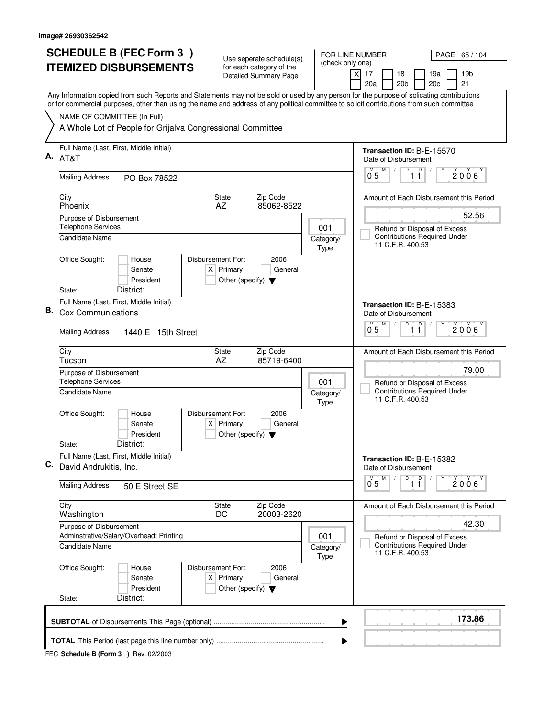|                               | <b>SCHEDULE B (FEC Form 3)</b>                                                                                                                                                                                                                                                         |                                | Use seperate schedule(s)                                 |                        | FOR LINE NUMBER:<br>(check only one)                    |                              |                                                   |                              | PAGE 65 / 104                       |                 |                                         |  |  |
|-------------------------------|----------------------------------------------------------------------------------------------------------------------------------------------------------------------------------------------------------------------------------------------------------------------------------------|--------------------------------|----------------------------------------------------------|------------------------|---------------------------------------------------------|------------------------------|---------------------------------------------------|------------------------------|-------------------------------------|-----------------|-----------------------------------------|--|--|
| <b>ITEMIZED DISBURSEMENTS</b> |                                                                                                                                                                                                                                                                                        |                                | for each category of the<br><b>Detailed Summary Page</b> |                        | $\boldsymbol{\mathsf{X}}$                               | 17                           | 18                                                | 19a                          |                                     | 19 <sub>b</sub> |                                         |  |  |
|                               |                                                                                                                                                                                                                                                                                        |                                |                                                          |                        |                                                         |                              | 20a                                               | 20 <sub>b</sub>              | 20 <sub>c</sub>                     |                 | 21                                      |  |  |
|                               | Any Information copied from such Reports and Statements may not be sold or used by any person for the purpose of solicating contributions<br>or for commercial purposes, other than using the name and address of any political committee to solicit contributions from such committee |                                |                                                          |                        |                                                         |                              |                                                   |                              |                                     |                 |                                         |  |  |
|                               | NAME OF COMMITTEE (In Full)                                                                                                                                                                                                                                                            |                                |                                                          |                        |                                                         |                              |                                                   |                              |                                     |                 |                                         |  |  |
|                               | A Whole Lot of People for Grijalva Congressional Committee                                                                                                                                                                                                                             |                                |                                                          |                        |                                                         |                              |                                                   |                              |                                     |                 |                                         |  |  |
| А.                            | Full Name (Last, First, Middle Initial)<br>AT&T                                                                                                                                                                                                                                        |                                |                                                          |                        |                                                         |                              | Transaction ID: B-E-15570<br>Date of Disbursement |                              |                                     |                 |                                         |  |  |
|                               | <b>Mailing Address</b>                                                                                                                                                                                                                                                                 | PO Box 78522                   |                                                          |                        |                                                         |                              | M<br>М<br>0 <sub>5</sub>                          | D                            | $\mathsf D$<br>11                   |                 | 2006                                    |  |  |
|                               | City<br>Phoenix                                                                                                                                                                                                                                                                        |                                | Amount of Each Disbursement this Period                  |                        |                                                         |                              |                                                   |                              |                                     |                 |                                         |  |  |
|                               | Purpose of Disbursement<br><b>Telephone Services</b>                                                                                                                                                                                                                                   |                                |                                                          |                        |                                                         |                              |                                                   | Refund or Disposal of Excess |                                     | 52.56           |                                         |  |  |
|                               | Candidate Name                                                                                                                                                                                                                                                                         |                                |                                                          |                        | Category/<br>Type                                       |                              |                                                   | 11 C.F.R. 400.53             | <b>Contributions Required Under</b> |                 |                                         |  |  |
|                               | Office Sought:<br>House<br>Senate                                                                                                                                                                                                                                                      | Disbursement For:<br>President | $X$ Primary<br>Other (specify) $\blacktriangledown$      | 2006<br>General        |                                                         |                              |                                                   |                              |                                     |                 |                                         |  |  |
|                               | District:<br>State:                                                                                                                                                                                                                                                                    |                                |                                                          |                        |                                                         |                              |                                                   |                              |                                     |                 |                                         |  |  |
| В.                            | Full Name (Last, First, Middle Initial)<br><b>Cox Communications</b>                                                                                                                                                                                                                   |                                |                                                          |                        |                                                         |                              |                                                   | Date of Disbursement         | Transaction ID: B-E-15383           |                 |                                         |  |  |
|                               | <b>Mailing Address</b><br>1440 E 15th Street                                                                                                                                                                                                                                           |                                |                                                          |                        |                                                         |                              |                                                   | D                            | D<br>11                             |                 | 2006                                    |  |  |
|                               | City<br>Tucson                                                                                                                                                                                                                                                                         |                                | <b>State</b><br>AZ                                       | Zip Code<br>85719-6400 |                                                         |                              |                                                   |                              |                                     |                 | Amount of Each Disbursement this Period |  |  |
|                               | Purpose of Disbursement<br><b>Telephone Services</b>                                                                                                                                                                                                                                   | 001                            |                                                          |                        |                                                         | Refund or Disposal of Excess |                                                   | 79.00                        |                                     |                 |                                         |  |  |
|                               | <b>Candidate Name</b>                                                                                                                                                                                                                                                                  |                                | Category/<br>Type                                        |                        | <b>Contributions Required Under</b><br>11 C.F.R. 400.53 |                              |                                                   |                              |                                     |                 |                                         |  |  |
|                               | Office Sought:<br>House<br>Senate                                                                                                                                                                                                                                                      | Disbursement For:<br>President | $X$ Primary<br>Other (specify) $\blacktriangledown$      | 2006<br>General        |                                                         |                              |                                                   |                              |                                     |                 |                                         |  |  |
|                               | District:<br>State:                                                                                                                                                                                                                                                                    |                                |                                                          |                        |                                                         |                              |                                                   |                              |                                     |                 |                                         |  |  |
| С.                            | Full Name (Last, First, Middle Initial)<br>David Andrukitis, Inc.                                                                                                                                                                                                                      |                                |                                                          |                        |                                                         |                              | M                                                 | Date of Disbursement<br>D    | Transaction ID: B-E-15382           |                 |                                         |  |  |
|                               | <b>Mailing Address</b>                                                                                                                                                                                                                                                                 | 50 E Street SE                 |                                                          |                        |                                                         |                              | $\overline{0}^M$ 5                                |                              | $\overline{1}$ $\overline{1}$       |                 | $2006^{\circ}$                          |  |  |
|                               | City<br>Washington                                                                                                                                                                                                                                                                     |                                | State<br>DC                                              | Zip Code<br>20003-2620 |                                                         |                              |                                                   |                              |                                     |                 | Amount of Each Disbursement this Period |  |  |
|                               | Purpose of Disbursement<br>Adminstrative/Salary/Overhead: Printing                                                                                                                                                                                                                     |                                |                                                          |                        | 001                                                     |                              |                                                   |                              | Refund or Disposal of Excess        |                 | 42.30                                   |  |  |
|                               | Candidate Name                                                                                                                                                                                                                                                                         |                                |                                                          |                        | Category/<br>Type                                       |                              |                                                   | 11 C.F.R. 400.53             | <b>Contributions Required Under</b> |                 |                                         |  |  |
|                               | Office Sought:<br>House<br>Senate                                                                                                                                                                                                                                                      | Disbursement For:<br>President | $X$ Primary<br>Other (specify) $\blacktriangledown$      | 2006<br>General        |                                                         |                              |                                                   |                              |                                     |                 |                                         |  |  |
|                               | District:<br>State:                                                                                                                                                                                                                                                                    |                                |                                                          |                        |                                                         |                              |                                                   |                              |                                     |                 |                                         |  |  |
|                               | 173.86<br>▶                                                                                                                                                                                                                                                                            |                                |                                                          |                        |                                                         |                              |                                                   |                              |                                     |                 |                                         |  |  |
|                               |                                                                                                                                                                                                                                                                                        |                                |                                                          |                        |                                                         | ▶                            |                                                   |                              |                                     |                 |                                         |  |  |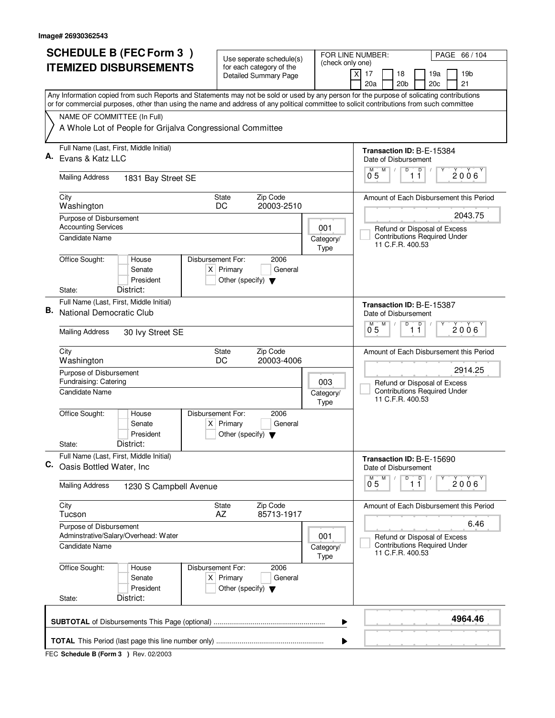|    | <b>SCHEDULE B (FEC Form 3)</b>                                                                                                                                                                                                                                                         | Use seperate schedule(s)                                               |                                                                                         | FOR LINE NUMBER:<br>PAGE 66 / 104                                     |  |  |  |  |  |  |
|----|----------------------------------------------------------------------------------------------------------------------------------------------------------------------------------------------------------------------------------------------------------------------------------------|------------------------------------------------------------------------|-----------------------------------------------------------------------------------------|-----------------------------------------------------------------------|--|--|--|--|--|--|
|    | <b>ITEMIZED DISBURSEMENTS</b>                                                                                                                                                                                                                                                          | for each category of the<br>Detailed Summary Page                      | (check only one)                                                                        | 19 <sub>b</sub><br>Χ<br>17<br>18<br>19a                               |  |  |  |  |  |  |
|    |                                                                                                                                                                                                                                                                                        |                                                                        |                                                                                         | 20 <sub>b</sub><br>21<br>20a<br>20 <sub>c</sub>                       |  |  |  |  |  |  |
|    | Any Information copied from such Reports and Statements may not be sold or used by any person for the purpose of solicating contributions<br>or for commercial purposes, other than using the name and address of any political committee to solicit contributions from such committee |                                                                        |                                                                                         |                                                                       |  |  |  |  |  |  |
|    | NAME OF COMMITTEE (In Full)                                                                                                                                                                                                                                                            |                                                                        |                                                                                         |                                                                       |  |  |  |  |  |  |
|    | A Whole Lot of People for Grijalva Congressional Committee                                                                                                                                                                                                                             |                                                                        |                                                                                         |                                                                       |  |  |  |  |  |  |
| А. | Full Name (Last, First, Middle Initial)                                                                                                                                                                                                                                                |                                                                        | Transaction ID: B-E-15384                                                               |                                                                       |  |  |  |  |  |  |
|    | Evans & Katz LLC                                                                                                                                                                                                                                                                       |                                                                        |                                                                                         | Date of Disbursement<br>D<br>D<br>M                                   |  |  |  |  |  |  |
|    | <b>Mailing Address</b><br>1831 Bay Street SE                                                                                                                                                                                                                                           |                                                                        |                                                                                         | $2006^\circ$<br>0 <sub>5</sub><br>11                                  |  |  |  |  |  |  |
|    | City<br>Washington                                                                                                                                                                                                                                                                     | Zip Code<br><b>State</b><br>DC<br>20003-2510                           |                                                                                         | Amount of Each Disbursement this Period                               |  |  |  |  |  |  |
|    | Purpose of Disbursement                                                                                                                                                                                                                                                                |                                                                        |                                                                                         | 2043.75                                                               |  |  |  |  |  |  |
|    | <b>Accounting Services</b>                                                                                                                                                                                                                                                             |                                                                        | 001                                                                                     | Refund or Disposal of Excess                                          |  |  |  |  |  |  |
|    | <b>Candidate Name</b>                                                                                                                                                                                                                                                                  |                                                                        | Category/<br>Type                                                                       | <b>Contributions Required Under</b><br>11 C.F.R. 400.53               |  |  |  |  |  |  |
|    | Office Sought:<br>Disbursement For:<br>House                                                                                                                                                                                                                                           | 2006                                                                   |                                                                                         |                                                                       |  |  |  |  |  |  |
|    | Senate                                                                                                                                                                                                                                                                                 | $X$ Primary<br>General                                                 |                                                                                         |                                                                       |  |  |  |  |  |  |
|    | President<br>District:<br>State:                                                                                                                                                                                                                                                       | Other (specify) $\blacktriangledown$                                   |                                                                                         |                                                                       |  |  |  |  |  |  |
|    | Full Name (Last, First, Middle Initial)                                                                                                                                                                                                                                                |                                                                        |                                                                                         | Transaction ID: B-E-15387                                             |  |  |  |  |  |  |
| В. | National Democratic Club                                                                                                                                                                                                                                                               |                                                                        |                                                                                         | Date of Disbursement                                                  |  |  |  |  |  |  |
|    | <b>Mailing Address</b><br>30 Ivy Street SE                                                                                                                                                                                                                                             |                                                                        |                                                                                         | M<br>D<br>D<br>M<br>$2006^{\circ}$<br>0 <sub>5</sub><br>11            |  |  |  |  |  |  |
|    | City<br>Washington                                                                                                                                                                                                                                                                     | Zip Code<br><b>State</b><br>DC<br>20003-4006                           |                                                                                         | Amount of Each Disbursement this Period                               |  |  |  |  |  |  |
|    | Purpose of Disbursement<br>Fundraising: Catering                                                                                                                                                                                                                                       | 003                                                                    | 2914.25                                                                                 |                                                                       |  |  |  |  |  |  |
|    | <b>Candidate Name</b>                                                                                                                                                                                                                                                                  | Category/<br>Type                                                      | Refund or Disposal of Excess<br><b>Contributions Required Under</b><br>11 C.F.R. 400.53 |                                                                       |  |  |  |  |  |  |
|    | Office Sought:<br>House<br>Disbursement For:<br>Senate                                                                                                                                                                                                                                 | 2006<br>$X$ Primary<br>General                                         |                                                                                         |                                                                       |  |  |  |  |  |  |
|    | President                                                                                                                                                                                                                                                                              | Other (specify) $\blacktriangledown$                                   |                                                                                         |                                                                       |  |  |  |  |  |  |
|    | District:<br>State:<br>Full Name (Last, First, Middle Initial)                                                                                                                                                                                                                         |                                                                        |                                                                                         |                                                                       |  |  |  |  |  |  |
| C. | Oasis Bottled Water, Inc.                                                                                                                                                                                                                                                              |                                                                        |                                                                                         | Transaction ID: B-E-15690<br>Date of Disbursement                     |  |  |  |  |  |  |
|    | <b>Mailing Address</b><br>1230 S Campbell Avenue                                                                                                                                                                                                                                       |                                                                        |                                                                                         | D<br>$\overline{1}$ $\overline{1}$<br>$\overline{0}^M$ 5<br>M<br>2006 |  |  |  |  |  |  |
|    | City<br>Tucson                                                                                                                                                                                                                                                                         | State<br>Zip Code<br>AZ<br>85713-1917                                  |                                                                                         | Amount of Each Disbursement this Period                               |  |  |  |  |  |  |
|    | Purpose of Disbursement<br>Adminstrative/Salary/Overhead: Water                                                                                                                                                                                                                        |                                                                        | 001                                                                                     | 6.46<br>Refund or Disposal of Excess                                  |  |  |  |  |  |  |
|    | <b>Candidate Name</b>                                                                                                                                                                                                                                                                  |                                                                        | Category/<br>Type                                                                       | <b>Contributions Required Under</b><br>11 C.F.R. 400.53               |  |  |  |  |  |  |
|    | Office Sought:<br>Disbursement For:<br>House<br>Senate<br>President                                                                                                                                                                                                                    | 2006<br>$X$ Primary<br>General<br>Other (specify) $\blacktriangledown$ |                                                                                         |                                                                       |  |  |  |  |  |  |
|    | District:<br>State:                                                                                                                                                                                                                                                                    |                                                                        |                                                                                         |                                                                       |  |  |  |  |  |  |
|    | 4964.46<br>▶                                                                                                                                                                                                                                                                           |                                                                        |                                                                                         |                                                                       |  |  |  |  |  |  |
|    |                                                                                                                                                                                                                                                                                        |                                                                        | ▶                                                                                       |                                                                       |  |  |  |  |  |  |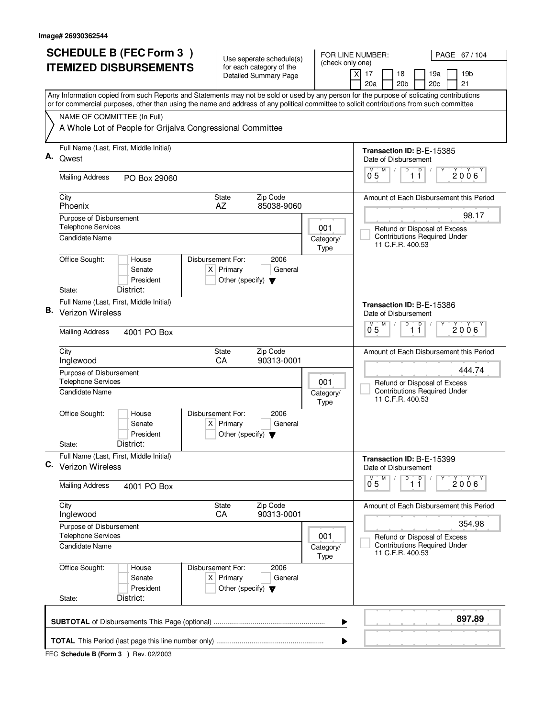|    | <b>SCHEDULE B (FEC Form 3)</b>                                                                                                                                                                                                                                                         | Use seperate schedule(s)                                                                    |                          | FOR LINE NUMBER:<br>PAGE 67 / 104                                                       |  |  |  |  |  |  |  |
|----|----------------------------------------------------------------------------------------------------------------------------------------------------------------------------------------------------------------------------------------------------------------------------------------|---------------------------------------------------------------------------------------------|--------------------------|-----------------------------------------------------------------------------------------|--|--|--|--|--|--|--|
|    | <b>ITEMIZED DISBURSEMENTS</b>                                                                                                                                                                                                                                                          | for each category of the<br><b>Detailed Summary Page</b>                                    | (check only one)         | $\times$<br>17<br>18<br>19a<br>19b<br>20a<br>20 <sub>b</sub><br>20c<br>21               |  |  |  |  |  |  |  |
|    | Any Information copied from such Reports and Statements may not be sold or used by any person for the purpose of solicating contributions<br>or for commercial purposes, other than using the name and address of any political committee to solicit contributions from such committee |                                                                                             |                          |                                                                                         |  |  |  |  |  |  |  |
|    | NAME OF COMMITTEE (In Full)                                                                                                                                                                                                                                                            |                                                                                             |                          |                                                                                         |  |  |  |  |  |  |  |
|    | A Whole Lot of People for Grijalva Congressional Committee                                                                                                                                                                                                                             |                                                                                             |                          |                                                                                         |  |  |  |  |  |  |  |
| А. | Full Name (Last, First, Middle Initial)                                                                                                                                                                                                                                                |                                                                                             |                          | Transaction ID: B-E-15385                                                               |  |  |  |  |  |  |  |
|    | Qwest                                                                                                                                                                                                                                                                                  | Date of Disbursement<br>M<br>D<br>$\mathsf D$                                               |                          |                                                                                         |  |  |  |  |  |  |  |
|    | <b>Mailing Address</b><br>PO Box 29060                                                                                                                                                                                                                                                 |                                                                                             |                          | $2006^\circ$<br>0 <sub>5</sub><br>11                                                    |  |  |  |  |  |  |  |
|    | City<br>Phoenix                                                                                                                                                                                                                                                                        | Zip Code<br><b>State</b><br>85038-9060<br>AZ                                                |                          | Amount of Each Disbursement this Period                                                 |  |  |  |  |  |  |  |
|    | Purpose of Disbursement                                                                                                                                                                                                                                                                |                                                                                             |                          | 98.17                                                                                   |  |  |  |  |  |  |  |
|    | <b>Telephone Services</b><br><b>Candidate Name</b>                                                                                                                                                                                                                                     |                                                                                             | 001<br>Category/         | Refund or Disposal of Excess<br><b>Contributions Required Under</b>                     |  |  |  |  |  |  |  |
|    |                                                                                                                                                                                                                                                                                        |                                                                                             | Type                     | 11 C.F.R. 400.53                                                                        |  |  |  |  |  |  |  |
|    | Office Sought:<br>Disbursement For:<br>House<br>Senate                                                                                                                                                                                                                                 | 2006<br>$X$ Primary<br>General                                                              |                          |                                                                                         |  |  |  |  |  |  |  |
|    | President                                                                                                                                                                                                                                                                              | Other (specify) $\blacktriangledown$                                                        |                          |                                                                                         |  |  |  |  |  |  |  |
|    | District:<br>State:<br>Full Name (Last, First, Middle Initial)                                                                                                                                                                                                                         |                                                                                             |                          |                                                                                         |  |  |  |  |  |  |  |
| В. | Verizon Wireless                                                                                                                                                                                                                                                                       | Transaction ID: B-E-15386<br>Date of Disbursement                                           |                          |                                                                                         |  |  |  |  |  |  |  |
|    | <b>Mailing Address</b><br>4001 PO Box                                                                                                                                                                                                                                                  |                                                                                             |                          | M<br>D<br>D<br>M<br>$2006^{\circ}$<br>0 <sub>5</sub><br>11                              |  |  |  |  |  |  |  |
|    | City<br>Inglewood                                                                                                                                                                                                                                                                      | Zip Code<br><b>State</b><br>CA<br>90313-0001                                                |                          | Amount of Each Disbursement this Period                                                 |  |  |  |  |  |  |  |
|    | Purpose of Disbursement<br><b>Telephone Services</b>                                                                                                                                                                                                                                   | 444.74<br>Refund or Disposal of Excess                                                      |                          |                                                                                         |  |  |  |  |  |  |  |
|    | <b>Candidate Name</b>                                                                                                                                                                                                                                                                  |                                                                                             | Category/<br>Type        | <b>Contributions Required Under</b><br>11 C.F.R. 400.53                                 |  |  |  |  |  |  |  |
|    | Office Sought:<br>Disbursement For:<br>House<br>Senate<br>President                                                                                                                                                                                                                    | 2006<br>$X$ Primary<br>General<br>Other (specify) $\blacktriangledown$                      |                          |                                                                                         |  |  |  |  |  |  |  |
|    | District:<br>State:                                                                                                                                                                                                                                                                    |                                                                                             |                          |                                                                                         |  |  |  |  |  |  |  |
| C. | Full Name (Last, First, Middle Initial)<br>Verizon Wireless                                                                                                                                                                                                                            |                                                                                             |                          | Transaction ID: B-E-15399<br>Date of Disbursement                                       |  |  |  |  |  |  |  |
|    | <b>Mailing Address</b><br>4001 PO Box                                                                                                                                                                                                                                                  |                                                                                             |                          | D<br>M<br>$\overline{1}$ $\overline{1}$<br>$0^{M}$ 5<br>2006                            |  |  |  |  |  |  |  |
|    | City<br>Inglewood                                                                                                                                                                                                                                                                      | State<br>Zip Code<br>CA<br>90313-0001                                                       |                          | Amount of Each Disbursement this Period                                                 |  |  |  |  |  |  |  |
|    | Purpose of Disbursement                                                                                                                                                                                                                                                                |                                                                                             |                          | 354.98                                                                                  |  |  |  |  |  |  |  |
|    | <b>Telephone Services</b><br><b>Candidate Name</b>                                                                                                                                                                                                                                     |                                                                                             | 001<br>Category/<br>Type | Refund or Disposal of Excess<br><b>Contributions Required Under</b><br>11 C.F.R. 400.53 |  |  |  |  |  |  |  |
|    | Office Sought:<br>House<br>Senate<br>President                                                                                                                                                                                                                                         | Disbursement For:<br>2006<br>$X$ Primary<br>General<br>Other (specify) $\blacktriangledown$ |                          |                                                                                         |  |  |  |  |  |  |  |
|    | District:<br>State:                                                                                                                                                                                                                                                                    |                                                                                             |                          |                                                                                         |  |  |  |  |  |  |  |
|    |                                                                                                                                                                                                                                                                                        |                                                                                             | ▶                        | 897.89                                                                                  |  |  |  |  |  |  |  |
|    | ▶                                                                                                                                                                                                                                                                                      |                                                                                             |                          |                                                                                         |  |  |  |  |  |  |  |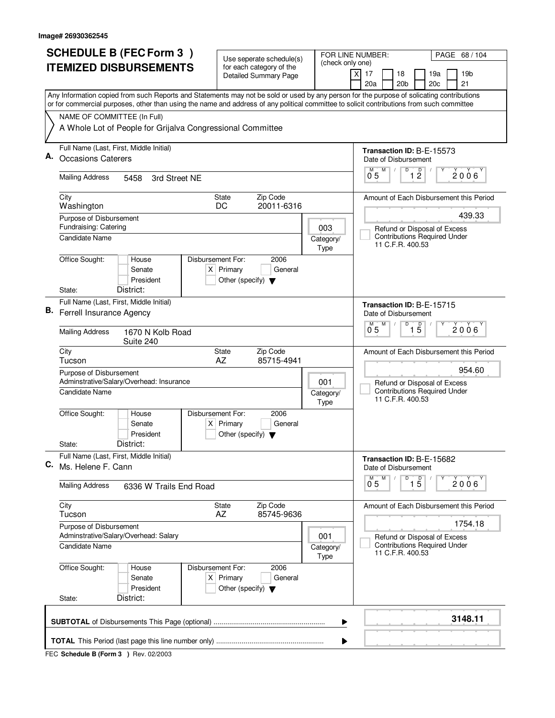|    | <b>SCHEDULE B (FEC Form 3)</b>                                                                                                                                                                                                                                                         | Use seperate schedule(s)                                               | FOR LINE NUMBER:<br>PAGE 68/104<br>(check only one)     |                                                         |  |  |  |  |  |  |
|----|----------------------------------------------------------------------------------------------------------------------------------------------------------------------------------------------------------------------------------------------------------------------------------------|------------------------------------------------------------------------|---------------------------------------------------------|---------------------------------------------------------|--|--|--|--|--|--|
|    | <b>ITEMIZED DISBURSEMENTS</b>                                                                                                                                                                                                                                                          | for each category of the<br>Detailed Summary Page                      |                                                         | 17<br>18<br>19a<br>19 <sub>b</sub><br>X                 |  |  |  |  |  |  |
|    |                                                                                                                                                                                                                                                                                        |                                                                        |                                                         | 20a<br>20 <sub>b</sub><br>20 <sub>c</sub><br>21         |  |  |  |  |  |  |
|    | Any Information copied from such Reports and Statements may not be sold or used by any person for the purpose of solicating contributions<br>or for commercial purposes, other than using the name and address of any political committee to solicit contributions from such committee |                                                                        |                                                         |                                                         |  |  |  |  |  |  |
|    | NAME OF COMMITTEE (In Full)                                                                                                                                                                                                                                                            |                                                                        |                                                         |                                                         |  |  |  |  |  |  |
|    | A Whole Lot of People for Grijalva Congressional Committee                                                                                                                                                                                                                             |                                                                        |                                                         |                                                         |  |  |  |  |  |  |
|    | Full Name (Last, First, Middle Initial)                                                                                                                                                                                                                                                |                                                                        |                                                         | <b>Transaction ID: B-E-15573</b>                        |  |  |  |  |  |  |
| Α. | <b>Occasions Caterers</b>                                                                                                                                                                                                                                                              |                                                                        |                                                         | Date of Disbursement<br>D<br>M<br>м                     |  |  |  |  |  |  |
|    | <b>Mailing Address</b><br>5458<br>3rd Street NE                                                                                                                                                                                                                                        | $\overline{1}$ $\overline{2}$<br>2006<br>0 <sub>5</sub>                |                                                         |                                                         |  |  |  |  |  |  |
|    | City<br><b>State</b><br>Washington<br>DC                                                                                                                                                                                                                                               |                                                                        | Amount of Each Disbursement this Period                 |                                                         |  |  |  |  |  |  |
|    | Purpose of Disbursement                                                                                                                                                                                                                                                                |                                                                        | 439.33                                                  |                                                         |  |  |  |  |  |  |
|    | Fundraising: Catering                                                                                                                                                                                                                                                                  |                                                                        | 003                                                     | Refund or Disposal of Excess                            |  |  |  |  |  |  |
|    | Candidate Name                                                                                                                                                                                                                                                                         |                                                                        | Category/<br>Type                                       | <b>Contributions Required Under</b><br>11 C.F.R. 400.53 |  |  |  |  |  |  |
|    | Office Sought:<br>Disbursement For:<br>House                                                                                                                                                                                                                                           | 2006                                                                   |                                                         |                                                         |  |  |  |  |  |  |
|    | Senate                                                                                                                                                                                                                                                                                 | $X$ Primary<br>General                                                 |                                                         |                                                         |  |  |  |  |  |  |
|    | President<br>District:<br>State:                                                                                                                                                                                                                                                       | Other (specify) $\blacktriangledown$                                   |                                                         |                                                         |  |  |  |  |  |  |
|    | Full Name (Last, First, Middle Initial)                                                                                                                                                                                                                                                |                                                                        |                                                         | Transaction ID: B-E-15715                               |  |  |  |  |  |  |
| В. | Ferrell Insurance Agency                                                                                                                                                                                                                                                               |                                                                        | Date of Disbursement<br>D<br>M                          |                                                         |  |  |  |  |  |  |
|    | <b>Mailing Address</b><br>1670 N Kolb Road<br>Suite 240                                                                                                                                                                                                                                |                                                                        |                                                         | $\overline{1\,5}$<br>2006<br>0.5                        |  |  |  |  |  |  |
|    | City<br>Tucson                                                                                                                                                                                                                                                                         | Zip Code<br><b>State</b><br>AZ<br>85715-4941                           |                                                         | Amount of Each Disbursement this Period                 |  |  |  |  |  |  |
|    | Purpose of Disbursement<br>Adminstrative/Salary/Overhead: Insurance                                                                                                                                                                                                                    | 001                                                                    | 954.60<br>Refund or Disposal of Excess                  |                                                         |  |  |  |  |  |  |
|    | <b>Candidate Name</b>                                                                                                                                                                                                                                                                  | Category/<br>Type                                                      | <b>Contributions Required Under</b><br>11 C.F.R. 400.53 |                                                         |  |  |  |  |  |  |
|    | Office Sought:<br>Disbursement For:<br>House<br>Senate                                                                                                                                                                                                                                 | 2006<br>$X$ Primary<br>General                                         |                                                         |                                                         |  |  |  |  |  |  |
|    | President                                                                                                                                                                                                                                                                              | Other (specify) $\blacktriangledown$                                   |                                                         |                                                         |  |  |  |  |  |  |
|    | District:<br>State:                                                                                                                                                                                                                                                                    |                                                                        |                                                         |                                                         |  |  |  |  |  |  |
| C. | Full Name (Last, First, Middle Initial)<br>Ms. Helene F. Cann                                                                                                                                                                                                                          |                                                                        |                                                         | Transaction ID: B-E-15682<br>Date of Disbursement       |  |  |  |  |  |  |
|    | <b>Mailing Address</b><br>6336 W Trails End Road                                                                                                                                                                                                                                       |                                                                        |                                                         | D<br>M<br>$\overline{15}$<br>2006'<br>0.5               |  |  |  |  |  |  |
|    | City<br>Tucson                                                                                                                                                                                                                                                                         | State<br>Zip Code<br>AZ<br>85745-9636                                  |                                                         | Amount of Each Disbursement this Period                 |  |  |  |  |  |  |
|    | Purpose of Disbursement<br>Adminstrative/Salary/Overhead: Salary                                                                                                                                                                                                                       |                                                                        | 001                                                     | 1754.18<br>Refund or Disposal of Excess                 |  |  |  |  |  |  |
|    | <b>Candidate Name</b>                                                                                                                                                                                                                                                                  |                                                                        | Category/<br>Type                                       | <b>Contributions Required Under</b><br>11 C.F.R. 400.53 |  |  |  |  |  |  |
|    | Office Sought:<br>Disbursement For:<br>House<br>Senate<br>President                                                                                                                                                                                                                    | 2006<br>$X$ Primary<br>General<br>Other (specify) $\blacktriangledown$ |                                                         |                                                         |  |  |  |  |  |  |
|    | District:<br>State:                                                                                                                                                                                                                                                                    |                                                                        |                                                         |                                                         |  |  |  |  |  |  |
|    | 3148.11<br>▶                                                                                                                                                                                                                                                                           |                                                                        |                                                         |                                                         |  |  |  |  |  |  |
|    |                                                                                                                                                                                                                                                                                        |                                                                        | ▶                                                       |                                                         |  |  |  |  |  |  |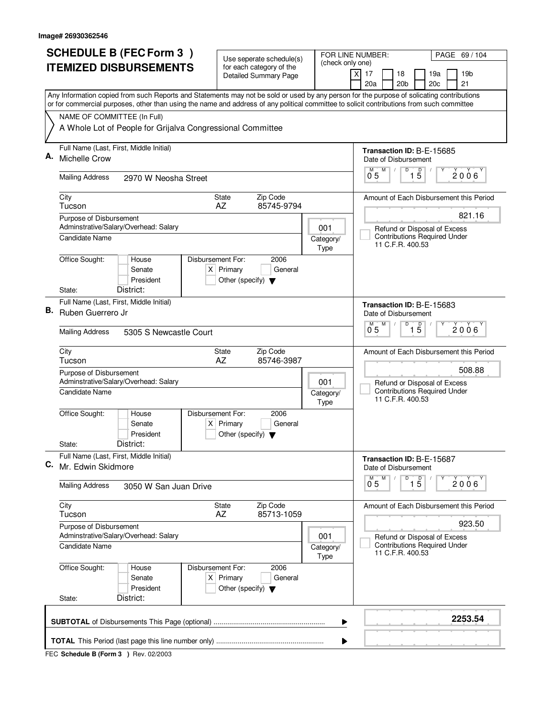| <b>SCHEDULE B (FEC Form 3)</b> |                                                                  | Use seperate schedule(s)                                                                                                                                                                                                                                                               | FOR LINE NUMBER:<br>(check only one) |                                                          |                        |  |                                 | PAGE 69 / 104                                  |                  |                                |                                                                     |  |                                         |  |  |  |
|--------------------------------|------------------------------------------------------------------|----------------------------------------------------------------------------------------------------------------------------------------------------------------------------------------------------------------------------------------------------------------------------------------|--------------------------------------|----------------------------------------------------------|------------------------|--|---------------------------------|------------------------------------------------|------------------|--------------------------------|---------------------------------------------------------------------|--|-----------------------------------------|--|--|--|
|                                | <b>ITEMIZED DISBURSEMENTS</b>                                    |                                                                                                                                                                                                                                                                                        |                                      | for each category of the<br><b>Detailed Summary Page</b> |                        |  | $\boldsymbol{\mathsf{X}}$<br>17 |                                                | 18               | 19a<br>19 <sub>b</sub>         |                                                                     |  |                                         |  |  |  |
|                                |                                                                  |                                                                                                                                                                                                                                                                                        |                                      |                                                          |                        |  |                                 | 20a                                            |                  | 20 <sub>b</sub>                | 20c                                                                 |  | 21                                      |  |  |  |
|                                |                                                                  | Any Information copied from such Reports and Statements may not be sold or used by any person for the purpose of solicating contributions<br>or for commercial purposes, other than using the name and address of any political committee to solicit contributions from such committee |                                      |                                                          |                        |  |                                 |                                                |                  |                                |                                                                     |  |                                         |  |  |  |
|                                | NAME OF COMMITTEE (In Full)                                      |                                                                                                                                                                                                                                                                                        |                                      |                                                          |                        |  |                                 |                                                |                  |                                |                                                                     |  |                                         |  |  |  |
|                                |                                                                  | A Whole Lot of People for Grijalva Congressional Committee                                                                                                                                                                                                                             |                                      |                                                          |                        |  |                                 |                                                |                  |                                |                                                                     |  |                                         |  |  |  |
| А.                             | Full Name (Last, First, Middle Initial)                          |                                                                                                                                                                                                                                                                                        |                                      |                                                          |                        |  |                                 |                                                |                  |                                | Transaction ID: B-E-15685                                           |  |                                         |  |  |  |
|                                | Michelle Crow                                                    |                                                                                                                                                                                                                                                                                        |                                      |                                                          |                        |  |                                 |                                                |                  | Date of Disbursement<br>D<br>M |                                                                     |  |                                         |  |  |  |
|                                | <b>Mailing Address</b>                                           | 2970 W Neosha Street                                                                                                                                                                                                                                                                   |                                      |                                                          |                        |  |                                 | $1\overline{5}$<br>2006<br>0 <sub>5</sub>      |                  |                                |                                                                     |  |                                         |  |  |  |
|                                | City<br>Tucson                                                   |                                                                                                                                                                                                                                                                                        |                                      | <b>State</b><br>AZ                                       | Zip Code<br>85745-9794 |  |                                 |                                                |                  |                                |                                                                     |  | Amount of Each Disbursement this Period |  |  |  |
|                                | Purpose of Disbursement                                          | Adminstrative/Salary/Overhead: Salary                                                                                                                                                                                                                                                  |                                      |                                                          |                        |  |                                 |                                                |                  |                                |                                                                     |  | 821.16                                  |  |  |  |
|                                | Candidate Name                                                   |                                                                                                                                                                                                                                                                                        |                                      |                                                          |                        |  | 001<br>Category/<br>Type        |                                                | 11 C.F.R. 400.53 |                                | Refund or Disposal of Excess<br><b>Contributions Required Under</b> |  |                                         |  |  |  |
|                                | Office Sought:                                                   | House<br>Senate<br>President                                                                                                                                                                                                                                                           | Disbursement For:                    | $X$ Primary<br>Other (specify) $\blacktriangledown$      | 2006<br>General        |  |                                 |                                                |                  |                                |                                                                     |  |                                         |  |  |  |
|                                | State:                                                           | District:                                                                                                                                                                                                                                                                              |                                      |                                                          |                        |  |                                 |                                                |                  |                                |                                                                     |  |                                         |  |  |  |
| В.                             | Full Name (Last, First, Middle Initial)<br>Ruben Guerrero Jr     |                                                                                                                                                                                                                                                                                        |                                      |                                                          |                        |  | Date of Disbursement            |                                                |                  | Transaction ID: B-E-15683      |                                                                     |  |                                         |  |  |  |
|                                | <b>Mailing Address</b><br>5305 S Newcastle Court                 |                                                                                                                                                                                                                                                                                        |                                      |                                                          |                        |  |                                 | D<br>$\overline{1\,5}$<br>M<br>M<br>2006<br>05 |                  |                                |                                                                     |  |                                         |  |  |  |
|                                | City<br>Tucson                                                   |                                                                                                                                                                                                                                                                                        |                                      | State<br>AZ                                              | Zip Code<br>85746-3987 |  |                                 |                                                |                  |                                |                                                                     |  | Amount of Each Disbursement this Period |  |  |  |
|                                | Purpose of Disbursement<br>Adminstrative/Salary/Overhead: Salary |                                                                                                                                                                                                                                                                                        |                                      |                                                          |                        |  | 001                             |                                                |                  |                                | Refund or Disposal of Excess                                        |  | 508.88                                  |  |  |  |
|                                | <b>Candidate Name</b>                                            |                                                                                                                                                                                                                                                                                        |                                      |                                                          |                        |  | Category/<br>Type               |                                                | 11 C.F.R. 400.53 |                                | <b>Contributions Required Under</b>                                 |  |                                         |  |  |  |
|                                | Office Sought:                                                   | House<br>Senate<br>President                                                                                                                                                                                                                                                           | Disbursement For:                    | $X$ Primary<br>Other (specify) $\blacktriangledown$      | 2006<br>General        |  |                                 |                                                |                  |                                |                                                                     |  |                                         |  |  |  |
|                                | State:                                                           | District:                                                                                                                                                                                                                                                                              |                                      |                                                          |                        |  |                                 |                                                |                  |                                |                                                                     |  |                                         |  |  |  |
| С.                             | Full Name (Last, First, Middle Initial)<br>Mr. Edwin Skidmore    |                                                                                                                                                                                                                                                                                        |                                      |                                                          |                        |  |                                 | Date of Disbursement                           |                  |                                | Transaction ID: B-E-15687                                           |  |                                         |  |  |  |
|                                | <b>Mailing Address</b>                                           | 3050 W San Juan Drive                                                                                                                                                                                                                                                                  |                                      |                                                          |                        |  |                                 | $\overline{0}^M$ 5                             | M                | D                              | $\overline{1\,5}$                                                   |  | 2006                                    |  |  |  |
|                                | City<br>Tucson                                                   |                                                                                                                                                                                                                                                                                        |                                      | State<br>AZ                                              | Zip Code<br>85713-1059 |  |                                 |                                                |                  |                                |                                                                     |  | Amount of Each Disbursement this Period |  |  |  |
|                                | Purpose of Disbursement                                          | Adminstrative/Salary/Overhead: Salary                                                                                                                                                                                                                                                  |                                      |                                                          |                        |  | 001                             |                                                |                  |                                | Refund or Disposal of Excess                                        |  | 923.50                                  |  |  |  |
|                                | Candidate Name                                                   |                                                                                                                                                                                                                                                                                        |                                      |                                                          |                        |  | Category/<br>Type               |                                                | 11 C.F.R. 400.53 |                                | <b>Contributions Required Under</b>                                 |  |                                         |  |  |  |
|                                | Office Sought:                                                   | House<br>Senate<br>President                                                                                                                                                                                                                                                           | Disbursement For:                    | $X$ Primary<br>Other (specify) $\blacktriangledown$      | 2006<br>General        |  |                                 |                                                |                  |                                |                                                                     |  |                                         |  |  |  |
|                                | State:                                                           | District:                                                                                                                                                                                                                                                                              |                                      |                                                          |                        |  |                                 |                                                |                  |                                |                                                                     |  |                                         |  |  |  |
|                                |                                                                  |                                                                                                                                                                                                                                                                                        |                                      |                                                          |                        |  | ▶                               |                                                |                  |                                |                                                                     |  | 2253.54                                 |  |  |  |
|                                |                                                                  |                                                                                                                                                                                                                                                                                        |                                      |                                                          |                        |  | ▶                               |                                                |                  |                                |                                                                     |  |                                         |  |  |  |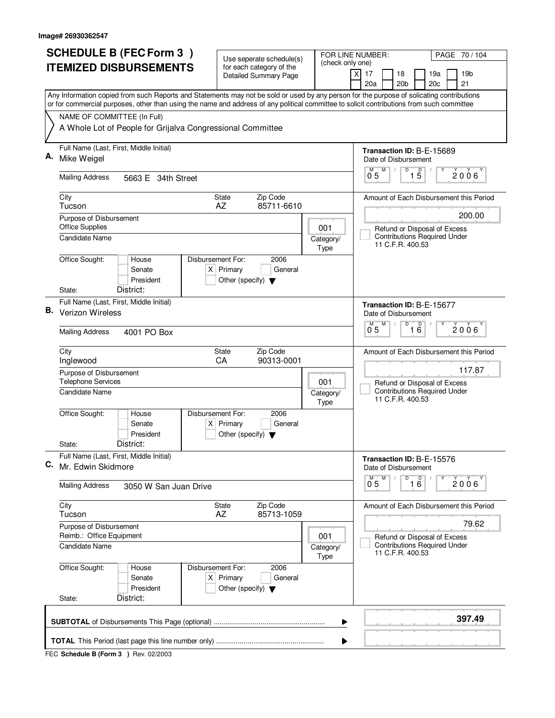|    | <b>SCHEDULE B (FEC Form 3)</b>                                                                                                                                                                                                                                                         | Use seperate schedule(s)                                               |                                                         | FOR LINE NUMBER:<br>PAGE 70 / 104                                                       |  |  |  |  |  |  |
|----|----------------------------------------------------------------------------------------------------------------------------------------------------------------------------------------------------------------------------------------------------------------------------------------|------------------------------------------------------------------------|---------------------------------------------------------|-----------------------------------------------------------------------------------------|--|--|--|--|--|--|
|    | <b>ITEMIZED DISBURSEMENTS</b>                                                                                                                                                                                                                                                          | for each category of the<br><b>Detailed Summary Page</b>               | (check only one)                                        | $\times$<br>17<br>18<br>19a<br>19b<br>20a<br>20 <sub>b</sub><br>20c<br>21               |  |  |  |  |  |  |
|    | Any Information copied from such Reports and Statements may not be sold or used by any person for the purpose of solicating contributions<br>or for commercial purposes, other than using the name and address of any political committee to solicit contributions from such committee |                                                                        |                                                         |                                                                                         |  |  |  |  |  |  |
|    | NAME OF COMMITTEE (In Full)                                                                                                                                                                                                                                                            |                                                                        |                                                         |                                                                                         |  |  |  |  |  |  |
|    | A Whole Lot of People for Grijalva Congressional Committee                                                                                                                                                                                                                             |                                                                        |                                                         |                                                                                         |  |  |  |  |  |  |
|    | Full Name (Last, First, Middle Initial)                                                                                                                                                                                                                                                |                                                                        | Transaction ID: B-E-15689                               |                                                                                         |  |  |  |  |  |  |
| А. | Mike Weigel                                                                                                                                                                                                                                                                            |                                                                        |                                                         | Date of Disbursement<br>D                                                               |  |  |  |  |  |  |
|    | <b>Mailing Address</b><br>5663 E 34th Street                                                                                                                                                                                                                                           |                                                                        |                                                         | $1\overline{5}$<br>M<br>$2006^\circ$<br>0 <sub>5</sub>                                  |  |  |  |  |  |  |
|    | City<br>Tucson                                                                                                                                                                                                                                                                         | Zip Code<br><b>State</b><br>85711-6610<br>AZ                           |                                                         | Amount of Each Disbursement this Period                                                 |  |  |  |  |  |  |
|    | Purpose of Disbursement                                                                                                                                                                                                                                                                |                                                                        |                                                         | 200.00                                                                                  |  |  |  |  |  |  |
|    | <b>Office Supplies</b>                                                                                                                                                                                                                                                                 |                                                                        | 001                                                     | Refund or Disposal of Excess                                                            |  |  |  |  |  |  |
|    | <b>Candidate Name</b>                                                                                                                                                                                                                                                                  |                                                                        | Category/<br>Type                                       | <b>Contributions Required Under</b><br>11 C.F.R. 400.53                                 |  |  |  |  |  |  |
|    | Office Sought:<br>Disbursement For:<br>House                                                                                                                                                                                                                                           | 2006                                                                   |                                                         |                                                                                         |  |  |  |  |  |  |
|    | Senate<br>President                                                                                                                                                                                                                                                                    | $X$ Primary<br>General<br>Other (specify) $\blacktriangledown$         |                                                         |                                                                                         |  |  |  |  |  |  |
|    | District:<br>State:                                                                                                                                                                                                                                                                    |                                                                        |                                                         |                                                                                         |  |  |  |  |  |  |
|    | Full Name (Last, First, Middle Initial)                                                                                                                                                                                                                                                |                                                                        | Transaction ID: B-E-15677                               |                                                                                         |  |  |  |  |  |  |
| В. | Verizon Wireless                                                                                                                                                                                                                                                                       | Date of Disbursement<br>D                                              |                                                         |                                                                                         |  |  |  |  |  |  |
|    | <b>Mailing Address</b><br>4001 PO Box                                                                                                                                                                                                                                                  |                                                                        |                                                         | M<br>$\overline{16}$<br>M<br>$2006^{\circ}$<br>0 <sub>5</sub>                           |  |  |  |  |  |  |
|    | City<br>Inglewood                                                                                                                                                                                                                                                                      | Zip Code<br><b>State</b><br>CA<br>90313-0001                           |                                                         | Amount of Each Disbursement this Period                                                 |  |  |  |  |  |  |
|    | Purpose of Disbursement<br><b>Telephone Services</b>                                                                                                                                                                                                                                   | 117.87<br>Refund or Disposal of Excess                                 |                                                         |                                                                                         |  |  |  |  |  |  |
|    | <b>Candidate Name</b>                                                                                                                                                                                                                                                                  | Category/<br>Type                                                      | <b>Contributions Required Under</b><br>11 C.F.R. 400.53 |                                                                                         |  |  |  |  |  |  |
|    | Office Sought:<br>Disbursement For:<br>House<br>Senate                                                                                                                                                                                                                                 | 2006<br>$X$ Primary<br>General                                         |                                                         |                                                                                         |  |  |  |  |  |  |
|    | President                                                                                                                                                                                                                                                                              | Other (specify) $\blacktriangledown$                                   |                                                         |                                                                                         |  |  |  |  |  |  |
|    | District:<br>State:                                                                                                                                                                                                                                                                    |                                                                        |                                                         |                                                                                         |  |  |  |  |  |  |
| C. | Full Name (Last, First, Middle Initial)<br>Mr. Edwin Skidmore                                                                                                                                                                                                                          |                                                                        |                                                         | Transaction ID: B-E-15576<br>Date of Disbursement                                       |  |  |  |  |  |  |
|    | <b>Mailing Address</b><br>3050 W San Juan Drive                                                                                                                                                                                                                                        |                                                                        |                                                         | D<br>16<br>M<br>$0^{M}$ 5<br>2006                                                       |  |  |  |  |  |  |
|    | City<br>Tucson                                                                                                                                                                                                                                                                         | State<br>Zip Code<br>AZ<br>85713-1059                                  |                                                         | Amount of Each Disbursement this Period                                                 |  |  |  |  |  |  |
|    | Purpose of Disbursement                                                                                                                                                                                                                                                                |                                                                        |                                                         | 79.62                                                                                   |  |  |  |  |  |  |
|    | Reimb.: Office Equipment<br><b>Candidate Name</b>                                                                                                                                                                                                                                      |                                                                        | 001<br>Category/<br>Type                                | Refund or Disposal of Excess<br><b>Contributions Required Under</b><br>11 C.F.R. 400.53 |  |  |  |  |  |  |
|    | Office Sought:<br>Disbursement For:<br>House<br>Senate<br>President                                                                                                                                                                                                                    | 2006<br>$X$ Primary<br>General<br>Other (specify) $\blacktriangledown$ |                                                         |                                                                                         |  |  |  |  |  |  |
|    | District:<br>State:                                                                                                                                                                                                                                                                    |                                                                        |                                                         |                                                                                         |  |  |  |  |  |  |
|    |                                                                                                                                                                                                                                                                                        |                                                                        | ▶                                                       | 397.49                                                                                  |  |  |  |  |  |  |
|    |                                                                                                                                                                                                                                                                                        |                                                                        | ▶                                                       |                                                                                         |  |  |  |  |  |  |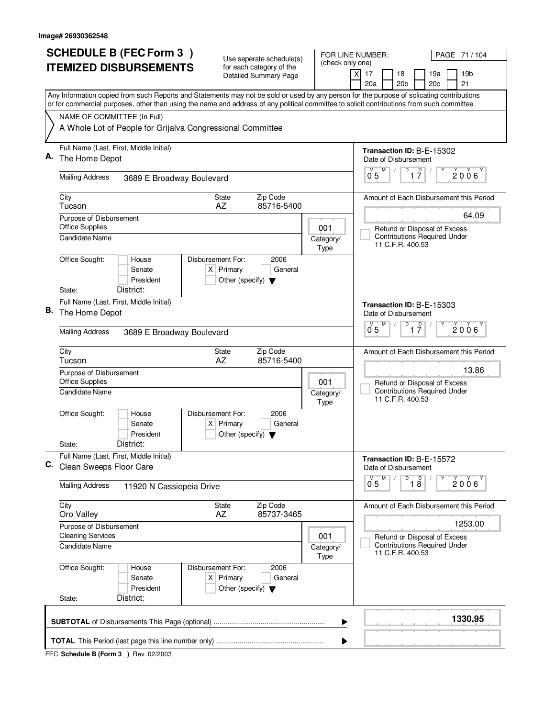|                                                                                                                                                                                                                                                                                        | <b>SCHEDULE B (FEC Form 3)</b>                                                | Use seperate schedule(s)                                                                         |                 |                           | FOR LINE NUMBER:                             | PAGE 71 / 104                                                                      |                 |  |  |
|----------------------------------------------------------------------------------------------------------------------------------------------------------------------------------------------------------------------------------------------------------------------------------------|-------------------------------------------------------------------------------|--------------------------------------------------------------------------------------------------|-----------------|---------------------------|----------------------------------------------|------------------------------------------------------------------------------------|-----------------|--|--|
| <b>ITEMIZED DISBURSEMENTS</b>                                                                                                                                                                                                                                                          |                                                                               | for each category of the<br><b>Detailed Summary Page</b>                                         |                 | (check only one)          | $\boldsymbol{\mathsf{X}}$<br>17<br>18<br>19a |                                                                                    | 19 <sub>b</sub> |  |  |
|                                                                                                                                                                                                                                                                                        |                                                                               |                                                                                                  |                 |                           | 20 <sub>b</sub><br>20a                       | 20c<br>21                                                                          |                 |  |  |
| Any Information copied from such Reports and Statements may not be sold or used by any person for the purpose of solicating contributions<br>or for commercial purposes, other than using the name and address of any political committee to solicit contributions from such committee |                                                                               |                                                                                                  |                 |                           |                                              |                                                                                    |                 |  |  |
| NAME OF COMMITTEE (In Full)                                                                                                                                                                                                                                                            |                                                                               |                                                                                                  |                 |                           |                                              |                                                                                    |                 |  |  |
|                                                                                                                                                                                                                                                                                        | A Whole Lot of People for Grijalva Congressional Committee                    |                                                                                                  |                 |                           |                                              |                                                                                    |                 |  |  |
|                                                                                                                                                                                                                                                                                        | Full Name (Last, First, Middle Initial)                                       |                                                                                                  |                 | Transaction ID: B-E-15302 |                                              |                                                                                    |                 |  |  |
|                                                                                                                                                                                                                                                                                        | The Home Depot                                                                |                                                                                                  |                 |                           | Date of Disbursement<br>D<br>M               |                                                                                    |                 |  |  |
|                                                                                                                                                                                                                                                                                        | <b>Mailing Address</b><br>3689 E Broadway Boulevard                           |                                                                                                  |                 |                           |                                              | $\overline{1}$ $\overline{7}$<br>2006<br>0 <sub>5</sub>                            |                 |  |  |
|                                                                                                                                                                                                                                                                                        | City<br>Zip Code<br><b>State</b><br>Tucson<br>AZ<br>85716-5400                |                                                                                                  |                 |                           |                                              | Amount of Each Disbursement this Period                                            |                 |  |  |
|                                                                                                                                                                                                                                                                                        | Purpose of Disbursement                                                       | 64.09                                                                                            |                 |                           |                                              |                                                                                    |                 |  |  |
|                                                                                                                                                                                                                                                                                        | <b>Office Supplies</b><br><b>Candidate Name</b>                               |                                                                                                  |                 | 001<br>Category/<br>Type  | 11 C.F.R. 400.53                             | Refund or Disposal of Excess<br><b>Contributions Required Under</b>                |                 |  |  |
|                                                                                                                                                                                                                                                                                        | Office Sought:<br>House                                                       | Disbursement For:<br>2006                                                                        |                 |                           |                                              |                                                                                    |                 |  |  |
|                                                                                                                                                                                                                                                                                        | Senate                                                                        | $X$ Primary<br>General                                                                           |                 |                           |                                              |                                                                                    |                 |  |  |
|                                                                                                                                                                                                                                                                                        | President<br>District:<br>State:                                              | Other (specify) $\blacktriangledown$                                                             |                 |                           |                                              |                                                                                    |                 |  |  |
|                                                                                                                                                                                                                                                                                        | Full Name (Last, First, Middle Initial)<br>Transaction ID: B-E-15303          |                                                                                                  |                 |                           |                                              |                                                                                    |                 |  |  |
| В.                                                                                                                                                                                                                                                                                     | The Home Depot                                                                |                                                                                                  |                 |                           |                                              | Date of Disbursement<br>D<br>$\overline{1}$ $\overline{7}$<br>м<br>M<br>2006<br>05 |                 |  |  |
|                                                                                                                                                                                                                                                                                        | <b>Mailing Address</b><br>3689 E Broadway Boulevard                           |                                                                                                  |                 |                           |                                              |                                                                                    |                 |  |  |
|                                                                                                                                                                                                                                                                                        | City<br>Tucson                                                                | Zip Code<br><b>State</b><br>AZ<br>85716-5400                                                     |                 |                           |                                              | Amount of Each Disbursement this Period                                            |                 |  |  |
|                                                                                                                                                                                                                                                                                        | Purpose of Disbursement                                                       | 13.86<br>Refund or Disposal of Excess<br><b>Contributions Required Under</b><br>11 C.F.R. 400.53 |                 |                           |                                              |                                                                                    |                 |  |  |
|                                                                                                                                                                                                                                                                                        | <b>Office Supplies</b><br><b>Candidate Name</b>                               |                                                                                                  |                 |                           |                                              |                                                                                    |                 |  |  |
|                                                                                                                                                                                                                                                                                        | Office Sought:<br>House                                                       | Disbursement For:<br>2006                                                                        |                 | Type                      |                                              |                                                                                    |                 |  |  |
|                                                                                                                                                                                                                                                                                        | Senate<br>President                                                           | $X$ Primary<br>General<br>Other (specify) $\blacktriangledown$                                   |                 |                           |                                              |                                                                                    |                 |  |  |
|                                                                                                                                                                                                                                                                                        | District:<br>State:                                                           |                                                                                                  |                 |                           |                                              |                                                                                    |                 |  |  |
| C.                                                                                                                                                                                                                                                                                     | Full Name (Last, First, Middle Initial)<br>Clean Sweeps Floor Care            | Transaction ID: B-E-15572<br>Date of Disbursement                                                |                 |                           |                                              |                                                                                    |                 |  |  |
|                                                                                                                                                                                                                                                                                        | <b>Mailing Address</b><br>11920 N Cassiopeia Drive                            | D<br>M<br>$\overline{0}^M$ 5                                                                     | $\overline{18}$ | 2006                      |                                              |                                                                                    |                 |  |  |
|                                                                                                                                                                                                                                                                                        | City<br>Oro Valley                                                            | Zip Code<br>State<br>AZ<br>85737-3465                                                            |                 |                           |                                              | Amount of Each Disbursement this Period                                            |                 |  |  |
|                                                                                                                                                                                                                                                                                        | Purpose of Disbursement                                                       | 1253.00                                                                                          |                 |                           |                                              |                                                                                    |                 |  |  |
|                                                                                                                                                                                                                                                                                        | <b>Cleaning Services</b><br>001<br><b>Candidate Name</b><br>Category/<br>Type |                                                                                                  |                 |                           | 11 C.F.R. 400.53                             | Refund or Disposal of Excess<br><b>Contributions Required Under</b>                |                 |  |  |
|                                                                                                                                                                                                                                                                                        | Office Sought:<br>House<br>Senate<br>President                                | Disbursement For:<br>2006<br>$X$ Primary<br>General<br>Other (specify) $\blacktriangledown$      |                 |                           |                                              |                                                                                    |                 |  |  |
|                                                                                                                                                                                                                                                                                        | District:<br>State:                                                           |                                                                                                  |                 |                           |                                              |                                                                                    |                 |  |  |
| 1330.95<br>▶                                                                                                                                                                                                                                                                           |                                                                               |                                                                                                  |                 |                           |                                              |                                                                                    |                 |  |  |
| ▶                                                                                                                                                                                                                                                                                      |                                                                               |                                                                                                  |                 |                           |                                              |                                                                                    |                 |  |  |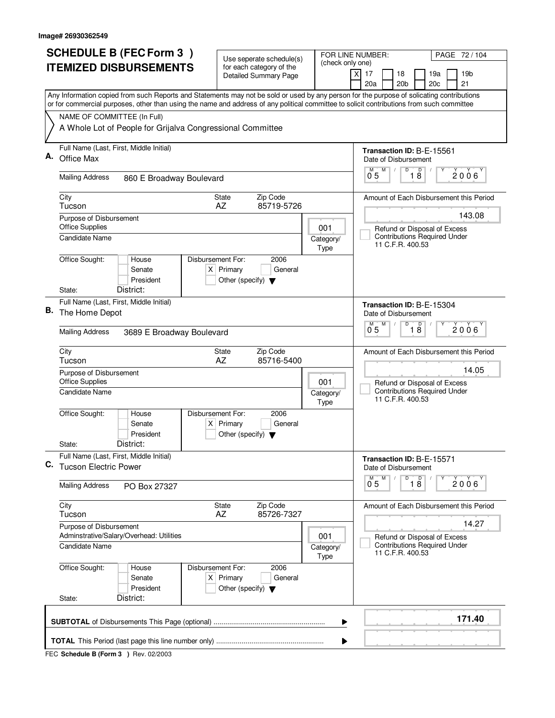|                                                                                                                                           | <b>SCHEDULE B (FEC Form 3)</b>                                                                                                            | Use seperate schedule(s)                                                      |                                                         | FOR LINE NUMBER:<br>PAGE 72 / 104                                                       |  |  |  |  |  |  |
|-------------------------------------------------------------------------------------------------------------------------------------------|-------------------------------------------------------------------------------------------------------------------------------------------|-------------------------------------------------------------------------------|---------------------------------------------------------|-----------------------------------------------------------------------------------------|--|--|--|--|--|--|
| <b>ITEMIZED DISBURSEMENTS</b>                                                                                                             |                                                                                                                                           | for each category of the<br><b>Detailed Summary Page</b>                      | (check only one)                                        | $\times$<br>17<br>18<br>19a<br>19b                                                      |  |  |  |  |  |  |
|                                                                                                                                           | Any Information copied from such Reports and Statements may not be sold or used by any person for the purpose of solicating contributions |                                                                               |                                                         | 20a<br>20 <sub>b</sub><br>20c<br>21                                                     |  |  |  |  |  |  |
| or for commercial purposes, other than using the name and address of any political committee to solicit contributions from such committee |                                                                                                                                           |                                                                               |                                                         |                                                                                         |  |  |  |  |  |  |
|                                                                                                                                           | NAME OF COMMITTEE (In Full)                                                                                                               |                                                                               |                                                         |                                                                                         |  |  |  |  |  |  |
|                                                                                                                                           | A Whole Lot of People for Grijalva Congressional Committee                                                                                |                                                                               |                                                         |                                                                                         |  |  |  |  |  |  |
| А.                                                                                                                                        | Full Name (Last, First, Middle Initial)                                                                                                   |                                                                               |                                                         | Transaction ID: B-E-15561                                                               |  |  |  |  |  |  |
|                                                                                                                                           | Office Max                                                                                                                                | Date of Disbursement<br>D<br>M                                                |                                                         |                                                                                         |  |  |  |  |  |  |
|                                                                                                                                           | <b>Mailing Address</b><br>860 E Broadway Boulevard                                                                                        | $\overline{18}$<br>$2006^\circ$<br>0 <sub>5</sub>                             |                                                         |                                                                                         |  |  |  |  |  |  |
|                                                                                                                                           | City<br><b>State</b><br>Tucson<br>AZ                                                                                                      | Amount of Each Disbursement this Period                                       |                                                         |                                                                                         |  |  |  |  |  |  |
|                                                                                                                                           | Purpose of Disbursement                                                                                                                   | 143.08<br>Refund or Disposal of Excess<br><b>Contributions Required Under</b> |                                                         |                                                                                         |  |  |  |  |  |  |
|                                                                                                                                           | <b>Office Supplies</b><br><b>Candidate Name</b>                                                                                           |                                                                               |                                                         |                                                                                         |  |  |  |  |  |  |
|                                                                                                                                           |                                                                                                                                           |                                                                               | Category/<br>Type                                       | 11 C.F.R. 400.53                                                                        |  |  |  |  |  |  |
|                                                                                                                                           | Office Sought:<br>Disbursement For:<br>House                                                                                              | 2006                                                                          |                                                         |                                                                                         |  |  |  |  |  |  |
|                                                                                                                                           | Senate                                                                                                                                    | $X$ Primary<br>General                                                        |                                                         |                                                                                         |  |  |  |  |  |  |
|                                                                                                                                           | President<br>District:<br>State:                                                                                                          | Other (specify) $\blacktriangledown$                                          |                                                         |                                                                                         |  |  |  |  |  |  |
|                                                                                                                                           | Full Name (Last, First, Middle Initial)                                                                                                   | Transaction ID: B-E-15304                                                     |                                                         |                                                                                         |  |  |  |  |  |  |
| В.                                                                                                                                        | The Home Depot                                                                                                                            | Date of Disbursement                                                          |                                                         |                                                                                         |  |  |  |  |  |  |
|                                                                                                                                           | <b>Mailing Address</b><br>3689 E Broadway Boulevard                                                                                       | M<br>D<br>D<br>M<br>$2006^{\circ}$<br>$1\overline{8}$<br>05                   |                                                         |                                                                                         |  |  |  |  |  |  |
|                                                                                                                                           | City<br>Tucson                                                                                                                            | Zip Code<br>State<br>AZ<br>85716-5400                                         |                                                         | Amount of Each Disbursement this Period                                                 |  |  |  |  |  |  |
|                                                                                                                                           | Purpose of Disbursement                                                                                                                   | 14.05                                                                         |                                                         |                                                                                         |  |  |  |  |  |  |
|                                                                                                                                           | <b>Office Supplies</b><br><b>Candidate Name</b>                                                                                           |                                                                               | 001<br>Category/                                        | Refund or Disposal of Excess<br><b>Contributions Required Under</b><br>11 C.F.R. 400.53 |  |  |  |  |  |  |
|                                                                                                                                           |                                                                                                                                           |                                                                               | Type                                                    |                                                                                         |  |  |  |  |  |  |
|                                                                                                                                           | Office Sought:<br>Disbursement For:<br>House<br>Senate                                                                                    | 2006<br>$X$ Primary<br>General                                                |                                                         |                                                                                         |  |  |  |  |  |  |
|                                                                                                                                           | President                                                                                                                                 | Other (specify) $\blacktriangledown$                                          |                                                         |                                                                                         |  |  |  |  |  |  |
|                                                                                                                                           | District:<br>State:                                                                                                                       |                                                                               |                                                         |                                                                                         |  |  |  |  |  |  |
| C.                                                                                                                                        | Full Name (Last, First, Middle Initial)<br><b>Tucson Electric Power</b>                                                                   | Transaction ID: B-E-15571<br>Date of Disbursement                             |                                                         |                                                                                         |  |  |  |  |  |  |
|                                                                                                                                           | <b>Mailing Address</b><br>PO Box 27327                                                                                                    | D<br>$\overline{18}$<br>M<br>$0^{M}$ 5<br>2006                                |                                                         |                                                                                         |  |  |  |  |  |  |
|                                                                                                                                           | City<br>Tucson                                                                                                                            | State<br>Zip Code<br>AZ<br>85726-7327                                         |                                                         | Amount of Each Disbursement this Period                                                 |  |  |  |  |  |  |
|                                                                                                                                           | Purpose of Disbursement<br>Adminstrative/Salary/Overhead: Utilities                                                                       | 14.27<br>Refund or Disposal of Excess                                         |                                                         |                                                                                         |  |  |  |  |  |  |
|                                                                                                                                           | <b>Candidate Name</b>                                                                                                                     | 001<br>Category/<br>Type                                                      | <b>Contributions Required Under</b><br>11 C.F.R. 400.53 |                                                                                         |  |  |  |  |  |  |
|                                                                                                                                           | Office Sought:<br>Disbursement For:<br>House<br>Senate<br>President                                                                       | 2006<br>$X$ Primary<br>General<br>Other (specify) $\blacktriangledown$        |                                                         |                                                                                         |  |  |  |  |  |  |
|                                                                                                                                           | District:<br>State:                                                                                                                       |                                                                               |                                                         |                                                                                         |  |  |  |  |  |  |
| 171.40<br>▶                                                                                                                               |                                                                                                                                           |                                                                               |                                                         |                                                                                         |  |  |  |  |  |  |
|                                                                                                                                           | ▶                                                                                                                                         |                                                                               |                                                         |                                                                                         |  |  |  |  |  |  |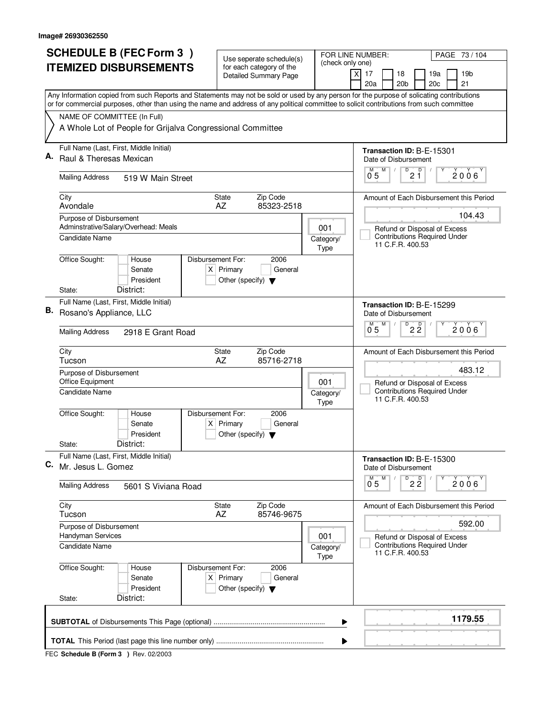| <b>SCHEDULE B (FEC Form 3)</b> |                                                                                                                                                                                                                                                                                        | Use seperate schedule(s)                                       |  |                                                   | FOR LINE NUMBER:                        | PAGE 73 / 104                                                       |                                         |  |
|--------------------------------|----------------------------------------------------------------------------------------------------------------------------------------------------------------------------------------------------------------------------------------------------------------------------------------|----------------------------------------------------------------|--|---------------------------------------------------|-----------------------------------------|---------------------------------------------------------------------|-----------------------------------------|--|
|                                | <b>ITEMIZED DISBURSEMENTS</b>                                                                                                                                                                                                                                                          | for each category of the<br><b>Detailed Summary Page</b>       |  | (check only one)                                  | $\boldsymbol{\mathsf{X}}$<br>17<br>18   | 19a                                                                 | 19 <sub>b</sub>                         |  |
|                                |                                                                                                                                                                                                                                                                                        |                                                                |  |                                                   | 20a                                     | 20 <sub>b</sub><br>20c                                              | 21                                      |  |
|                                | Any Information copied from such Reports and Statements may not be sold or used by any person for the purpose of solicating contributions<br>or for commercial purposes, other than using the name and address of any political committee to solicit contributions from such committee |                                                                |  |                                                   |                                         |                                                                     |                                         |  |
|                                | NAME OF COMMITTEE (In Full)                                                                                                                                                                                                                                                            |                                                                |  |                                                   |                                         |                                                                     |                                         |  |
|                                | A Whole Lot of People for Grijalva Congressional Committee                                                                                                                                                                                                                             |                                                                |  |                                                   |                                         |                                                                     |                                         |  |
| А.                             | Full Name (Last, First, Middle Initial)<br>Raul & Theresas Mexican                                                                                                                                                                                                                     |                                                                |  | Transaction ID: B-E-15301<br>Date of Disbursement |                                         |                                                                     |                                         |  |
|                                |                                                                                                                                                                                                                                                                                        |                                                                |  |                                                   | М<br>M                                  |                                                                     |                                         |  |
|                                | <b>Mailing Address</b><br>519 W Main Street                                                                                                                                                                                                                                            |                                                                |  |                                                   | 0 <sub>5</sub>                          | $\sqrt{\frac{D}{2}}$                                                | 2006                                    |  |
|                                | City<br>Avondale                                                                                                                                                                                                                                                                       | Zip Code<br><b>State</b><br>AZ<br>85323-2518                   |  |                                                   | Amount of Each Disbursement this Period |                                                                     |                                         |  |
|                                | Purpose of Disbursement<br>Adminstrative/Salary/Overhead: Meals                                                                                                                                                                                                                        |                                                                |  |                                                   |                                         |                                                                     | 104.43                                  |  |
|                                | Candidate Name                                                                                                                                                                                                                                                                         |                                                                |  | 001<br>Category/                                  |                                         | Refund or Disposal of Excess<br><b>Contributions Required Under</b> |                                         |  |
|                                |                                                                                                                                                                                                                                                                                        |                                                                |  | Type                                              |                                         | 11 C.F.R. 400.53                                                    |                                         |  |
|                                | Office Sought:<br>Disbursement For:<br>House<br>Senate                                                                                                                                                                                                                                 | 2006<br>$X$ Primary<br>General                                 |  |                                                   |                                         |                                                                     |                                         |  |
|                                | President                                                                                                                                                                                                                                                                              | Other (specify) $\blacktriangledown$                           |  |                                                   |                                         |                                                                     |                                         |  |
|                                | District:<br>State:                                                                                                                                                                                                                                                                    |                                                                |  |                                                   |                                         |                                                                     |                                         |  |
| В.                             | Full Name (Last, First, Middle Initial)<br>Rosano's Appliance, LLC                                                                                                                                                                                                                     |                                                                |  |                                                   | Date of Disbursement                    | Transaction ID: B-E-15299                                           |                                         |  |
|                                |                                                                                                                                                                                                                                                                                        |                                                                |  |                                                   | м<br>M                                  | $\overline{D}$<br>$2\frac{D}{2}$                                    | 2006                                    |  |
|                                | <b>Mailing Address</b><br>2918 E Grant Road                                                                                                                                                                                                                                            |                                                                |  |                                                   | 05                                      |                                                                     |                                         |  |
|                                | City<br>Tucson                                                                                                                                                                                                                                                                         | Zip Code<br>State<br>AZ<br>85716-2718                          |  |                                                   |                                         |                                                                     | Amount of Each Disbursement this Period |  |
|                                | Purpose of Disbursement<br>001                                                                                                                                                                                                                                                         |                                                                |  |                                                   | 483.12                                  |                                                                     |                                         |  |
|                                | Office Equipment<br>Candidate Name                                                                                                                                                                                                                                                     |                                                                |  |                                                   |                                         | Refund or Disposal of Excess<br><b>Contributions Required Under</b> |                                         |  |
|                                |                                                                                                                                                                                                                                                                                        | Category/<br>Type                                              |  |                                                   | 11 C.F.R. 400.53                        |                                                                     |                                         |  |
|                                | Office Sought:<br>Disbursement For:<br>House                                                                                                                                                                                                                                           | 2006                                                           |  |                                                   |                                         |                                                                     |                                         |  |
|                                | Senate<br>President                                                                                                                                                                                                                                                                    | $X$ Primary<br>General<br>Other (specify) $\blacktriangledown$ |  |                                                   |                                         |                                                                     |                                         |  |
|                                | District:<br>State:                                                                                                                                                                                                                                                                    |                                                                |  |                                                   |                                         |                                                                     |                                         |  |
| С.                             | Full Name (Last, First, Middle Initial)<br>Mr. Jesus L. Gomez                                                                                                                                                                                                                          |                                                                |  |                                                   | Date of Disbursement                    | Transaction ID: B-E-15300                                           |                                         |  |
|                                | <b>Mailing Address</b><br>5601 S Viviana Road                                                                                                                                                                                                                                          |                                                                |  |                                                   | M<br>$\overline{0}^M$ 5                 | $\overline{P}$ 2 $\overline{Q}$                                     | $2006^{\circ}$                          |  |
|                                | City                                                                                                                                                                                                                                                                                   | State<br>Zip Code                                              |  |                                                   |                                         |                                                                     | Amount of Each Disbursement this Period |  |
|                                | Tucson                                                                                                                                                                                                                                                                                 | AZ<br>85746-9675                                               |  |                                                   |                                         |                                                                     | 592.00                                  |  |
|                                | Purpose of Disbursement<br>Handyman Services                                                                                                                                                                                                                                           |                                                                |  | 001                                               |                                         | Refund or Disposal of Excess                                        |                                         |  |
|                                | Candidate Name                                                                                                                                                                                                                                                                         |                                                                |  | Category/<br>Type                                 |                                         | <b>Contributions Required Under</b><br>11 C.F.R. 400.53             |                                         |  |
|                                | Office Sought:<br>Disbursement For:<br>House                                                                                                                                                                                                                                           | 2006                                                           |  |                                                   |                                         |                                                                     |                                         |  |
|                                | Senate<br>President                                                                                                                                                                                                                                                                    | $X$ Primary<br>General<br>Other (specify) $\blacktriangledown$ |  |                                                   |                                         |                                                                     |                                         |  |
|                                | District:<br>State:                                                                                                                                                                                                                                                                    |                                                                |  |                                                   |                                         |                                                                     |                                         |  |
|                                | 1179.55<br>▶                                                                                                                                                                                                                                                                           |                                                                |  |                                                   |                                         |                                                                     |                                         |  |
|                                |                                                                                                                                                                                                                                                                                        |                                                                |  | ▶                                                 |                                         |                                                                     |                                         |  |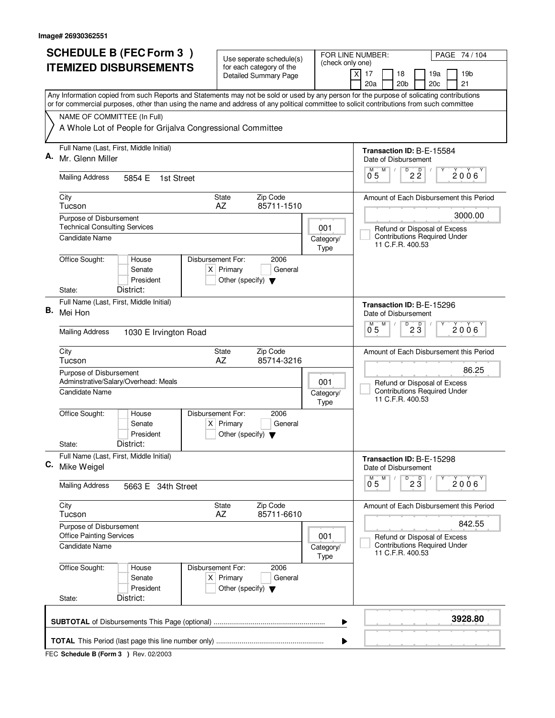| <b>SCHEDULE B (FEC Form 3)</b> |                                                                                                                                                                                                                                                                                        | Use seperate schedule(s)                                               | FOR LINE NUMBER:<br>PAGE 74 / 104 |                                                                                         |  |  |
|--------------------------------|----------------------------------------------------------------------------------------------------------------------------------------------------------------------------------------------------------------------------------------------------------------------------------------|------------------------------------------------------------------------|-----------------------------------|-----------------------------------------------------------------------------------------|--|--|
|                                | <b>ITEMIZED DISBURSEMENTS</b>                                                                                                                                                                                                                                                          | for each category of the<br><b>Detailed Summary Page</b>               | (check only one)                  | 17<br>18<br>19a<br>19 <sub>b</sub><br>X<br>20a<br>20 <sub>b</sub><br>20c<br>21          |  |  |
|                                | Any Information copied from such Reports and Statements may not be sold or used by any person for the purpose of solicating contributions<br>or for commercial purposes, other than using the name and address of any political committee to solicit contributions from such committee |                                                                        |                                   |                                                                                         |  |  |
|                                | NAME OF COMMITTEE (In Full)                                                                                                                                                                                                                                                            |                                                                        |                                   |                                                                                         |  |  |
|                                | A Whole Lot of People for Grijalva Congressional Committee                                                                                                                                                                                                                             |                                                                        |                                   |                                                                                         |  |  |
|                                | Full Name (Last, First, Middle Initial)<br>Mr. Glenn Miller                                                                                                                                                                                                                            |                                                                        |                                   | Transaction ID: B-E-15584<br>Date of Disbursement                                       |  |  |
|                                | <b>Mailing Address</b><br>5854 E<br>1st Street                                                                                                                                                                                                                                         |                                                                        |                                   | $\overline{P}$ 2 $\overline{2}$<br>M<br>$2006^\circ$<br>$0^{\degree}5$                  |  |  |
|                                | City<br>Tucson                                                                                                                                                                                                                                                                         | Zip Code<br><b>State</b><br>85711-1510<br>AZ                           |                                   | Amount of Each Disbursement this Period                                                 |  |  |
|                                | Purpose of Disbursement                                                                                                                                                                                                                                                                |                                                                        |                                   | 3000.00                                                                                 |  |  |
|                                | <b>Technical Consulting Services</b><br>Candidate Name                                                                                                                                                                                                                                 |                                                                        | 001<br>Category/<br>Type          | Refund or Disposal of Excess<br><b>Contributions Required Under</b><br>11 C.F.R. 400.53 |  |  |
|                                | Office Sought:<br>Disbursement For:<br>House<br>Senate<br>President<br>District:<br>State:                                                                                                                                                                                             | 2006<br>$X$ Primary<br>General<br>Other (specify) $\blacktriangledown$ |                                   |                                                                                         |  |  |
|                                | Full Name (Last, First, Middle Initial)                                                                                                                                                                                                                                                |                                                                        |                                   |                                                                                         |  |  |
| В.                             | Mei Hon                                                                                                                                                                                                                                                                                |                                                                        |                                   | Transaction ID: B-E-15296<br>Date of Disbursement<br>D<br>M                             |  |  |
|                                | <b>Mailing Address</b><br>1030 E Irvington Road                                                                                                                                                                                                                                        |                                                                        |                                   | $2\overline{3}$<br>$2006^{\circ}$<br>0 <sub>5</sub>                                     |  |  |
|                                | City<br>Tucson                                                                                                                                                                                                                                                                         | Zip Code<br><b>State</b><br>AZ<br>85714-3216                           |                                   | Amount of Each Disbursement this Period                                                 |  |  |
|                                | Purpose of Disbursement<br>Adminstrative/Salary/Overhead: Meals<br>001                                                                                                                                                                                                                 |                                                                        |                                   | 86.25                                                                                   |  |  |
|                                | Candidate Name                                                                                                                                                                                                                                                                         |                                                                        | Category/<br>Type                 | Refund or Disposal of Excess<br><b>Contributions Required Under</b><br>11 C.F.R. 400.53 |  |  |
|                                | Office Sought:<br>Disbursement For:<br>House<br>Senate<br>President                                                                                                                                                                                                                    | 2006<br>$X$ Primary<br>General<br>Other (specify) $\blacktriangledown$ |                                   |                                                                                         |  |  |
|                                | District:<br>State:                                                                                                                                                                                                                                                                    |                                                                        |                                   |                                                                                         |  |  |
|                                | Full Name (Last, First, Middle Initial)<br>C. Mike Weigel                                                                                                                                                                                                                              |                                                                        |                                   | Transaction ID: B-E-15298<br>Date of Disbursement                                       |  |  |
|                                | <b>Mailing Address</b><br>5663 E 34th Street                                                                                                                                                                                                                                           |                                                                        |                                   | $D^D$ 2 $3$<br>M<br>2006<br>0 <sub>5</sub>                                              |  |  |
|                                | City<br>Tucson                                                                                                                                                                                                                                                                         | Zip Code<br>State<br>AZ<br>85711-6610                                  |                                   | Amount of Each Disbursement this Period                                                 |  |  |
|                                | Purpose of Disbursement<br><b>Office Painting Services</b>                                                                                                                                                                                                                             |                                                                        | 001                               | 842.55<br>Refund or Disposal of Excess                                                  |  |  |
|                                | <b>Candidate Name</b>                                                                                                                                                                                                                                                                  |                                                                        | Category/<br>Type                 | <b>Contributions Required Under</b><br>11 C.F.R. 400.53                                 |  |  |
|                                | Office Sought:<br>House<br>Disbursement For:<br>Senate<br>President<br>District:<br>State:                                                                                                                                                                                             | 2006<br>$X$ Primary<br>General<br>Other (specify) $\blacktriangledown$ |                                   |                                                                                         |  |  |
|                                |                                                                                                                                                                                                                                                                                        |                                                                        |                                   |                                                                                         |  |  |
|                                |                                                                                                                                                                                                                                                                                        |                                                                        | ▶                                 | 3928.80                                                                                 |  |  |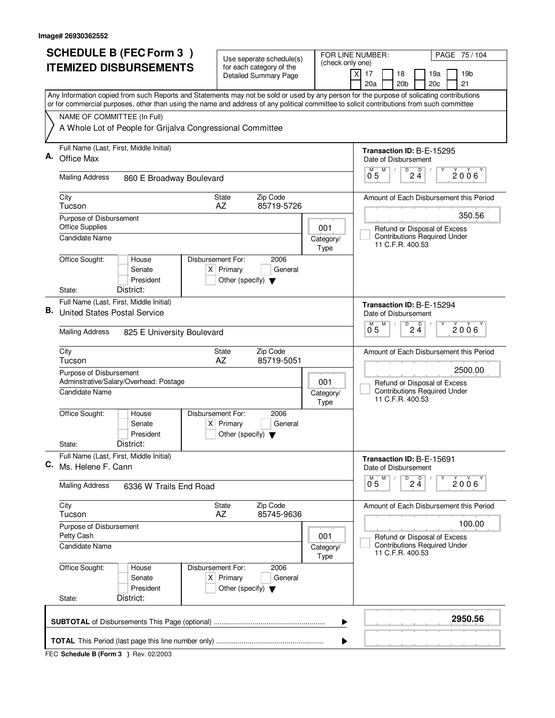|    | <b>SCHEDULE B (FEC Form 3)</b>                                                                                                                                                                                                                                                         | Use seperate schedule(s)                                                                    |                                                         | PAGE 75 / 104<br>FOR LINE NUMBER:                                                   |  |  |  |  |
|----|----------------------------------------------------------------------------------------------------------------------------------------------------------------------------------------------------------------------------------------------------------------------------------------|---------------------------------------------------------------------------------------------|---------------------------------------------------------|-------------------------------------------------------------------------------------|--|--|--|--|
|    | <b>ITEMIZED DISBURSEMENTS</b>                                                                                                                                                                                                                                                          | for each category of the<br><b>Detailed Summary Page</b>                                    |                                                         | (check only one)<br>$\boldsymbol{\mathsf{X}}$<br>17<br>18<br>19a<br>19 <sub>b</sub> |  |  |  |  |
|    |                                                                                                                                                                                                                                                                                        |                                                                                             |                                                         | 20 <sub>b</sub><br>20c<br>21<br>20a                                                 |  |  |  |  |
|    | Any Information copied from such Reports and Statements may not be sold or used by any person for the purpose of solicating contributions<br>or for commercial purposes, other than using the name and address of any political committee to solicit contributions from such committee |                                                                                             |                                                         |                                                                                     |  |  |  |  |
|    | NAME OF COMMITTEE (In Full)                                                                                                                                                                                                                                                            |                                                                                             |                                                         |                                                                                     |  |  |  |  |
|    | A Whole Lot of People for Grijalva Congressional Committee                                                                                                                                                                                                                             |                                                                                             |                                                         |                                                                                     |  |  |  |  |
| А. | Full Name (Last, First, Middle Initial)                                                                                                                                                                                                                                                |                                                                                             |                                                         | Transaction ID: B-E-15295                                                           |  |  |  |  |
|    | Office Max                                                                                                                                                                                                                                                                             |                                                                                             |                                                         | Date of Disbursement<br>D<br>М<br>M                                                 |  |  |  |  |
|    | <b>Mailing Address</b><br>860 E Broadway Boulevard                                                                                                                                                                                                                                     |                                                                                             |                                                         | $2\frac{D}{4}$<br>2006<br>0 <sub>5</sub>                                            |  |  |  |  |
|    | City<br>Tucson                                                                                                                                                                                                                                                                         | Zip Code<br><b>State</b><br>AZ<br>85719-5726                                                |                                                         | Amount of Each Disbursement this Period                                             |  |  |  |  |
|    | Purpose of Disbursement                                                                                                                                                                                                                                                                |                                                                                             |                                                         | 350.56                                                                              |  |  |  |  |
|    | <b>Office Supplies</b><br>Candidate Name                                                                                                                                                                                                                                               |                                                                                             | 001<br>Category/                                        | Refund or Disposal of Excess<br><b>Contributions Required Under</b>                 |  |  |  |  |
|    |                                                                                                                                                                                                                                                                                        |                                                                                             | Type                                                    | 11 C.F.R. 400.53                                                                    |  |  |  |  |
|    | Office Sought:<br>House<br>Senate                                                                                                                                                                                                                                                      | Disbursement For:<br>2006<br>$X$ Primary<br>General                                         |                                                         |                                                                                     |  |  |  |  |
|    | President                                                                                                                                                                                                                                                                              | Other (specify) $\blacktriangledown$                                                        |                                                         |                                                                                     |  |  |  |  |
|    | District:<br>State:                                                                                                                                                                                                                                                                    |                                                                                             |                                                         |                                                                                     |  |  |  |  |
| В. | Full Name (Last, First, Middle Initial)<br><b>United States Postal Service</b>                                                                                                                                                                                                         |                                                                                             | Transaction ID: B-E-15294<br>Date of Disbursement       |                                                                                     |  |  |  |  |
|    |                                                                                                                                                                                                                                                                                        |                                                                                             |                                                         | $\overline{D}$<br>D<br>м<br>M<br>2006                                               |  |  |  |  |
|    | <b>Mailing Address</b><br>825 E University Boulevard                                                                                                                                                                                                                                   |                                                                                             |                                                         | 05<br>24                                                                            |  |  |  |  |
|    | City<br>Tucson                                                                                                                                                                                                                                                                         | Zip Code<br>State<br>AZ<br>85719-5051                                                       |                                                         | Amount of Each Disbursement this Period                                             |  |  |  |  |
|    | Purpose of Disbursement<br>Adminstrative/Salary/Overhead: Postage                                                                                                                                                                                                                      | 2500.00<br>Refund or Disposal of Excess                                                     |                                                         |                                                                                     |  |  |  |  |
|    | <b>Candidate Name</b>                                                                                                                                                                                                                                                                  | 001<br>Category/<br>Type                                                                    | <b>Contributions Required Under</b><br>11 C.F.R. 400.53 |                                                                                     |  |  |  |  |
|    | Office Sought:<br>House<br>Senate<br>President                                                                                                                                                                                                                                         | Disbursement For:<br>2006<br>$X$ Primary<br>General<br>Other (specify) $\blacktriangledown$ |                                                         |                                                                                     |  |  |  |  |
|    | District:<br>State:                                                                                                                                                                                                                                                                    |                                                                                             |                                                         |                                                                                     |  |  |  |  |
| С. | Full Name (Last, First, Middle Initial)<br>Ms. Helene F. Cann                                                                                                                                                                                                                          |                                                                                             |                                                         | Transaction ID: B-E-15691<br>Date of Disbursement                                   |  |  |  |  |
|    | <b>Mailing Address</b><br>6336 W Trails End Road                                                                                                                                                                                                                                       |                                                                                             |                                                         | $D$ <sub>2</sub> $\frac{D}{4}$<br>M<br>$\overline{0}^M$ 5<br>2006                   |  |  |  |  |
|    | City<br>Tucson                                                                                                                                                                                                                                                                         | State<br>Zip Code<br>AZ<br>85745-9636                                                       |                                                         | Amount of Each Disbursement this Period                                             |  |  |  |  |
|    | Purpose of Disbursement<br>Petty Cash                                                                                                                                                                                                                                                  |                                                                                             | 001                                                     | 100.00<br>Refund or Disposal of Excess                                              |  |  |  |  |
|    | <b>Candidate Name</b>                                                                                                                                                                                                                                                                  |                                                                                             | Category/<br>Type                                       | <b>Contributions Required Under</b><br>11 C.F.R. 400.53                             |  |  |  |  |
|    | Office Sought:<br>House<br>Senate<br>President                                                                                                                                                                                                                                         | Disbursement For:<br>2006<br>$X$ Primary<br>General<br>Other (specify) $\blacktriangledown$ |                                                         |                                                                                     |  |  |  |  |
|    | District:<br>State:                                                                                                                                                                                                                                                                    |                                                                                             |                                                         |                                                                                     |  |  |  |  |
|    |                                                                                                                                                                                                                                                                                        |                                                                                             |                                                         | 2950.56<br>▶                                                                        |  |  |  |  |
|    |                                                                                                                                                                                                                                                                                        |                                                                                             |                                                         | ▶                                                                                   |  |  |  |  |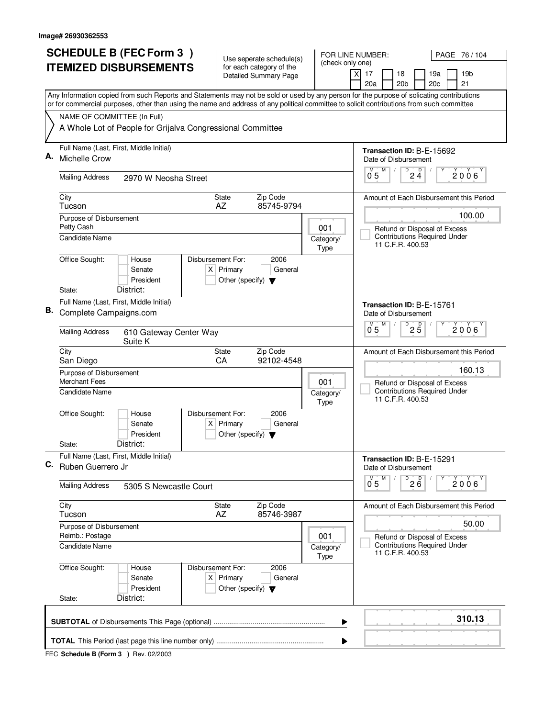| <b>SCHEDULE B (FEC Form 3)</b><br>FOR LINE NUMBER:<br>Use seperate schedule(s) |                                                                                                                                                                                                                                                                                        | PAGE 76 / 104                                                          |                                                         |                                                                           |  |  |  |  |
|--------------------------------------------------------------------------------|----------------------------------------------------------------------------------------------------------------------------------------------------------------------------------------------------------------------------------------------------------------------------------------|------------------------------------------------------------------------|---------------------------------------------------------|---------------------------------------------------------------------------|--|--|--|--|
|                                                                                | <b>ITEMIZED DISBURSEMENTS</b>                                                                                                                                                                                                                                                          | for each category of the<br><b>Detailed Summary Page</b>               | (check only one)                                        | $\times$<br>17<br>18<br>19a<br>19b<br>20 <sub>b</sub><br>20c<br>21<br>20a |  |  |  |  |
|                                                                                | Any Information copied from such Reports and Statements may not be sold or used by any person for the purpose of solicating contributions<br>or for commercial purposes, other than using the name and address of any political committee to solicit contributions from such committee |                                                                        |                                                         |                                                                           |  |  |  |  |
|                                                                                | NAME OF COMMITTEE (In Full)                                                                                                                                                                                                                                                            |                                                                        |                                                         |                                                                           |  |  |  |  |
|                                                                                | A Whole Lot of People for Grijalva Congressional Committee                                                                                                                                                                                                                             |                                                                        |                                                         |                                                                           |  |  |  |  |
| А.                                                                             | Full Name (Last, First, Middle Initial)<br>Michelle Crow                                                                                                                                                                                                                               |                                                                        |                                                         | Transaction ID: B-E-15692<br>Date of Disbursement                         |  |  |  |  |
|                                                                                | <b>Mailing Address</b><br>2970 W Neosha Street                                                                                                                                                                                                                                         |                                                                        |                                                         | M<br>D<br>$2\frac{D}{4}$<br>$2006^\circ$<br>0 <sub>5</sub>                |  |  |  |  |
|                                                                                | City<br>Tucson                                                                                                                                                                                                                                                                         | Zip Code<br><b>State</b><br>85745-9794<br>AZ                           |                                                         | Amount of Each Disbursement this Period                                   |  |  |  |  |
|                                                                                | Purpose of Disbursement<br>Petty Cash                                                                                                                                                                                                                                                  |                                                                        | 001                                                     | 100.00<br>Refund or Disposal of Excess                                    |  |  |  |  |
|                                                                                | Candidate Name                                                                                                                                                                                                                                                                         |                                                                        | Category/<br>Type                                       | <b>Contributions Required Under</b><br>11 C.F.R. 400.53                   |  |  |  |  |
|                                                                                | Office Sought:<br>Disbursement For:<br>House<br>Senate<br>President<br>District:<br>State:                                                                                                                                                                                             | 2006<br>$X$ Primary<br>General<br>Other (specify) $\blacktriangledown$ |                                                         |                                                                           |  |  |  |  |
|                                                                                | Full Name (Last, First, Middle Initial)                                                                                                                                                                                                                                                |                                                                        |                                                         |                                                                           |  |  |  |  |
| В.                                                                             | Complete Campaigns.com                                                                                                                                                                                                                                                                 |                                                                        |                                                         | Transaction ID: B-E-15761<br>Date of Disbursement                         |  |  |  |  |
|                                                                                | <b>Mailing Address</b><br>610 Gateway Center Way<br>Suite K                                                                                                                                                                                                                            |                                                                        |                                                         | M<br>D<br>$2\overline{5}$<br>M<br>2006<br>0 <sub>5</sub>                  |  |  |  |  |
|                                                                                | City<br>San Diego                                                                                                                                                                                                                                                                      | Zip Code<br>State<br>CA<br>92102-4548                                  |                                                         | Amount of Each Disbursement this Period                                   |  |  |  |  |
|                                                                                | Purpose of Disbursement<br><b>Merchant Fees</b>                                                                                                                                                                                                                                        | 160.13<br>Refund or Disposal of Excess                                 |                                                         |                                                                           |  |  |  |  |
|                                                                                | Candidate Name                                                                                                                                                                                                                                                                         | Category/<br>Type                                                      | <b>Contributions Required Under</b><br>11 C.F.R. 400.53 |                                                                           |  |  |  |  |
|                                                                                | Office Sought:<br>Disbursement For:<br>House<br>Senate<br>President                                                                                                                                                                                                                    | 2006<br>$X$ Primary<br>General<br>Other (specify) $\blacktriangledown$ |                                                         |                                                                           |  |  |  |  |
|                                                                                | District:<br>State:                                                                                                                                                                                                                                                                    |                                                                        |                                                         |                                                                           |  |  |  |  |
| С.                                                                             | Full Name (Last, First, Middle Initial)<br>Ruben Guerrero Jr                                                                                                                                                                                                                           |                                                                        |                                                         | Transaction ID: B-E-15291<br>Date of Disbursement                         |  |  |  |  |
|                                                                                | <b>Mailing Address</b><br>5305 S Newcastle Court                                                                                                                                                                                                                                       |                                                                        |                                                         | $^{D}$ 2 $B$<br>M<br>$0^{M}$ 5<br>2006'                                   |  |  |  |  |
|                                                                                | City<br>Tucson                                                                                                                                                                                                                                                                         | State<br>Zip Code<br>AZ<br>85746-3987                                  |                                                         | Amount of Each Disbursement this Period                                   |  |  |  |  |
|                                                                                | Purpose of Disbursement<br>Reimb.: Postage                                                                                                                                                                                                                                             |                                                                        | 001                                                     | 50.00<br>Refund or Disposal of Excess                                     |  |  |  |  |
|                                                                                | Candidate Name                                                                                                                                                                                                                                                                         |                                                                        | Category/<br>Type                                       | <b>Contributions Required Under</b><br>11 C.F.R. 400.53                   |  |  |  |  |
|                                                                                | Office Sought:<br>Disbursement For:<br>House<br>Senate<br>President<br>District:<br>State:                                                                                                                                                                                             | 2006<br>$X$ Primary<br>General<br>Other (specify) $\blacktriangledown$ |                                                         |                                                                           |  |  |  |  |
|                                                                                |                                                                                                                                                                                                                                                                                        |                                                                        |                                                         |                                                                           |  |  |  |  |
|                                                                                | 310.13<br>▶                                                                                                                                                                                                                                                                            |                                                                        |                                                         |                                                                           |  |  |  |  |
|                                                                                |                                                                                                                                                                                                                                                                                        |                                                                        | ▶                                                       |                                                                           |  |  |  |  |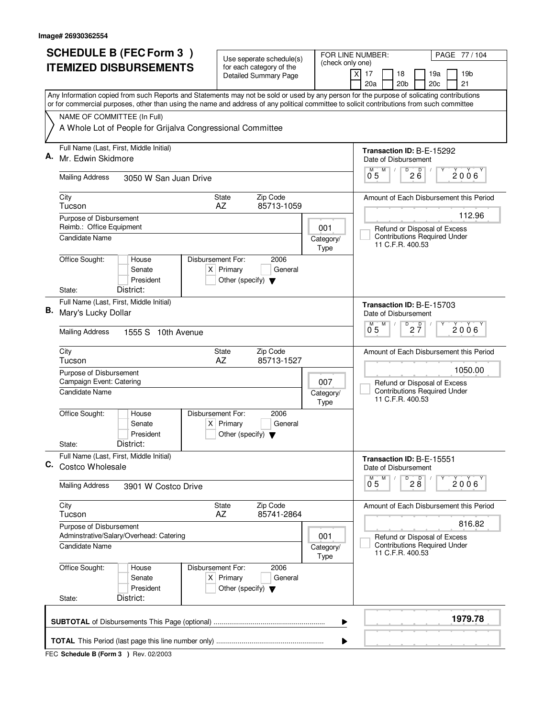| <b>SCHEDULE B (FEC Form 3)</b> |                                                                                                                                                                                                                                                                                        | Use seperate schedule(s)                            |                                                          | FOR LINE NUMBER:<br>(check only one) |   |                                                                   |                      | PAGE 77 / 104                                                       |                                         |  |
|--------------------------------|----------------------------------------------------------------------------------------------------------------------------------------------------------------------------------------------------------------------------------------------------------------------------------------|-----------------------------------------------------|----------------------------------------------------------|--------------------------------------|---|-------------------------------------------------------------------|----------------------|---------------------------------------------------------------------|-----------------------------------------|--|
|                                | <b>ITEMIZED DISBURSEMENTS</b>                                                                                                                                                                                                                                                          |                                                     | for each category of the<br><b>Detailed Summary Page</b> |                                      |   | 17<br>χI                                                          | 18                   | 19a                                                                 | 19 <sub>b</sub>                         |  |
|                                |                                                                                                                                                                                                                                                                                        |                                                     |                                                          |                                      |   | 20a                                                               | 20 <sub>b</sub>      | 20c                                                                 | 21                                      |  |
|                                | Any Information copied from such Reports and Statements may not be sold or used by any person for the purpose of solicating contributions<br>or for commercial purposes, other than using the name and address of any political committee to solicit contributions from such committee |                                                     |                                                          |                                      |   |                                                                   |                      |                                                                     |                                         |  |
|                                | NAME OF COMMITTEE (In Full)                                                                                                                                                                                                                                                            |                                                     |                                                          |                                      |   |                                                                   |                      |                                                                     |                                         |  |
|                                | A Whole Lot of People for Grijalva Congressional Committee                                                                                                                                                                                                                             |                                                     |                                                          |                                      |   |                                                                   |                      |                                                                     |                                         |  |
| А.                             | Full Name (Last, First, Middle Initial)                                                                                                                                                                                                                                                |                                                     |                                                          |                                      |   |                                                                   |                      | Transaction ID: B-E-15292                                           |                                         |  |
|                                | Mr. Edwin Skidmore                                                                                                                                                                                                                                                                     |                                                     |                                                          |                                      |   | Date of Disbursement<br>$^{D}$ <sub>2</sub> $B$ <sup>0</sup><br>M |                      |                                                                     |                                         |  |
|                                | <b>Mailing Address</b><br>3050 W San Juan Drive                                                                                                                                                                                                                                        |                                                     |                                                          |                                      |   | 0.5                                                               |                      |                                                                     | 2006                                    |  |
|                                | City<br>Tucson                                                                                                                                                                                                                                                                         | State<br>AZ                                         | Zip Code<br>85713-1059                                   |                                      |   | Amount of Each Disbursement this Period                           |                      |                                                                     |                                         |  |
|                                | Purpose of Disbursement<br>Reimb.: Office Equipment                                                                                                                                                                                                                                    |                                                     |                                                          |                                      |   |                                                                   |                      |                                                                     | 112.96                                  |  |
|                                | Candidate Name                                                                                                                                                                                                                                                                         |                                                     |                                                          | 001<br>Category/                     |   |                                                                   |                      | Refund or Disposal of Excess<br><b>Contributions Required Under</b> |                                         |  |
|                                |                                                                                                                                                                                                                                                                                        |                                                     |                                                          | Type                                 |   |                                                                   | 11 C.F.R. 400.53     |                                                                     |                                         |  |
|                                | Office Sought:<br>Disbursement For:<br>House<br>Senate                                                                                                                                                                                                                                 | $X$ Primary                                         | 2006<br>General                                          |                                      |   |                                                                   |                      |                                                                     |                                         |  |
|                                | President                                                                                                                                                                                                                                                                              | Other (specify) $\blacktriangledown$                |                                                          |                                      |   |                                                                   |                      |                                                                     |                                         |  |
|                                | District:<br>State:                                                                                                                                                                                                                                                                    |                                                     |                                                          |                                      |   |                                                                   |                      |                                                                     |                                         |  |
|                                | Full Name (Last, First, Middle Initial)<br><b>B.</b> Mary's Lucky Dollar                                                                                                                                                                                                               |                                                     |                                                          |                                      |   |                                                                   | Date of Disbursement | Transaction ID: B-E-15703                                           |                                         |  |
|                                |                                                                                                                                                                                                                                                                                        |                                                     |                                                          |                                      |   | M                                                                 | D<br>М               | $2\frac{D}{7}$                                                      | 2006                                    |  |
|                                | <b>Mailing Address</b><br>1555 S 10th Avenue                                                                                                                                                                                                                                           |                                                     |                                                          |                                      |   | 0 <sub>5</sub>                                                    |                      |                                                                     |                                         |  |
|                                | City<br>Tucson                                                                                                                                                                                                                                                                         | <b>State</b><br>AZ                                  | Zip Code<br>85713-1527                                   |                                      |   |                                                                   |                      |                                                                     | Amount of Each Disbursement this Period |  |
|                                | Purpose of Disbursement                                                                                                                                                                                                                                                                |                                                     |                                                          |                                      |   |                                                                   |                      | 1050.00                                                             |                                         |  |
|                                | Campaign Event: Catering<br>007<br>Candidate Name<br>Category/                                                                                                                                                                                                                         |                                                     |                                                          |                                      |   |                                                                   |                      | Refund or Disposal of Excess<br><b>Contributions Required Under</b> |                                         |  |
|                                |                                                                                                                                                                                                                                                                                        |                                                     |                                                          | Type                                 |   |                                                                   | 11 C.F.R. 400.53     |                                                                     |                                         |  |
|                                | Office Sought:<br>Disbursement For:<br>House                                                                                                                                                                                                                                           |                                                     | 2006                                                     |                                      |   |                                                                   |                      |                                                                     |                                         |  |
|                                | Senate<br>President                                                                                                                                                                                                                                                                    | $X$ Primary<br>Other (specify) $\blacktriangledown$ | General                                                  |                                      |   |                                                                   |                      |                                                                     |                                         |  |
|                                | District:<br>State:                                                                                                                                                                                                                                                                    |                                                     |                                                          |                                      |   |                                                                   |                      |                                                                     |                                         |  |
| С.                             | Full Name (Last, First, Middle Initial)<br>Costco Wholesale                                                                                                                                                                                                                            |                                                     |                                                          |                                      |   |                                                                   | Date of Disbursement | Transaction ID: B-E-15551                                           |                                         |  |
|                                | <b>Mailing Address</b><br>3901 W Costco Drive                                                                                                                                                                                                                                          |                                                     |                                                          |                                      |   | $0^{M}$                                                           | M                    | $\overline{P}$ 2 8                                                  | $2006^{\circ}$                          |  |
|                                | City                                                                                                                                                                                                                                                                                   | State                                               | Zip Code                                                 |                                      |   |                                                                   |                      |                                                                     | Amount of Each Disbursement this Period |  |
|                                | Tucson<br>Purpose of Disbursement                                                                                                                                                                                                                                                      | AZ                                                  | 85741-2864                                               |                                      |   |                                                                   |                      |                                                                     | 816.82                                  |  |
|                                | Adminstrative/Salary/Overhead: Catering                                                                                                                                                                                                                                                |                                                     |                                                          | 001                                  |   |                                                                   |                      | Refund or Disposal of Excess                                        |                                         |  |
|                                | Candidate Name                                                                                                                                                                                                                                                                         |                                                     |                                                          | Category/<br>Type                    |   |                                                                   | 11 C.F.R. 400.53     | <b>Contributions Required Under</b>                                 |                                         |  |
|                                | Office Sought:<br>Disbursement For:<br>House                                                                                                                                                                                                                                           |                                                     | 2006                                                     |                                      |   |                                                                   |                      |                                                                     |                                         |  |
|                                | Senate<br>President                                                                                                                                                                                                                                                                    | $X$ Primary<br>Other (specify) $\blacktriangledown$ | General                                                  |                                      |   |                                                                   |                      |                                                                     |                                         |  |
|                                | District:<br>State:                                                                                                                                                                                                                                                                    |                                                     |                                                          |                                      |   |                                                                   |                      |                                                                     |                                         |  |
|                                |                                                                                                                                                                                                                                                                                        |                                                     |                                                          |                                      | ▶ |                                                                   |                      |                                                                     | 1979.78                                 |  |
|                                |                                                                                                                                                                                                                                                                                        |                                                     |                                                          |                                      | ▶ |                                                                   |                      |                                                                     |                                         |  |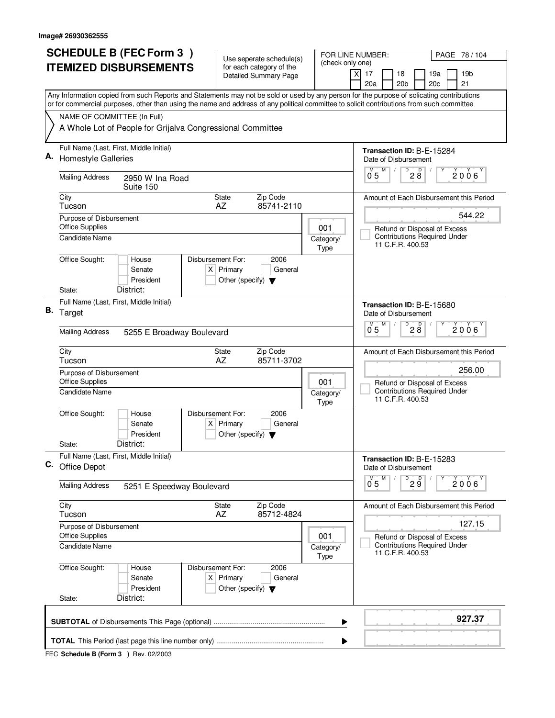| <b>SCHEDULE B (FEC Form 3)</b> |                                                                                                                                                                                                                                                                                        |  | Use seperate schedule(s)                                                 |                                                          | FOR LINE NUMBER:                                        |                                                               |                                                                                         |                           |                                   | PAGE 78 / 104                       |  |                                         |
|--------------------------------|----------------------------------------------------------------------------------------------------------------------------------------------------------------------------------------------------------------------------------------------------------------------------------------|--|--------------------------------------------------------------------------|----------------------------------------------------------|---------------------------------------------------------|---------------------------------------------------------------|-----------------------------------------------------------------------------------------|---------------------------|-----------------------------------|-------------------------------------|--|-----------------------------------------|
|                                | <b>ITEMIZED DISBURSEMENTS</b>                                                                                                                                                                                                                                                          |  |                                                                          | for each category of the<br><b>Detailed Summary Page</b> |                                                         | (check only one)                                              | $\boldsymbol{\mathsf{X}}$<br>17                                                         |                           | 18                                | 19a                                 |  | 19 <sub>b</sub>                         |
|                                |                                                                                                                                                                                                                                                                                        |  |                                                                          |                                                          |                                                         |                                                               | 20a                                                                                     |                           | 20 <sub>b</sub>                   | 20c                                 |  | 21                                      |
|                                | Any Information copied from such Reports and Statements may not be sold or used by any person for the purpose of solicating contributions<br>or for commercial purposes, other than using the name and address of any political committee to solicit contributions from such committee |  |                                                                          |                                                          |                                                         |                                                               |                                                                                         |                           |                                   |                                     |  |                                         |
|                                | NAME OF COMMITTEE (In Full)                                                                                                                                                                                                                                                            |  |                                                                          |                                                          |                                                         |                                                               |                                                                                         |                           |                                   |                                     |  |                                         |
|                                | A Whole Lot of People for Grijalva Congressional Committee                                                                                                                                                                                                                             |  |                                                                          |                                                          |                                                         |                                                               |                                                                                         |                           |                                   |                                     |  |                                         |
| А.                             | Full Name (Last, First, Middle Initial)                                                                                                                                                                                                                                                |  |                                                                          |                                                          |                                                         |                                                               |                                                                                         |                           |                                   | Transaction ID: B-E-15284           |  |                                         |
|                                | <b>Homestyle Galleries</b>                                                                                                                                                                                                                                                             |  |                                                                          |                                                          |                                                         |                                                               | М                                                                                       | Date of Disbursement<br>M | D                                 |                                     |  |                                         |
|                                | <b>Mailing Address</b><br>2950 W Ina Road<br>Suite 150                                                                                                                                                                                                                                 |  |                                                                          |                                                          |                                                         |                                                               | 0.5                                                                                     |                           |                                   | $28^{\circ}$                        |  | 2006                                    |
|                                | City<br><b>State</b><br>Zip Code<br>AZ<br>85741-2110<br>Tucson                                                                                                                                                                                                                         |  |                                                                          |                                                          | Amount of Each Disbursement this Period                 |                                                               |                                                                                         |                           |                                   |                                     |  |                                         |
|                                | Purpose of Disbursement                                                                                                                                                                                                                                                                |  |                                                                          |                                                          | 001<br>Category/                                        |                                                               |                                                                                         | 544.22                    |                                   |                                     |  |                                         |
|                                | <b>Office Supplies</b><br>Candidate Name                                                                                                                                                                                                                                               |  |                                                                          |                                                          |                                                         |                                                               | Refund or Disposal of Excess<br><b>Contributions Required Under</b><br>11 C.F.R. 400.53 |                           |                                   |                                     |  |                                         |
|                                | Office Sought:<br>House<br>Senate<br>President<br>District:<br>State:                                                                                                                                                                                                                  |  | Disbursement For:<br>$X$ Primary<br>Other (specify) $\blacktriangledown$ | 2006<br>General                                          |                                                         | Type                                                          |                                                                                         |                           |                                   |                                     |  |                                         |
|                                | Full Name (Last, First, Middle Initial)                                                                                                                                                                                                                                                |  |                                                                          |                                                          |                                                         |                                                               |                                                                                         |                           |                                   | Transaction ID: B-E-15680           |  |                                         |
|                                | B. Target                                                                                                                                                                                                                                                                              |  |                                                                          |                                                          |                                                         |                                                               | Date of Disbursement                                                                    |                           |                                   |                                     |  |                                         |
|                                | <b>Mailing Address</b><br>5255 E Broadway Boulevard                                                                                                                                                                                                                                    |  |                                                                          |                                                          |                                                         | $\overline{D}$<br>D<br>м<br>M<br>2006<br>28<br>0 <sub>5</sub> |                                                                                         |                           |                                   |                                     |  |                                         |
|                                | City<br>Tucson                                                                                                                                                                                                                                                                         |  | <b>State</b><br>AZ                                                       | Zip Code<br>85711-3702                                   |                                                         |                                                               |                                                                                         |                           |                                   |                                     |  | Amount of Each Disbursement this Period |
|                                | Purpose of Disbursement<br><b>Office Supplies</b><br>001                                                                                                                                                                                                                               |  |                                                                          |                                                          | Refund or Disposal of Excess                            |                                                               |                                                                                         | 256.00                    |                                   |                                     |  |                                         |
|                                | Candidate Name<br>Category/<br>Type                                                                                                                                                                                                                                                    |  |                                                                          |                                                          | <b>Contributions Required Under</b><br>11 C.F.R. 400.53 |                                                               |                                                                                         |                           |                                   |                                     |  |                                         |
|                                | Office Sought:<br>House<br>Senate<br>President                                                                                                                                                                                                                                         |  | Disbursement For:<br>$X$ Primary<br>Other (specify) $\blacktriangledown$ | 2006<br>General                                          |                                                         |                                                               |                                                                                         |                           |                                   |                                     |  |                                         |
|                                | District:<br>State:                                                                                                                                                                                                                                                                    |  |                                                                          |                                                          |                                                         |                                                               |                                                                                         |                           |                                   |                                     |  |                                         |
| С.                             | Full Name (Last, First, Middle Initial)<br>Office Depot                                                                                                                                                                                                                                |  |                                                                          |                                                          |                                                         |                                                               |                                                                                         | Date of Disbursement      |                                   | Transaction ID: B-E-15283           |  |                                         |
|                                | <b>Mailing Address</b><br>5251 E Speedway Boulevard                                                                                                                                                                                                                                    |  |                                                                          |                                                          |                                                         |                                                               | $\overline{0}^M$ 5                                                                      | M                         | $D$ <sub>2</sub> $\overset{D}{9}$ |                                     |  | 2006                                    |
|                                | City<br>Tucson                                                                                                                                                                                                                                                                         |  | State<br>AZ                                                              | Zip Code<br>85712-4824                                   |                                                         |                                                               |                                                                                         |                           |                                   |                                     |  | Amount of Each Disbursement this Period |
|                                | Purpose of Disbursement<br><b>Office Supplies</b>                                                                                                                                                                                                                                      |  |                                                                          |                                                          |                                                         | 001                                                           |                                                                                         |                           |                                   | Refund or Disposal of Excess        |  | 127.15                                  |
|                                | <b>Candidate Name</b>                                                                                                                                                                                                                                                                  |  |                                                                          |                                                          |                                                         | Category/<br>Type                                             |                                                                                         | 11 C.F.R. 400.53          |                                   | <b>Contributions Required Under</b> |  |                                         |
|                                | Office Sought:<br>House<br>Senate<br>President<br>District:                                                                                                                                                                                                                            |  | Disbursement For:<br>$X$ Primary<br>Other (specify) $\blacktriangledown$ | 2006<br>General                                          |                                                         |                                                               |                                                                                         |                           |                                   |                                     |  |                                         |
|                                | State:                                                                                                                                                                                                                                                                                 |  |                                                                          |                                                          |                                                         |                                                               |                                                                                         |                           |                                   |                                     |  |                                         |
|                                | 927.37<br>▶                                                                                                                                                                                                                                                                            |  |                                                                          |                                                          |                                                         |                                                               |                                                                                         |                           |                                   |                                     |  |                                         |
|                                |                                                                                                                                                                                                                                                                                        |  |                                                                          |                                                          |                                                         | ▶                                                             |                                                                                         |                           |                                   |                                     |  |                                         |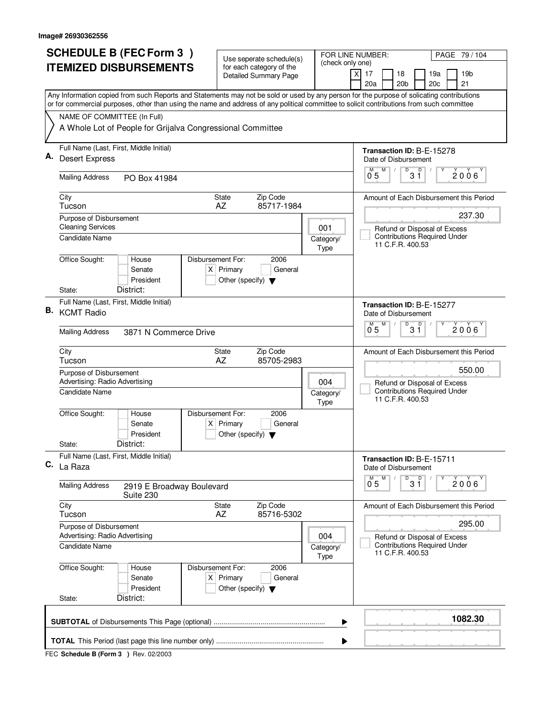| <b>SCHEDULE B (FEC Form 3)</b> |                                                                                                                                                                                                                                                                                        | Use seperate schedule(s)                                               |                                                         | PAGE 79 / 104<br>FOR LINE NUMBER:                                               |  |  |  |  |
|--------------------------------|----------------------------------------------------------------------------------------------------------------------------------------------------------------------------------------------------------------------------------------------------------------------------------------|------------------------------------------------------------------------|---------------------------------------------------------|---------------------------------------------------------------------------------|--|--|--|--|
|                                | <b>ITEMIZED DISBURSEMENTS</b>                                                                                                                                                                                                                                                          | for each category of the<br><b>Detailed Summary Page</b>               | (check only one)                                        | χļ<br>17<br>18<br>19a<br>19 <sub>b</sub><br>20a<br>20 <sub>b</sub><br>20c<br>21 |  |  |  |  |
|                                | Any Information copied from such Reports and Statements may not be sold or used by any person for the purpose of solicating contributions<br>or for commercial purposes, other than using the name and address of any political committee to solicit contributions from such committee |                                                                        |                                                         |                                                                                 |  |  |  |  |
|                                | NAME OF COMMITTEE (In Full)                                                                                                                                                                                                                                                            |                                                                        |                                                         |                                                                                 |  |  |  |  |
|                                | A Whole Lot of People for Grijalva Congressional Committee                                                                                                                                                                                                                             |                                                                        |                                                         |                                                                                 |  |  |  |  |
|                                | Full Name (Last, First, Middle Initial)                                                                                                                                                                                                                                                |                                                                        |                                                         | Transaction ID: B-E-15278                                                       |  |  |  |  |
| Α.                             | <b>Desert Express</b>                                                                                                                                                                                                                                                                  |                                                                        |                                                         | Date of Disbursement                                                            |  |  |  |  |
|                                | <b>Mailing Address</b><br>PO Box 41984                                                                                                                                                                                                                                                 |                                                                        |                                                         | D<br>$3^{\circ}$<br>M<br>$2006^{\circ}$<br>0 <sub>5</sub>                       |  |  |  |  |
|                                | City<br>Tucson                                                                                                                                                                                                                                                                         | Zip Code<br><b>State</b><br>85717-1984<br>AZ                           |                                                         | Amount of Each Disbursement this Period                                         |  |  |  |  |
|                                | Purpose of Disbursement                                                                                                                                                                                                                                                                |                                                                        |                                                         | 237.30                                                                          |  |  |  |  |
|                                | <b>Cleaning Services</b><br><b>Candidate Name</b>                                                                                                                                                                                                                                      |                                                                        | 001<br>Category/                                        | Refund or Disposal of Excess<br><b>Contributions Required Under</b>             |  |  |  |  |
|                                |                                                                                                                                                                                                                                                                                        |                                                                        | Type                                                    | 11 C.F.R. 400.53                                                                |  |  |  |  |
|                                | Office Sought:<br>Disbursement For:<br>House<br>Senate<br>President                                                                                                                                                                                                                    | 2006<br>$X$ Primary<br>General<br>Other (specify) $\blacktriangledown$ |                                                         |                                                                                 |  |  |  |  |
|                                | District:<br>State:                                                                                                                                                                                                                                                                    |                                                                        |                                                         |                                                                                 |  |  |  |  |
|                                | Full Name (Last, First, Middle Initial)<br>B. KCMT Radio                                                                                                                                                                                                                               | Transaction ID: B-E-15277<br>Date of Disbursement                      |                                                         |                                                                                 |  |  |  |  |
|                                | <b>Mailing Address</b><br>3871 N Commerce Drive                                                                                                                                                                                                                                        |                                                                        |                                                         | D<br>M<br>D<br>M<br>$2006^{\circ}$<br>05<br>31                                  |  |  |  |  |
|                                | City<br>Tucson                                                                                                                                                                                                                                                                         | Zip Code<br><b>State</b><br>AZ<br>85705-2983                           |                                                         | Amount of Each Disbursement this Period                                         |  |  |  |  |
|                                | Purpose of Disbursement<br>Advertising: Radio Advertising                                                                                                                                                                                                                              | 550.00<br>Refund or Disposal of Excess                                 |                                                         |                                                                                 |  |  |  |  |
|                                | Candidate Name                                                                                                                                                                                                                                                                         | Category/<br>Type                                                      | <b>Contributions Required Under</b><br>11 C.F.R. 400.53 |                                                                                 |  |  |  |  |
|                                | Office Sought:<br>Disbursement For:<br>House<br>Senate<br>President                                                                                                                                                                                                                    | 2006<br>$X$ Primary<br>General<br>Other (specify) $\blacktriangledown$ |                                                         |                                                                                 |  |  |  |  |
|                                | District:<br>State:                                                                                                                                                                                                                                                                    |                                                                        |                                                         |                                                                                 |  |  |  |  |
| C.                             | Full Name (Last, First, Middle Initial)<br>La Raza                                                                                                                                                                                                                                     |                                                                        |                                                         | Transaction ID: B-E-15711<br>Date of Disbursement                               |  |  |  |  |
|                                | <b>Mailing Address</b><br>2919 E Broadway Boulevard<br>Suite 230                                                                                                                                                                                                                       |                                                                        |                                                         | D<br>M<br>$3^{\circ}$<br>$0^{M}$ 5<br>2006                                      |  |  |  |  |
|                                | City<br>Tucson                                                                                                                                                                                                                                                                         | State<br>Zip Code<br>AZ<br>85716-5302                                  |                                                         | Amount of Each Disbursement this Period                                         |  |  |  |  |
|                                | Purpose of Disbursement<br>Advertising: Radio Advertising                                                                                                                                                                                                                              |                                                                        | 004                                                     | 295.00<br>Refund or Disposal of Excess                                          |  |  |  |  |
|                                | Candidate Name                                                                                                                                                                                                                                                                         |                                                                        | Category/<br>Type                                       | <b>Contributions Required Under</b><br>11 C.F.R. 400.53                         |  |  |  |  |
|                                | Office Sought:<br>Disbursement For:<br>House<br>Senate<br>President                                                                                                                                                                                                                    | 2006<br>$X$ Primary<br>General<br>Other (specify) $\blacktriangledown$ |                                                         |                                                                                 |  |  |  |  |
|                                | District:<br>State:                                                                                                                                                                                                                                                                    |                                                                        |                                                         |                                                                                 |  |  |  |  |
|                                | 1082.30<br>▶                                                                                                                                                                                                                                                                           |                                                                        |                                                         |                                                                                 |  |  |  |  |
|                                |                                                                                                                                                                                                                                                                                        |                                                                        | ▶                                                       |                                                                                 |  |  |  |  |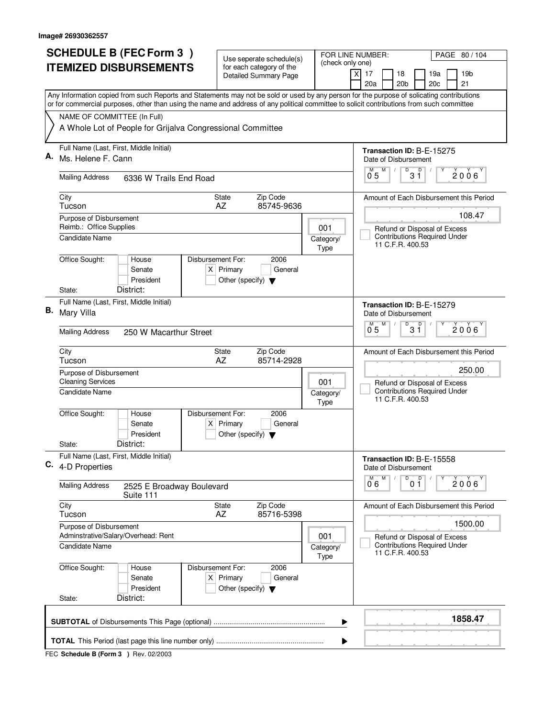|    | <b>SCHEDULE B (FEC Form 3)</b>                                                                                                                                                                                                                                                         | Use seperate schedule(s)                                                 |                 |                           | FOR LINE NUMBER:                        |                                                                                         | PAGE 80 / 104                           |  |  |
|----|----------------------------------------------------------------------------------------------------------------------------------------------------------------------------------------------------------------------------------------------------------------------------------------|--------------------------------------------------------------------------|-----------------|---------------------------|-----------------------------------------|-----------------------------------------------------------------------------------------|-----------------------------------------|--|--|
|    | <b>ITEMIZED DISBURSEMENTS</b>                                                                                                                                                                                                                                                          | for each category of the<br><b>Detailed Summary Page</b>                 |                 | (check only one)          | $\boldsymbol{\mathsf{X}}$<br>17         | 18<br>19a                                                                               | 19 <sub>b</sub>                         |  |  |
|    |                                                                                                                                                                                                                                                                                        |                                                                          |                 |                           | 20a                                     | 20 <sub>b</sub><br>20c                                                                  | 21                                      |  |  |
|    | Any Information copied from such Reports and Statements may not be sold or used by any person for the purpose of solicating contributions<br>or for commercial purposes, other than using the name and address of any political committee to solicit contributions from such committee |                                                                          |                 |                           |                                         |                                                                                         |                                         |  |  |
|    | NAME OF COMMITTEE (In Full)                                                                                                                                                                                                                                                            |                                                                          |                 |                           |                                         |                                                                                         |                                         |  |  |
|    | A Whole Lot of People for Grijalva Congressional Committee                                                                                                                                                                                                                             |                                                                          |                 |                           |                                         |                                                                                         |                                         |  |  |
| А. | Full Name (Last, First, Middle Initial)                                                                                                                                                                                                                                                |                                                                          |                 |                           | Transaction ID: B-E-15275               |                                                                                         |                                         |  |  |
|    | Ms. Helene F. Cann                                                                                                                                                                                                                                                                     |                                                                          |                 |                           | Date of Disbursement<br>М<br>M          | D<br>D                                                                                  |                                         |  |  |
|    | <b>Mailing Address</b><br>6336 W Trails End Road                                                                                                                                                                                                                                       |                                                                          |                 |                           | 0 <sub>5</sub>                          | 3 Ĭ                                                                                     | 2006                                    |  |  |
|    | City<br>Tucson                                                                                                                                                                                                                                                                         | Zip Code<br><b>State</b><br>AZ<br>85745-9636                             |                 |                           | Amount of Each Disbursement this Period |                                                                                         |                                         |  |  |
|    | Purpose of Disbursement<br>Reimb.: Office Supplies                                                                                                                                                                                                                                     |                                                                          |                 |                           | 108.47                                  |                                                                                         |                                         |  |  |
|    | Candidate Name                                                                                                                                                                                                                                                                         |                                                                          |                 | 001<br>Category/<br>Type  |                                         | Refund or Disposal of Excess<br><b>Contributions Required Under</b><br>11 C.F.R. 400.53 |                                         |  |  |
|    | Office Sought:<br>House                                                                                                                                                                                                                                                                | Disbursement For:                                                        | 2006            |                           |                                         |                                                                                         |                                         |  |  |
|    | Senate<br>President                                                                                                                                                                                                                                                                    | $X$ Primary<br>Other (specify) $\blacktriangledown$                      | General         |                           |                                         |                                                                                         |                                         |  |  |
|    | District:<br>State:                                                                                                                                                                                                                                                                    |                                                                          |                 |                           |                                         |                                                                                         |                                         |  |  |
| В. | Full Name (Last, First, Middle Initial)                                                                                                                                                                                                                                                |                                                                          |                 | Transaction ID: B-E-15279 |                                         |                                                                                         |                                         |  |  |
|    | Mary Villa                                                                                                                                                                                                                                                                             |                                                                          |                 |                           | Date of Disbursement<br>м<br>M          | $\overline{D}$<br>D                                                                     |                                         |  |  |
|    | <b>Mailing Address</b><br>250 W Macarthur Street                                                                                                                                                                                                                                       |                                                                          |                 |                           | 05                                      | 31                                                                                      | 2006                                    |  |  |
|    | City<br>Tucson                                                                                                                                                                                                                                                                         | Zip Code<br><b>State</b><br>AZ                                           | 85714-2928      |                           |                                         |                                                                                         | Amount of Each Disbursement this Period |  |  |
|    | Purpose of Disbursement<br><b>Cleaning Services</b><br>001                                                                                                                                                                                                                             |                                                                          |                 |                           | 250.00<br>Refund or Disposal of Excess  |                                                                                         |                                         |  |  |
|    | Candidate Name<br>Category/<br>Type                                                                                                                                                                                                                                                    |                                                                          |                 |                           |                                         | <b>Contributions Required Under</b><br>11 C.F.R. 400.53                                 |                                         |  |  |
|    | Office Sought:<br>House<br>Senate                                                                                                                                                                                                                                                      | Disbursement For:<br>$X$ Primary                                         | 2006<br>General |                           |                                         |                                                                                         |                                         |  |  |
|    | President                                                                                                                                                                                                                                                                              | Other (specify) $\blacktriangledown$                                     |                 |                           |                                         |                                                                                         |                                         |  |  |
|    | District:<br>State:<br>Full Name (Last, First, Middle Initial)                                                                                                                                                                                                                         |                                                                          |                 |                           |                                         |                                                                                         |                                         |  |  |
| С. | 4-D Properties                                                                                                                                                                                                                                                                         |                                                                          |                 |                           | Date of Disbursement<br>M<br>M          | Transaction ID: B-E-15558<br>D                                                          |                                         |  |  |
|    | <b>Mailing Address</b><br>2525 E Broadway Boulevard<br>Suite 111                                                                                                                                                                                                                       |                                                                          |                 |                           | 06                                      | 0 <sup>0</sup>                                                                          | 2006                                    |  |  |
|    | City<br>Tucson                                                                                                                                                                                                                                                                         | Zip Code<br>State<br>AZ                                                  | 85716-5398      |                           |                                         |                                                                                         | Amount of Each Disbursement this Period |  |  |
|    | Purpose of Disbursement<br>Adminstrative/Salary/Overhead: Rent                                                                                                                                                                                                                         |                                                                          |                 | 001                       |                                         | Refund or Disposal of Excess                                                            | 1500.00                                 |  |  |
|    | Candidate Name                                                                                                                                                                                                                                                                         |                                                                          |                 | Category/<br>Type         |                                         | <b>Contributions Required Under</b><br>11 C.F.R. 400.53                                 |                                         |  |  |
|    | Office Sought:<br>House<br>Senate<br>President                                                                                                                                                                                                                                         | Disbursement For:<br>$X$ Primary<br>Other (specify) $\blacktriangledown$ | 2006<br>General |                           |                                         |                                                                                         |                                         |  |  |
|    | District:<br>State:                                                                                                                                                                                                                                                                    |                                                                          |                 |                           |                                         |                                                                                         |                                         |  |  |
|    | 1858.47<br>▶                                                                                                                                                                                                                                                                           |                                                                          |                 |                           |                                         |                                                                                         |                                         |  |  |
|    |                                                                                                                                                                                                                                                                                        |                                                                          |                 | ▶                         |                                         |                                                                                         |                                         |  |  |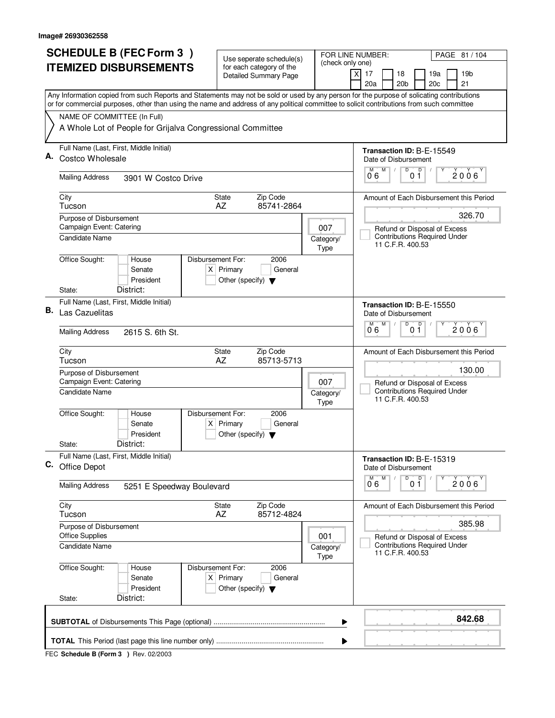| <b>SCHEDULE B (FEC Form 3)</b> |                                                                                                                                                                          | Use seperate schedule(s)                            |                 | FOR LINE NUMBER:          | PAGE 81 / 104                                           |                                                                     |                 |  |  |
|--------------------------------|--------------------------------------------------------------------------------------------------------------------------------------------------------------------------|-----------------------------------------------------|-----------------|---------------------------|---------------------------------------------------------|---------------------------------------------------------------------|-----------------|--|--|
|                                | <b>ITEMIZED DISBURSEMENTS</b>                                                                                                                                            | for each category of the                            |                 | (check only one)          | 17<br>18<br>χI                                          | 19a                                                                 | 19 <sub>b</sub> |  |  |
|                                |                                                                                                                                                                          | <b>Detailed Summary Page</b>                        |                 |                           | 20a                                                     | 20 <sub>b</sub><br>20c<br>21                                        |                 |  |  |
|                                | Any Information copied from such Reports and Statements may not be sold or used by any person for the purpose of solicating contributions                                |                                                     |                 |                           |                                                         |                                                                     |                 |  |  |
|                                | or for commercial purposes, other than using the name and address of any political committee to solicit contributions from such committee<br>NAME OF COMMITTEE (In Full) |                                                     |                 |                           |                                                         |                                                                     |                 |  |  |
|                                | A Whole Lot of People for Grijalva Congressional Committee                                                                                                               |                                                     |                 |                           |                                                         |                                                                     |                 |  |  |
|                                |                                                                                                                                                                          |                                                     |                 |                           |                                                         |                                                                     |                 |  |  |
| А.                             | Full Name (Last, First, Middle Initial)                                                                                                                                  |                                                     |                 | Transaction ID: B-E-15549 |                                                         |                                                                     |                 |  |  |
|                                | Costco Wholesale                                                                                                                                                         |                                                     |                 |                           | Date of Disbursement<br>D<br>M<br>D                     |                                                                     |                 |  |  |
|                                | <b>Mailing Address</b><br>3901 W Costco Drive                                                                                                                            |                                                     |                 |                           | 06                                                      | 2006<br>01                                                          |                 |  |  |
|                                | City                                                                                                                                                                     | Zip Code<br>State                                   |                 |                           |                                                         | Amount of Each Disbursement this Period                             |                 |  |  |
|                                | Tucson<br>Purpose of Disbursement                                                                                                                                        | AZ                                                  | 85741-2864      |                           |                                                         |                                                                     | 326.70          |  |  |
|                                | Campaign Event: Catering                                                                                                                                                 |                                                     |                 | 007                       | Refund or Disposal of Excess                            |                                                                     |                 |  |  |
|                                | Candidate Name                                                                                                                                                           |                                                     |                 | Category/                 | 11 C.F.R. 400.53                                        | <b>Contributions Required Under</b>                                 |                 |  |  |
|                                |                                                                                                                                                                          |                                                     |                 | Type                      |                                                         |                                                                     |                 |  |  |
|                                | Office Sought:<br>Disbursement For:<br>House<br>Senate                                                                                                                   | $X$ Primary                                         | 2006<br>General |                           |                                                         |                                                                     |                 |  |  |
|                                | President                                                                                                                                                                | Other (specify) $\blacktriangledown$                |                 |                           |                                                         |                                                                     |                 |  |  |
|                                | District:<br>State:                                                                                                                                                      |                                                     |                 |                           |                                                         |                                                                     |                 |  |  |
|                                | Full Name (Last, First, Middle Initial)                                                                                                                                  |                                                     |                 | Transaction ID: B-E-15550 |                                                         |                                                                     |                 |  |  |
|                                | <b>B.</b> Las Cazuelitas                                                                                                                                                 |                                                     |                 |                           | Date of Disbursement<br>M<br>M                          | D<br>D                                                              |                 |  |  |
|                                | <b>Mailing Address</b><br>2615 S. 6th St.                                                                                                                                |                                                     |                 |                           | 06                                                      | 01                                                                  | 2006            |  |  |
|                                | City<br>Tucson                                                                                                                                                           | Zip Code<br>State<br>AZ                             | 85713-5713      |                           |                                                         | Amount of Each Disbursement this Period                             |                 |  |  |
|                                | Purpose of Disbursement                                                                                                                                                  |                                                     |                 |                           |                                                         |                                                                     | 130.00          |  |  |
|                                | Campaign Event: Catering<br>007                                                                                                                                          |                                                     |                 |                           |                                                         | Refund or Disposal of Excess                                        |                 |  |  |
|                                | Candidate Name                                                                                                                                                           | Category/<br>Type                                   |                 |                           | <b>Contributions Required Under</b><br>11 C.F.R. 400.53 |                                                                     |                 |  |  |
|                                | Office Sought:<br>Disbursement For:<br>House                                                                                                                             |                                                     | 2006            |                           |                                                         |                                                                     |                 |  |  |
|                                | Senate<br>President                                                                                                                                                      | $X$ Primary<br>Other (specify) $\blacktriangledown$ | General         |                           |                                                         |                                                                     |                 |  |  |
|                                | District:<br>State:                                                                                                                                                      |                                                     |                 |                           |                                                         |                                                                     |                 |  |  |
|                                | Full Name (Last, First, Middle Initial)                                                                                                                                  |                                                     |                 |                           |                                                         | Transaction ID: B-E-15319                                           |                 |  |  |
| C.                             | Office Depot                                                                                                                                                             |                                                     |                 |                           | Date of Disbursement                                    | D                                                                   |                 |  |  |
|                                | <b>Mailing Address</b><br>5251 E Speedway Boulevard                                                                                                                      |                                                     |                 |                           | M<br>0.6                                                | 0 <sup>0</sup>                                                      | 2006            |  |  |
|                                | City<br>Tucson                                                                                                                                                           | State<br>Zip Code<br>AZ                             | 85712-4824      |                           |                                                         | Amount of Each Disbursement this Period                             |                 |  |  |
|                                | Purpose of Disbursement                                                                                                                                                  |                                                     |                 |                           |                                                         |                                                                     | 385.98          |  |  |
|                                | <b>Office Supplies</b><br>Candidate Name                                                                                                                                 |                                                     |                 | 001                       |                                                         | Refund or Disposal of Excess<br><b>Contributions Required Under</b> |                 |  |  |
|                                |                                                                                                                                                                          |                                                     |                 | Category/<br>Type         | 11 C.F.R. 400.53                                        |                                                                     |                 |  |  |
|                                | Office Sought:<br>Disbursement For:<br>House                                                                                                                             |                                                     | 2006            |                           |                                                         |                                                                     |                 |  |  |
|                                | Senate                                                                                                                                                                   | $X$ Primary                                         | General         |                           |                                                         |                                                                     |                 |  |  |
|                                | President<br>District:<br>State:                                                                                                                                         | Other (specify) $\blacktriangledown$                |                 |                           |                                                         |                                                                     |                 |  |  |
|                                | 842.68                                                                                                                                                                   |                                                     |                 |                           |                                                         |                                                                     |                 |  |  |
|                                |                                                                                                                                                                          |                                                     |                 | ▶                         |                                                         |                                                                     |                 |  |  |
|                                |                                                                                                                                                                          |                                                     |                 | ▶                         |                                                         |                                                                     |                 |  |  |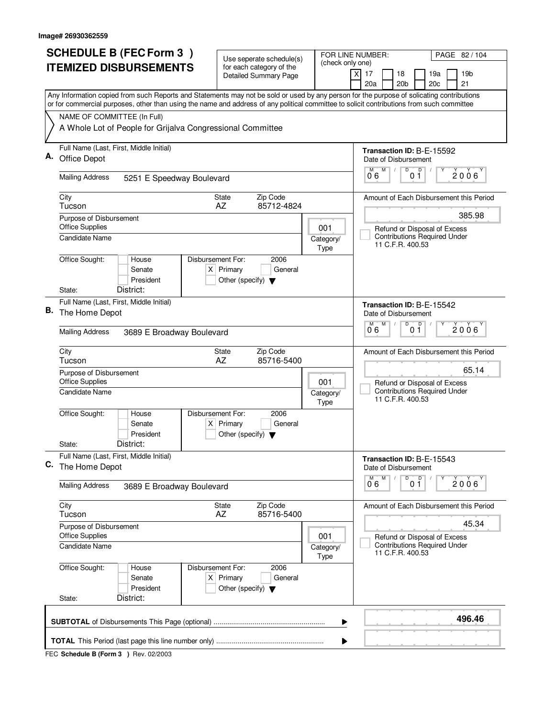|    | <b>ITEMIZED DISBURSEMENTS</b>                                                                                                                                                                                                                                                          | Use seperate schedule(s)<br>for each category of the                                        | (check only one)  |                                                                                                        |
|----|----------------------------------------------------------------------------------------------------------------------------------------------------------------------------------------------------------------------------------------------------------------------------------------|---------------------------------------------------------------------------------------------|-------------------|--------------------------------------------------------------------------------------------------------|
|    |                                                                                                                                                                                                                                                                                        | Detailed Summary Page                                                                       |                   | 19 <sub>b</sub><br>$\boldsymbol{\mathsf{X}}$<br>17<br>18<br>19a<br>20 <sub>b</sub><br>20c<br>21<br>20a |
|    | Any Information copied from such Reports and Statements may not be sold or used by any person for the purpose of solicating contributions<br>or for commercial purposes, other than using the name and address of any political committee to solicit contributions from such committee |                                                                                             |                   |                                                                                                        |
|    | NAME OF COMMITTEE (In Full)                                                                                                                                                                                                                                                            |                                                                                             |                   |                                                                                                        |
|    | A Whole Lot of People for Grijalva Congressional Committee                                                                                                                                                                                                                             |                                                                                             |                   |                                                                                                        |
|    | Full Name (Last, First, Middle Initial)<br>Office Depot                                                                                                                                                                                                                                |                                                                                             |                   | Transaction ID: B-E-15592<br>Date of Disbursement                                                      |
|    | <b>Mailing Address</b><br>5251 E Speedway Boulevard                                                                                                                                                                                                                                    |                                                                                             |                   | D<br>0 <sup>0</sup><br>М<br>2006<br>06                                                                 |
|    | City<br>Tucson                                                                                                                                                                                                                                                                         | Zip Code<br>State<br>AZ<br>85712-4824                                                       |                   | Amount of Each Disbursement this Period                                                                |
|    | Purpose of Disbursement<br><b>Office Supplies</b>                                                                                                                                                                                                                                      |                                                                                             | 001               | 385.98<br>Refund or Disposal of Excess<br><b>Contributions Required Under</b>                          |
|    | <b>Candidate Name</b><br>Office Sought:<br>House                                                                                                                                                                                                                                       | Disbursement For:<br>2006                                                                   | Category/<br>Type | 11 C.F.R. 400.53                                                                                       |
|    | Senate<br>President                                                                                                                                                                                                                                                                    | $X$ Primary<br>General<br>Other (specify) $\blacktriangledown$                              |                   |                                                                                                        |
|    | District:<br>State:                                                                                                                                                                                                                                                                    |                                                                                             |                   |                                                                                                        |
| В. | Full Name (Last, First, Middle Initial)<br>The Home Depot                                                                                                                                                                                                                              |                                                                                             |                   | Transaction ID: B-E-15542<br>Date of Disbursement<br>M<br>D<br>D<br>M                                  |
|    | <b>Mailing Address</b><br>3689 E Broadway Boulevard                                                                                                                                                                                                                                    |                                                                                             |                   | 2006<br>06<br>01                                                                                       |
|    | City<br>Tucson                                                                                                                                                                                                                                                                         | Zip Code<br>State<br>AZ<br>85716-5400                                                       |                   | Amount of Each Disbursement this Period                                                                |
|    | Purpose of Disbursement<br><b>Office Supplies</b><br>Candidate Name                                                                                                                                                                                                                    | 65.14<br>Refund or Disposal of Excess<br><b>Contributions Required Under</b>                |                   |                                                                                                        |
|    |                                                                                                                                                                                                                                                                                        | Category/<br>Type                                                                           | 11 C.F.R. 400.53  |                                                                                                        |
|    | Office Sought:<br>House<br>Senate<br>President                                                                                                                                                                                                                                         | Disbursement For:<br>2006<br>$X$ Primary<br>General<br>Other (specify) $\blacktriangledown$ |                   |                                                                                                        |
|    | District:<br>State:                                                                                                                                                                                                                                                                    |                                                                                             |                   |                                                                                                        |
| C. | Full Name (Last, First, Middle Initial)<br>The Home Depot                                                                                                                                                                                                                              |                                                                                             |                   | Transaction ID: B-E-15543<br>Date of Disbursement                                                      |
|    | <b>Mailing Address</b><br>3689 E Broadway Boulevard                                                                                                                                                                                                                                    |                                                                                             |                   | $\overline{0}$ $\overline{1}$<br>M<br>2006<br>06                                                       |
|    | City<br>Tucson                                                                                                                                                                                                                                                                         | State<br>Zip Code<br>AZ<br>85716-5400                                                       |                   | Amount of Each Disbursement this Period                                                                |
|    | Purpose of Disbursement<br><b>Office Supplies</b>                                                                                                                                                                                                                                      |                                                                                             | 001               | 45.34<br>Refund or Disposal of Excess<br><b>Contributions Required Under</b>                           |
|    | <b>Candidate Name</b>                                                                                                                                                                                                                                                                  |                                                                                             | Category/<br>Type | 11 C.F.R. 400.53                                                                                       |
|    | Office Sought:<br>House<br>Senate<br>President<br>District:<br>State:                                                                                                                                                                                                                  | Disbursement For:<br>2006<br>$X$ Primary<br>General<br>Other (specify) $\blacktriangledown$ |                   |                                                                                                        |
|    |                                                                                                                                                                                                                                                                                        |                                                                                             | ▶                 | 496.46                                                                                                 |
|    |                                                                                                                                                                                                                                                                                        |                                                                                             | ▶                 |                                                                                                        |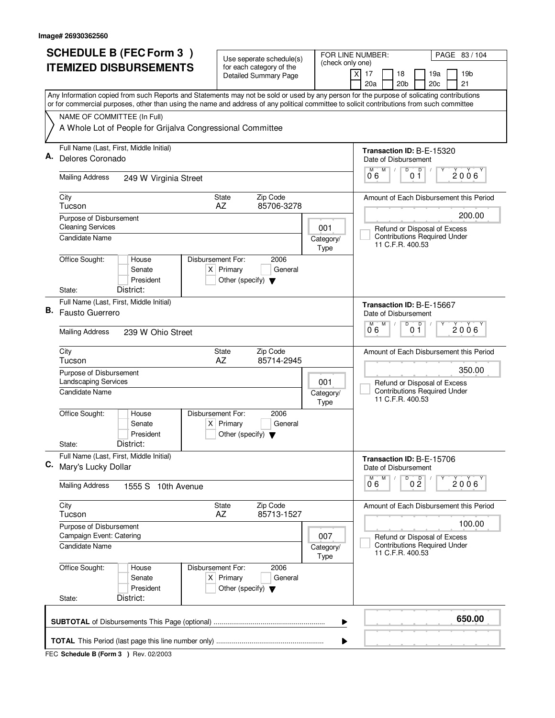| <b>SCHEDULE B (FEC Form 3)</b><br>FOR LINE NUMBER:<br>Use seperate schedule(s) |                                                                                                                                                                                                                                                                                        | PAGE 83 / 104                                            |                   |                                                                                         |  |  |  |  |  |
|--------------------------------------------------------------------------------|----------------------------------------------------------------------------------------------------------------------------------------------------------------------------------------------------------------------------------------------------------------------------------------|----------------------------------------------------------|-------------------|-----------------------------------------------------------------------------------------|--|--|--|--|--|
|                                                                                | <b>ITEMIZED DISBURSEMENTS</b>                                                                                                                                                                                                                                                          | for each category of the<br><b>Detailed Summary Page</b> | (check only one)  | $\times$<br>17<br>18<br>19a<br>19b                                                      |  |  |  |  |  |
|                                                                                |                                                                                                                                                                                                                                                                                        |                                                          |                   | 20 <sub>b</sub><br>20c<br>21<br>20a                                                     |  |  |  |  |  |
|                                                                                | Any Information copied from such Reports and Statements may not be sold or used by any person for the purpose of solicating contributions<br>or for commercial purposes, other than using the name and address of any political committee to solicit contributions from such committee |                                                          |                   |                                                                                         |  |  |  |  |  |
|                                                                                | NAME OF COMMITTEE (In Full)                                                                                                                                                                                                                                                            |                                                          |                   |                                                                                         |  |  |  |  |  |
|                                                                                | A Whole Lot of People for Grijalva Congressional Committee                                                                                                                                                                                                                             |                                                          |                   |                                                                                         |  |  |  |  |  |
|                                                                                | Full Name (Last, First, Middle Initial)                                                                                                                                                                                                                                                |                                                          |                   | Transaction ID: B-E-15320                                                               |  |  |  |  |  |
| Α.                                                                             | Delores Coronado                                                                                                                                                                                                                                                                       |                                                          |                   | Date of Disbursement<br>$\overline{D}$<br>M                                             |  |  |  |  |  |
|                                                                                | <b>Mailing Address</b><br>249 W Virginia Street                                                                                                                                                                                                                                        |                                                          |                   | $\mathsf D$<br>M<br>$2006^\circ$<br>06<br>0 1                                           |  |  |  |  |  |
|                                                                                | City<br>Tucson                                                                                                                                                                                                                                                                         | Zip Code<br><b>State</b><br>85706-3278<br>AZ             |                   | Amount of Each Disbursement this Period                                                 |  |  |  |  |  |
|                                                                                | Purpose of Disbursement                                                                                                                                                                                                                                                                |                                                          |                   | 200.00                                                                                  |  |  |  |  |  |
|                                                                                | <b>Cleaning Services</b><br>Candidate Name                                                                                                                                                                                                                                             |                                                          | 001               | Refund or Disposal of Excess<br><b>Contributions Required Under</b>                     |  |  |  |  |  |
|                                                                                |                                                                                                                                                                                                                                                                                        |                                                          | Category/<br>Type | 11 C.F.R. 400.53                                                                        |  |  |  |  |  |
|                                                                                | Office Sought:<br>Disbursement For:<br>House                                                                                                                                                                                                                                           | 2006                                                     |                   |                                                                                         |  |  |  |  |  |
|                                                                                | Senate                                                                                                                                                                                                                                                                                 | $X$ Primary<br>General                                   |                   |                                                                                         |  |  |  |  |  |
|                                                                                | President<br>District:<br>State:                                                                                                                                                                                                                                                       | Other (specify) $\blacktriangledown$                     |                   |                                                                                         |  |  |  |  |  |
| Full Name (Last, First, Middle Initial)<br>Transaction ID: B-E-15667           |                                                                                                                                                                                                                                                                                        |                                                          |                   |                                                                                         |  |  |  |  |  |
| В.                                                                             | Fausto Guerrero                                                                                                                                                                                                                                                                        |                                                          |                   | Date of Disbursement                                                                    |  |  |  |  |  |
|                                                                                | <b>Mailing Address</b><br>239 W Ohio Street                                                                                                                                                                                                                                            |                                                          |                   | $\overline{D}$<br>M<br>D<br>M<br>$2006^{\circ}$<br>06<br>01                             |  |  |  |  |  |
|                                                                                | City                                                                                                                                                                                                                                                                                   | Zip Code<br>State                                        |                   | Amount of Each Disbursement this Period                                                 |  |  |  |  |  |
|                                                                                | Tucson                                                                                                                                                                                                                                                                                 | AZ<br>85714-2945                                         |                   |                                                                                         |  |  |  |  |  |
|                                                                                | Purpose of Disbursement<br><b>Landscaping Services</b>                                                                                                                                                                                                                                 | 350.00                                                   |                   |                                                                                         |  |  |  |  |  |
|                                                                                | 001<br>Candidate Name<br>Category/                                                                                                                                                                                                                                                     |                                                          |                   | Refund or Disposal of Excess<br><b>Contributions Required Under</b><br>11 C.F.R. 400.53 |  |  |  |  |  |
|                                                                                | Office Sought:<br>Disbursement For:                                                                                                                                                                                                                                                    |                                                          | Type              |                                                                                         |  |  |  |  |  |
|                                                                                | House<br>Senate                                                                                                                                                                                                                                                                        | 2006<br>$X$ Primary<br>General                           |                   |                                                                                         |  |  |  |  |  |
|                                                                                | President                                                                                                                                                                                                                                                                              | Other (specify) $\blacktriangledown$                     |                   |                                                                                         |  |  |  |  |  |
|                                                                                | District:<br>State:                                                                                                                                                                                                                                                                    |                                                          |                   |                                                                                         |  |  |  |  |  |
| C.                                                                             | Full Name (Last, First, Middle Initial)<br>Mary's Lucky Dollar                                                                                                                                                                                                                         |                                                          |                   | Transaction ID: B-E-15706<br>Date of Disbursement                                       |  |  |  |  |  |
|                                                                                | <b>Mailing Address</b><br>1555 S 10th Avenue                                                                                                                                                                                                                                           |                                                          |                   | D<br>M<br>0 <sup>D</sup><br>2006<br>06                                                  |  |  |  |  |  |
|                                                                                | City<br>Tucson                                                                                                                                                                                                                                                                         | State<br>Zip Code<br>AZ<br>85713-1527                    |                   | Amount of Each Disbursement this Period                                                 |  |  |  |  |  |
|                                                                                | Purpose of Disbursement                                                                                                                                                                                                                                                                |                                                          |                   | 100.00                                                                                  |  |  |  |  |  |
|                                                                                | Campaign Event: Catering                                                                                                                                                                                                                                                               |                                                          | 007               | Refund or Disposal of Excess                                                            |  |  |  |  |  |
|                                                                                | Candidate Name                                                                                                                                                                                                                                                                         |                                                          | Category/<br>Type | <b>Contributions Required Under</b><br>11 C.F.R. 400.53                                 |  |  |  |  |  |
|                                                                                | Office Sought:<br>Disbursement For:<br>House                                                                                                                                                                                                                                           | 2006                                                     |                   |                                                                                         |  |  |  |  |  |
|                                                                                | Senate                                                                                                                                                                                                                                                                                 | $X$ Primary<br>General                                   |                   |                                                                                         |  |  |  |  |  |
|                                                                                | President<br>District:<br>State:                                                                                                                                                                                                                                                       | Other (specify) $\blacktriangledown$                     |                   |                                                                                         |  |  |  |  |  |
|                                                                                | 650.00<br>▶                                                                                                                                                                                                                                                                            |                                                          |                   |                                                                                         |  |  |  |  |  |
|                                                                                |                                                                                                                                                                                                                                                                                        |                                                          | ▶                 |                                                                                         |  |  |  |  |  |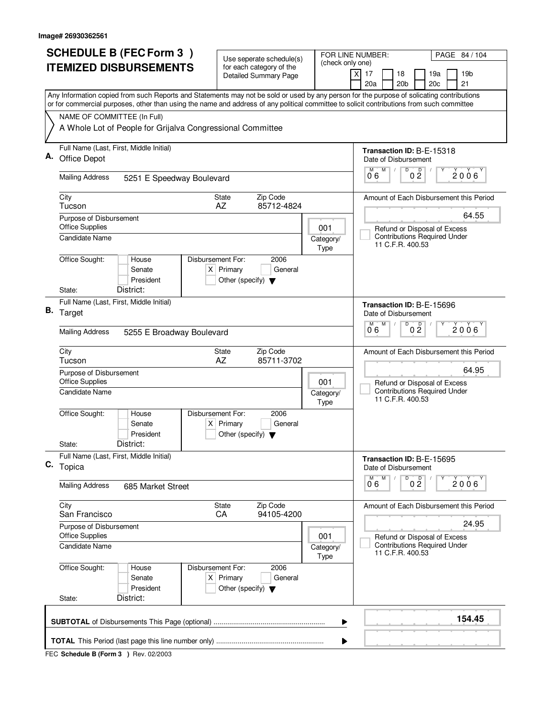| <b>SCHEDULE B (FEC Form 3)</b> |                                                                                                                                                                                                                                                                                        | Use seperate schedule(s)                                               |                   | FOR LINE NUMBER:<br>PAGE 84 / 104                                                                |
|--------------------------------|----------------------------------------------------------------------------------------------------------------------------------------------------------------------------------------------------------------------------------------------------------------------------------------|------------------------------------------------------------------------|-------------------|--------------------------------------------------------------------------------------------------|
|                                | <b>ITEMIZED DISBURSEMENTS</b>                                                                                                                                                                                                                                                          | for each category of the<br><b>Detailed Summary Page</b>               | (check only one)  | 17<br>18<br>19a<br>19 <sub>b</sub><br>X<br>20a<br>20 <sub>b</sub><br>20c<br>21                   |
|                                | Any Information copied from such Reports and Statements may not be sold or used by any person for the purpose of solicating contributions<br>or for commercial purposes, other than using the name and address of any political committee to solicit contributions from such committee |                                                                        |                   |                                                                                                  |
|                                | NAME OF COMMITTEE (In Full)                                                                                                                                                                                                                                                            |                                                                        |                   |                                                                                                  |
|                                | A Whole Lot of People for Grijalva Congressional Committee                                                                                                                                                                                                                             |                                                                        |                   |                                                                                                  |
|                                | Full Name (Last, First, Middle Initial)<br>Office Depot                                                                                                                                                                                                                                |                                                                        |                   | Transaction ID: B-E-15318<br>Date of Disbursement<br>M<br>D<br>M                                 |
|                                | <b>Mailing Address</b><br>5251 E Speedway Boulevard                                                                                                                                                                                                                                    |                                                                        |                   | 0 <sup>0</sup><br>$2006^\circ$<br>06                                                             |
|                                | City<br>Tucson                                                                                                                                                                                                                                                                         | Zip Code<br>State<br>85712-4824<br>AZ                                  |                   | Amount of Each Disbursement this Period                                                          |
|                                | Purpose of Disbursement<br><b>Office Supplies</b><br>001<br>Candidate Name<br>Category/                                                                                                                                                                                                |                                                                        |                   | 64.55<br>Refund or Disposal of Excess<br><b>Contributions Required Under</b>                     |
|                                | Office Sought:<br>Disbursement For:<br>House<br>Senate                                                                                                                                                                                                                                 | 2006<br>$X$ Primary<br>General                                         | Type              | 11 C.F.R. 400.53                                                                                 |
|                                | President<br>District:<br>State:                                                                                                                                                                                                                                                       | Other (specify) $\blacktriangledown$                                   |                   |                                                                                                  |
|                                | Full Name (Last, First, Middle Initial)<br>B. Target                                                                                                                                                                                                                                   |                                                                        |                   | Transaction ID: B-E-15696<br>Date of Disbursement                                                |
|                                | <b>Mailing Address</b><br>5255 E Broadway Boulevard                                                                                                                                                                                                                                    |                                                                        |                   | D<br>M<br>D<br>$2006^{\circ}$<br>0 <sub>2</sub><br>06                                            |
|                                | City<br>Tucson                                                                                                                                                                                                                                                                         | Zip Code<br>State<br>AZ<br>85711-3702                                  |                   | Amount of Each Disbursement this Period                                                          |
|                                | Purpose of Disbursement<br><b>Office Supplies</b><br>Candidate Name                                                                                                                                                                                                                    |                                                                        | 001<br>Category/  | 64.95<br>Refund or Disposal of Excess<br><b>Contributions Required Under</b><br>11 C.F.R. 400.53 |
|                                | Office Sought:<br>Disbursement For:<br>House<br>Senate<br>President                                                                                                                                                                                                                    | 2006<br>$X$ Primary<br>General<br>Other (specify) $\blacktriangledown$ | Type              |                                                                                                  |
|                                | District:<br>State:<br>Full Name (Last, First, Middle Initial)                                                                                                                                                                                                                         |                                                                        |                   | Transaction ID: B-E-15695                                                                        |
|                                | C. Topica                                                                                                                                                                                                                                                                              |                                                                        |                   | Date of Disbursement<br>D<br>M                                                                   |
|                                | <b>Mailing Address</b><br>685 Market Street                                                                                                                                                                                                                                            |                                                                        |                   | 0 <sup>0</sup><br>2006<br>06                                                                     |
|                                | City<br>San Francisco                                                                                                                                                                                                                                                                  | Zip Code<br>State<br>CA<br>94105-4200                                  |                   | Amount of Each Disbursement this Period                                                          |
|                                | Purpose of Disbursement<br><b>Office Supplies</b>                                                                                                                                                                                                                                      |                                                                        | 001               | 24.95<br>Refund or Disposal of Excess                                                            |
|                                | <b>Candidate Name</b>                                                                                                                                                                                                                                                                  |                                                                        | Category/<br>Type | <b>Contributions Required Under</b><br>11 C.F.R. 400.53                                          |
|                                | Office Sought:<br>House<br><b>Disbursement For:</b><br>Senate<br>President<br>District:<br>State:                                                                                                                                                                                      | 2006<br>$X$ Primary<br>General<br>Other (specify) $\blacktriangledown$ |                   |                                                                                                  |
|                                |                                                                                                                                                                                                                                                                                        |                                                                        | ▶                 | 154.45                                                                                           |
|                                |                                                                                                                                                                                                                                                                                        |                                                                        |                   |                                                                                                  |
|                                |                                                                                                                                                                                                                                                                                        |                                                                        |                   |                                                                                                  |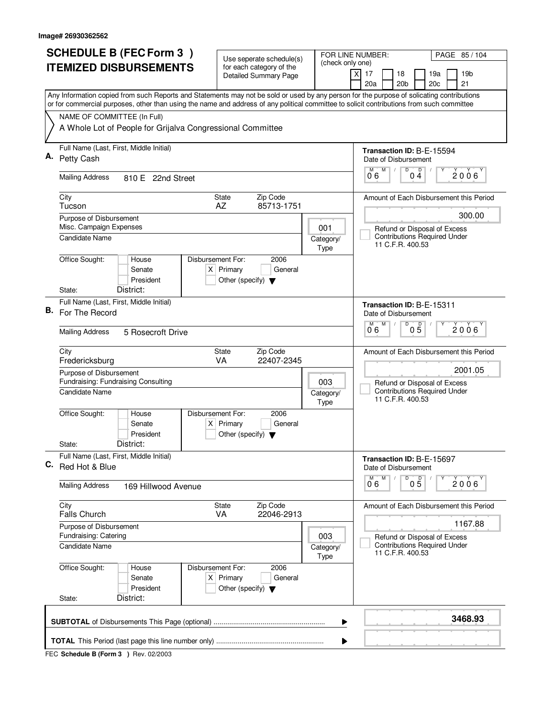|    | <b>SCHEDULE B (FEC Form 3)</b>                                                                                                                                                                                                                                                         | Use seperate schedule(s)                                               |                                         | FOR LINE NUMBER:<br>PAGE 85 / 104                                                       |  |  |  |
|----|----------------------------------------------------------------------------------------------------------------------------------------------------------------------------------------------------------------------------------------------------------------------------------------|------------------------------------------------------------------------|-----------------------------------------|-----------------------------------------------------------------------------------------|--|--|--|
|    | <b>ITEMIZED DISBURSEMENTS</b>                                                                                                                                                                                                                                                          | for each category of the<br><b>Detailed Summary Page</b>               |                                         | (check only one)<br>$\boldsymbol{\mathsf{X}}$<br>17<br>18<br>19a<br>19 <sub>b</sub>     |  |  |  |
|    |                                                                                                                                                                                                                                                                                        |                                                                        |                                         | 20 <sub>b</sub><br>20c<br>21<br>20a                                                     |  |  |  |
|    | Any Information copied from such Reports and Statements may not be sold or used by any person for the purpose of solicating contributions<br>or for commercial purposes, other than using the name and address of any political committee to solicit contributions from such committee |                                                                        |                                         |                                                                                         |  |  |  |
|    | NAME OF COMMITTEE (In Full)                                                                                                                                                                                                                                                            |                                                                        |                                         |                                                                                         |  |  |  |
|    | A Whole Lot of People for Grijalva Congressional Committee                                                                                                                                                                                                                             |                                                                        |                                         |                                                                                         |  |  |  |
|    | Full Name (Last, First, Middle Initial)<br>Petty Cash                                                                                                                                                                                                                                  |                                                                        |                                         | Transaction ID: B-E-15594<br>Date of Disbursement                                       |  |  |  |
|    | <b>Mailing Address</b><br>810 E 22nd Street                                                                                                                                                                                                                                            |                                                                        |                                         | $\overline{D}$<br>M<br>Ď<br>М<br>2006<br>06<br>04                                       |  |  |  |
|    | City<br>Tucson                                                                                                                                                                                                                                                                         | Zip Code<br><b>State</b><br>85713-1751<br>AZ                           |                                         | Amount of Each Disbursement this Period                                                 |  |  |  |
|    | Purpose of Disbursement                                                                                                                                                                                                                                                                |                                                                        |                                         | 300.00                                                                                  |  |  |  |
|    | Misc. Campaign Expenses<br>Candidate Name                                                                                                                                                                                                                                              |                                                                        | 001<br>Category/<br>Type                | Refund or Disposal of Excess<br><b>Contributions Required Under</b><br>11 C.F.R. 400.53 |  |  |  |
|    | Office Sought:<br>Disbursement For:<br>House<br>Senate<br>President<br>District:<br>State:                                                                                                                                                                                             | 2006<br>$X$ Primary<br>General<br>Other (specify) $\blacktriangledown$ |                                         |                                                                                         |  |  |  |
|    | Full Name (Last, First, Middle Initial)                                                                                                                                                                                                                                                |                                                                        |                                         |                                                                                         |  |  |  |
|    | B. For The Record                                                                                                                                                                                                                                                                      |                                                                        |                                         | Transaction ID: B-E-15311<br>Date of Disbursement<br>D<br>M<br>M                        |  |  |  |
|    | <b>Mailing Address</b><br>5 Rosecroft Drive                                                                                                                                                                                                                                            | $0\overline{5}$<br>2006<br>06                                          |                                         |                                                                                         |  |  |  |
|    | City<br>State<br>VA<br>Fredericksburg                                                                                                                                                                                                                                                  | Amount of Each Disbursement this Period                                |                                         |                                                                                         |  |  |  |
|    | Purpose of Disbursement<br>Fundraising: Fundraising Consulting                                                                                                                                                                                                                         |                                                                        | 2001.05<br>Refund or Disposal of Excess |                                                                                         |  |  |  |
|    | Candidate Name                                                                                                                                                                                                                                                                         |                                                                        | Category/<br>Type                       | <b>Contributions Required Under</b><br>11 C.F.R. 400.53                                 |  |  |  |
|    | Office Sought:<br>Disbursement For:<br>House<br>Senate<br>President                                                                                                                                                                                                                    | 2006<br>$X$ Primary<br>General<br>Other (specify) $\blacktriangledown$ |                                         |                                                                                         |  |  |  |
|    | District:<br>State:                                                                                                                                                                                                                                                                    |                                                                        |                                         |                                                                                         |  |  |  |
| С. | Full Name (Last, First, Middle Initial)<br>Red Hot & Blue                                                                                                                                                                                                                              |                                                                        |                                         | Transaction ID: B-E-15697<br>Date of Disbursement                                       |  |  |  |
|    | <b>Mailing Address</b><br>169 Hillwood Avenue                                                                                                                                                                                                                                          |                                                                        |                                         | D<br>M<br>$0\overline{5}$<br>M<br>2006<br>06                                            |  |  |  |
|    | City<br><b>Falls Church</b>                                                                                                                                                                                                                                                            | State<br>Zip Code<br><b>VA</b><br>22046-2913                           |                                         | Amount of Each Disbursement this Period                                                 |  |  |  |
|    | Purpose of Disbursement<br>Fundraising: Catering                                                                                                                                                                                                                                       |                                                                        | 003                                     | 1167.88                                                                                 |  |  |  |
|    | Candidate Name                                                                                                                                                                                                                                                                         |                                                                        | Category/<br>Type                       | Refund or Disposal of Excess<br><b>Contributions Required Under</b><br>11 C.F.R. 400.53 |  |  |  |
|    | Office Sought:<br>Disbursement For:<br>House<br>Senate<br>President<br>District:<br>State:                                                                                                                                                                                             | 2006<br>$X$ Primary<br>General<br>Other (specify) $\blacktriangledown$ |                                         |                                                                                         |  |  |  |
|    |                                                                                                                                                                                                                                                                                        |                                                                        |                                         |                                                                                         |  |  |  |
|    |                                                                                                                                                                                                                                                                                        |                                                                        |                                         | 3468.93<br>▶                                                                            |  |  |  |
|    |                                                                                                                                                                                                                                                                                        |                                                                        |                                         | ▶                                                                                       |  |  |  |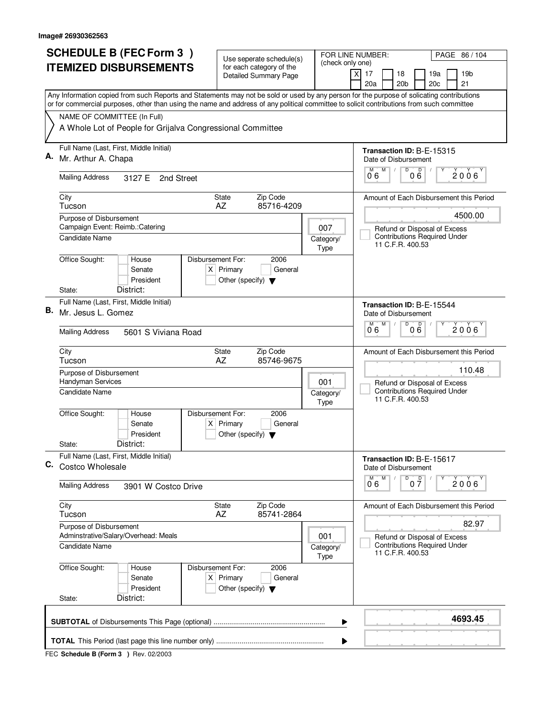| <b>SCHEDULE B (FEC Form 3)</b> |                                                                                                                                                                                                                                                                                        | Use seperate schedule(s)                                               |                                                                                         | FOR LINE NUMBER:<br>PAGE 86 / 104                                         |  |  |  |
|--------------------------------|----------------------------------------------------------------------------------------------------------------------------------------------------------------------------------------------------------------------------------------------------------------------------------------|------------------------------------------------------------------------|-----------------------------------------------------------------------------------------|---------------------------------------------------------------------------|--|--|--|
|                                | <b>ITEMIZED DISBURSEMENTS</b>                                                                                                                                                                                                                                                          | for each category of the<br><b>Detailed Summary Page</b>               | (check only one)                                                                        | $\times$<br>17<br>18<br>19a<br>19b<br>20a<br>20 <sub>b</sub><br>20c<br>21 |  |  |  |
|                                | Any Information copied from such Reports and Statements may not be sold or used by any person for the purpose of solicating contributions<br>or for commercial purposes, other than using the name and address of any political committee to solicit contributions from such committee |                                                                        |                                                                                         |                                                                           |  |  |  |
|                                | NAME OF COMMITTEE (In Full)                                                                                                                                                                                                                                                            |                                                                        |                                                                                         |                                                                           |  |  |  |
|                                | A Whole Lot of People for Grijalva Congressional Committee                                                                                                                                                                                                                             |                                                                        |                                                                                         |                                                                           |  |  |  |
|                                | Full Name (Last, First, Middle Initial)                                                                                                                                                                                                                                                |                                                                        |                                                                                         | Transaction ID: B-E-15315                                                 |  |  |  |
| Α.                             | Mr. Arthur A. Chapa                                                                                                                                                                                                                                                                    |                                                                        |                                                                                         | Date of Disbursement<br>$\overline{D}$<br>M<br>M                          |  |  |  |
|                                | <b>Mailing Address</b><br>3127 E<br>2nd Street                                                                                                                                                                                                                                         |                                                                        |                                                                                         | 000<br>$2006^\circ$<br>06                                                 |  |  |  |
|                                | City<br>Tucson                                                                                                                                                                                                                                                                         | Zip Code<br><b>State</b><br>85716-4209<br>AZ                           |                                                                                         | Amount of Each Disbursement this Period                                   |  |  |  |
|                                | Purpose of Disbursement                                                                                                                                                                                                                                                                |                                                                        |                                                                                         | 4500.00                                                                   |  |  |  |
|                                | Campaign Event: Reimb.: Catering<br><b>Candidate Name</b>                                                                                                                                                                                                                              |                                                                        | 007                                                                                     | Refund or Disposal of Excess<br><b>Contributions Required Under</b>       |  |  |  |
|                                |                                                                                                                                                                                                                                                                                        |                                                                        | Category/<br>Type                                                                       | 11 C.F.R. 400.53                                                          |  |  |  |
|                                | Office Sought:<br>Disbursement For:<br>House                                                                                                                                                                                                                                           | 2006                                                                   |                                                                                         |                                                                           |  |  |  |
|                                | Senate<br>President                                                                                                                                                                                                                                                                    | $X$ Primary<br>General<br>Other (specify) $\blacktriangledown$         |                                                                                         |                                                                           |  |  |  |
|                                | District:<br>State:                                                                                                                                                                                                                                                                    |                                                                        |                                                                                         |                                                                           |  |  |  |
|                                | Full Name (Last, First, Middle Initial)                                                                                                                                                                                                                                                |                                                                        |                                                                                         | Transaction ID: B-E-15544                                                 |  |  |  |
| В.                             | Mr. Jesus L. Gomez                                                                                                                                                                                                                                                                     |                                                                        |                                                                                         | Date of Disbursement<br>$\overline{D}$<br>M<br>D<br>M                     |  |  |  |
|                                | <b>Mailing Address</b><br>5601 S Viviana Road                                                                                                                                                                                                                                          |                                                                        | $2006^{\circ}$<br>06<br>06                                                              |                                                                           |  |  |  |
|                                | City<br>Tucson                                                                                                                                                                                                                                                                         | Zip Code<br>State<br>AZ<br>85746-9675                                  |                                                                                         | Amount of Each Disbursement this Period                                   |  |  |  |
|                                | Purpose of Disbursement<br>Handyman Services                                                                                                                                                                                                                                           | 110.48<br>Refund or Disposal of Excess                                 |                                                                                         |                                                                           |  |  |  |
|                                | Candidate Name                                                                                                                                                                                                                                                                         |                                                                        | Category/<br>Type                                                                       | <b>Contributions Required Under</b><br>11 C.F.R. 400.53                   |  |  |  |
|                                | Office Sought:<br>Disbursement For:<br>House<br>Senate                                                                                                                                                                                                                                 | 2006<br>$X$ Primary<br>General                                         |                                                                                         |                                                                           |  |  |  |
|                                | President                                                                                                                                                                                                                                                                              | Other (specify) $\blacktriangledown$                                   |                                                                                         |                                                                           |  |  |  |
|                                | District:<br>State:                                                                                                                                                                                                                                                                    |                                                                        |                                                                                         |                                                                           |  |  |  |
| С.                             | Full Name (Last, First, Middle Initial)<br><b>Costco Wholesale</b>                                                                                                                                                                                                                     |                                                                        |                                                                                         | Transaction ID: B-E-15617<br>Date of Disbursement                         |  |  |  |
|                                | <b>Mailing Address</b><br>3901 W Costco Drive                                                                                                                                                                                                                                          |                                                                        |                                                                                         | D<br>M<br>0 <sup>0</sup><br>2006<br>06                                    |  |  |  |
|                                | City<br>Tucson                                                                                                                                                                                                                                                                         | Zip Code<br>State<br>AZ<br>85741-2864                                  |                                                                                         | Amount of Each Disbursement this Period                                   |  |  |  |
|                                | Purpose of Disbursement                                                                                                                                                                                                                                                                |                                                                        |                                                                                         | 82.97                                                                     |  |  |  |
|                                | Adminstrative/Salary/Overhead: Meals<br>Candidate Name                                                                                                                                                                                                                                 | 001<br>Category/<br>Type                                               | Refund or Disposal of Excess<br><b>Contributions Required Under</b><br>11 C.F.R. 400.53 |                                                                           |  |  |  |
|                                | Office Sought:<br>Disbursement For:<br>House<br>Senate<br>President                                                                                                                                                                                                                    | 2006<br>$X$ Primary<br>General<br>Other (specify) $\blacktriangledown$ |                                                                                         |                                                                           |  |  |  |
|                                | District:<br>State:                                                                                                                                                                                                                                                                    |                                                                        |                                                                                         |                                                                           |  |  |  |
|                                |                                                                                                                                                                                                                                                                                        |                                                                        | ▶                                                                                       | 4693.45                                                                   |  |  |  |
|                                |                                                                                                                                                                                                                                                                                        |                                                                        | ▶                                                                                       |                                                                           |  |  |  |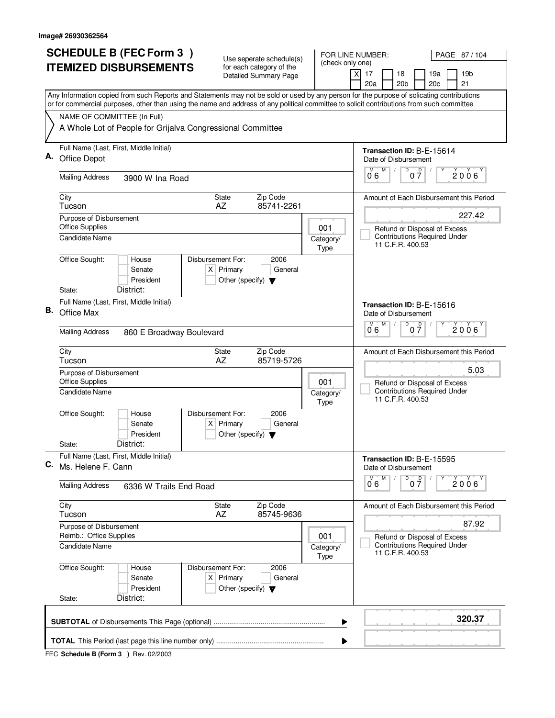| <b>SCHEDULE B (FEC Form 3)</b> |                                                                                                                                                                                                                                                                                        | Use seperate schedule(s)                                                                    |                            | FOR LINE NUMBER:<br>PAGE 87/104                                                                          |
|--------------------------------|----------------------------------------------------------------------------------------------------------------------------------------------------------------------------------------------------------------------------------------------------------------------------------------|---------------------------------------------------------------------------------------------|----------------------------|----------------------------------------------------------------------------------------------------------|
|                                | <b>ITEMIZED DISBURSEMENTS</b>                                                                                                                                                                                                                                                          | for each category of the<br><b>Detailed Summary Page</b>                                    | (check only one)           | $\times$<br>17<br>18<br>19a<br>19b<br>20a<br>20 <sub>b</sub><br>20c<br>21                                |
|                                | Any Information copied from such Reports and Statements may not be sold or used by any person for the purpose of solicating contributions<br>or for commercial purposes, other than using the name and address of any political committee to solicit contributions from such committee |                                                                                             |                            |                                                                                                          |
|                                | NAME OF COMMITTEE (In Full)                                                                                                                                                                                                                                                            |                                                                                             |                            |                                                                                                          |
|                                | A Whole Lot of People for Grijalva Congressional Committee                                                                                                                                                                                                                             |                                                                                             |                            |                                                                                                          |
|                                | Full Name (Last, First, Middle Initial)<br>Office Depot                                                                                                                                                                                                                                |                                                                                             |                            | <b>Transaction ID: B-E-15614</b><br>Date of Disbursement                                                 |
|                                | <b>Mailing Address</b><br>3900 W Ina Road                                                                                                                                                                                                                                              |                                                                                             |                            | M<br>D<br>$0\overline{7}$<br>М<br>$2006^\circ$<br>06                                                     |
|                                | City<br>Tucson                                                                                                                                                                                                                                                                         | Zip Code<br><b>State</b><br>AZ<br>85741-2261                                                |                            | Amount of Each Disbursement this Period                                                                  |
|                                | Purpose of Disbursement<br><b>Office Supplies</b>                                                                                                                                                                                                                                      |                                                                                             | 001                        | 227.42<br>Refund or Disposal of Excess                                                                   |
|                                | <b>Candidate Name</b>                                                                                                                                                                                                                                                                  |                                                                                             | Category/<br>Type          | <b>Contributions Required Under</b><br>11 C.F.R. 400.53                                                  |
|                                | Office Sought:<br>Disbursement For:<br>House<br>Senate<br>President                                                                                                                                                                                                                    | 2006<br>$X$ Primary<br>General<br>Other (specify) $\blacktriangledown$                      |                            |                                                                                                          |
|                                | District:<br>State:<br>Full Name (Last, First, Middle Initial)                                                                                                                                                                                                                         |                                                                                             |                            |                                                                                                          |
| В.                             | Office Max                                                                                                                                                                                                                                                                             |                                                                                             |                            | Transaction ID: B-E-15616<br>Date of Disbursement<br>$\overline{D}$<br>M<br>$\overline{\mathsf{D}}$<br>M |
|                                | <b>Mailing Address</b><br>860 E Broadway Boulevard                                                                                                                                                                                                                                     |                                                                                             | $2006^{\circ}$<br>07<br>06 |                                                                                                          |
|                                | City<br>Tucson                                                                                                                                                                                                                                                                         | Zip Code<br>State<br>AZ<br>85719-5726                                                       |                            | Amount of Each Disbursement this Period                                                                  |
|                                | Purpose of Disbursement<br><b>Office Supplies</b><br>Candidate Name                                                                                                                                                                                                                    | 5.03<br>Refund or Disposal of Excess<br><b>Contributions Required Under</b>                 |                            |                                                                                                          |
|                                |                                                                                                                                                                                                                                                                                        |                                                                                             | Category/<br>Type          | 11 C.F.R. 400.53                                                                                         |
|                                | Office Sought:<br>Disbursement For:<br>House<br>Senate<br>President                                                                                                                                                                                                                    | 2006<br>$X$ Primary<br>General<br>Other (specify) $\blacktriangledown$                      |                            |                                                                                                          |
|                                | District:<br>State:                                                                                                                                                                                                                                                                    |                                                                                             |                            |                                                                                                          |
| С.                             | Full Name (Last, First, Middle Initial)<br>Ms. Helene F. Cann                                                                                                                                                                                                                          |                                                                                             |                            | Transaction ID: B-E-15595<br>Date of Disbursement                                                        |
|                                | <b>Mailing Address</b><br>6336 W Trails End Road                                                                                                                                                                                                                                       |                                                                                             |                            | D<br>M<br>0 <sup>0</sup><br>2006'<br>06                                                                  |
|                                | City<br>Tucson                                                                                                                                                                                                                                                                         | State<br>Zip Code<br>AZ<br>85745-9636                                                       |                            | Amount of Each Disbursement this Period                                                                  |
|                                | Purpose of Disbursement<br>Reimb.: Office Supplies                                                                                                                                                                                                                                     |                                                                                             | 001                        | 87.92<br>Refund or Disposal of Excess<br><b>Contributions Required Under</b>                             |
|                                | Candidate Name                                                                                                                                                                                                                                                                         |                                                                                             | Category/<br>Type          | 11 C.F.R. 400.53                                                                                         |
|                                | Office Sought:<br>House<br>Senate<br>President                                                                                                                                                                                                                                         | Disbursement For:<br>2006<br>$X$ Primary<br>General<br>Other (specify) $\blacktriangledown$ |                            |                                                                                                          |
|                                | District:<br>State:                                                                                                                                                                                                                                                                    |                                                                                             |                            |                                                                                                          |
|                                |                                                                                                                                                                                                                                                                                        |                                                                                             | ▶                          | 320.37                                                                                                   |
|                                |                                                                                                                                                                                                                                                                                        |                                                                                             | ▶                          |                                                                                                          |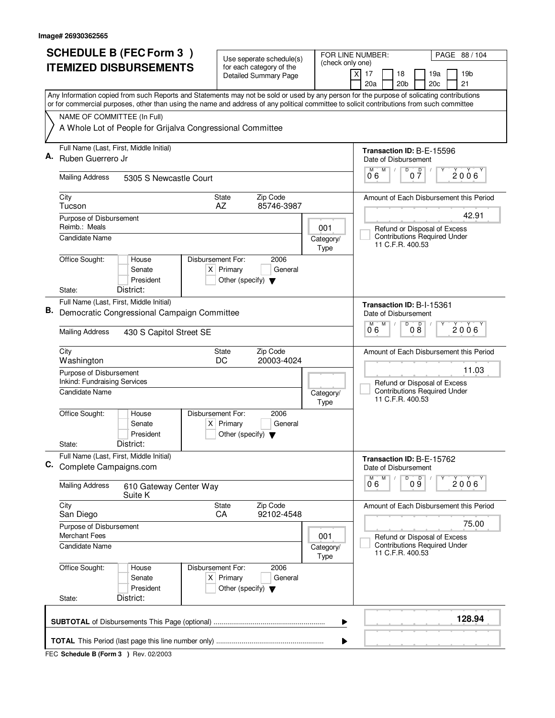| <b>SCHEDULE B (FEC Form 3)</b> |                                                                                                                                                                                                                                                                                        | Use seperate schedule(s)                                               |                                       | FOR LINE NUMBER:<br>PAGE 88 / 104                                               |
|--------------------------------|----------------------------------------------------------------------------------------------------------------------------------------------------------------------------------------------------------------------------------------------------------------------------------------|------------------------------------------------------------------------|---------------------------------------|---------------------------------------------------------------------------------|
|                                | <b>ITEMIZED DISBURSEMENTS</b>                                                                                                                                                                                                                                                          | for each category of the<br><b>Detailed Summary Page</b>               | (check only one)                      | χļ<br>17<br>18<br>19a<br>19 <sub>b</sub><br>20a<br>20 <sub>b</sub><br>20c<br>21 |
|                                | Any Information copied from such Reports and Statements may not be sold or used by any person for the purpose of solicating contributions<br>or for commercial purposes, other than using the name and address of any political committee to solicit contributions from such committee |                                                                        |                                       |                                                                                 |
|                                | NAME OF COMMITTEE (In Full)                                                                                                                                                                                                                                                            |                                                                        |                                       |                                                                                 |
|                                | A Whole Lot of People for Grijalva Congressional Committee                                                                                                                                                                                                                             |                                                                        |                                       |                                                                                 |
|                                | Full Name (Last, First, Middle Initial)                                                                                                                                                                                                                                                |                                                                        |                                       | Transaction ID: B-E-15596                                                       |
| Α.                             | Ruben Guerrero Jr                                                                                                                                                                                                                                                                      |                                                                        |                                       | Date of Disbursement<br>D                                                       |
|                                | <b>Mailing Address</b><br>5305 S Newcastle Court                                                                                                                                                                                                                                       |                                                                        |                                       | M<br>$0\frac{D}{7}$<br>M<br>$2006^\circ$<br>06                                  |
|                                | City<br>Tucson                                                                                                                                                                                                                                                                         | Zip Code<br>State<br>85746-3987<br>AZ                                  |                                       | Amount of Each Disbursement this Period                                         |
|                                | Purpose of Disbursement<br>Reimb.: Meals                                                                                                                                                                                                                                               |                                                                        | 001                                   | 42.91<br>Refund or Disposal of Excess                                           |
|                                | <b>Candidate Name</b>                                                                                                                                                                                                                                                                  |                                                                        | Category/<br>Type                     | <b>Contributions Required Under</b><br>11 C.F.R. 400.53                         |
|                                | Office Sought:<br>Disbursement For:<br>House<br>Senate<br>President                                                                                                                                                                                                                    | 2006<br>$X$ Primary<br>General<br>Other (specify) $\blacktriangledown$ |                                       |                                                                                 |
|                                | District:<br>State:                                                                                                                                                                                                                                                                    |                                                                        |                                       |                                                                                 |
| В.                             | Full Name (Last, First, Middle Initial)<br>Democratic Congressional Campaign Committee                                                                                                                                                                                                 |                                                                        |                                       | Transaction ID: B-I-15361<br>Date of Disbursement                               |
|                                | <b>Mailing Address</b><br>430 S Capitol Street SE                                                                                                                                                                                                                                      | D<br>M<br>M<br>D<br>$2006^{\circ}$<br>08<br>06                         |                                       |                                                                                 |
|                                | City<br>Washington                                                                                                                                                                                                                                                                     | Zip Code<br>State<br>20003-4024<br>DC                                  |                                       | Amount of Each Disbursement this Period                                         |
|                                | Purpose of Disbursement<br>Inkind: Fundraising Services                                                                                                                                                                                                                                |                                                                        | 11.03<br>Refund or Disposal of Excess |                                                                                 |
|                                | Candidate Name                                                                                                                                                                                                                                                                         |                                                                        | Category/<br>Type                     | <b>Contributions Required Under</b><br>11 C.F.R. 400.53                         |
|                                | Office Sought:<br>Disbursement For:<br>House<br>Senate<br>President                                                                                                                                                                                                                    | 2006<br>$X$ Primary<br>General<br>Other (specify) $\blacktriangledown$ |                                       |                                                                                 |
|                                | District:<br>State:                                                                                                                                                                                                                                                                    |                                                                        |                                       |                                                                                 |
| C.                             | Full Name (Last, First, Middle Initial)<br>Complete Campaigns.com                                                                                                                                                                                                                      |                                                                        |                                       | Transaction ID: B-E-15762<br>Date of Disbursement                               |
|                                | <b>Mailing Address</b><br>610 Gateway Center Way<br>Suite K                                                                                                                                                                                                                            |                                                                        |                                       | D<br>M<br>09<br>2006<br>06                                                      |
|                                | City<br>San Diego                                                                                                                                                                                                                                                                      | State<br>Zip Code<br>CA<br>92102-4548                                  |                                       | Amount of Each Disbursement this Period                                         |
|                                | Purpose of Disbursement<br><b>Merchant Fees</b>                                                                                                                                                                                                                                        |                                                                        | 001                                   | 75.00<br>Refund or Disposal of Excess                                           |
|                                | Candidate Name                                                                                                                                                                                                                                                                         |                                                                        | Category/<br>Type                     | <b>Contributions Required Under</b><br>11 C.F.R. 400.53                         |
|                                | Office Sought:<br>Disbursement For:<br>House<br>Senate<br>President                                                                                                                                                                                                                    | 2006<br>$X$ Primary<br>General<br>Other (specify) $\blacktriangledown$ |                                       |                                                                                 |
|                                | District:<br>State:                                                                                                                                                                                                                                                                    |                                                                        |                                       |                                                                                 |
|                                |                                                                                                                                                                                                                                                                                        |                                                                        | ▶                                     | 128.94                                                                          |
|                                |                                                                                                                                                                                                                                                                                        |                                                                        | ▶                                     |                                                                                 |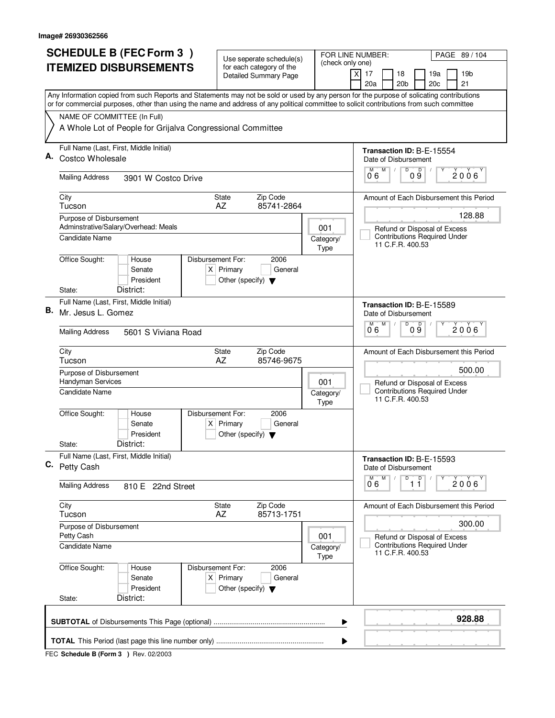|    | <b>SCHEDULE B (FEC Form 3)</b>                                                                                                                                                                                                                                                         | Use seperate schedule(s)                                    | FOR LINE NUMBER:                                                              |                          | PAGE 89 / 104                                  |                           |                                                                     |                 |  |  |
|----|----------------------------------------------------------------------------------------------------------------------------------------------------------------------------------------------------------------------------------------------------------------------------------------|-------------------------------------------------------------|-------------------------------------------------------------------------------|--------------------------|------------------------------------------------|---------------------------|---------------------------------------------------------------------|-----------------|--|--|
|    | <b>ITEMIZED DISBURSEMENTS</b>                                                                                                                                                                                                                                                          | for each category of the<br><b>Detailed Summary Page</b>    |                                                                               | (check only one)         | $\boldsymbol{\mathsf{X}}$<br>17                | 18                        | 19a                                                                 | 19 <sub>b</sub> |  |  |
|    |                                                                                                                                                                                                                                                                                        |                                                             |                                                                               |                          | 20a                                            | 20 <sub>b</sub>           | 20c                                                                 | 21              |  |  |
|    | Any Information copied from such Reports and Statements may not be sold or used by any person for the purpose of solicating contributions<br>or for commercial purposes, other than using the name and address of any political committee to solicit contributions from such committee |                                                             |                                                                               |                          |                                                |                           |                                                                     |                 |  |  |
|    | NAME OF COMMITTEE (In Full)                                                                                                                                                                                                                                                            |                                                             |                                                                               |                          |                                                |                           |                                                                     |                 |  |  |
|    | A Whole Lot of People for Grijalva Congressional Committee                                                                                                                                                                                                                             |                                                             |                                                                               |                          |                                                |                           |                                                                     |                 |  |  |
| А. | Full Name (Last, First, Middle Initial)<br>Costco Wholesale                                                                                                                                                                                                                            |                                                             |                                                                               |                          |                                                | Date of Disbursement      | Transaction ID: B-E-15554                                           |                 |  |  |
|    | <b>Mailing Address</b><br>3901 W Costco Drive                                                                                                                                                                                                                                          |                                                             |                                                                               |                          | D<br>M<br>$0\overset{D}{9}$<br>М<br>2006<br>06 |                           |                                                                     |                 |  |  |
|    | City<br>Tucson                                                                                                                                                                                                                                                                         | Zip Code<br><b>State</b><br>AZ                              | 85741-2864                                                                    |                          |                                                |                           | Amount of Each Disbursement this Period                             |                 |  |  |
|    | Purpose of Disbursement<br>Adminstrative/Salary/Overhead: Meals                                                                                                                                                                                                                        |                                                             |                                                                               |                          |                                                |                           |                                                                     | 128.88          |  |  |
|    | Candidate Name                                                                                                                                                                                                                                                                         |                                                             |                                                                               | 001<br>Category/<br>Type |                                                | 11 C.F.R. 400.53          | Refund or Disposal of Excess<br><b>Contributions Required Under</b> |                 |  |  |
|    | Office Sought:<br>Disbursement For:<br>House<br>Senate<br>President                                                                                                                                                                                                                    | 2006<br>$X$ Primary<br>Other (specify) $\blacktriangledown$ | General                                                                       |                          |                                                |                           |                                                                     |                 |  |  |
|    | District:<br>State:<br>Full Name (Last, First, Middle Initial)                                                                                                                                                                                                                         |                                                             |                                                                               |                          |                                                |                           |                                                                     |                 |  |  |
| В. | Mr. Jesus L. Gomez                                                                                                                                                                                                                                                                     |                                                             |                                                                               |                          | M<br>M                                         | Date of Disbursement<br>D | Transaction ID: B-E-15589<br>D                                      |                 |  |  |
|    | <b>Mailing Address</b><br>5601 S Viviana Road                                                                                                                                                                                                                                          |                                                             | 2006<br>09<br>06                                                              |                          |                                                |                           |                                                                     |                 |  |  |
|    | City<br>Tucson                                                                                                                                                                                                                                                                         | Zip Code<br>State<br>AZ<br>85746-9675                       |                                                                               |                          |                                                |                           | Amount of Each Disbursement this Period                             |                 |  |  |
|    | Purpose of Disbursement<br>Handyman Services<br>Candidate Name                                                                                                                                                                                                                         | 001<br>Category/                                            | 500.00<br>Refund or Disposal of Excess<br><b>Contributions Required Under</b> |                          |                                                |                           |                                                                     |                 |  |  |
|    |                                                                                                                                                                                                                                                                                        |                                                             |                                                                               | Type                     | 11 C.F.R. 400.53                               |                           |                                                                     |                 |  |  |
|    | Office Sought:<br>Disbursement For:<br>House<br>Senate<br>President                                                                                                                                                                                                                    | 2006<br>$X$ Primary<br>Other (specify) $\blacktriangledown$ | General                                                                       |                          |                                                |                           |                                                                     |                 |  |  |
|    | District:<br>State:                                                                                                                                                                                                                                                                    |                                                             |                                                                               |                          |                                                |                           |                                                                     |                 |  |  |
|    | Full Name (Last, First, Middle Initial)<br>C. Petty Cash                                                                                                                                                                                                                               |                                                             |                                                                               |                          |                                                | Date of Disbursement      | Transaction ID: B-E-15593                                           |                 |  |  |
|    | <b>Mailing Address</b><br>810 E 22nd Street                                                                                                                                                                                                                                            |                                                             |                                                                               |                          | M<br>M<br>06                                   | D                         | $\overline{11}^D$                                                   | 2006            |  |  |
|    | City<br>Tucson                                                                                                                                                                                                                                                                         | Zip Code<br>State<br>AZ<br>85713-1751                       |                                                                               |                          |                                                |                           | Amount of Each Disbursement this Period                             |                 |  |  |
|    | Purpose of Disbursement<br>Petty Cash                                                                                                                                                                                                                                                  |                                                             |                                                                               | 001                      |                                                |                           | Refund or Disposal of Excess                                        | 300.00          |  |  |
|    | <b>Candidate Name</b>                                                                                                                                                                                                                                                                  |                                                             |                                                                               | Category/<br>Type        |                                                | 11 C.F.R. 400.53          | <b>Contributions Required Under</b>                                 |                 |  |  |
|    | Office Sought:<br>Disbursement For:<br>House<br>Senate<br>President                                                                                                                                                                                                                    | 2006<br>$X$ Primary<br>Other (specify) $\blacktriangledown$ | General                                                                       |                          |                                                |                           |                                                                     |                 |  |  |
|    | District:<br>State:                                                                                                                                                                                                                                                                    |                                                             |                                                                               |                          |                                                |                           |                                                                     |                 |  |  |
|    |                                                                                                                                                                                                                                                                                        |                                                             |                                                                               | ▶                        |                                                |                           |                                                                     | 928.88          |  |  |
|    |                                                                                                                                                                                                                                                                                        |                                                             |                                                                               | ▶                        |                                                |                           |                                                                     |                 |  |  |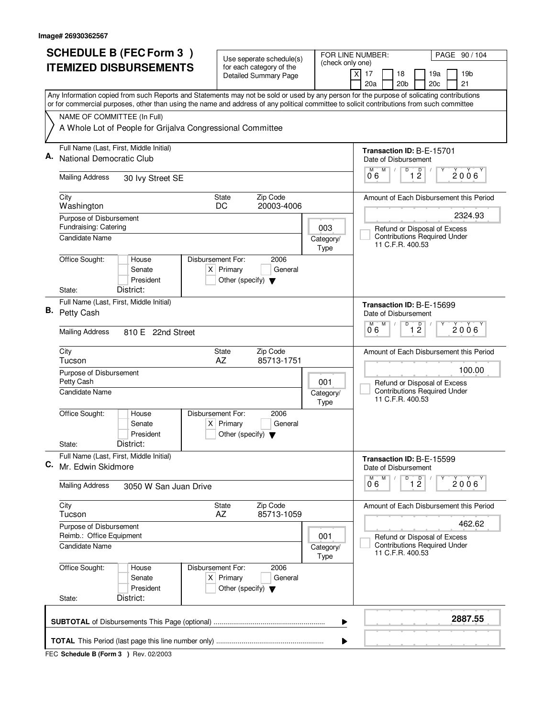|    | <b>SCHEDULE B (FEC Form 3)</b>                                                                                                                                                                                                                                                         | Use seperate schedule(s)                                               |                          | FOR LINE NUMBER:<br>PAGE 90 / 104                                                       |
|----|----------------------------------------------------------------------------------------------------------------------------------------------------------------------------------------------------------------------------------------------------------------------------------------|------------------------------------------------------------------------|--------------------------|-----------------------------------------------------------------------------------------|
|    | <b>ITEMIZED DISBURSEMENTS</b>                                                                                                                                                                                                                                                          | for each category of the<br><b>Detailed Summary Page</b>               | (check only one)         | 17<br>18<br>19a<br>19 <sub>b</sub><br>X                                                 |
|    |                                                                                                                                                                                                                                                                                        |                                                                        |                          | 20a<br>20 <sub>b</sub><br>21<br>20c                                                     |
|    | Any Information copied from such Reports and Statements may not be sold or used by any person for the purpose of solicating contributions<br>or for commercial purposes, other than using the name and address of any political committee to solicit contributions from such committee |                                                                        |                          |                                                                                         |
|    | NAME OF COMMITTEE (In Full)                                                                                                                                                                                                                                                            |                                                                        |                          |                                                                                         |
|    | A Whole Lot of People for Grijalva Congressional Committee                                                                                                                                                                                                                             |                                                                        |                          |                                                                                         |
| Α. | Full Name (Last, First, Middle Initial)<br>National Democratic Club                                                                                                                                                                                                                    |                                                                        |                          | Transaction ID: B-E-15701<br>Date of Disbursement                                       |
|    |                                                                                                                                                                                                                                                                                        |                                                                        |                          | M<br>D<br>$\overline{1}$ $\overline{2}$<br>м<br>2006                                    |
|    | <b>Mailing Address</b><br>30 Ivy Street SE                                                                                                                                                                                                                                             |                                                                        |                          | 06                                                                                      |
|    | City<br>Washington                                                                                                                                                                                                                                                                     | Zip Code<br><b>State</b><br>20003-4006<br>DC                           |                          | Amount of Each Disbursement this Period                                                 |
|    | Purpose of Disbursement                                                                                                                                                                                                                                                                |                                                                        |                          | 2324.93                                                                                 |
|    | Fundraising: Catering                                                                                                                                                                                                                                                                  |                                                                        | 003                      | Refund or Disposal of Excess                                                            |
|    | Candidate Name                                                                                                                                                                                                                                                                         |                                                                        | Category/<br>Type        | <b>Contributions Required Under</b><br>11 C.F.R. 400.53                                 |
|    | Office Sought:<br>Disbursement For:<br>House                                                                                                                                                                                                                                           | 2006                                                                   |                          |                                                                                         |
|    | Senate<br>President                                                                                                                                                                                                                                                                    | $X$ Primary<br>General                                                 |                          |                                                                                         |
|    | District:<br>State:                                                                                                                                                                                                                                                                    | Other (specify) $\blacktriangledown$                                   |                          |                                                                                         |
|    | Full Name (Last, First, Middle Initial)                                                                                                                                                                                                                                                |                                                                        |                          | Transaction ID: B-E-15699                                                               |
| В. | Petty Cash                                                                                                                                                                                                                                                                             |                                                                        |                          | Date of Disbursement                                                                    |
|    | <b>Mailing Address</b><br>810 E 22nd Street                                                                                                                                                                                                                                            | $\overline{D}$<br>M<br>D<br>2006<br>12<br>06                           |                          |                                                                                         |
|    | City<br>Tucson                                                                                                                                                                                                                                                                         | Zip Code<br><b>State</b><br>AZ<br>85713-1751                           |                          | Amount of Each Disbursement this Period                                                 |
|    | Purpose of Disbursement<br>Petty Cash                                                                                                                                                                                                                                                  | 100.00                                                                 |                          |                                                                                         |
|    | Candidate Name                                                                                                                                                                                                                                                                         |                                                                        | 001<br>Category/<br>Type | Refund or Disposal of Excess<br><b>Contributions Required Under</b><br>11 C.F.R. 400.53 |
|    | Office Sought:<br>Disbursement For:<br>House<br>Senate<br>President                                                                                                                                                                                                                    | 2006<br>$X$ Primary<br>General                                         |                          |                                                                                         |
|    | District:<br>State:                                                                                                                                                                                                                                                                    | Other (specify) $\blacktriangledown$                                   |                          |                                                                                         |
| C. | Full Name (Last, First, Middle Initial)<br>Mr. Edwin Skidmore                                                                                                                                                                                                                          |                                                                        |                          | Transaction ID: B-E-15599<br>Date of Disbursement                                       |
|    | <b>Mailing Address</b><br>3050 W San Juan Drive                                                                                                                                                                                                                                        |                                                                        |                          | M<br>D<br>M<br>$\overline{1}$ $\overline{2}$<br>2006<br>06                              |
|    | City<br>Tucson                                                                                                                                                                                                                                                                         | State<br>Zip Code<br>AZ<br>85713-1059                                  |                          | Amount of Each Disbursement this Period                                                 |
|    | Purpose of Disbursement                                                                                                                                                                                                                                                                |                                                                        |                          | 462.62                                                                                  |
|    | Reimb.: Office Equipment<br><b>Candidate Name</b>                                                                                                                                                                                                                                      |                                                                        | 001<br>Category/<br>Type | Refund or Disposal of Excess<br><b>Contributions Required Under</b><br>11 C.F.R. 400.53 |
|    | Office Sought:<br>Disbursement For:<br>House<br>Senate<br>President                                                                                                                                                                                                                    | 2006<br>$X$ Primary<br>General<br>Other (specify) $\blacktriangledown$ |                          |                                                                                         |
|    | District:<br>State:                                                                                                                                                                                                                                                                    |                                                                        |                          |                                                                                         |
|    |                                                                                                                                                                                                                                                                                        |                                                                        | ▶                        | 2887.55                                                                                 |
|    |                                                                                                                                                                                                                                                                                        |                                                                        | ▶                        |                                                                                         |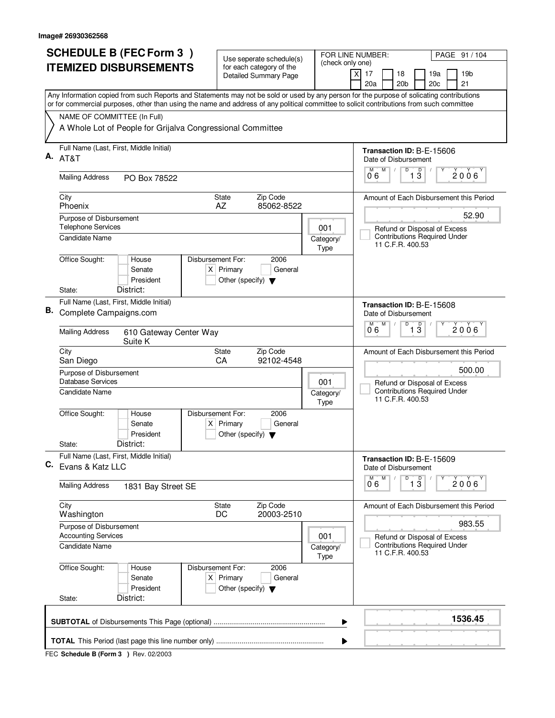| <b>SCHEDULE B (FEC Form 3)</b> |                                                                                                                                                                                                                                                                                        | Use seperate schedule(s)                                       |                   | FOR LINE NUMBER:<br>PAGE 91 / 104                                         |  |  |  |
|--------------------------------|----------------------------------------------------------------------------------------------------------------------------------------------------------------------------------------------------------------------------------------------------------------------------------------|----------------------------------------------------------------|-------------------|---------------------------------------------------------------------------|--|--|--|
|                                | <b>ITEMIZED DISBURSEMENTS</b>                                                                                                                                                                                                                                                          | for each category of the<br><b>Detailed Summary Page</b>       | (check only one)  | $\times$<br>17<br>18<br>19a<br>19b<br>20 <sub>b</sub><br>20c<br>21<br>20a |  |  |  |
|                                | Any Information copied from such Reports and Statements may not be sold or used by any person for the purpose of solicating contributions<br>or for commercial purposes, other than using the name and address of any political committee to solicit contributions from such committee |                                                                |                   |                                                                           |  |  |  |
|                                | NAME OF COMMITTEE (In Full)                                                                                                                                                                                                                                                            |                                                                |                   |                                                                           |  |  |  |
|                                | A Whole Lot of People for Grijalva Congressional Committee                                                                                                                                                                                                                             |                                                                |                   |                                                                           |  |  |  |
| А.                             | Full Name (Last, First, Middle Initial)                                                                                                                                                                                                                                                |                                                                |                   | Transaction ID: B-E-15606                                                 |  |  |  |
|                                | AT&T                                                                                                                                                                                                                                                                                   |                                                                |                   | Date of Disbursement<br>M<br>D<br>М                                       |  |  |  |
|                                | <b>Mailing Address</b><br>PO Box 78522                                                                                                                                                                                                                                                 |                                                                |                   | $\overline{1}$ $\overline{3}$<br>$2006^{\circ}$<br>06                     |  |  |  |
|                                | City<br>Phoenix                                                                                                                                                                                                                                                                        | Zip Code<br><b>State</b><br>85062-8522<br>AZ                   |                   | Amount of Each Disbursement this Period                                   |  |  |  |
|                                | Purpose of Disbursement                                                                                                                                                                                                                                                                |                                                                |                   | 52.90                                                                     |  |  |  |
|                                | <b>Telephone Services</b><br>Candidate Name                                                                                                                                                                                                                                            |                                                                | 001<br>Category/  | Refund or Disposal of Excess<br><b>Contributions Required Under</b>       |  |  |  |
|                                |                                                                                                                                                                                                                                                                                        |                                                                | Type              | 11 C.F.R. 400.53                                                          |  |  |  |
|                                | Office Sought:<br>Disbursement For:<br>House<br>Senate                                                                                                                                                                                                                                 | 2006<br>$X$ Primary<br>General                                 |                   |                                                                           |  |  |  |
|                                | President                                                                                                                                                                                                                                                                              | Other (specify) $\blacktriangledown$                           |                   |                                                                           |  |  |  |
|                                | District:<br>State:                                                                                                                                                                                                                                                                    |                                                                |                   |                                                                           |  |  |  |
| В.                             | Full Name (Last, First, Middle Initial)<br>Complete Campaigns.com                                                                                                                                                                                                                      |                                                                |                   | Transaction ID: B-E-15608<br>Date of Disbursement                         |  |  |  |
|                                |                                                                                                                                                                                                                                                                                        |                                                                |                   | M<br>D<br>$\overline{1\,3}$<br>M<br>$2006^{\circ}$                        |  |  |  |
|                                | <b>Mailing Address</b><br>610 Gateway Center Way<br>Suite K                                                                                                                                                                                                                            | 06                                                             |                   |                                                                           |  |  |  |
|                                | City<br>San Diego                                                                                                                                                                                                                                                                      | Zip Code<br>State<br>CA<br>92102-4548                          |                   | Amount of Each Disbursement this Period                                   |  |  |  |
|                                | Purpose of Disbursement                                                                                                                                                                                                                                                                | 500.00                                                         |                   |                                                                           |  |  |  |
|                                | <b>Database Services</b><br><b>Candidate Name</b>                                                                                                                                                                                                                                      |                                                                | 001<br>Category/  | Refund or Disposal of Excess<br><b>Contributions Required Under</b>       |  |  |  |
|                                |                                                                                                                                                                                                                                                                                        |                                                                | Type              | 11 C.F.R. 400.53                                                          |  |  |  |
|                                | Office Sought:<br>Disbursement For:<br>House                                                                                                                                                                                                                                           | 2006                                                           |                   |                                                                           |  |  |  |
|                                | Senate<br>President                                                                                                                                                                                                                                                                    | $X$ Primary<br>General<br>Other (specify) $\blacktriangledown$ |                   |                                                                           |  |  |  |
|                                | District:<br>State:                                                                                                                                                                                                                                                                    |                                                                |                   |                                                                           |  |  |  |
| С.                             | Full Name (Last, First, Middle Initial)<br>Evans & Katz LLC                                                                                                                                                                                                                            |                                                                |                   | Transaction ID: B-E-15609<br>Date of Disbursement                         |  |  |  |
|                                | <b>Mailing Address</b><br>1831 Bay Street SE                                                                                                                                                                                                                                           |                                                                |                   | D<br>M<br>$\overline{1}$ $\overline{3}$<br>2006'<br>06                    |  |  |  |
|                                | City                                                                                                                                                                                                                                                                                   | State<br>Zip Code                                              |                   | Amount of Each Disbursement this Period                                   |  |  |  |
|                                | Washington<br>Purpose of Disbursement                                                                                                                                                                                                                                                  | DC<br>20003-2510                                               |                   | 983.55                                                                    |  |  |  |
|                                | <b>Accounting Services</b>                                                                                                                                                                                                                                                             | Refund or Disposal of Excess                                   |                   |                                                                           |  |  |  |
|                                | Candidate Name                                                                                                                                                                                                                                                                         |                                                                | Category/<br>Type | <b>Contributions Required Under</b><br>11 C.F.R. 400.53                   |  |  |  |
|                                | Office Sought:<br>Disbursement For:<br>House                                                                                                                                                                                                                                           | 2006                                                           |                   |                                                                           |  |  |  |
|                                | Senate<br>President                                                                                                                                                                                                                                                                    | $X$ Primary<br>General<br>Other (specify) $\blacktriangledown$ |                   |                                                                           |  |  |  |
|                                | District:<br>State:                                                                                                                                                                                                                                                                    |                                                                |                   |                                                                           |  |  |  |
|                                |                                                                                                                                                                                                                                                                                        |                                                                | ▶                 | 1536.45                                                                   |  |  |  |
|                                |                                                                                                                                                                                                                                                                                        |                                                                | ▶                 |                                                                           |  |  |  |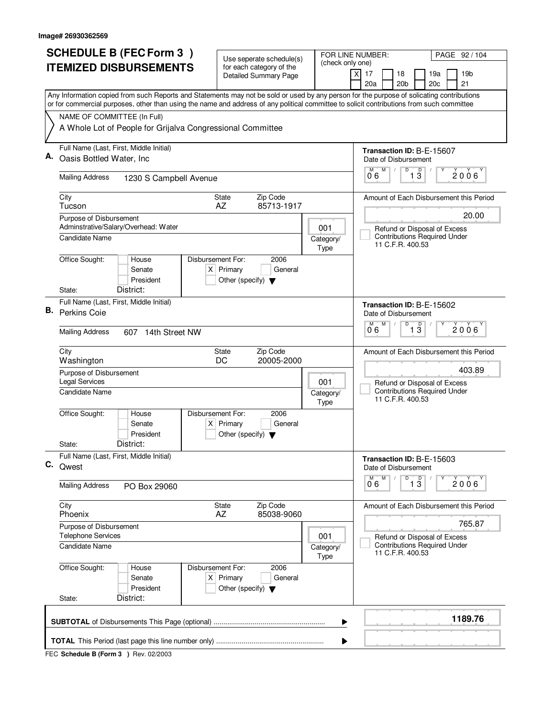|    | <b>SCHEDULE B (FEC Form 3)</b>                                                                                                                                                                                                                                                         |                                                                          | Use seperate schedule(s)                                 |                          |                                               | FOR LINE NUMBER:<br>PAGE 92 / 104 |                                                |                                             |                                                                     |  |                                         |  |  |
|----|----------------------------------------------------------------------------------------------------------------------------------------------------------------------------------------------------------------------------------------------------------------------------------------|--------------------------------------------------------------------------|----------------------------------------------------------|--------------------------|-----------------------------------------------|-----------------------------------|------------------------------------------------|---------------------------------------------|---------------------------------------------------------------------|--|-----------------------------------------|--|--|
|    | <b>ITEMIZED DISBURSEMENTS</b>                                                                                                                                                                                                                                                          |                                                                          | for each category of the<br><b>Detailed Summary Page</b> |                          | (check only one)<br>$\boldsymbol{\mathsf{X}}$ | 17                                | 18                                             |                                             | 19a                                                                 |  | 19 <sub>b</sub>                         |  |  |
|    |                                                                                                                                                                                                                                                                                        |                                                                          |                                                          |                          |                                               | 20a                               |                                                | 20 <sub>b</sub>                             | 20c                                                                 |  | 21                                      |  |  |
|    | Any Information copied from such Reports and Statements may not be sold or used by any person for the purpose of solicating contributions<br>or for commercial purposes, other than using the name and address of any political committee to solicit contributions from such committee |                                                                          |                                                          |                          |                                               |                                   |                                                |                                             |                                                                     |  |                                         |  |  |
|    | NAME OF COMMITTEE (In Full)                                                                                                                                                                                                                                                            |                                                                          |                                                          |                          |                                               |                                   |                                                |                                             |                                                                     |  |                                         |  |  |
|    | A Whole Lot of People for Grijalva Congressional Committee                                                                                                                                                                                                                             |                                                                          |                                                          |                          |                                               |                                   |                                                |                                             |                                                                     |  |                                         |  |  |
|    | Full Name (Last, First, Middle Initial)                                                                                                                                                                                                                                                |                                                                          |                                                          |                          |                                               |                                   | Transaction ID: B-E-15607                      |                                             |                                                                     |  |                                         |  |  |
|    | Oasis Bottled Water, Inc                                                                                                                                                                                                                                                               |                                                                          |                                                          |                          |                                               | Date of Disbursement<br>М         | M                                              | D                                           |                                                                     |  |                                         |  |  |
|    | <b>Mailing Address</b><br>1230 S Campbell Avenue                                                                                                                                                                                                                                       |                                                                          | Zip Code<br>85713-1917                                   |                          |                                               |                                   |                                                | $\overline{1}$ $\overline{3}$<br>2006<br>06 |                                                                     |  |                                         |  |  |
|    | City<br>Tucson                                                                                                                                                                                                                                                                         | <b>State</b><br>AZ                                                       |                                                          |                          |                                               |                                   |                                                |                                             |                                                                     |  | Amount of Each Disbursement this Period |  |  |
|    | Purpose of Disbursement<br>Adminstrative/Salary/Overhead: Water                                                                                                                                                                                                                        |                                                                          |                                                          |                          |                                               |                                   |                                                |                                             |                                                                     |  | 20.00                                   |  |  |
|    | Candidate Name                                                                                                                                                                                                                                                                         |                                                                          |                                                          | 001<br>Category/<br>Type |                                               |                                   | 11 C.F.R. 400.53                               |                                             | Refund or Disposal of Excess<br><b>Contributions Required Under</b> |  |                                         |  |  |
|    | Office Sought:<br>House<br>Senate<br>President                                                                                                                                                                                                                                         | Disbursement For:<br>$X$ Primary<br>Other (specify) $\blacktriangledown$ | 2006<br>General                                          |                          |                                               |                                   |                                                |                                             |                                                                     |  |                                         |  |  |
|    | District:<br>State:                                                                                                                                                                                                                                                                    |                                                                          |                                                          |                          |                                               |                                   |                                                |                                             |                                                                     |  |                                         |  |  |
| В. | Full Name (Last, First, Middle Initial)<br>Perkins Coie                                                                                                                                                                                                                                |                                                                          |                                                          |                          |                                               | Date of Disbursement              |                                                |                                             | Transaction ID: B-E-15602                                           |  |                                         |  |  |
|    | <b>Mailing Address</b><br>607 14th Street NW                                                                                                                                                                                                                                           |                                                                          |                                                          |                          |                                               |                                   | D<br>M<br>$\overline{1\,3}$<br>M<br>2006<br>06 |                                             |                                                                     |  |                                         |  |  |
|    | City<br>Washington                                                                                                                                                                                                                                                                     | <b>State</b><br>DC                                                       | Zip Code<br>20005-2000                                   |                          |                                               |                                   |                                                |                                             |                                                                     |  | Amount of Each Disbursement this Period |  |  |
|    | Purpose of Disbursement<br><b>Legal Services</b>                                                                                                                                                                                                                                       |                                                                          |                                                          |                          |                                               | Refund or Disposal of Excess      |                                                | 403.89                                      |                                                                     |  |                                         |  |  |
|    | Candidate Name                                                                                                                                                                                                                                                                         | 001<br>Category/<br>Type                                                 |                                                          |                          |                                               |                                   |                                                |                                             | <b>Contributions Required Under</b><br>11 C.F.R. 400.53             |  |                                         |  |  |
|    | Office Sought:<br>House<br>Senate<br>President                                                                                                                                                                                                                                         | Disbursement For:<br>$X$ Primary<br>Other (specify) $\blacktriangledown$ | 2006<br>General                                          |                          |                                               |                                   |                                                |                                             |                                                                     |  |                                         |  |  |
|    | District:<br>State:                                                                                                                                                                                                                                                                    |                                                                          |                                                          |                          |                                               |                                   |                                                |                                             |                                                                     |  |                                         |  |  |
| C. | Full Name (Last, First, Middle Initial)<br>Qwest                                                                                                                                                                                                                                       |                                                                          |                                                          |                          |                                               | Date of Disbursement              |                                                |                                             | Transaction ID: B-E-15603                                           |  |                                         |  |  |
|    | <b>Mailing Address</b><br>PO Box 29060                                                                                                                                                                                                                                                 |                                                                          |                                                          |                          |                                               | М<br>06                           | M                                              | D                                           | $\overline{1}$ $\overline{3}$                                       |  | $2006^{\circ}$                          |  |  |
|    | City<br>Phoenix                                                                                                                                                                                                                                                                        | State<br>AZ                                                              | Zip Code<br>85038-9060                                   |                          |                                               |                                   |                                                |                                             |                                                                     |  | Amount of Each Disbursement this Period |  |  |
|    | Purpose of Disbursement<br><b>Telephone Services</b>                                                                                                                                                                                                                                   |                                                                          |                                                          |                          |                                               |                                   |                                                |                                             |                                                                     |  | 765.87                                  |  |  |
|    | Candidate Name                                                                                                                                                                                                                                                                         |                                                                          |                                                          | 001<br>Category/<br>Type |                                               |                                   | 11 C.F.R. 400.53                               |                                             | Refund or Disposal of Excess<br><b>Contributions Required Under</b> |  |                                         |  |  |
|    | Office Sought:<br>House<br>Senate<br>President                                                                                                                                                                                                                                         | Disbursement For:<br>$X$ Primary<br>Other (specify) $\blacktriangledown$ | 2006<br>General                                          |                          |                                               |                                   |                                                |                                             |                                                                     |  |                                         |  |  |
|    | District:<br>State:                                                                                                                                                                                                                                                                    |                                                                          |                                                          |                          |                                               |                                   |                                                |                                             |                                                                     |  |                                         |  |  |
|    |                                                                                                                                                                                                                                                                                        |                                                                          |                                                          |                          | ▶                                             |                                   |                                                |                                             |                                                                     |  | 1189.76                                 |  |  |
|    |                                                                                                                                                                                                                                                                                        |                                                                          |                                                          |                          | ▶                                             |                                   |                                                |                                             |                                                                     |  |                                         |  |  |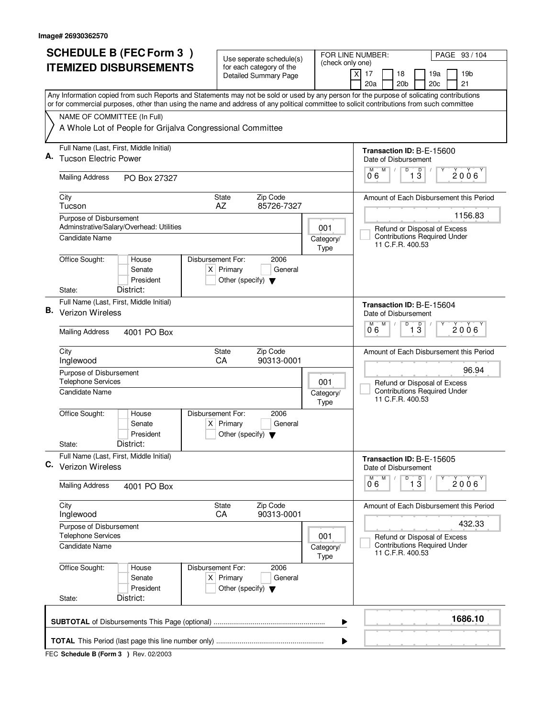| <b>SCHEDULE B (FEC Form 3)</b> |                                                                                                                                           |                    | Use seperate schedule(s)                        |                                                                     | FOR LINE NUMBER:<br>PAGE 93 / 104                                         |  |  |  |  |
|--------------------------------|-------------------------------------------------------------------------------------------------------------------------------------------|--------------------|-------------------------------------------------|---------------------------------------------------------------------|---------------------------------------------------------------------------|--|--|--|--|
| <b>ITEMIZED DISBURSEMENTS</b>  |                                                                                                                                           |                    | for each category of the                        | (check only one)                                                    | $\overline{X}$                                                            |  |  |  |  |
|                                |                                                                                                                                           |                    | Detailed Summary Page                           |                                                                     | 17<br>18<br>19a<br>19 <sub>b</sub><br>20 <sub>b</sub><br>20c<br>21<br>20a |  |  |  |  |
|                                | Any Information copied from such Reports and Statements may not be sold or used by any person for the purpose of solicating contributions |                    |                                                 |                                                                     |                                                                           |  |  |  |  |
|                                | or for commercial purposes, other than using the name and address of any political committee to solicit contributions from such committee |                    |                                                 |                                                                     |                                                                           |  |  |  |  |
|                                | NAME OF COMMITTEE (In Full)<br>A Whole Lot of People for Grijalva Congressional Committee                                                 |                    |                                                 |                                                                     |                                                                           |  |  |  |  |
|                                |                                                                                                                                           |                    |                                                 |                                                                     |                                                                           |  |  |  |  |
|                                | Full Name (Last, First, Middle Initial)                                                                                                   |                    |                                                 |                                                                     | Transaction ID: B-E-15600                                                 |  |  |  |  |
|                                | <b>Tucson Electric Power</b>                                                                                                              |                    |                                                 |                                                                     | Date of Disbursement                                                      |  |  |  |  |
|                                | <b>Mailing Address</b><br>PO Box 27327                                                                                                    |                    |                                                 |                                                                     | D<br>$\overline{D}$<br>M<br>2006<br>13<br>06                              |  |  |  |  |
|                                | City                                                                                                                                      | <b>State</b>       | Zip Code                                        |                                                                     | Amount of Each Disbursement this Period                                   |  |  |  |  |
|                                | Tucson<br>Purpose of Disbursement                                                                                                         | AZ                 | 85726-7327                                      |                                                                     | 1156.83                                                                   |  |  |  |  |
|                                | Adminstrative/Salary/Overhead: Utilities                                                                                                  |                    |                                                 | 001                                                                 | Refund or Disposal of Excess                                              |  |  |  |  |
|                                | Candidate Name                                                                                                                            |                    |                                                 | Category/                                                           | <b>Contributions Required Under</b><br>11 C.F.R. 400.53                   |  |  |  |  |
|                                | Office Sought:<br>House                                                                                                                   | Disbursement For:  | 2006                                            | Type                                                                |                                                                           |  |  |  |  |
|                                | Senate                                                                                                                                    | $X$ Primary        | General                                         |                                                                     |                                                                           |  |  |  |  |
|                                | President                                                                                                                                 |                    | Other (specify) $\blacktriangledown$            |                                                                     |                                                                           |  |  |  |  |
|                                | District:<br>State:                                                                                                                       |                    |                                                 |                                                                     |                                                                           |  |  |  |  |
| В.                             | Full Name (Last, First, Middle Initial)<br>Verizon Wireless                                                                               |                    |                                                 |                                                                     | Transaction ID: B-E-15604<br>Date of Disbursement                         |  |  |  |  |
|                                |                                                                                                                                           |                    |                                                 |                                                                     | $\overline{D}$<br>M<br>$\overline{1\,3}$<br>M<br>2006                     |  |  |  |  |
|                                | <b>Mailing Address</b><br>4001 PO Box                                                                                                     |                    |                                                 |                                                                     | 06                                                                        |  |  |  |  |
|                                | City<br>Inglewood                                                                                                                         | <b>State</b><br>CA | Zip Code<br>90313-0001                          |                                                                     | Amount of Each Disbursement this Period                                   |  |  |  |  |
|                                | Purpose of Disbursement                                                                                                                   | 96.94              |                                                 |                                                                     |                                                                           |  |  |  |  |
|                                | <b>Telephone Services</b>                                                                                                                 |                    | 001                                             | Refund or Disposal of Excess<br><b>Contributions Required Under</b> |                                                                           |  |  |  |  |
|                                | Candidate Name                                                                                                                            |                    |                                                 | Category/<br>Type                                                   | 11 C.F.R. 400.53                                                          |  |  |  |  |
|                                | Office Sought:<br>House                                                                                                                   | Disbursement For:  | 2006                                            |                                                                     |                                                                           |  |  |  |  |
|                                | Senate                                                                                                                                    | $X$ Primary        | General                                         |                                                                     |                                                                           |  |  |  |  |
|                                | President<br>District:<br>State:                                                                                                          |                    | Other (specify) $\blacktriangledown$            |                                                                     |                                                                           |  |  |  |  |
|                                | Full Name (Last, First, Middle Initial)                                                                                                   |                    |                                                 |                                                                     | Transaction ID: B-E-15605                                                 |  |  |  |  |
| С.                             | Verizon Wireless                                                                                                                          |                    |                                                 |                                                                     | Date of Disbursement                                                      |  |  |  |  |
|                                | <b>Mailing Address</b><br>4001 PO Box                                                                                                     |                    |                                                 |                                                                     | M<br>D<br>$\overline{1}$ $\overline{3}$<br>M<br>2006<br>0°6               |  |  |  |  |
|                                | City                                                                                                                                      | <b>State</b>       | Zip Code                                        |                                                                     | Amount of Each Disbursement this Period                                   |  |  |  |  |
|                                | Inglewood<br>Purpose of Disbursement                                                                                                      | CA                 | 90313-0001                                      |                                                                     | 432.33                                                                    |  |  |  |  |
|                                | <b>Telephone Services</b>                                                                                                                 |                    |                                                 | 001                                                                 | Refund or Disposal of Excess                                              |  |  |  |  |
|                                | <b>Candidate Name</b>                                                                                                                     |                    |                                                 | Category/<br>Type                                                   | <b>Contributions Required Under</b><br>11 C.F.R. 400.53                   |  |  |  |  |
|                                | Office Sought:<br>House                                                                                                                   | Disbursement For:  | 2006                                            |                                                                     |                                                                           |  |  |  |  |
|                                | Senate<br>President                                                                                                                       | $X$ Primary        | General<br>Other (specify) $\blacktriangledown$ |                                                                     |                                                                           |  |  |  |  |
|                                | District:<br>State:                                                                                                                       |                    |                                                 |                                                                     |                                                                           |  |  |  |  |
|                                |                                                                                                                                           |                    |                                                 | ▶                                                                   | 1686.10                                                                   |  |  |  |  |
|                                |                                                                                                                                           |                    |                                                 | ▶                                                                   |                                                                           |  |  |  |  |
|                                |                                                                                                                                           |                    |                                                 |                                                                     |                                                                           |  |  |  |  |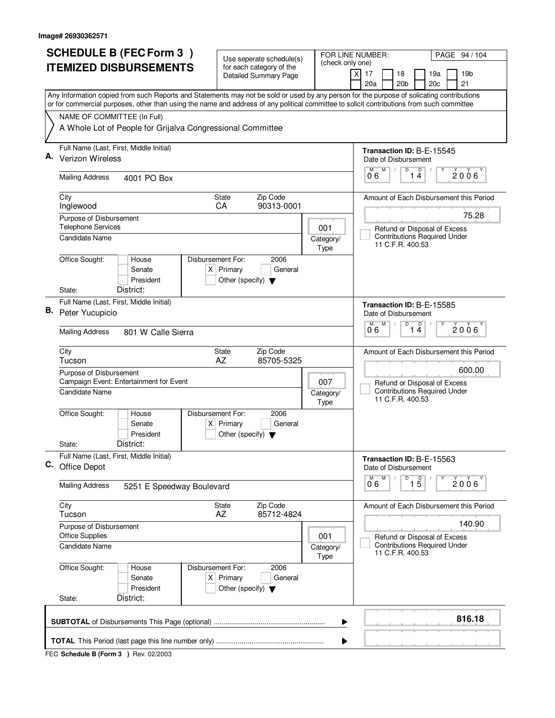| <b>SCHEDULE B (FEC Form 3)</b>                                                                                                                                                                                                                                                         | Use seperate schedule(s)                                                                    | FOR LINE NUMBER:                                                                        | PAGE 94 / 104                                                             |
|----------------------------------------------------------------------------------------------------------------------------------------------------------------------------------------------------------------------------------------------------------------------------------------|---------------------------------------------------------------------------------------------|-----------------------------------------------------------------------------------------|---------------------------------------------------------------------------|
| <b>ITEMIZED DISBURSEMENTS</b>                                                                                                                                                                                                                                                          | for each category of the<br><b>Detailed Summary Page</b>                                    | (check only one)<br>X                                                                   | 17<br>18<br>19a<br>19 <sub>b</sub><br>20a<br>20 <sub>b</sub><br>20c<br>21 |
| Any Information copied from such Reports and Statements may not be sold or used by any person for the purpose of solicating contributions<br>or for commercial purposes, other than using the name and address of any political committee to solicit contributions from such committee |                                                                                             |                                                                                         |                                                                           |
| NAME OF COMMITTEE (In Full)                                                                                                                                                                                                                                                            |                                                                                             |                                                                                         |                                                                           |
| A Whole Lot of People for Grijalva Congressional Committee                                                                                                                                                                                                                             |                                                                                             |                                                                                         |                                                                           |
| Full Name (Last, First, Middle Initial)                                                                                                                                                                                                                                                |                                                                                             |                                                                                         | Transaction ID: B-E-15545                                                 |
| <b>Verizon Wireless</b>                                                                                                                                                                                                                                                                |                                                                                             |                                                                                         | Date of Disbursement<br>M<br>D<br>M                                       |
| <b>Mailing Address</b><br>4001 PO Box                                                                                                                                                                                                                                                  |                                                                                             |                                                                                         | $\overline{1}$ <sup>D</sup> <sub>4</sub><br>2006<br>06                    |
| City                                                                                                                                                                                                                                                                                   | Zip Code<br><b>State</b>                                                                    |                                                                                         | Amount of Each Disbursement this Period                                   |
| Inglewood                                                                                                                                                                                                                                                                              | 90313-0001<br>CA                                                                            |                                                                                         | 75.28                                                                     |
| Purpose of Disbursement<br><b>Telephone Services</b>                                                                                                                                                                                                                                   |                                                                                             | 001                                                                                     | Refund or Disposal of Excess                                              |
| Candidate Name                                                                                                                                                                                                                                                                         |                                                                                             | Category/<br>Type                                                                       | <b>Contributions Required Under</b><br>11 C.F.R. 400.53                   |
| Office Sought:<br>House<br>Senate<br>President                                                                                                                                                                                                                                         | Disbursement For:<br>2006<br>$X$ Primary<br>General<br>Other (specify) $\blacktriangledown$ |                                                                                         |                                                                           |
| District:<br>State:                                                                                                                                                                                                                                                                    |                                                                                             |                                                                                         |                                                                           |
| Full Name (Last, First, Middle Initial)<br>В.<br>Peter Yucupicio                                                                                                                                                                                                                       |                                                                                             |                                                                                         | Transaction ID: B-E-15585<br>Date of Disbursement                         |
| <b>Mailing Address</b><br>801 W Calle Sierra                                                                                                                                                                                                                                           |                                                                                             |                                                                                         | M<br>D<br>D<br>M<br>$2006^{\circ}$<br>14<br>06                            |
| City<br>Tucson                                                                                                                                                                                                                                                                         | Zip Code<br><b>State</b><br>AZ<br>85705-5325                                                |                                                                                         | Amount of Each Disbursement this Period                                   |
| Purpose of Disbursement                                                                                                                                                                                                                                                                |                                                                                             | 600.00                                                                                  |                                                                           |
| Campaign Event: Entertainment for Event<br>Candidate Name                                                                                                                                                                                                                              | 007<br>Category/<br>Type                                                                    | Refund or Disposal of Excess<br><b>Contributions Required Under</b><br>11 C.F.R. 400.53 |                                                                           |
| Office Sought:<br>House<br>Senate<br>President                                                                                                                                                                                                                                         | Disbursement For:<br>2006<br>$X$ Primary<br>General<br>Other (specify) $\blacktriangledown$ |                                                                                         |                                                                           |
| District:<br>State:                                                                                                                                                                                                                                                                    |                                                                                             |                                                                                         |                                                                           |
| Full Name (Last, First, Middle Initial)<br>C. Office Depot                                                                                                                                                                                                                             |                                                                                             |                                                                                         | Transaction ID: B-E-15563<br>Date of Disbursement                         |
| <b>Mailing Address</b><br>5251 E Speedway Boulevard                                                                                                                                                                                                                                    |                                                                                             |                                                                                         | D<br>M<br>$\overline{15}$<br>2006<br>06                                   |
| City<br>Tucson                                                                                                                                                                                                                                                                         | State<br>Zip Code<br>AZ<br>85712-4824                                                       |                                                                                         | Amount of Each Disbursement this Period                                   |
| Purpose of Disbursement<br><b>Office Supplies</b>                                                                                                                                                                                                                                      |                                                                                             | 001                                                                                     | 140.90<br>Refund or Disposal of Excess                                    |
| <b>Candidate Name</b>                                                                                                                                                                                                                                                                  |                                                                                             | Category/<br>Type                                                                       | <b>Contributions Required Under</b><br>11 C.F.R. 400.53                   |
| Office Sought:<br>House<br>Senate<br>President<br>District:<br>State:                                                                                                                                                                                                                  | 2006<br>Disbursement For:<br>$X$ Primary<br>General<br>Other (specify) $\blacktriangledown$ |                                                                                         |                                                                           |
|                                                                                                                                                                                                                                                                                        |                                                                                             |                                                                                         | 816.18                                                                    |
|                                                                                                                                                                                                                                                                                        |                                                                                             | ▶                                                                                       |                                                                           |
|                                                                                                                                                                                                                                                                                        |                                                                                             |                                                                                         |                                                                           |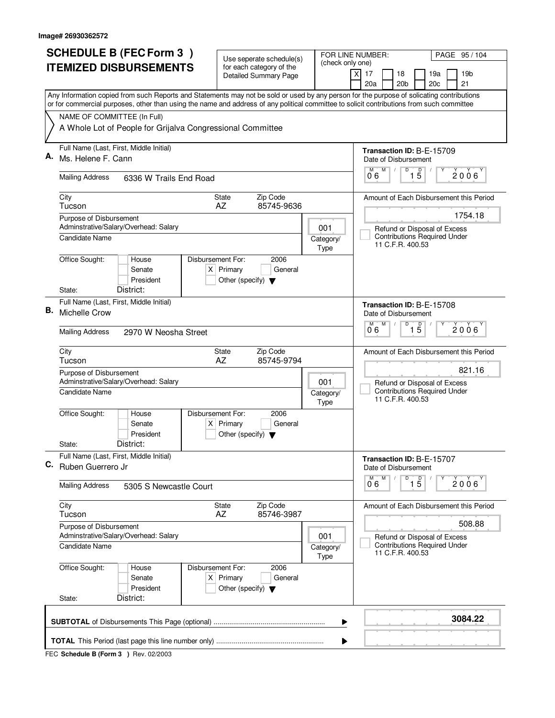| <b>SCHEDULE B (FEC Form 3)</b> |                                                                                                                                                                                                                                                                                        | Use seperate schedule(s)                                               |                                                                                         | FOR LINE NUMBER:<br>PAGE 95/104                                           |
|--------------------------------|----------------------------------------------------------------------------------------------------------------------------------------------------------------------------------------------------------------------------------------------------------------------------------------|------------------------------------------------------------------------|-----------------------------------------------------------------------------------------|---------------------------------------------------------------------------|
|                                | <b>ITEMIZED DISBURSEMENTS</b>                                                                                                                                                                                                                                                          | for each category of the<br><b>Detailed Summary Page</b>               | (check only one)                                                                        | $\times$<br>17<br>18<br>19a<br>19b<br>20 <sub>b</sub><br>21<br>20a<br>20c |
|                                | Any Information copied from such Reports and Statements may not be sold or used by any person for the purpose of solicating contributions<br>or for commercial purposes, other than using the name and address of any political committee to solicit contributions from such committee |                                                                        |                                                                                         |                                                                           |
|                                | NAME OF COMMITTEE (In Full)                                                                                                                                                                                                                                                            |                                                                        |                                                                                         |                                                                           |
|                                | A Whole Lot of People for Grijalva Congressional Committee                                                                                                                                                                                                                             |                                                                        |                                                                                         |                                                                           |
|                                | Full Name (Last, First, Middle Initial)                                                                                                                                                                                                                                                |                                                                        |                                                                                         | Transaction ID: B-E-15709                                                 |
| Α.                             | Ms. Helene F. Cann                                                                                                                                                                                                                                                                     |                                                                        |                                                                                         | Date of Disbursement<br>M<br>D                                            |
|                                | <b>Mailing Address</b><br>6336 W Trails End Road                                                                                                                                                                                                                                       |                                                                        |                                                                                         | $\overline{1\phantom{1}5}$<br>$2006^\circ$<br>06                          |
|                                | City<br>Tucson                                                                                                                                                                                                                                                                         | Zip Code<br><b>State</b><br>AZ<br>85745-9636                           |                                                                                         | Amount of Each Disbursement this Period                                   |
|                                | Purpose of Disbursement                                                                                                                                                                                                                                                                |                                                                        |                                                                                         | 1754.18                                                                   |
|                                | Adminstrative/Salary/Overhead: Salary<br>Candidate Name                                                                                                                                                                                                                                |                                                                        | 001<br>Category/                                                                        | Refund or Disposal of Excess<br><b>Contributions Required Under</b>       |
|                                |                                                                                                                                                                                                                                                                                        |                                                                        | Type                                                                                    | 11 C.F.R. 400.53                                                          |
|                                | Office Sought:<br>Disbursement For:<br>House                                                                                                                                                                                                                                           | 2006                                                                   |                                                                                         |                                                                           |
|                                | Senate<br>President                                                                                                                                                                                                                                                                    | $X$ Primary<br>General<br>Other (specify) $\blacktriangledown$         |                                                                                         |                                                                           |
|                                | District:<br>State:                                                                                                                                                                                                                                                                    |                                                                        |                                                                                         |                                                                           |
|                                | Full Name (Last, First, Middle Initial)                                                                                                                                                                                                                                                |                                                                        |                                                                                         | Transaction ID: B-E-15708                                                 |
| В.                             | Michelle Crow                                                                                                                                                                                                                                                                          |                                                                        |                                                                                         | Date of Disbursement<br>M<br>D<br>M                                       |
|                                | <b>Mailing Address</b><br>2970 W Neosha Street                                                                                                                                                                                                                                         | $\overline{1\,5}$<br>$2006^{\circ}$<br>06                              |                                                                                         |                                                                           |
|                                | City<br>Tucson                                                                                                                                                                                                                                                                         | Zip Code<br>State<br>AZ<br>85745-9794                                  |                                                                                         | Amount of Each Disbursement this Period                                   |
|                                | Purpose of Disbursement<br>Adminstrative/Salary/Overhead: Salary                                                                                                                                                                                                                       | 821.16<br>Refund or Disposal of Excess                                 |                                                                                         |                                                                           |
|                                | Candidate Name                                                                                                                                                                                                                                                                         |                                                                        | Category/<br><b>Type</b>                                                                | <b>Contributions Required Under</b><br>11 C.F.R. 400.53                   |
|                                | Office Sought:<br>Disbursement For:<br>House<br>Senate                                                                                                                                                                                                                                 | 2006<br>$X$ Primary<br>General                                         |                                                                                         |                                                                           |
|                                | President                                                                                                                                                                                                                                                                              | Other (specify) $\blacktriangledown$                                   |                                                                                         |                                                                           |
|                                | District:<br>State:                                                                                                                                                                                                                                                                    |                                                                        |                                                                                         |                                                                           |
| С.                             | Full Name (Last, First, Middle Initial)<br>Ruben Guerrero Jr                                                                                                                                                                                                                           |                                                                        |                                                                                         | Transaction ID: B-E-15707<br>Date of Disbursement                         |
|                                | <b>Mailing Address</b><br>5305 S Newcastle Court                                                                                                                                                                                                                                       |                                                                        |                                                                                         | D<br>M<br>$\overline{15}$<br>2006<br>06                                   |
|                                | City<br>Tucson                                                                                                                                                                                                                                                                         | State<br>Zip Code<br>AZ<br>85746-3987                                  |                                                                                         | Amount of Each Disbursement this Period                                   |
|                                | Purpose of Disbursement                                                                                                                                                                                                                                                                |                                                                        |                                                                                         | 508.88                                                                    |
|                                | Adminstrative/Salary/Overhead: Salary<br>Candidate Name                                                                                                                                                                                                                                | 001<br>Category/<br>Type                                               | Refund or Disposal of Excess<br><b>Contributions Required Under</b><br>11 C.F.R. 400.53 |                                                                           |
|                                | Office Sought:<br>Disbursement For:<br>House<br>Senate<br>President                                                                                                                                                                                                                    | 2006<br>$X$ Primary<br>General<br>Other (specify) $\blacktriangledown$ |                                                                                         |                                                                           |
|                                | District:<br>State:                                                                                                                                                                                                                                                                    |                                                                        |                                                                                         |                                                                           |
|                                |                                                                                                                                                                                                                                                                                        |                                                                        | ▶                                                                                       | 3084.22                                                                   |
|                                |                                                                                                                                                                                                                                                                                        |                                                                        | ▶                                                                                       |                                                                           |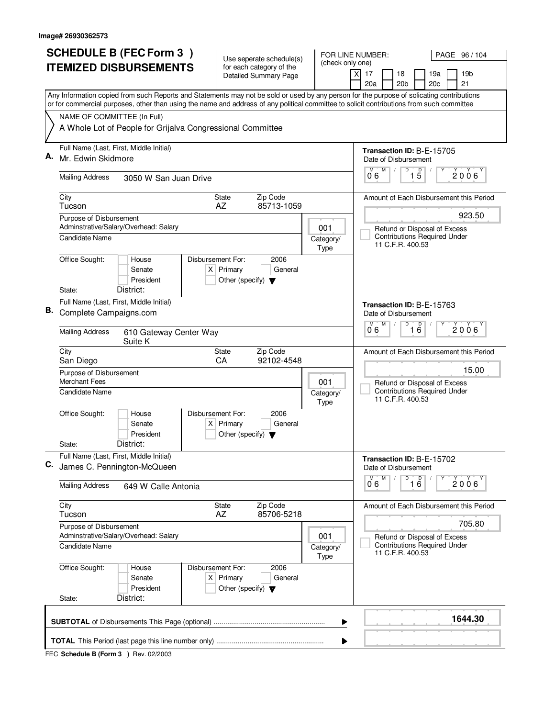|    | <b>SCHEDULE B (FEC Form 3)</b>                                    |                                                                                                                                                                                                                                                                                        |                   | Use seperate schedule(s)                            |                                                          |  |                                              | FOR LINE NUMBER:<br>PAGE 96 / 104                                                       |                                                         |                                         |  |                                         |  |  |
|----|-------------------------------------------------------------------|----------------------------------------------------------------------------------------------------------------------------------------------------------------------------------------------------------------------------------------------------------------------------------------|-------------------|-----------------------------------------------------|----------------------------------------------------------|--|----------------------------------------------|-----------------------------------------------------------------------------------------|---------------------------------------------------------|-----------------------------------------|--|-----------------------------------------|--|--|
|    |                                                                   | <b>ITEMIZED DISBURSEMENTS</b>                                                                                                                                                                                                                                                          |                   |                                                     | for each category of the<br><b>Detailed Summary Page</b> |  | (check only one)                             | 17<br>Χ                                                                                 | 18                                                      | 19a                                     |  | 19 <sub>b</sub>                         |  |  |
|    |                                                                   |                                                                                                                                                                                                                                                                                        |                   |                                                     |                                                          |  |                                              | 20a                                                                                     | 20 <sub>b</sub>                                         | 20 <sub>c</sub>                         |  | 21                                      |  |  |
|    |                                                                   | Any Information copied from such Reports and Statements may not be sold or used by any person for the purpose of solicating contributions<br>or for commercial purposes, other than using the name and address of any political committee to solicit contributions from such committee |                   |                                                     |                                                          |  |                                              |                                                                                         |                                                         |                                         |  |                                         |  |  |
|    | NAME OF COMMITTEE (In Full)                                       |                                                                                                                                                                                                                                                                                        |                   |                                                     |                                                          |  |                                              |                                                                                         |                                                         |                                         |  |                                         |  |  |
|    |                                                                   | A Whole Lot of People for Grijalva Congressional Committee                                                                                                                                                                                                                             |                   |                                                     |                                                          |  |                                              |                                                                                         |                                                         |                                         |  |                                         |  |  |
| А. | Full Name (Last, First, Middle Initial)<br>Mr. Edwin Skidmore     |                                                                                                                                                                                                                                                                                        |                   |                                                     |                                                          |  |                                              |                                                                                         | Transaction ID: B-E-15705<br>Date of Disbursement       |                                         |  |                                         |  |  |
|    |                                                                   |                                                                                                                                                                                                                                                                                        |                   |                                                     |                                                          |  |                                              | М<br>06                                                                                 | D<br>M                                                  | $\overline{1\,5}$                       |  | 2006                                    |  |  |
|    | <b>Mailing Address</b>                                            | 3050 W San Juan Drive                                                                                                                                                                                                                                                                  |                   |                                                     |                                                          |  |                                              |                                                                                         |                                                         |                                         |  |                                         |  |  |
|    | City<br>Tucson                                                    |                                                                                                                                                                                                                                                                                        |                   | <b>State</b><br>AZ                                  | Zip Code<br>85713-1059                                   |  |                                              |                                                                                         |                                                         | Amount of Each Disbursement this Period |  |                                         |  |  |
|    | Purpose of Disbursement<br>Adminstrative/Salary/Overhead: Salary  |                                                                                                                                                                                                                                                                                        |                   |                                                     |                                                          |  | 001                                          |                                                                                         | Refund or Disposal of Excess                            |                                         |  | 923.50                                  |  |  |
|    | Candidate Name                                                    |                                                                                                                                                                                                                                                                                        |                   |                                                     |                                                          |  | Category/<br>Type                            |                                                                                         | <b>Contributions Required Under</b><br>11 C.F.R. 400.53 |                                         |  |                                         |  |  |
|    | Office Sought:                                                    | House<br>Senate<br>President                                                                                                                                                                                                                                                           | Disbursement For: | $X$ Primary<br>Other (specify) $\blacktriangledown$ | 2006<br>General                                          |  |                                              |                                                                                         |                                                         |                                         |  |                                         |  |  |
|    | State:                                                            | District:                                                                                                                                                                                                                                                                              |                   |                                                     |                                                          |  |                                              |                                                                                         |                                                         |                                         |  |                                         |  |  |
| В. | Full Name (Last, First, Middle Initial)<br>Complete Campaigns.com |                                                                                                                                                                                                                                                                                        |                   |                                                     |                                                          |  |                                              |                                                                                         | Transaction ID: B-E-15763<br>Date of Disbursement       |                                         |  |                                         |  |  |
|    | <b>Mailing Address</b><br>610 Gateway Center Way<br>Suite K       |                                                                                                                                                                                                                                                                                        |                   |                                                     |                                                          |  | D<br>M<br>$\overline{16}$<br>M<br>2006<br>06 |                                                                                         |                                                         |                                         |  |                                         |  |  |
|    | City<br>San Diego                                                 |                                                                                                                                                                                                                                                                                        |                   | <b>State</b><br>CA                                  | Zip Code<br>92102-4548                                   |  |                                              |                                                                                         |                                                         |                                         |  | Amount of Each Disbursement this Period |  |  |
|    | <b>Merchant Fees</b>                                              | Purpose of Disbursement<br>001                                                                                                                                                                                                                                                         |                   |                                                     |                                                          |  |                                              |                                                                                         | Refund or Disposal of Excess                            |                                         |  | 15.00                                   |  |  |
|    | Candidate Name                                                    |                                                                                                                                                                                                                                                                                        |                   |                                                     |                                                          |  | Category/<br><b>Type</b>                     | <b>Contributions Required Under</b><br>11 C.F.R. 400.53                                 |                                                         |                                         |  |                                         |  |  |
|    | Office Sought:                                                    | House<br>Senate<br>President                                                                                                                                                                                                                                                           | Disbursement For: | $X$ Primary<br>Other (specify) $\blacktriangledown$ | 2006<br>General                                          |  |                                              |                                                                                         |                                                         |                                         |  |                                         |  |  |
|    | State:                                                            | District:                                                                                                                                                                                                                                                                              |                   |                                                     |                                                          |  |                                              |                                                                                         |                                                         |                                         |  |                                         |  |  |
| C. | Full Name (Last, First, Middle Initial)                           | James C. Pennington-McQueen                                                                                                                                                                                                                                                            |                   |                                                     |                                                          |  |                                              |                                                                                         | Transaction ID: B-E-15702<br>Date of Disbursement       |                                         |  |                                         |  |  |
|    | <b>Mailing Address</b>                                            | 649 W Calle Antonia                                                                                                                                                                                                                                                                    |                   |                                                     |                                                          |  |                                              | 0.6                                                                                     | D<br>M                                                  | $\overline{16}$                         |  | 2006                                    |  |  |
|    | City<br>Tucson                                                    |                                                                                                                                                                                                                                                                                        |                   | State<br>AZ                                         | Zip Code<br>85706-5218                                   |  |                                              |                                                                                         |                                                         |                                         |  | Amount of Each Disbursement this Period |  |  |
|    | Purpose of Disbursement                                           | Adminstrative/Salary/Overhead: Salary                                                                                                                                                                                                                                                  |                   |                                                     |                                                          |  | 001                                          |                                                                                         |                                                         |                                         |  | 705.80                                  |  |  |
|    | Candidate Name                                                    |                                                                                                                                                                                                                                                                                        |                   |                                                     |                                                          |  | Category/<br>Type                            | Refund or Disposal of Excess<br><b>Contributions Required Under</b><br>11 C.F.R. 400.53 |                                                         |                                         |  |                                         |  |  |
|    | Office Sought:                                                    | House<br>Senate<br>President                                                                                                                                                                                                                                                           | Disbursement For: | $X$ Primary<br>Other (specify) $\blacktriangledown$ | 2006<br>General                                          |  |                                              |                                                                                         |                                                         |                                         |  |                                         |  |  |
|    | State:                                                            | District:                                                                                                                                                                                                                                                                              |                   |                                                     |                                                          |  |                                              |                                                                                         |                                                         |                                         |  |                                         |  |  |
|    |                                                                   |                                                                                                                                                                                                                                                                                        |                   |                                                     |                                                          |  | ▶                                            |                                                                                         |                                                         |                                         |  | 1644.30                                 |  |  |
|    |                                                                   |                                                                                                                                                                                                                                                                                        |                   |                                                     |                                                          |  | ▶                                            |                                                                                         |                                                         |                                         |  |                                         |  |  |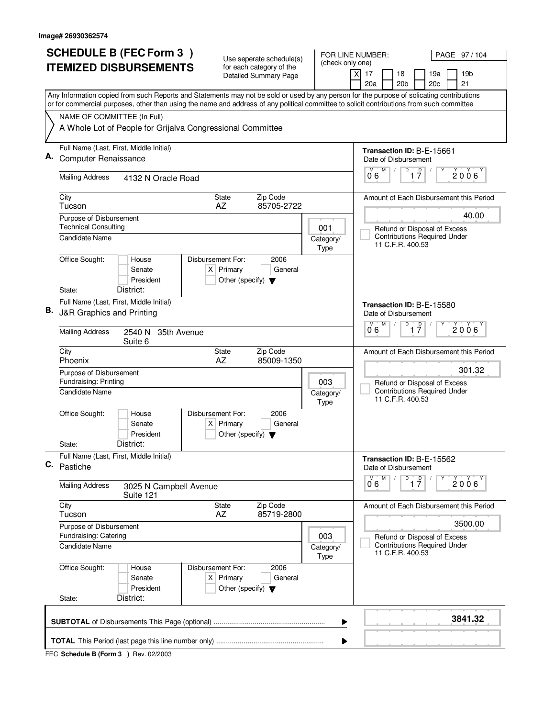| <b>SCHEDULE B (FEC Form 3)</b> |                                                                                                                                                                                                                                                                                        | Use seperate schedule(s)                                                                |                          | FOR LINE NUMBER:<br>PAGE 97/104                                           |
|--------------------------------|----------------------------------------------------------------------------------------------------------------------------------------------------------------------------------------------------------------------------------------------------------------------------------------|-----------------------------------------------------------------------------------------|--------------------------|---------------------------------------------------------------------------|
|                                | <b>ITEMIZED DISBURSEMENTS</b>                                                                                                                                                                                                                                                          | for each category of the<br><b>Detailed Summary Page</b>                                | (check only one)         | $\times$<br>17<br>18<br>19a<br>19b<br>20 <sub>b</sub><br>20c<br>21<br>20a |
|                                | Any Information copied from such Reports and Statements may not be sold or used by any person for the purpose of solicating contributions<br>or for commercial purposes, other than using the name and address of any political committee to solicit contributions from such committee |                                                                                         |                          |                                                                           |
|                                | NAME OF COMMITTEE (In Full)                                                                                                                                                                                                                                                            |                                                                                         |                          |                                                                           |
|                                | A Whole Lot of People for Grijalva Congressional Committee                                                                                                                                                                                                                             |                                                                                         |                          |                                                                           |
|                                | Full Name (Last, First, Middle Initial)                                                                                                                                                                                                                                                |                                                                                         |                          | Transaction ID: B-E-15661                                                 |
|                                | <b>Computer Renaissance</b>                                                                                                                                                                                                                                                            | Date of Disbursement<br>M<br>D<br>М                                                     |                          |                                                                           |
|                                | <b>Mailing Address</b><br>4132 N Oracle Road                                                                                                                                                                                                                                           |                                                                                         |                          | $\overline{1}$ $\overline{7}$<br>$2006^\circ$<br>06                       |
|                                | City<br>Tucson                                                                                                                                                                                                                                                                         | Zip Code<br><b>State</b><br>85705-2722<br>AZ                                            |                          | Amount of Each Disbursement this Period                                   |
|                                | Purpose of Disbursement                                                                                                                                                                                                                                                                |                                                                                         |                          | 40.00                                                                     |
|                                | <b>Technical Consulting</b><br>Candidate Name                                                                                                                                                                                                                                          |                                                                                         | 001<br>Category/         | Refund or Disposal of Excess<br><b>Contributions Required Under</b>       |
|                                |                                                                                                                                                                                                                                                                                        |                                                                                         | <b>Type</b>              | 11 C.F.R. 400.53                                                          |
|                                | Office Sought:<br>Disbursement For:<br>House<br>Senate<br>President                                                                                                                                                                                                                    | 2006<br>$X$ Primary<br>General<br>Other (specify) $\blacktriangledown$                  |                          |                                                                           |
|                                | District:<br>State:                                                                                                                                                                                                                                                                    |                                                                                         |                          |                                                                           |
| В.                             | Full Name (Last, First, Middle Initial)<br>J&R Graphics and Printing                                                                                                                                                                                                                   |                                                                                         |                          | Transaction ID: B-E-15580<br>Date of Disbursement                         |
|                                | <b>Mailing Address</b><br>2540 N<br>35th Avenue<br>Suite 6                                                                                                                                                                                                                             | M<br>D<br>$\overline{1}$ $\overline{7}$<br>M<br>$2006^{\circ}$<br>06                    |                          |                                                                           |
|                                | City<br>Phoenix                                                                                                                                                                                                                                                                        | Zip Code<br>State<br>AZ<br>85009-1350                                                   |                          | Amount of Each Disbursement this Period                                   |
|                                | Purpose of Disbursement<br>Fundraising: Printing                                                                                                                                                                                                                                       | 301.32<br>Refund or Disposal of Excess                                                  |                          |                                                                           |
|                                | Candidate Name                                                                                                                                                                                                                                                                         |                                                                                         | Category/<br><b>Type</b> | <b>Contributions Required Under</b><br>11 C.F.R. 400.53                   |
|                                | Office Sought:<br>Disbursement For:<br>House<br>Senate<br>President                                                                                                                                                                                                                    | 2006<br>$X$ Primary<br>General<br>Other (specify) $\blacktriangledown$                  |                          |                                                                           |
|                                | District:<br>State:                                                                                                                                                                                                                                                                    |                                                                                         |                          |                                                                           |
| С.                             | Full Name (Last, First, Middle Initial)<br>Pastiche                                                                                                                                                                                                                                    |                                                                                         |                          | Transaction ID: B-E-15562<br>Date of Disbursement                         |
|                                | <b>Mailing Address</b><br>3025 N Campbell Avenue<br>Suite 121                                                                                                                                                                                                                          | D<br>M<br>$\overline{1}$ $\overline{7}$<br>2006<br>06                                   |                          |                                                                           |
|                                | City<br>Tucson                                                                                                                                                                                                                                                                         | State<br>Zip Code<br>AZ<br>85719-2800                                                   |                          | Amount of Each Disbursement this Period                                   |
|                                | Purpose of Disbursement                                                                                                                                                                                                                                                                |                                                                                         | 003                      | 3500.00                                                                   |
|                                | Fundraising: Catering<br>Candidate Name                                                                                                                                                                                                                                                | Refund or Disposal of Excess<br><b>Contributions Required Under</b><br>11 C.F.R. 400.53 |                          |                                                                           |
|                                | Office Sought:<br>Disbursement For:<br>House<br>Senate<br>President                                                                                                                                                                                                                    | 2006<br>$X$ Primary<br>General<br>Other (specify) $\blacktriangledown$                  | Type                     |                                                                           |
|                                | District:<br>State:                                                                                                                                                                                                                                                                    |                                                                                         |                          |                                                                           |
|                                |                                                                                                                                                                                                                                                                                        |                                                                                         | ▶                        | 3841.32                                                                   |
|                                |                                                                                                                                                                                                                                                                                        |                                                                                         | ▶                        |                                                                           |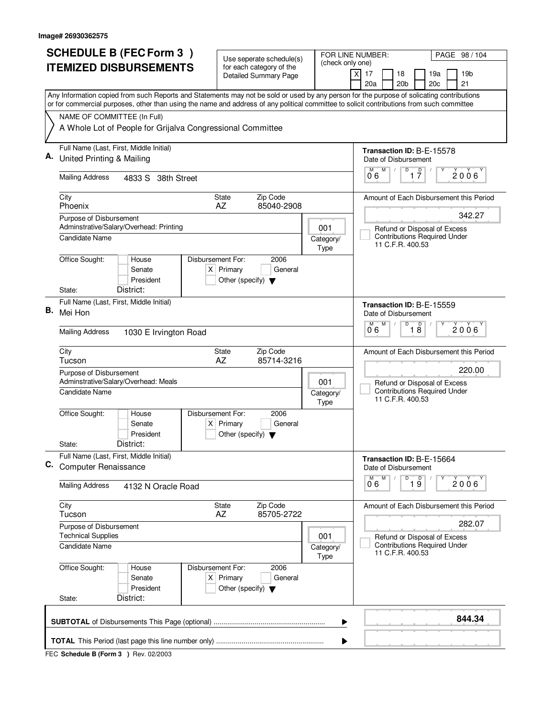| <b>SCHEDULE B (FEC Form 3)</b><br><b>ITEMIZED DISBURSEMENTS</b> |                                                                                                                                           | Use seperate schedule(s)                                            |                          | FOR LINE NUMBER:<br>PAGE 98 / 104                                                          |  |  |  |  |
|-----------------------------------------------------------------|-------------------------------------------------------------------------------------------------------------------------------------------|---------------------------------------------------------------------|--------------------------|--------------------------------------------------------------------------------------------|--|--|--|--|
|                                                                 |                                                                                                                                           | for each category of the<br><b>Detailed Summary Page</b>            | (check only one)         | $\boldsymbol{\mathsf{X}}$<br>17<br>18<br>19a<br>19b<br>20 <sub>b</sub><br>21<br>20a<br>20c |  |  |  |  |
|                                                                 | Any Information copied from such Reports and Statements may not be sold or used by any person for the purpose of solicating contributions |                                                                     |                          |                                                                                            |  |  |  |  |
|                                                                 | or for commercial purposes, other than using the name and address of any political committee to solicit contributions from such committee |                                                                     |                          |                                                                                            |  |  |  |  |
|                                                                 | NAME OF COMMITTEE (In Full)<br>A Whole Lot of People for Grijalva Congressional Committee                                                 |                                                                     |                          |                                                                                            |  |  |  |  |
|                                                                 |                                                                                                                                           |                                                                     |                          |                                                                                            |  |  |  |  |
|                                                                 | Full Name (Last, First, Middle Initial)                                                                                                   |                                                                     |                          | Transaction ID: B-E-15578                                                                  |  |  |  |  |
|                                                                 | United Printing & Mailing                                                                                                                 |                                                                     |                          | Date of Disbursement<br>M<br>D                                                             |  |  |  |  |
|                                                                 | <b>Mailing Address</b><br>4833 S 38th Street                                                                                              |                                                                     |                          | $\overline{1}$ $\overline{7}$<br>$2006^\circ$<br>06                                        |  |  |  |  |
|                                                                 | City<br>Phoenix                                                                                                                           | Zip Code<br><b>State</b><br>AZ<br>85040-2908                        |                          | Amount of Each Disbursement this Period                                                    |  |  |  |  |
|                                                                 | Purpose of Disbursement                                                                                                                   |                                                                     |                          | 342.27                                                                                     |  |  |  |  |
|                                                                 | Adminstrative/Salary/Overhead: Printing                                                                                                   |                                                                     | 001                      | Refund or Disposal of Excess<br><b>Contributions Required Under</b>                        |  |  |  |  |
|                                                                 | Candidate Name                                                                                                                            |                                                                     | Category/<br><b>Type</b> | 11 C.F.R. 400.53                                                                           |  |  |  |  |
|                                                                 | Office Sought:<br>Disbursement For:<br>House                                                                                              | 2006                                                                |                          |                                                                                            |  |  |  |  |
|                                                                 | Senate<br>President                                                                                                                       | $X$ Primary<br>General                                              |                          |                                                                                            |  |  |  |  |
|                                                                 | District:<br>State:                                                                                                                       | Other (specify) $\blacktriangledown$                                |                          |                                                                                            |  |  |  |  |
|                                                                 | Full Name (Last, First, Middle Initial)                                                                                                   |                                                                     |                          | Transaction ID: B-E-15559                                                                  |  |  |  |  |
| В.                                                              | Mei Hon                                                                                                                                   |                                                                     |                          | Date of Disbursement                                                                       |  |  |  |  |
|                                                                 | <b>Mailing Address</b><br>1030 E Irvington Road                                                                                           | M<br>D<br>D<br>M<br>$2006^{\circ}$<br>18<br>06                      |                          |                                                                                            |  |  |  |  |
|                                                                 | City<br>Tucson                                                                                                                            | Zip Code<br>State<br>AZ<br>85714-3216                               |                          | Amount of Each Disbursement this Period                                                    |  |  |  |  |
|                                                                 | Purpose of Disbursement                                                                                                                   | 220.00                                                              |                          |                                                                                            |  |  |  |  |
|                                                                 | Adminstrative/Salary/Overhead: Meals                                                                                                      |                                                                     | 001                      | Refund or Disposal of Excess<br><b>Contributions Required Under</b>                        |  |  |  |  |
|                                                                 | Candidate Name                                                                                                                            |                                                                     | Category/<br><b>Type</b> | 11 C.F.R. 400.53                                                                           |  |  |  |  |
|                                                                 | Office Sought:<br>Disbursement For:<br>House                                                                                              | 2006                                                                |                          |                                                                                            |  |  |  |  |
|                                                                 | Senate<br>President                                                                                                                       | $X$ Primary<br>General<br>Other (specify) $\blacktriangledown$      |                          |                                                                                            |  |  |  |  |
|                                                                 | District:<br>State:                                                                                                                       |                                                                     |                          |                                                                                            |  |  |  |  |
| С.                                                              | Full Name (Last, First, Middle Initial)<br><b>Computer Renaissance</b>                                                                    |                                                                     |                          | Transaction ID: B-E-15664<br>Date of Disbursement                                          |  |  |  |  |
|                                                                 |                                                                                                                                           |                                                                     |                          | D<br>M<br>$\overline{19}$<br>2006<br>06                                                    |  |  |  |  |
|                                                                 | <b>Mailing Address</b><br>4132 N Oracle Road                                                                                              |                                                                     |                          |                                                                                            |  |  |  |  |
|                                                                 | City<br>Tucson                                                                                                                            | State<br>Zip Code<br>AZ<br>85705-2722                               |                          | Amount of Each Disbursement this Period                                                    |  |  |  |  |
|                                                                 | Purpose of Disbursement                                                                                                                   | 282.07                                                              |                          |                                                                                            |  |  |  |  |
|                                                                 | <b>Technical Supplies</b><br>Candidate Name                                                                                               | Refund or Disposal of Excess<br><b>Contributions Required Under</b> |                          |                                                                                            |  |  |  |  |
|                                                                 |                                                                                                                                           | Category/<br>11 C.F.R. 400.53<br>Type                               |                          |                                                                                            |  |  |  |  |
|                                                                 | Office Sought:<br>Disbursement For:<br>House                                                                                              | 2006                                                                |                          |                                                                                            |  |  |  |  |
|                                                                 | Senate<br>President                                                                                                                       | $X$ Primary<br>General<br>Other (specify) $\blacktriangledown$      |                          |                                                                                            |  |  |  |  |
|                                                                 | District:<br>State:                                                                                                                       |                                                                     |                          |                                                                                            |  |  |  |  |
|                                                                 |                                                                                                                                           |                                                                     | ▶                        | 844.34                                                                                     |  |  |  |  |
|                                                                 |                                                                                                                                           |                                                                     | ▶                        |                                                                                            |  |  |  |  |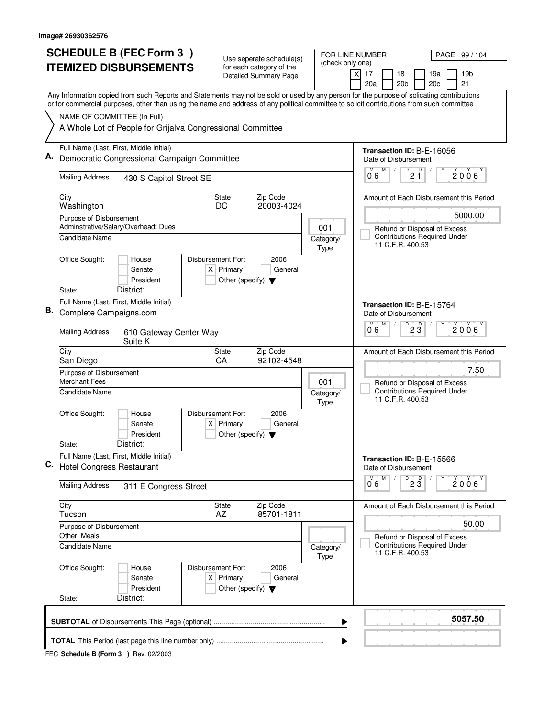| <b>SCHEDULE B (FEC Form 3)</b> |                                                                                                                                                                          | Use seperate schedule(s)                                               | FOR LINE NUMBER:                                           | PAGE 99 / 104                                                                           |  |  |  |  |  |
|--------------------------------|--------------------------------------------------------------------------------------------------------------------------------------------------------------------------|------------------------------------------------------------------------|------------------------------------------------------------|-----------------------------------------------------------------------------------------|--|--|--|--|--|
| <b>ITEMIZED DISBURSEMENTS</b>  |                                                                                                                                                                          | for each category of the                                               | (check only one)                                           | $\overline{x}$<br>19 <sub>b</sub><br>17<br>18<br>19a                                    |  |  |  |  |  |
|                                |                                                                                                                                                                          | <b>Detailed Summary Page</b>                                           |                                                            | 21<br>20a<br>20 <sub>b</sub><br>20c                                                     |  |  |  |  |  |
|                                | Any Information copied from such Reports and Statements may not be sold or used by any person for the purpose of solicating contributions                                |                                                                        |                                                            |                                                                                         |  |  |  |  |  |
|                                | or for commercial purposes, other than using the name and address of any political committee to solicit contributions from such committee<br>NAME OF COMMITTEE (In Full) |                                                                        |                                                            |                                                                                         |  |  |  |  |  |
|                                | A Whole Lot of People for Grijalva Congressional Committee                                                                                                               |                                                                        |                                                            |                                                                                         |  |  |  |  |  |
|                                | Full Name (Last, First, Middle Initial)                                                                                                                                  |                                                                        |                                                            | Transaction ID: B-E-16056                                                               |  |  |  |  |  |
| А.                             | Democratic Congressional Campaign Committee                                                                                                                              |                                                                        | Date of Disbursement<br>D<br>M<br>D<br>M                   |                                                                                         |  |  |  |  |  |
|                                | <b>Mailing Address</b><br>430 S Capitol Street SE                                                                                                                        |                                                                        |                                                            | $2006^{\circ}$<br>$2\,$ 1<br>06                                                         |  |  |  |  |  |
|                                | City<br>Washington                                                                                                                                                       | Zip Code<br><b>State</b><br>20003-4024<br>DC                           |                                                            | Amount of Each Disbursement this Period                                                 |  |  |  |  |  |
|                                | Purpose of Disbursement<br>Adminstrative/Salary/Overhead: Dues                                                                                                           |                                                                        |                                                            | 5000.00                                                                                 |  |  |  |  |  |
|                                | Candidate Name                                                                                                                                                           |                                                                        | 001<br>Category/<br>Type                                   | Refund or Disposal of Excess<br><b>Contributions Required Under</b><br>11 C.F.R. 400.53 |  |  |  |  |  |
|                                | Office Sought:<br>Disbursement For:<br>House<br>Senate<br>President                                                                                                      | 2006<br>$X$ Primary<br>General<br>Other (specify) $\blacktriangledown$ |                                                            |                                                                                         |  |  |  |  |  |
|                                | District:<br>State:                                                                                                                                                      |                                                                        |                                                            |                                                                                         |  |  |  |  |  |
| В.                             | Full Name (Last, First, Middle Initial)<br>Complete Campaigns.com                                                                                                        |                                                                        |                                                            | Transaction ID: B-E-15764<br>Date of Disbursement                                       |  |  |  |  |  |
|                                | <b>Mailing Address</b><br>610 Gateway Center Way<br>Suite K                                                                                                              |                                                                        | M<br>D<br>M<br>$\overline{2}$ $\overline{3}$<br>2006<br>06 |                                                                                         |  |  |  |  |  |
|                                | City<br>San Diego                                                                                                                                                        | Zip Code<br><b>State</b><br>CA<br>92102-4548                           |                                                            | Amount of Each Disbursement this Period                                                 |  |  |  |  |  |
|                                | Purpose of Disbursement<br><b>Merchant Fees</b>                                                                                                                          | 001                                                                    | 7.50<br>Refund or Disposal of Excess                       |                                                                                         |  |  |  |  |  |
|                                | <b>Candidate Name</b>                                                                                                                                                    | Category/<br>Type                                                      | <b>Contributions Required Under</b><br>11 C.F.R. 400.53    |                                                                                         |  |  |  |  |  |
|                                | Office Sought:<br>Disbursement For:<br>House<br>Senate<br>President                                                                                                      | 2006<br>$X$ Primary<br>General<br>Other (specify) $\blacktriangledown$ |                                                            |                                                                                         |  |  |  |  |  |
|                                | District:<br>State:                                                                                                                                                      |                                                                        |                                                            |                                                                                         |  |  |  |  |  |
| C.                             | Full Name (Last, First, Middle Initial)<br><b>Hotel Congress Restaurant</b>                                                                                              |                                                                        |                                                            | Transaction ID: B-E-15566<br>Date of Disbursement                                       |  |  |  |  |  |
|                                | <b>Mailing Address</b><br>311 E Congress Street                                                                                                                          |                                                                        | M<br>D<br>$2\overline{3}$<br>M<br>2006<br>06               |                                                                                         |  |  |  |  |  |
|                                | City<br>Tucson                                                                                                                                                           | Zip Code<br><b>State</b><br>85701-1811<br>AZ                           |                                                            | Amount of Each Disbursement this Period                                                 |  |  |  |  |  |
|                                | Purpose of Disbursement<br>Other: Meals                                                                                                                                  |                                                                        | 50.00<br>Refund or Disposal of Excess                      |                                                                                         |  |  |  |  |  |
|                                | Candidate Name                                                                                                                                                           | Category/<br><b>Type</b>                                               | <b>Contributions Required Under</b><br>11 C.F.R. 400.53    |                                                                                         |  |  |  |  |  |
|                                | Office Sought:<br>Disbursement For:<br>House<br>Senate<br>President<br>District:<br>State:                                                                               | 2006<br>$X$ Primary<br>General<br>Other (specify) $\blacktriangledown$ |                                                            |                                                                                         |  |  |  |  |  |
|                                |                                                                                                                                                                          |                                                                        |                                                            | 5057.50                                                                                 |  |  |  |  |  |
|                                |                                                                                                                                                                          |                                                                        | ▶                                                          |                                                                                         |  |  |  |  |  |
|                                |                                                                                                                                                                          |                                                                        | ▶                                                          |                                                                                         |  |  |  |  |  |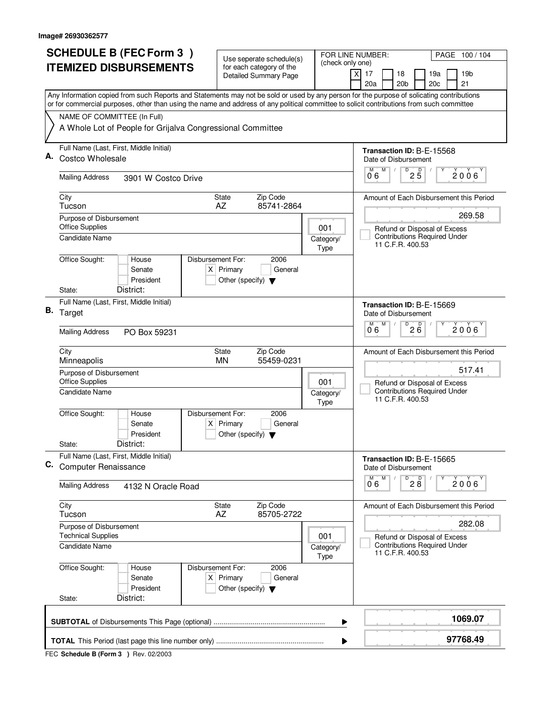| <b>SCHEDULE B (FEC Form 3)</b> |                                                                                                                                                                                                                                                                                        | Use seperate schedule(s)                                               |                                                                     | FOR LINE NUMBER:<br>PAGE 100/104                                    |  |  |  |  |
|--------------------------------|----------------------------------------------------------------------------------------------------------------------------------------------------------------------------------------------------------------------------------------------------------------------------------------|------------------------------------------------------------------------|---------------------------------------------------------------------|---------------------------------------------------------------------|--|--|--|--|
| <b>ITEMIZED DISBURSEMENTS</b>  |                                                                                                                                                                                                                                                                                        | for each category of the<br><b>Detailed Summary Page</b>               | (check only one)                                                    | 17<br>18<br>19a<br>19 <sub>b</sub><br>X                             |  |  |  |  |
|                                |                                                                                                                                                                                                                                                                                        |                                                                        |                                                                     | 21<br>20a<br>20 <sub>b</sub><br>20c                                 |  |  |  |  |
|                                | Any Information copied from such Reports and Statements may not be sold or used by any person for the purpose of solicating contributions<br>or for commercial purposes, other than using the name and address of any political committee to solicit contributions from such committee |                                                                        |                                                                     |                                                                     |  |  |  |  |
|                                | NAME OF COMMITTEE (In Full)                                                                                                                                                                                                                                                            |                                                                        |                                                                     |                                                                     |  |  |  |  |
|                                | A Whole Lot of People for Grijalva Congressional Committee                                                                                                                                                                                                                             |                                                                        |                                                                     |                                                                     |  |  |  |  |
|                                | Full Name (Last, First, Middle Initial)                                                                                                                                                                                                                                                |                                                                        |                                                                     | Transaction ID: B-E-15568                                           |  |  |  |  |
| А.                             | Costco Wholesale                                                                                                                                                                                                                                                                       |                                                                        |                                                                     | Date of Disbursement<br>M<br>D                                      |  |  |  |  |
|                                | <b>Mailing Address</b><br>3901 W Costco Drive                                                                                                                                                                                                                                          |                                                                        |                                                                     | $2\overline{5}$<br>2006<br>06                                       |  |  |  |  |
|                                | City<br>Tucson                                                                                                                                                                                                                                                                         | Zip Code<br><b>State</b><br>AZ<br>85741-2864                           |                                                                     | Amount of Each Disbursement this Period                             |  |  |  |  |
|                                | Purpose of Disbursement                                                                                                                                                                                                                                                                |                                                                        |                                                                     | 269.58                                                              |  |  |  |  |
|                                | <b>Office Supplies</b><br><b>Candidate Name</b>                                                                                                                                                                                                                                        |                                                                        | 001<br>Category/                                                    | Refund or Disposal of Excess<br><b>Contributions Required Under</b> |  |  |  |  |
|                                |                                                                                                                                                                                                                                                                                        |                                                                        | Type                                                                | 11 C.F.R. 400.53                                                    |  |  |  |  |
|                                | Office Sought:<br>Disbursement For:<br>House                                                                                                                                                                                                                                           | 2006                                                                   |                                                                     |                                                                     |  |  |  |  |
|                                | Senate<br>President                                                                                                                                                                                                                                                                    | $X$ Primary<br>General<br>Other (specify) $\blacktriangledown$         |                                                                     |                                                                     |  |  |  |  |
|                                | District:<br>State:                                                                                                                                                                                                                                                                    |                                                                        |                                                                     |                                                                     |  |  |  |  |
|                                | Full Name (Last, First, Middle Initial)                                                                                                                                                                                                                                                |                                                                        |                                                                     | Transaction ID: B-E-15669                                           |  |  |  |  |
|                                | B. Target                                                                                                                                                                                                                                                                              | Date of Disbursement                                                   |                                                                     |                                                                     |  |  |  |  |
|                                | <b>Mailing Address</b><br>PO Box 59231                                                                                                                                                                                                                                                 | D<br>M<br>M<br>200<br>$2006^{\circ}$<br>06                             |                                                                     |                                                                     |  |  |  |  |
|                                | City<br>Minneapolis                                                                                                                                                                                                                                                                    | Zip Code<br><b>State</b><br><b>MN</b><br>55459-0231                    |                                                                     | Amount of Each Disbursement this Period                             |  |  |  |  |
|                                | Purpose of Disbursement<br><b>Office Supplies</b>                                                                                                                                                                                                                                      |                                                                        | 001                                                                 | 517.41<br>Refund or Disposal of Excess                              |  |  |  |  |
|                                | Candidate Name                                                                                                                                                                                                                                                                         |                                                                        | Category/<br>Type                                                   | <b>Contributions Required Under</b><br>11 C.F.R. 400.53             |  |  |  |  |
|                                | Office Sought:<br>Disbursement For:<br>House                                                                                                                                                                                                                                           | 2006                                                                   |                                                                     |                                                                     |  |  |  |  |
|                                | Senate<br>President                                                                                                                                                                                                                                                                    | $X$ Primary<br>General<br>Other (specify) $\blacktriangledown$         |                                                                     |                                                                     |  |  |  |  |
|                                | District:<br>State:                                                                                                                                                                                                                                                                    |                                                                        |                                                                     |                                                                     |  |  |  |  |
| C.                             | Full Name (Last, First, Middle Initial)<br><b>Computer Renaissance</b>                                                                                                                                                                                                                 |                                                                        |                                                                     | Transaction ID: B-E-15665<br>Date of Disbursement                   |  |  |  |  |
|                                | <b>Mailing Address</b><br>4132 N Oracle Road                                                                                                                                                                                                                                           |                                                                        |                                                                     | M<br>$\overline{P}$ 2 $\overline{8}$<br>М<br>2006<br>0.6            |  |  |  |  |
|                                | City<br>Tucson                                                                                                                                                                                                                                                                         | Zip Code<br>State<br>AZ<br>85705-2722                                  |                                                                     | Amount of Each Disbursement this Period                             |  |  |  |  |
|                                | Purpose of Disbursement                                                                                                                                                                                                                                                                |                                                                        |                                                                     | 282.08                                                              |  |  |  |  |
|                                | <b>Technical Supplies</b>                                                                                                                                                                                                                                                              | 001                                                                    | Refund or Disposal of Excess<br><b>Contributions Required Under</b> |                                                                     |  |  |  |  |
|                                | Candidate Name                                                                                                                                                                                                                                                                         |                                                                        | Category/<br>Type                                                   | 11 C.F.R. 400.53                                                    |  |  |  |  |
|                                | Office Sought:<br>Disbursement For:<br>House<br>Senate<br>President                                                                                                                                                                                                                    | 2006<br>$X$ Primary<br>General<br>Other (specify) $\blacktriangledown$ |                                                                     |                                                                     |  |  |  |  |
|                                | District:<br>State:                                                                                                                                                                                                                                                                    |                                                                        |                                                                     |                                                                     |  |  |  |  |
|                                |                                                                                                                                                                                                                                                                                        |                                                                        | ▶                                                                   | 1069.07                                                             |  |  |  |  |
|                                |                                                                                                                                                                                                                                                                                        |                                                                        | ▶                                                                   | 97768.49                                                            |  |  |  |  |
|                                |                                                                                                                                                                                                                                                                                        |                                                                        |                                                                     |                                                                     |  |  |  |  |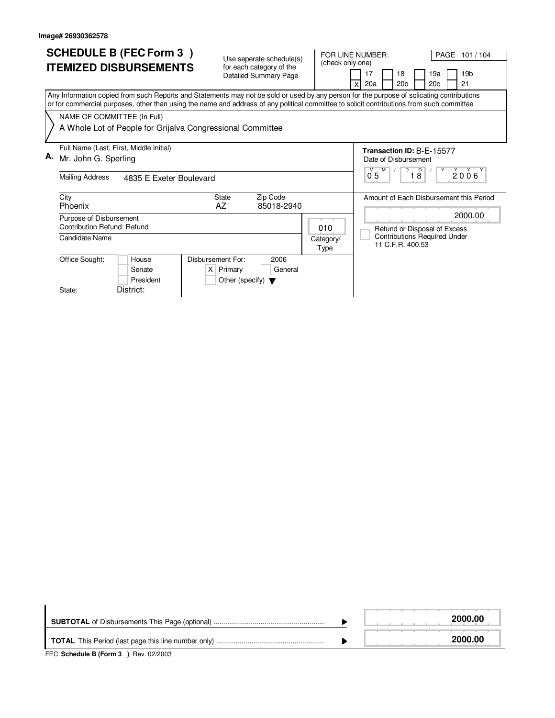| <b>SCHEDULE B (FEC Form 3)</b><br><b>ITEMIZED DISBURSEMENTS</b><br>Any Information copied from such Reports and Statements may not be sold or used by any person for the purpose of solicating contributions<br>or for commercial purposes, other than using the name and address of any political committee to solicit contributions from such committee | Use seperate schedule(s)<br>for each category of the<br><b>Detailed Summary Page</b> | FOR LINE NUMBER:<br>PAGE 101/104<br>(check only one)<br>19 <sub>b</sub><br>18<br>19a<br>17<br>20 <sub>b</sub><br>20a<br>20c<br>21 |
|-----------------------------------------------------------------------------------------------------------------------------------------------------------------------------------------------------------------------------------------------------------------------------------------------------------------------------------------------------------|--------------------------------------------------------------------------------------|-----------------------------------------------------------------------------------------------------------------------------------|
| NAME OF COMMITTEE (In Full)<br>A Whole Lot of People for Grijalva Congressional Committee                                                                                                                                                                                                                                                                 |                                                                                      |                                                                                                                                   |
| Full Name (Last, First, Middle Initial)<br>А.<br>Mr. John G. Sperling<br><b>Mailing Address</b><br>4835 E Exeter Boulevard                                                                                                                                                                                                                                |                                                                                      | Transaction ID: B-E-15577<br>Date of Disbursement<br>D<br>$\overline{D}$<br>2006<br>0 <sub>5</sub><br>$1\overline{8}$             |
| City<br>Phoenix<br>Purpose of Disbursement<br>Contribution Refund: Refund<br>Candidate Name                                                                                                                                                                                                                                                               | <b>State</b><br>Zip Code<br>AZ<br>85018-2940<br>010<br>Category/                     | Amount of Each Disbursement this Period<br>2000.00<br>Refund or Disposal of Excess<br><b>Contributions Required Under</b>         |
| Office Sought:<br>Disbursement For:<br>House<br>Senate<br>President<br>District:<br>State:                                                                                                                                                                                                                                                                | Type<br>2006<br>General<br>$X$ Primary<br>Other (specify) $\blacktriangledown$       | 11 C.F.R. 400.53                                                                                                                  |

|                                                                                                          | 2000.00 |
|----------------------------------------------------------------------------------------------------------|---------|
|                                                                                                          | 2000.00 |
| $FFA$ , $A + I$ , $A + I$ , $B$ , $F$ , $\ldots$ , $A$ , $A$ , $B$ , $\ldots$ , $A \cap A \cap A \cap A$ |         |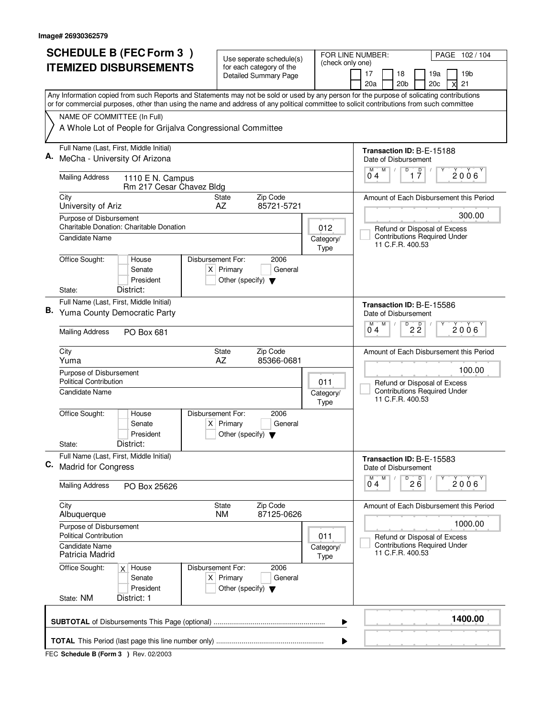| <b>SCHEDULE B (FEC Form 3)</b>                                                                                                            | Use seperate schedule(s)                                       | FOR LINE NUMBER:<br>PAGE 102/104                                             |  |  |  |
|-------------------------------------------------------------------------------------------------------------------------------------------|----------------------------------------------------------------|------------------------------------------------------------------------------|--|--|--|
| <b>ITEMIZED DISBURSEMENTS</b>                                                                                                             | for each category of the                                       | (check only one)<br>17<br>18<br>19a<br>19 <sub>b</sub>                       |  |  |  |
|                                                                                                                                           | Detailed Summary Page                                          | 20 <sub>b</sub><br>21<br>20a<br>20c                                          |  |  |  |
| Any Information copied from such Reports and Statements may not be sold or used by any person for the purpose of solicating contributions |                                                                |                                                                              |  |  |  |
| or for commercial purposes, other than using the name and address of any political committee to solicit contributions from such committee |                                                                |                                                                              |  |  |  |
| NAME OF COMMITTEE (In Full)<br>A Whole Lot of People for Grijalva Congressional Committee                                                 |                                                                |                                                                              |  |  |  |
|                                                                                                                                           |                                                                |                                                                              |  |  |  |
| Full Name (Last, First, Middle Initial)<br>MeCha - University Of Arizona                                                                  |                                                                | Transaction ID: B-E-15188                                                    |  |  |  |
|                                                                                                                                           |                                                                | Date of Disbursement<br>$\mathsf D$<br>M<br>D                                |  |  |  |
| <b>Mailing Address</b><br>1110 E N. Campus<br>Rm 217 Cesar Chavez Bldg                                                                    |                                                                | 2006<br>17<br>04                                                             |  |  |  |
| City                                                                                                                                      | Zip Code<br><b>State</b>                                       | Amount of Each Disbursement this Period                                      |  |  |  |
| University of Ariz                                                                                                                        | AZ<br>85721-5721                                               | 300.00                                                                       |  |  |  |
| Purpose of Disbursement<br>Charitable Donation: Charitable Donation                                                                       |                                                                | 012<br>Refund or Disposal of Excess                                          |  |  |  |
| Candidate Name                                                                                                                            |                                                                | <b>Contributions Required Under</b><br>Category/<br>11 C.F.R. 400.53         |  |  |  |
| Disbursement For:                                                                                                                         |                                                                | Type                                                                         |  |  |  |
| Office Sought:<br>House<br>Senate                                                                                                         | 2006<br>$X$ Primary<br>General                                 |                                                                              |  |  |  |
| President                                                                                                                                 | Other (specify) $\blacktriangledown$                           |                                                                              |  |  |  |
| District:<br>State:                                                                                                                       |                                                                |                                                                              |  |  |  |
| Full Name (Last, First, Middle Initial)<br>В.<br>Yuma County Democratic Party                                                             |                                                                | Transaction ID: B-E-15586<br>Date of Disbursement                            |  |  |  |
|                                                                                                                                           |                                                                | $\overline{D}$<br>M<br>M<br>$\overline{2}$ $\overline{2}$<br>2006            |  |  |  |
| <b>Mailing Address</b><br>PO Box 681                                                                                                      |                                                                | 04                                                                           |  |  |  |
| City<br>Yuma                                                                                                                              | Zip Code<br><b>State</b><br>AZ<br>85366-0681                   | Amount of Each Disbursement this Period                                      |  |  |  |
| Purpose of Disbursement                                                                                                                   | 100.00                                                         |                                                                              |  |  |  |
| <b>Political Contribution</b>                                                                                                             |                                                                | 011<br>Refund or Disposal of Excess<br><b>Contributions Required Under</b>   |  |  |  |
| <b>Candidate Name</b>                                                                                                                     |                                                                | Category/<br>11 C.F.R. 400.53<br>Type                                        |  |  |  |
| Office Sought:<br>Disbursement For:<br>House                                                                                              | 2006                                                           |                                                                              |  |  |  |
| Senate<br>President                                                                                                                       | $X$ Primary<br>General<br>Other (specify) $\blacktriangledown$ |                                                                              |  |  |  |
| District:<br>State:                                                                                                                       |                                                                |                                                                              |  |  |  |
| Full Name (Last, First, Middle Initial)<br>С.<br><b>Madrid for Congress</b>                                                               |                                                                | Transaction ID: B-E-15583<br>Date of Disbursement                            |  |  |  |
|                                                                                                                                           |                                                                | M<br>$\overline{26}$<br>M                                                    |  |  |  |
| <b>Mailing Address</b><br>PO Box 25626                                                                                                    |                                                                | 2006<br>$0^{\degree}4$                                                       |  |  |  |
| City<br>Albuquerque                                                                                                                       | Zip Code<br><b>State</b><br>87125-0626<br><b>NM</b>            | Amount of Each Disbursement this Period                                      |  |  |  |
| Purpose of Disbursement                                                                                                                   |                                                                |                                                                              |  |  |  |
| <b>Political Contribution</b>                                                                                                             |                                                                | 011<br>Refund or Disposal of Excess                                          |  |  |  |
| <b>Candidate Name</b><br>Patricia Madrid                                                                                                  |                                                                | <b>Contributions Required Under</b><br>Category/<br>11 C.F.R. 400.53<br>Type |  |  |  |
| Office Sought:<br>Disbursement For:<br>$x$ House                                                                                          | 2006                                                           |                                                                              |  |  |  |
| Senate<br>President                                                                                                                       | $X$ Primary<br>General<br>Other (specify) $\blacktriangledown$ |                                                                              |  |  |  |
| State: NM<br>District: 1                                                                                                                  |                                                                |                                                                              |  |  |  |
|                                                                                                                                           |                                                                | 1400.00                                                                      |  |  |  |
|                                                                                                                                           |                                                                | ▶                                                                            |  |  |  |
|                                                                                                                                           |                                                                | ▶                                                                            |  |  |  |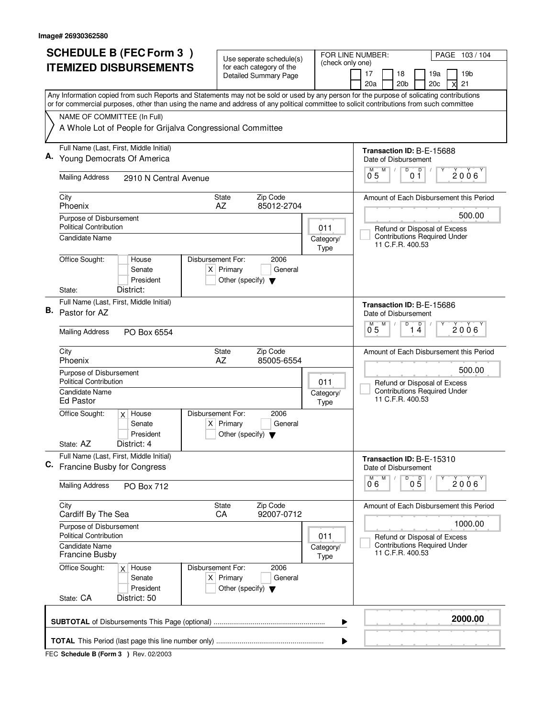|    | <b>SCHEDULE B (FEC Form 3)</b>                                                                                                                                                                                                                                                         |                    |                                                     | Use seperate schedule(s)                                 |                                         |                                                                     | FOR LINE NUMBER:                                                    | PAGE 103/104                            |
|----|----------------------------------------------------------------------------------------------------------------------------------------------------------------------------------------------------------------------------------------------------------------------------------------|--------------------|-----------------------------------------------------|----------------------------------------------------------|-----------------------------------------|---------------------------------------------------------------------|---------------------------------------------------------------------|-----------------------------------------|
|    | <b>ITEMIZED DISBURSEMENTS</b>                                                                                                                                                                                                                                                          |                    |                                                     | for each category of the<br><b>Detailed Summary Page</b> |                                         | (check only one)                                                    | 17<br>18                                                            | 19a<br>19 <sub>b</sub>                  |
|    |                                                                                                                                                                                                                                                                                        |                    |                                                     |                                                          |                                         |                                                                     | 20 <sub>b</sub><br>20a                                              | 21<br>20c                               |
|    | Any Information copied from such Reports and Statements may not be sold or used by any person for the purpose of solicating contributions<br>or for commercial purposes, other than using the name and address of any political committee to solicit contributions from such committee |                    |                                                     |                                                          |                                         |                                                                     |                                                                     |                                         |
|    | NAME OF COMMITTEE (In Full)                                                                                                                                                                                                                                                            |                    |                                                     |                                                          |                                         |                                                                     |                                                                     |                                         |
|    | A Whole Lot of People for Grijalva Congressional Committee                                                                                                                                                                                                                             |                    |                                                     |                                                          |                                         |                                                                     |                                                                     |                                         |
|    | Full Name (Last, First, Middle Initial)<br>Young Democrats Of America                                                                                                                                                                                                                  |                    |                                                     |                                                          |                                         |                                                                     | Transaction ID: B-E-15688<br>Date of Disbursement                   |                                         |
|    | <b>Mailing Address</b><br>2910 N Central Avenue                                                                                                                                                                                                                                        |                    |                                                     |                                                          |                                         |                                                                     | D<br>М<br>M<br>05                                                   | D<br>2006<br>01                         |
|    | City<br>Phoenix                                                                                                                                                                                                                                                                        | State<br>AZ        |                                                     | Zip Code<br>85012-2704                                   |                                         |                                                                     |                                                                     | Amount of Each Disbursement this Period |
|    | Purpose of Disbursement<br><b>Political Contribution</b>                                                                                                                                                                                                                               |                    |                                                     |                                                          |                                         | 011                                                                 |                                                                     | 500.00<br>Refund or Disposal of Excess  |
|    | Candidate Name                                                                                                                                                                                                                                                                         |                    |                                                     |                                                          |                                         | Category/<br><b>Type</b>                                            | 11 C.F.R. 400.53                                                    | <b>Contributions Required Under</b>     |
|    | Office Sought:<br>House<br>Senate<br>President                                                                                                                                                                                                                                         | Disbursement For:  | $X$ Primary<br>Other (specify) $\blacktriangledown$ | 2006<br>General                                          |                                         |                                                                     |                                                                     |                                         |
|    | District:<br>State:                                                                                                                                                                                                                                                                    |                    |                                                     |                                                          |                                         |                                                                     |                                                                     |                                         |
| В. | Full Name (Last, First, Middle Initial)<br>Pastor for AZ                                                                                                                                                                                                                               |                    |                                                     |                                                          |                                         |                                                                     | Transaction ID: B-E-15686<br>Date of Disbursement<br>$\overline{D}$ |                                         |
|    | <b>Mailing Address</b><br>PO Box 6554                                                                                                                                                                                                                                                  |                    |                                                     |                                                          |                                         |                                                                     | M<br>D<br>M<br>2006<br>14<br>0 <sub>5</sub>                         |                                         |
|    | City<br>Phoenix                                                                                                                                                                                                                                                                        | <b>State</b><br>AZ |                                                     | Zip Code<br>85005-6554                                   |                                         |                                                                     |                                                                     | Amount of Each Disbursement this Period |
|    | Purpose of Disbursement<br><b>Political Contribution</b><br>011                                                                                                                                                                                                                        |                    |                                                     |                                                          |                                         | Refund or Disposal of Excess<br><b>Contributions Required Under</b> | 500.00                                                              |                                         |
|    | <b>Candidate Name</b><br><b>Ed Pastor</b>                                                                                                                                                                                                                                              |                    |                                                     |                                                          |                                         | Category/<br>Type                                                   | 11 C.F.R. 400.53                                                    |                                         |
|    | Office Sought:<br>$x$ House<br>Senate<br>President                                                                                                                                                                                                                                     | Disbursement For:  | $X$ Primary<br>Other (specify) $\blacktriangledown$ | 2006<br>General                                          |                                         |                                                                     |                                                                     |                                         |
|    | State: AZ<br>District: 4                                                                                                                                                                                                                                                               |                    |                                                     |                                                          |                                         |                                                                     |                                                                     |                                         |
| C. | Full Name (Last, First, Middle Initial)<br>Francine Busby for Congress                                                                                                                                                                                                                 |                    |                                                     |                                                          |                                         |                                                                     | Transaction ID: B-E-15310<br>Date of Disbursement                   |                                         |
|    | <b>Mailing Address</b><br>PO Box 712                                                                                                                                                                                                                                                   |                    |                                                     |                                                          |                                         |                                                                     | D<br>M<br>$\overline{0}^{\overline{M}}$ 6                           | $0\overline{5}$<br>2006                 |
|    | City<br>Cardiff By The Sea                                                                                                                                                                                                                                                             | State<br>CA        |                                                     | Zip Code<br>92007-0712                                   |                                         |                                                                     |                                                                     | Amount of Each Disbursement this Period |
|    | Purpose of Disbursement<br><b>Political Contribution</b><br>011                                                                                                                                                                                                                        |                    |                                                     |                                                          | 1000.00<br>Refund or Disposal of Excess |                                                                     |                                                                     |                                         |
|    | <b>Candidate Name</b><br>Category/<br><b>Francine Busby</b><br>Type                                                                                                                                                                                                                    |                    |                                                     |                                                          | 11 C.F.R. 400.53                        | <b>Contributions Required Under</b>                                 |                                                                     |                                         |
|    | Office Sought:<br>$x$ House<br>Senate<br>President                                                                                                                                                                                                                                     | Disbursement For:  | $X$ Primary<br>Other (specify) $\blacktriangledown$ | 2006<br>General                                          |                                         |                                                                     |                                                                     |                                         |
|    | State: CA<br>District: 50                                                                                                                                                                                                                                                              |                    |                                                     |                                                          |                                         |                                                                     |                                                                     |                                         |
|    |                                                                                                                                                                                                                                                                                        |                    |                                                     |                                                          |                                         | ▶                                                                   |                                                                     | 2000.00                                 |
|    |                                                                                                                                                                                                                                                                                        |                    |                                                     |                                                          |                                         | ▶                                                                   |                                                                     |                                         |